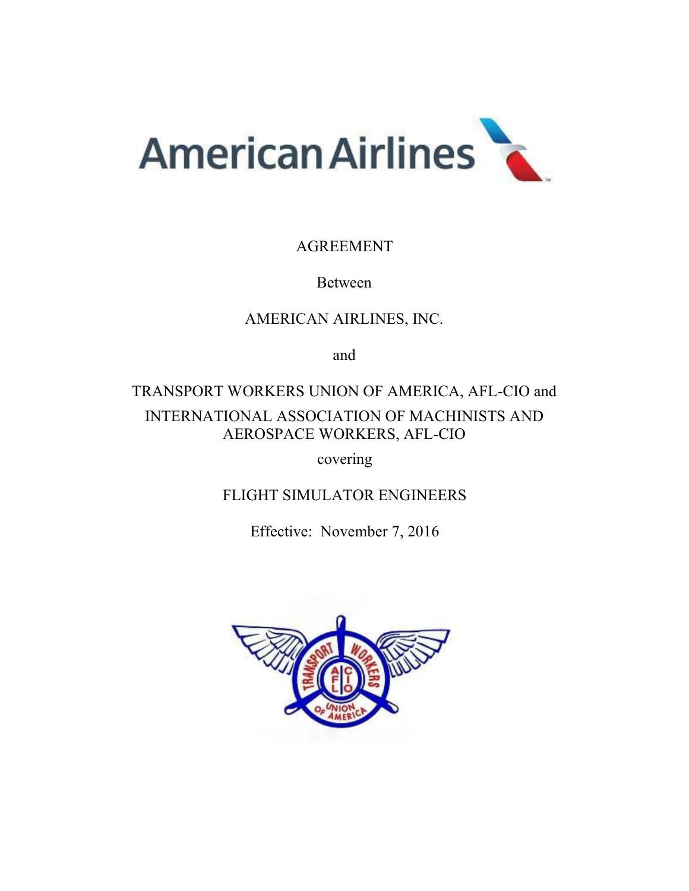

# AGREEMENT

# Between

# AMERICAN AIRLINES, INC.

and

# TRANSPORT WORKERS UNION OF AMERICA, AFL-CIO and INTERNATIONAL ASSOCIATION OF MACHINISTS AND AEROSPACE WORKERS, AFL-CIO

covering

FLIGHT SIMULATOR ENGINEERS

Effective: November 7, 2016

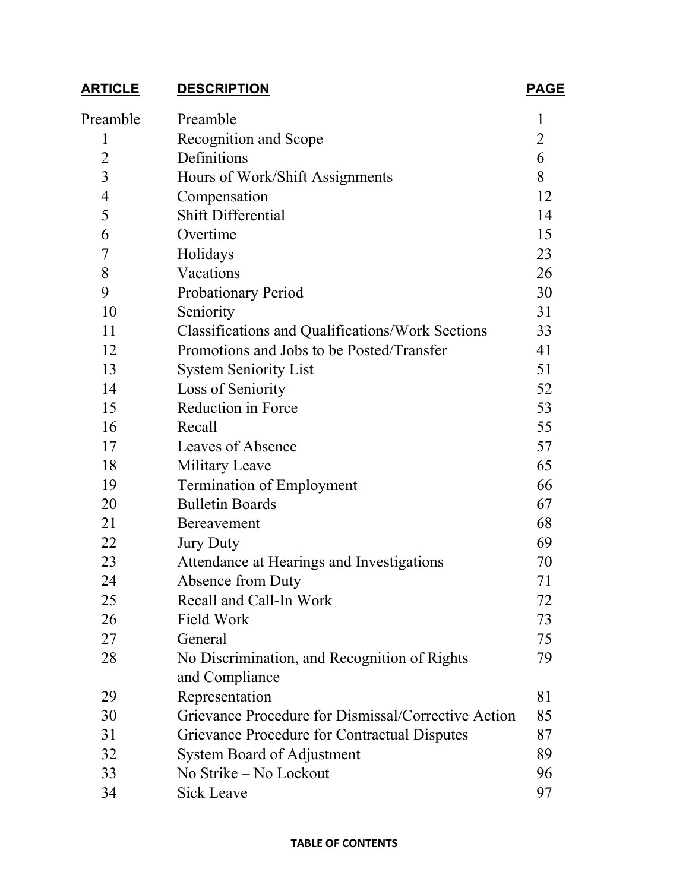# **ARTICLE DESCRIPTION PAGE**

| Preamble       | Preamble                                                | 1              |
|----------------|---------------------------------------------------------|----------------|
| 1              | Recognition and Scope                                   | $\overline{2}$ |
| $\overline{2}$ | Definitions                                             | 6              |
| $\overline{3}$ | Hours of Work/Shift Assignments                         | 8              |
| $\overline{4}$ | Compensation                                            | 12             |
| 5              | <b>Shift Differential</b>                               | 14             |
| 6              | Overtime                                                | 15             |
| 7              | Holidays                                                | 23             |
| 8              | Vacations                                               | 26             |
| 9              | Probationary Period                                     | 30             |
| 10             | Seniority                                               | 31             |
| 11             | <b>Classifications and Qualifications/Work Sections</b> | 33             |
| 12             | Promotions and Jobs to be Posted/Transfer               | 41             |
| 13             | <b>System Seniority List</b>                            | 51             |
| 14             | Loss of Seniority                                       | 52             |
| 15             | Reduction in Force                                      | 53             |
| 16             | Recall                                                  | 55             |
| 17             | Leaves of Absence                                       | 57             |
| 18             | Military Leave                                          | 65             |
| 19             | Termination of Employment                               | 66             |
| 20             | <b>Bulletin Boards</b>                                  | 67             |
| 21             | Bereavement                                             | 68             |
| 22             | <b>Jury Duty</b>                                        | 69             |
| 23             | Attendance at Hearings and Investigations               | 70             |
| 24             | Absence from Duty                                       | 71             |
| 25             | Recall and Call-In Work                                 | 72             |
| 26             | Field Work                                              | 73             |
| 27             | General                                                 | 75             |
| 28             | No Discrimination, and Recognition of Rights            | 79             |
|                | and Compliance                                          |                |
| 29             | Representation                                          | 81             |
| 30             | Grievance Procedure for Dismissal/Corrective Action     | 85             |
| 31             | Grievance Procedure for Contractual Disputes            | 87             |
| 32             | System Board of Adjustment                              | 89             |
| 33             | No Strike - No Lockout                                  | 96             |
| 34             | <b>Sick Leave</b>                                       | 97             |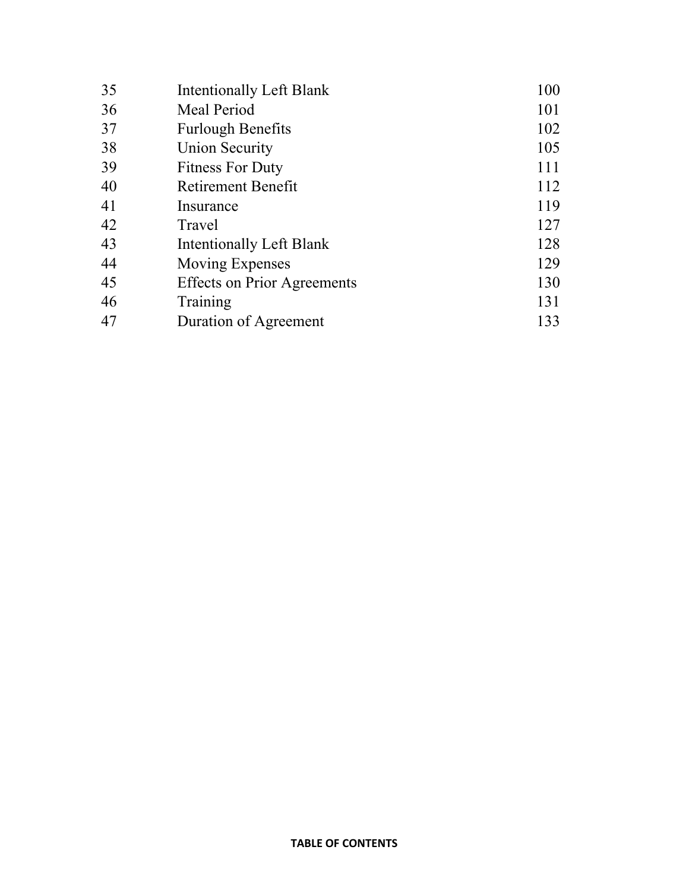| 35 | Intentionally Left Blank           | 100 |
|----|------------------------------------|-----|
| 36 | Meal Period                        | 101 |
| 37 | <b>Furlough Benefits</b>           | 102 |
| 38 | <b>Union Security</b>              | 105 |
| 39 | <b>Fitness For Duty</b>            | 111 |
| 40 | <b>Retirement Benefit</b>          | 112 |
| 41 | Insurance                          | 119 |
| 42 | Travel                             | 127 |
| 43 | Intentionally Left Blank           | 128 |
| 44 | Moving Expenses                    | 129 |
| 45 | <b>Effects on Prior Agreements</b> | 130 |
| 46 | Training                           | 131 |
| 47 | Duration of Agreement              | 133 |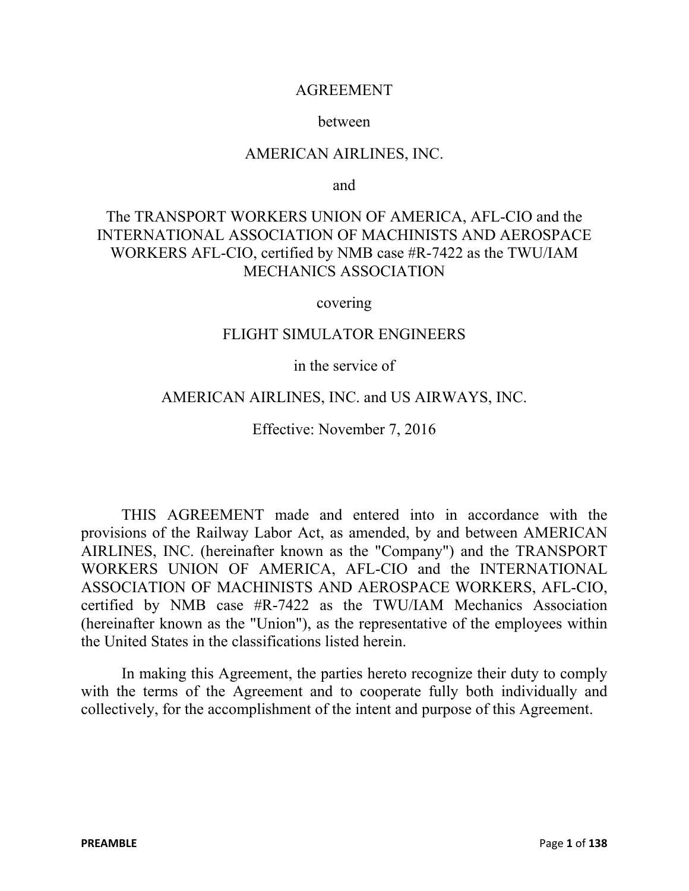#### AGREEMENT

#### between

#### AMERICAN AIRLINES, INC.

and

# The TRANSPORT WORKERS UNION OF AMERICA, AFL-CIO and the INTERNATIONAL ASSOCIATION OF MACHINISTS AND AEROSPACE WORKERS AFL-CIO, certified by NMB case #R-7422 as the TWU/IAM MECHANICS ASSOCIATION

covering

#### FLIGHT SIMULATOR ENGINEERS

#### in the service of

#### AMERICAN AIRLINES, INC. and US AIRWAYS, INC.

Effective: November 7, 2016

THIS AGREEMENT made and entered into in accordance with the provisions of the Railway Labor Act, as amended, by and between AMERICAN AIRLINES, INC. (hereinafter known as the "Company") and the TRANSPORT WORKERS UNION OF AMERICA, AFL-CIO and the INTERNATIONAL ASSOCIATION OF MACHINISTS AND AEROSPACE WORKERS, AFL-CIO, certified by NMB case #R-7422 as the TWU/IAM Mechanics Association (hereinafter known as the "Union"), as the representative of the employees within the United States in the classifications listed herein.

In making this Agreement, the parties hereto recognize their duty to comply with the terms of the Agreement and to cooperate fully both individually and collectively, for the accomplishment of the intent and purpose of this Agreement.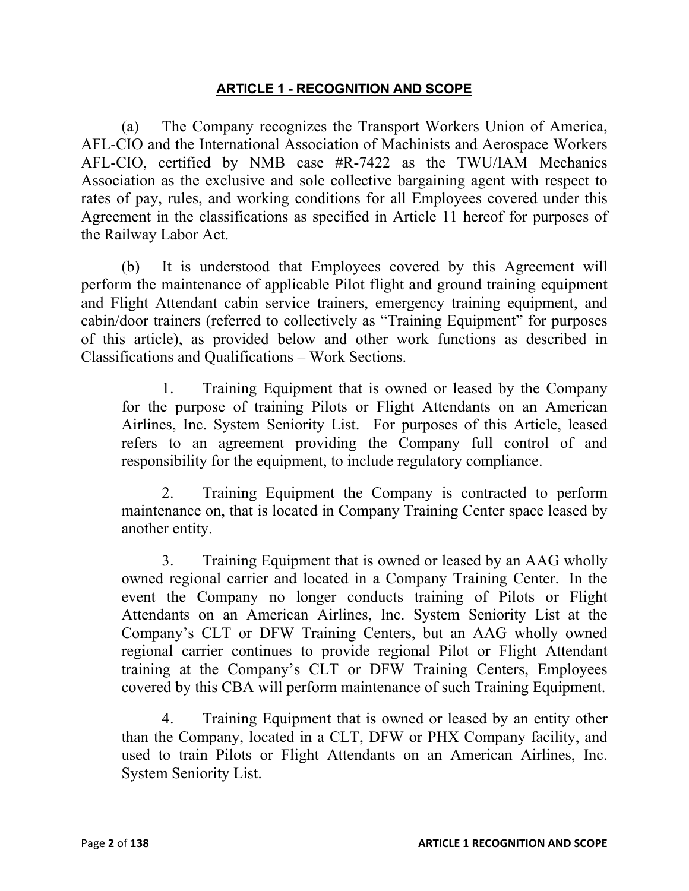#### **ARTICLE 1 - RECOGNITION AND SCOPE**

(a) The Company recognizes the Transport Workers Union of America, AFL-CIO and the International Association of Machinists and Aerospace Workers AFL-CIO, certified by NMB case #R-7422 as the TWU/IAM Mechanics Association as the exclusive and sole collective bargaining agent with respect to rates of pay, rules, and working conditions for all Employees covered under this Agreement in the classifications as specified in Article 11 hereof for purposes of the Railway Labor Act.

(b) It is understood that Employees covered by this Agreement will perform the maintenance of applicable Pilot flight and ground training equipment and Flight Attendant cabin service trainers, emergency training equipment, and cabin/door trainers (referred to collectively as "Training Equipment" for purposes of this article), as provided below and other work functions as described in Classifications and Qualifications – Work Sections.

1. Training Equipment that is owned or leased by the Company for the purpose of training Pilots or Flight Attendants on an American Airlines, Inc. System Seniority List. For purposes of this Article, leased refers to an agreement providing the Company full control of and responsibility for the equipment, to include regulatory compliance.

2. Training Equipment the Company is contracted to perform maintenance on, that is located in Company Training Center space leased by another entity.

3. Training Equipment that is owned or leased by an AAG wholly owned regional carrier and located in a Company Training Center. In the event the Company no longer conducts training of Pilots or Flight Attendants on an American Airlines, Inc. System Seniority List at the Company's CLT or DFW Training Centers, but an AAG wholly owned regional carrier continues to provide regional Pilot or Flight Attendant training at the Company's CLT or DFW Training Centers, Employees covered by this CBA will perform maintenance of such Training Equipment.

4. Training Equipment that is owned or leased by an entity other than the Company, located in a CLT, DFW or PHX Company facility, and used to train Pilots or Flight Attendants on an American Airlines, Inc. System Seniority List.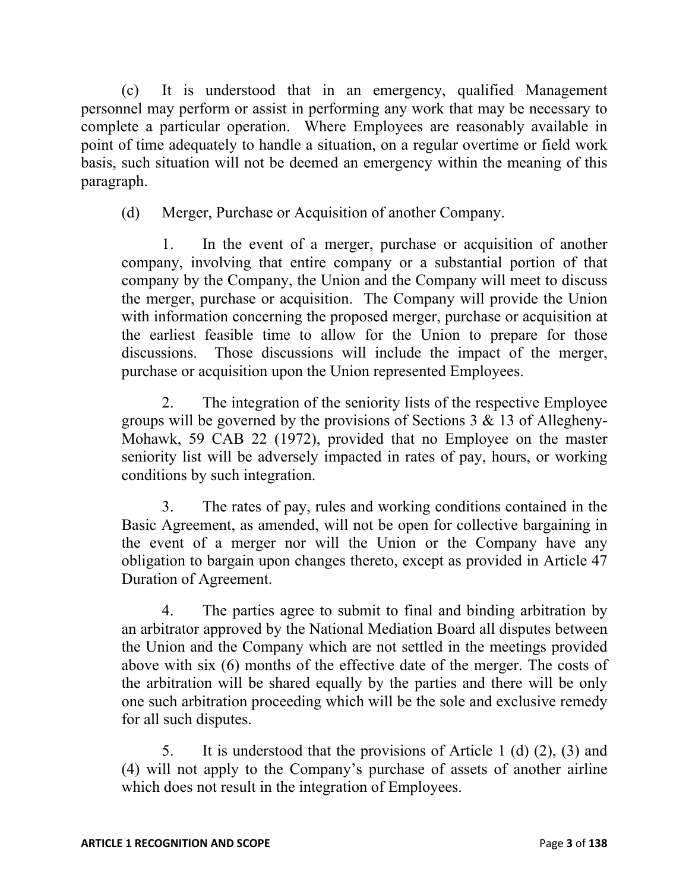(c) It is understood that in an emergency, qualified Management personnel may perform or assist in performing any work that may be necessary to complete a particular operation. Where Employees are reasonably available in point of time adequately to handle a situation, on a regular overtime or field work basis, such situation will not be deemed an emergency within the meaning of this paragraph.

(d) Merger, Purchase or Acquisition of another Company.

1. In the event of a merger, purchase or acquisition of another company, involving that entire company or a substantial portion of that company by the Company, the Union and the Company will meet to discuss the merger, purchase or acquisition. The Company will provide the Union with information concerning the proposed merger, purchase or acquisition at the earliest feasible time to allow for the Union to prepare for those discussions. Those discussions will include the impact of the merger, purchase or acquisition upon the Union represented Employees.

2. The integration of the seniority lists of the respective Employee groups will be governed by the provisions of Sections 3 & 13 of Allegheny-Mohawk, 59 CAB 22 (1972), provided that no Employee on the master seniority list will be adversely impacted in rates of pay, hours, or working conditions by such integration.

3. The rates of pay, rules and working conditions contained in the Basic Agreement, as amended, will not be open for collective bargaining in the event of a merger nor will the Union or the Company have any obligation to bargain upon changes thereto, except as provided in Article 47 Duration of Agreement.

4. The parties agree to submit to final and binding arbitration by an arbitrator approved by the National Mediation Board all disputes between the Union and the Company which are not settled in the meetings provided above with six (6) months of the effective date of the merger. The costs of the arbitration will be shared equally by the parties and there will be only one such arbitration proceeding which will be the sole and exclusive remedy for all such disputes.

5. It is understood that the provisions of Article 1 (d) (2), (3) and (4) will not apply to the Company's purchase of assets of another airline which does not result in the integration of Employees.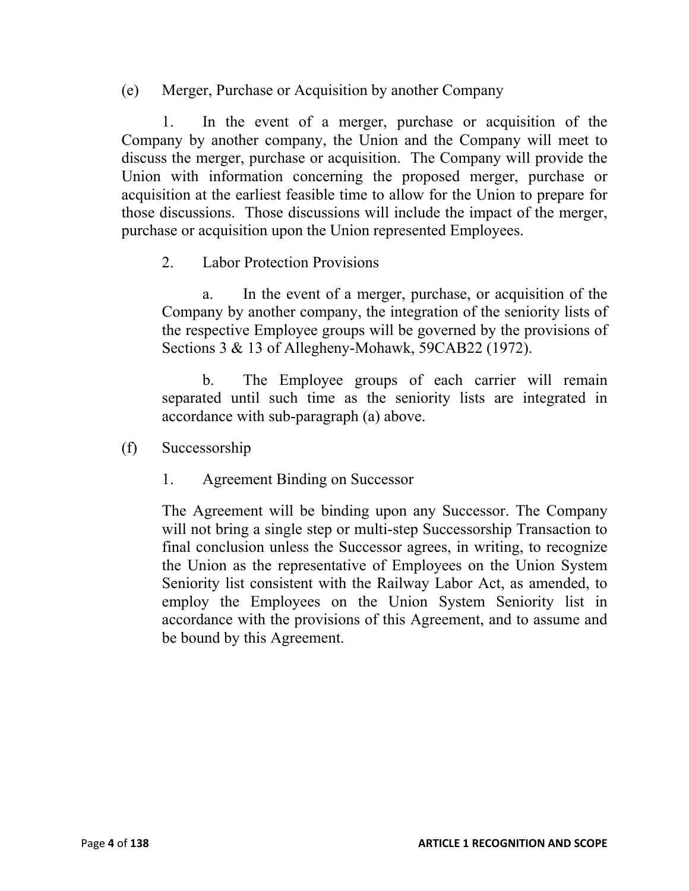(e) Merger, Purchase or Acquisition by another Company

1. In the event of a merger, purchase or acquisition of the Company by another company, the Union and the Company will meet to discuss the merger, purchase or acquisition. The Company will provide the Union with information concerning the proposed merger, purchase or acquisition at the earliest feasible time to allow for the Union to prepare for those discussions. Those discussions will include the impact of the merger, purchase or acquisition upon the Union represented Employees.

2. Labor Protection Provisions

a. In the event of a merger, purchase, or acquisition of the Company by another company, the integration of the seniority lists of the respective Employee groups will be governed by the provisions of Sections 3 & 13 of Allegheny-Mohawk, 59CAB22 (1972).

b. The Employee groups of each carrier will remain separated until such time as the seniority lists are integrated in accordance with sub-paragraph (a) above.

- (f) Successorship
	- 1. Agreement Binding on Successor

The Agreement will be binding upon any Successor. The Company will not bring a single step or multi-step Successorship Transaction to final conclusion unless the Successor agrees, in writing, to recognize the Union as the representative of Employees on the Union System Seniority list consistent with the Railway Labor Act, as amended, to employ the Employees on the Union System Seniority list in accordance with the provisions of this Agreement, and to assume and be bound by this Agreement.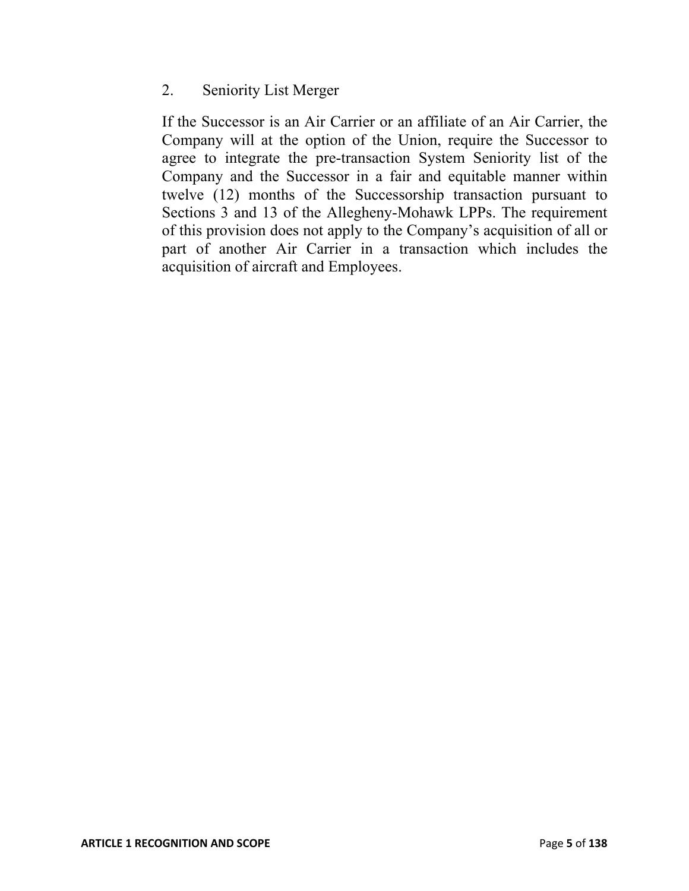## 2. Seniority List Merger

If the Successor is an Air Carrier or an affiliate of an Air Carrier, the Company will at the option of the Union, require the Successor to agree to integrate the pre-transaction System Seniority list of the Company and the Successor in a fair and equitable manner within twelve (12) months of the Successorship transaction pursuant to Sections 3 and 13 of the Allegheny-Mohawk LPPs. The requirement of this provision does not apply to the Company's acquisition of all or part of another Air Carrier in a transaction which includes the acquisition of aircraft and Employees.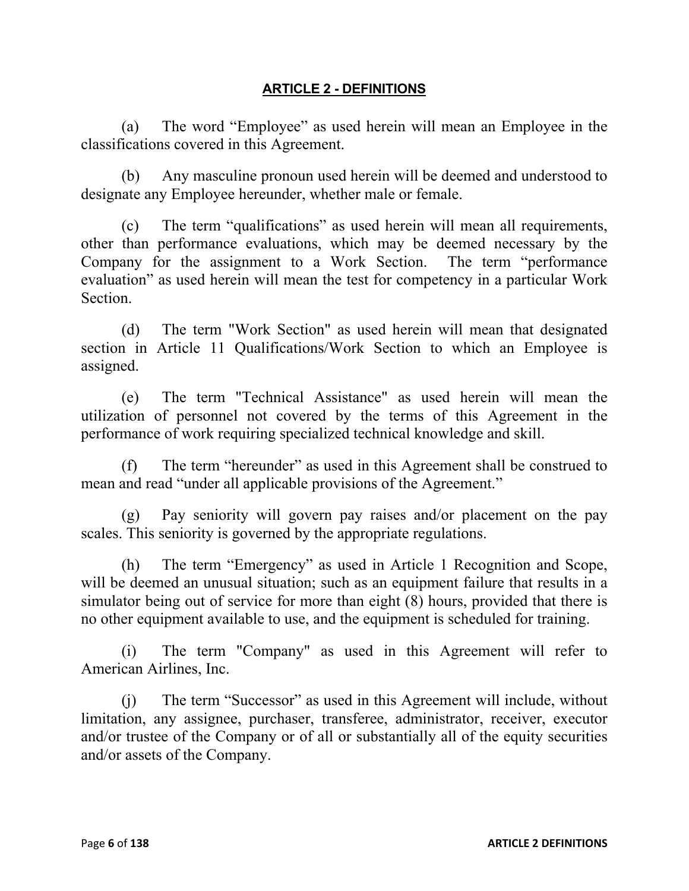#### **ARTICLE 2 - DEFINITIONS**

(a) The word "Employee" as used herein will mean an Employee in the classifications covered in this Agreement.

(b) Any masculine pronoun used herein will be deemed and understood to designate any Employee hereunder, whether male or female.

(c) The term "qualifications" as used herein will mean all requirements, other than performance evaluations, which may be deemed necessary by the Company for the assignment to a Work Section. The term "performance evaluation" as used herein will mean the test for competency in a particular Work Section.

(d) The term "Work Section" as used herein will mean that designated section in Article 11 Qualifications/Work Section to which an Employee is assigned.

(e) The term "Technical Assistance" as used herein will mean the utilization of personnel not covered by the terms of this Agreement in the performance of work requiring specialized technical knowledge and skill.

(f) The term "hereunder" as used in this Agreement shall be construed to mean and read "under all applicable provisions of the Agreement."

(g) Pay seniority will govern pay raises and/or placement on the pay scales. This seniority is governed by the appropriate regulations.

(h) The term "Emergency" as used in Article 1 Recognition and Scope, will be deemed an unusual situation; such as an equipment failure that results in a simulator being out of service for more than eight (8) hours, provided that there is no other equipment available to use, and the equipment is scheduled for training.

(i) The term "Company" as used in this Agreement will refer to American Airlines, Inc.

(j) The term "Successor" as used in this Agreement will include, without limitation, any assignee, purchaser, transferee, administrator, receiver, executor and/or trustee of the Company or of all or substantially all of the equity securities and/or assets of the Company.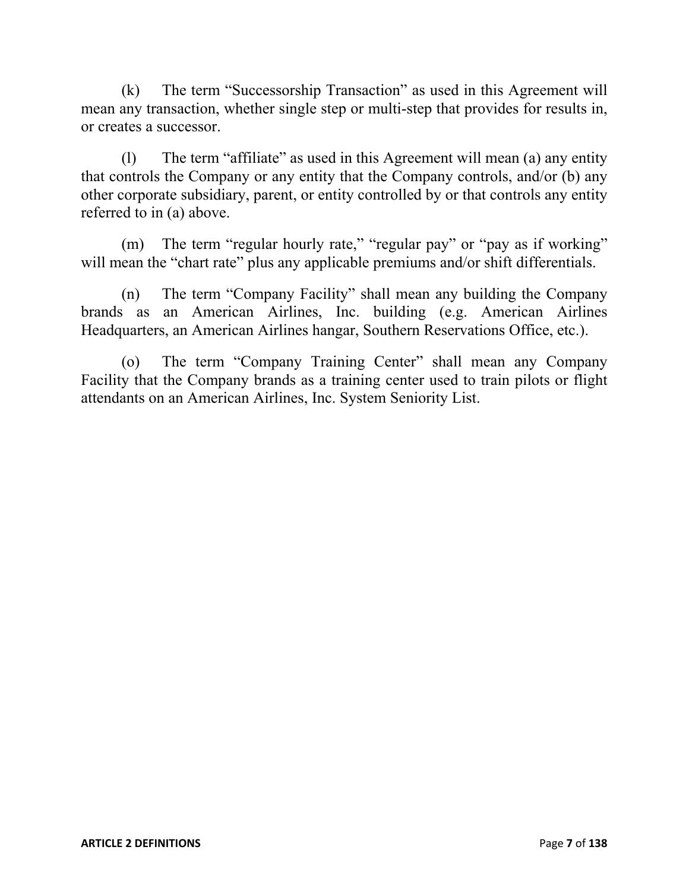(k) The term "Successorship Transaction" as used in this Agreement will mean any transaction, whether single step or multi-step that provides for results in, or creates a successor.

(l) The term "affiliate" as used in this Agreement will mean (a) any entity that controls the Company or any entity that the Company controls, and/or (b) any other corporate subsidiary, parent, or entity controlled by or that controls any entity referred to in (a) above.

(m) The term "regular hourly rate," "regular pay" or "pay as if working" will mean the "chart rate" plus any applicable premiums and/or shift differentials.

(n) The term "Company Facility" shall mean any building the Company brands as an American Airlines, Inc. building (e.g. American Airlines Headquarters, an American Airlines hangar, Southern Reservations Office, etc.).

(o) The term "Company Training Center" shall mean any Company Facility that the Company brands as a training center used to train pilots or flight attendants on an American Airlines, Inc. System Seniority List.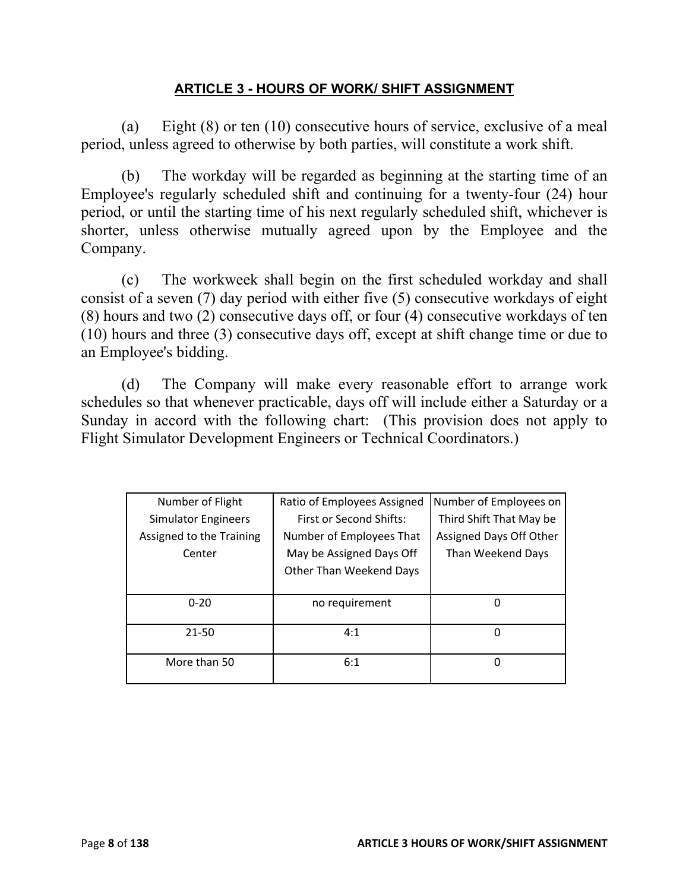#### **ARTICLE 3 - HOURS OF WORK/ SHIFT ASSIGNMENT**

(a) Eight (8) or ten (10) consecutive hours of service, exclusive of a meal period, unless agreed to otherwise by both parties, will constitute a work shift.

(b) The workday will be regarded as beginning at the starting time of an Employee's regularly scheduled shift and continuing for a twenty-four (24) hour period, or until the starting time of his next regularly scheduled shift, whichever is shorter, unless otherwise mutually agreed upon by the Employee and the Company.

(c) The workweek shall begin on the first scheduled workday and shall consist of a seven (7) day period with either five (5) consecutive workdays of eight (8) hours and two (2) consecutive days off, or four (4) consecutive workdays of ten (10) hours and three (3) consecutive days off, except at shift change time or due to an Employee's bidding.

(d) The Company will make every reasonable effort to arrange work schedules so that whenever practicable, days off will include either a Saturday or a Sunday in accord with the following chart: (This provision does not apply to Flight Simulator Development Engineers or Technical Coordinators.)

| Number of Flight           | Ratio of Employees Assigned | Number of Employees on  |
|----------------------------|-----------------------------|-------------------------|
| <b>Simulator Engineers</b> | First or Second Shifts:     | Third Shift That May be |
| Assigned to the Training   | Number of Employees That    | Assigned Days Off Other |
| Center                     | May be Assigned Days Off    | Than Weekend Days       |
|                            | Other Than Weekend Days     |                         |
|                            |                             |                         |
| $0 - 20$                   | no requirement              |                         |
|                            |                             |                         |
| 21-50                      | 4:1                         |                         |
|                            |                             |                         |
| More than 50               | 6:1                         |                         |
|                            |                             |                         |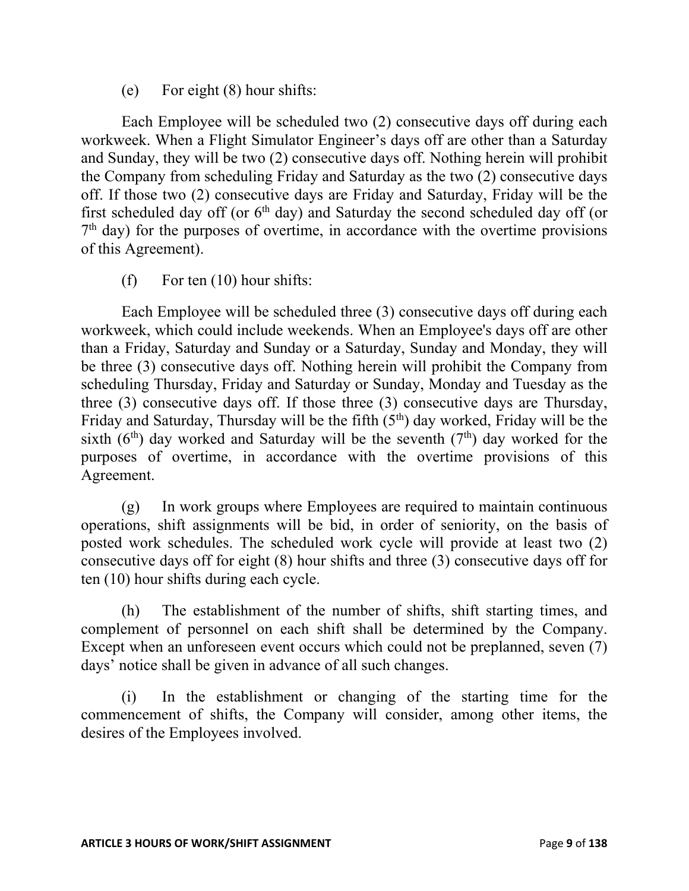(e) For eight (8) hour shifts:

Each Employee will be scheduled two (2) consecutive days off during each workweek. When a Flight Simulator Engineer's days off are other than a Saturday and Sunday, they will be two (2) consecutive days off. Nothing herein will prohibit the Company from scheduling Friday and Saturday as the two (2) consecutive days off. If those two (2) consecutive days are Friday and Saturday, Friday will be the first scheduled day off (or  $6<sup>th</sup>$  day) and Saturday the second scheduled day off (or  $7<sup>th</sup>$  day) for the purposes of overtime, in accordance with the overtime provisions of this Agreement).

(f) For ten (10) hour shifts:

Each Employee will be scheduled three (3) consecutive days off during each workweek, which could include weekends. When an Employee's days off are other than a Friday, Saturday and Sunday or a Saturday, Sunday and Monday, they will be three (3) consecutive days off. Nothing herein will prohibit the Company from scheduling Thursday, Friday and Saturday or Sunday, Monday and Tuesday as the three (3) consecutive days off. If those three (3) consecutive days are Thursday, Friday and Saturday, Thursday will be the fifth  $(5<sup>th</sup>)$  day worked, Friday will be the sixth ( $6<sup>th</sup>$ ) day worked and Saturday will be the seventh ( $7<sup>th</sup>$ ) day worked for the purposes of overtime, in accordance with the overtime provisions of this Agreement.

(g) In work groups where Employees are required to maintain continuous operations, shift assignments will be bid, in order of seniority, on the basis of posted work schedules. The scheduled work cycle will provide at least two (2) consecutive days off for eight (8) hour shifts and three (3) consecutive days off for ten (10) hour shifts during each cycle.

(h) The establishment of the number of shifts, shift starting times, and complement of personnel on each shift shall be determined by the Company. Except when an unforeseen event occurs which could not be preplanned, seven (7) days' notice shall be given in advance of all such changes.

(i) In the establishment or changing of the starting time for the commencement of shifts, the Company will consider, among other items, the desires of the Employees involved.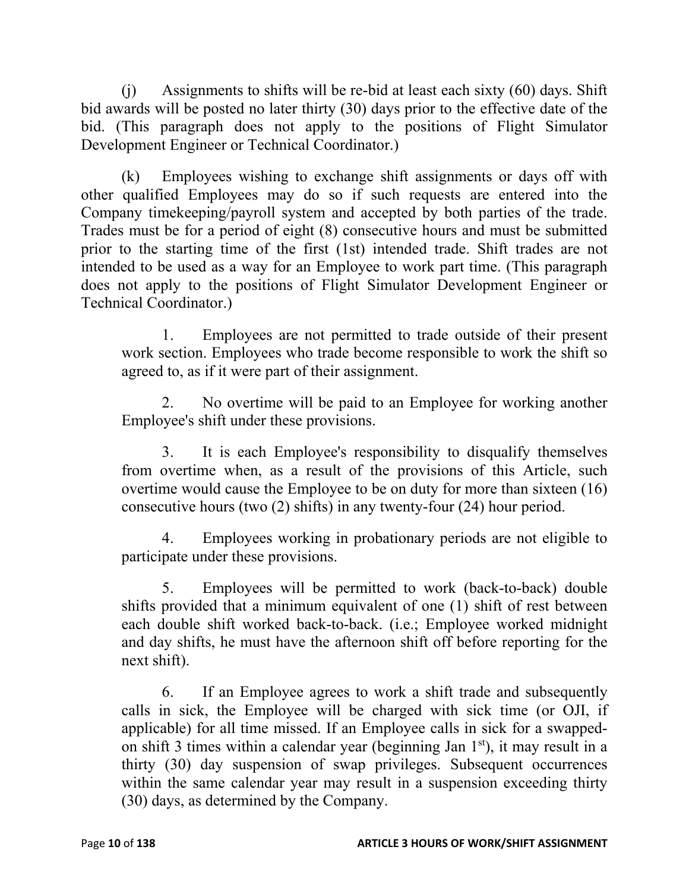(j) Assignments to shifts will be re-bid at least each sixty (60) days. Shift bid awards will be posted no later thirty (30) days prior to the effective date of the bid. (This paragraph does not apply to the positions of Flight Simulator Development Engineer or Technical Coordinator.)

(k) Employees wishing to exchange shift assignments or days off with other qualified Employees may do so if such requests are entered into the Company timekeeping/payroll system and accepted by both parties of the trade. Trades must be for a period of eight (8) consecutive hours and must be submitted prior to the starting time of the first (1st) intended trade. Shift trades are not intended to be used as a way for an Employee to work part time. (This paragraph does not apply to the positions of Flight Simulator Development Engineer or Technical Coordinator.)

1. Employees are not permitted to trade outside of their present work section. Employees who trade become responsible to work the shift so agreed to, as if it were part of their assignment.

2. No overtime will be paid to an Employee for working another Employee's shift under these provisions.

3. It is each Employee's responsibility to disqualify themselves from overtime when, as a result of the provisions of this Article, such overtime would cause the Employee to be on duty for more than sixteen (16) consecutive hours (two (2) shifts) in any twenty-four (24) hour period.

4. Employees working in probationary periods are not eligible to participate under these provisions.

5. Employees will be permitted to work (back-to-back) double shifts provided that a minimum equivalent of one (1) shift of rest between each double shift worked back-to-back. (i.e.; Employee worked midnight and day shifts, he must have the afternoon shift off before reporting for the next shift).

6. If an Employee agrees to work a shift trade and subsequently calls in sick, the Employee will be charged with sick time (or OJI, if applicable) for all time missed. If an Employee calls in sick for a swappedon shift 3 times within a calendar year (beginning Jan  $1<sup>st</sup>$ ), it may result in a thirty (30) day suspension of swap privileges. Subsequent occurrences within the same calendar year may result in a suspension exceeding thirty (30) days, as determined by the Company.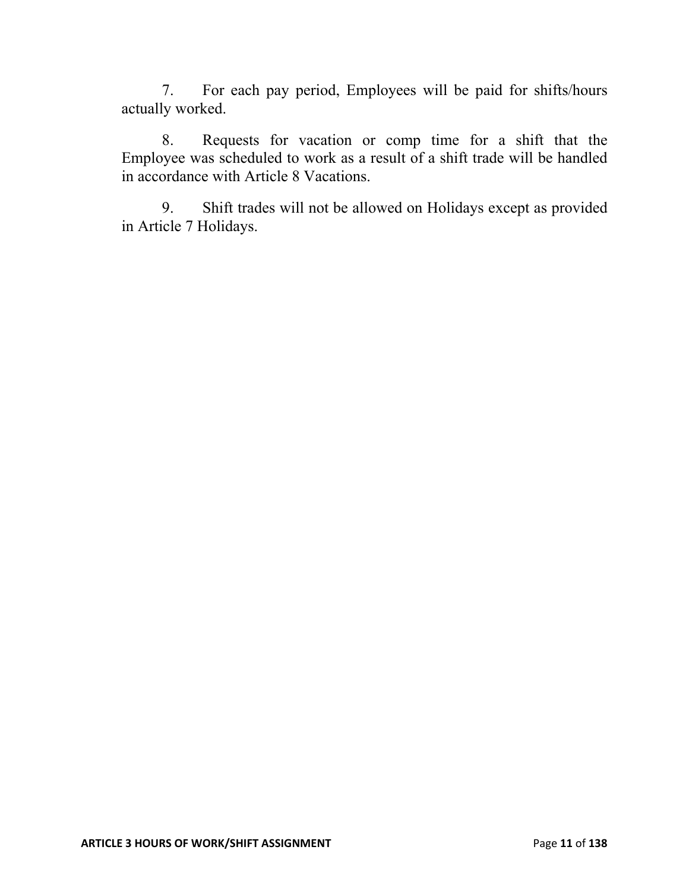7. For each pay period, Employees will be paid for shifts/hours actually worked.

8. Requests for vacation or comp time for a shift that the Employee was scheduled to work as a result of a shift trade will be handled in accordance with Article 8 Vacations.

9. Shift trades will not be allowed on Holidays except as provided in Article 7 Holidays.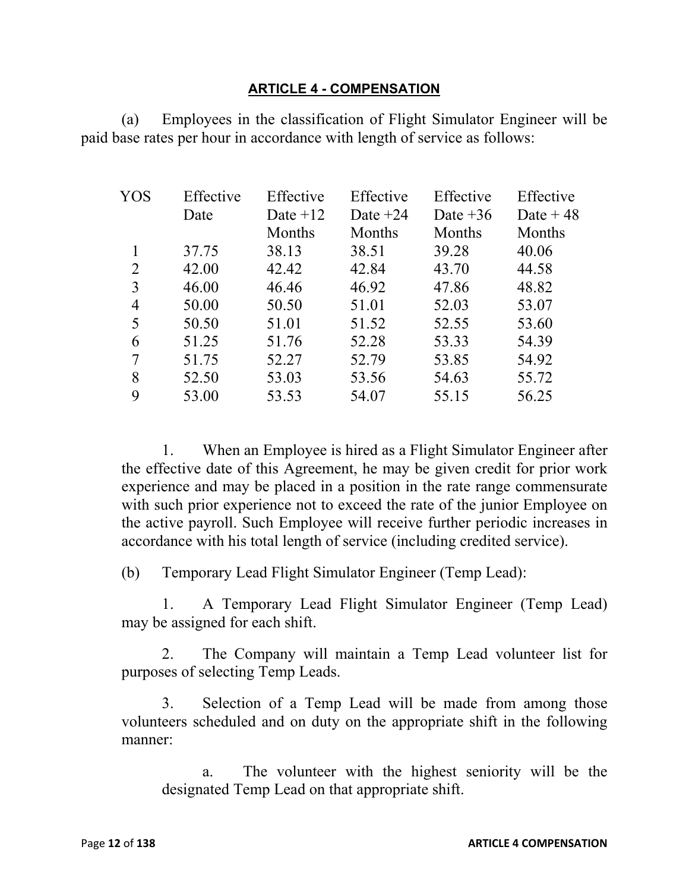#### **ARTICLE 4 - COMPENSATION**

(a) Employees in the classification of Flight Simulator Engineer will be paid base rates per hour in accordance with length of service as follows:

| Effective | Effective  | Effective  | Effective  | Effective  |
|-----------|------------|------------|------------|------------|
| Date      | Date $+12$ | Date $+24$ | Date $+36$ | Date $+48$ |
|           | Months     | Months     | Months     | Months     |
| 37.75     | 38.13      | 38.51      | 39.28      | 40.06      |
| 42.00     | 42.42      | 42.84      | 43.70      | 44.58      |
| 46.00     | 46.46      | 46.92      | 47.86      | 48.82      |
| 50.00     | 50.50      | 51.01      | 52.03      | 53.07      |
| 50.50     | 51.01      | 51.52      | 52.55      | 53.60      |
| 51.25     | 51.76      | 52.28      | 53.33      | 54.39      |
| 51.75     | 52.27      | 52.79      | 53.85      | 54.92      |
| 52.50     | 53.03      | 53.56      | 54.63      | 55.72      |
| 53.00     | 53.53      | 54.07      | 55.15      | 56.25      |
|           |            |            |            |            |

1. When an Employee is hired as a Flight Simulator Engineer after the effective date of this Agreement, he may be given credit for prior work experience and may be placed in a position in the rate range commensurate with such prior experience not to exceed the rate of the junior Employee on the active payroll. Such Employee will receive further periodic increases in accordance with his total length of service (including credited service).

(b) Temporary Lead Flight Simulator Engineer (Temp Lead):

1. A Temporary Lead Flight Simulator Engineer (Temp Lead) may be assigned for each shift.

2. The Company will maintain a Temp Lead volunteer list for purposes of selecting Temp Leads.

3. Selection of a Temp Lead will be made from among those volunteers scheduled and on duty on the appropriate shift in the following manner:

a. The volunteer with the highest seniority will be the designated Temp Lead on that appropriate shift.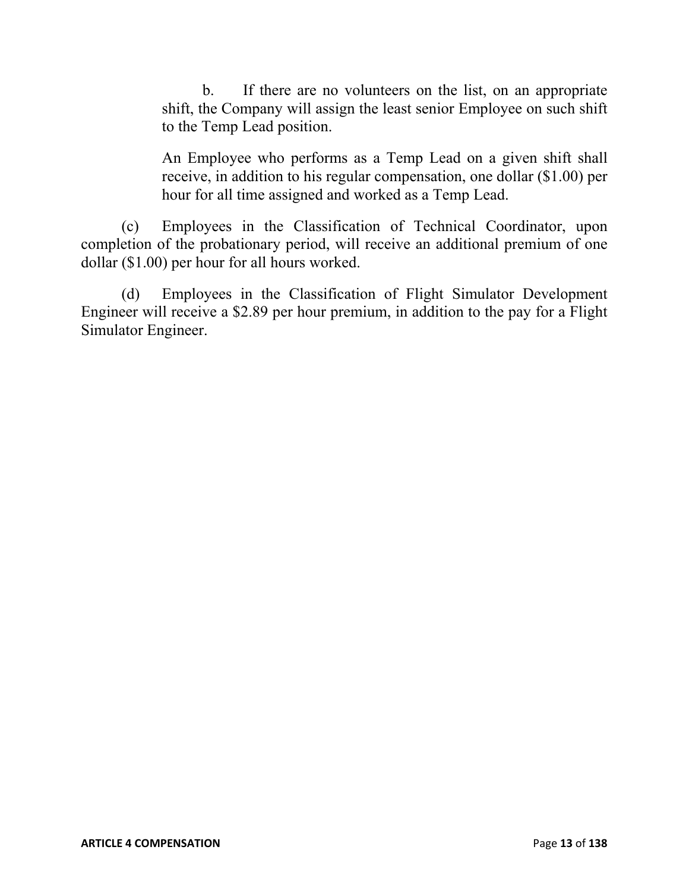b. If there are no volunteers on the list, on an appropriate shift, the Company will assign the least senior Employee on such shift to the Temp Lead position.

An Employee who performs as a Temp Lead on a given shift shall receive, in addition to his regular compensation, one dollar (\$1.00) per hour for all time assigned and worked as a Temp Lead.

(c) Employees in the Classification of Technical Coordinator, upon completion of the probationary period, will receive an additional premium of one dollar (\$1.00) per hour for all hours worked.

(d) Employees in the Classification of Flight Simulator Development Engineer will receive a \$2.89 per hour premium, in addition to the pay for a Flight Simulator Engineer.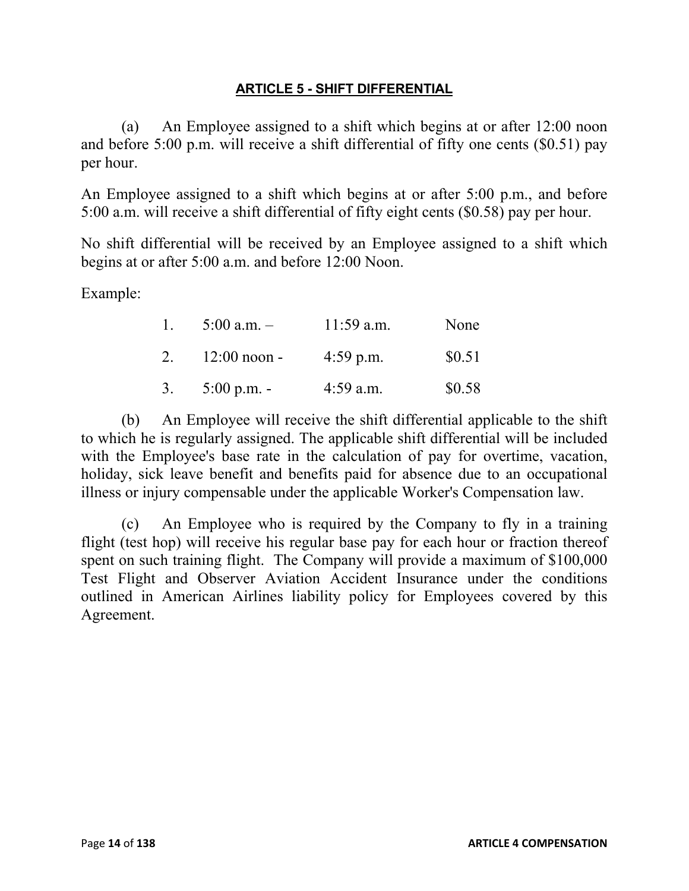### **ARTICLE 5 - SHIFT DIFFERENTIAL**

(a) An Employee assigned to a shift which begins at or after 12:00 noon and before 5:00 p.m. will receive a shift differential of fifty one cents (\$0.51) pay per hour.

An Employee assigned to a shift which begins at or after 5:00 p.m., and before 5:00 a.m. will receive a shift differential of fifty eight cents (\$0.58) pay per hour.

No shift differential will be received by an Employee assigned to a shift which begins at or after 5:00 a.m. and before 12:00 Noon.

Example:

| $\pm$   | 5:00 a.m. $-$  | $11:59$ a.m. | None   |
|---------|----------------|--------------|--------|
| $2^{1}$ | $12:00$ noon - | $4:59$ p.m.  | \$0.51 |
| 3.      | 5:00 p.m. -    | $4:59$ a.m.  | \$0.58 |

(b) An Employee will receive the shift differential applicable to the shift to which he is regularly assigned. The applicable shift differential will be included with the Employee's base rate in the calculation of pay for overtime, vacation, holiday, sick leave benefit and benefits paid for absence due to an occupational illness or injury compensable under the applicable Worker's Compensation law.

(c) An Employee who is required by the Company to fly in a training flight (test hop) will receive his regular base pay for each hour or fraction thereof spent on such training flight. The Company will provide a maximum of \$100,000 Test Flight and Observer Aviation Accident Insurance under the conditions outlined in American Airlines liability policy for Employees covered by this Agreement.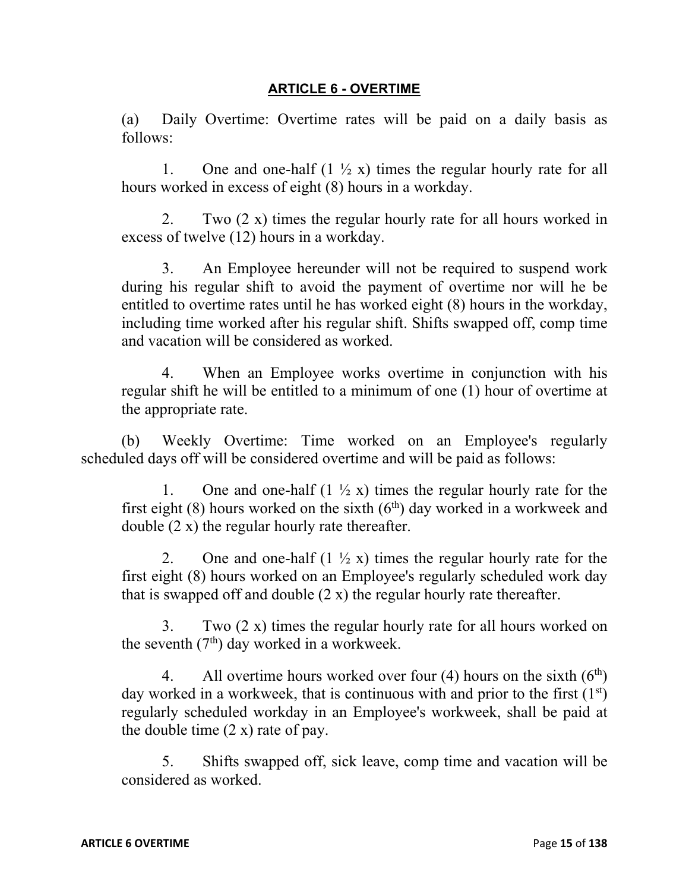#### **ARTICLE 6 - OVERTIME**

(a) Daily Overtime: Overtime rates will be paid on a daily basis as follows:

1. One and one-half  $(1 \frac{1}{2} x)$  times the regular hourly rate for all hours worked in excess of eight (8) hours in a workday.

2. Two (2 x) times the regular hourly rate for all hours worked in excess of twelve (12) hours in a workday.

3. An Employee hereunder will not be required to suspend work during his regular shift to avoid the payment of overtime nor will he be entitled to overtime rates until he has worked eight (8) hours in the workday, including time worked after his regular shift. Shifts swapped off, comp time and vacation will be considered as worked.

4. When an Employee works overtime in conjunction with his regular shift he will be entitled to a minimum of one (1) hour of overtime at the appropriate rate.

(b) Weekly Overtime: Time worked on an Employee's regularly scheduled days off will be considered overtime and will be paid as follows:

1. One and one-half  $(1 \frac{1}{2} x)$  times the regular hourly rate for the first eight  $(8)$  hours worked on the sixth  $(6<sup>th</sup>)$  day worked in a workweek and double (2 x) the regular hourly rate thereafter.

2. One and one-half  $(1 \frac{1}{2} x)$  times the regular hourly rate for the first eight (8) hours worked on an Employee's regularly scheduled work day that is swapped off and double  $(2 x)$  the regular hourly rate thereafter.

3. Two (2 x) times the regular hourly rate for all hours worked on the seventh  $(7<sup>th</sup>)$  day worked in a workweek.

4. All overtime hours worked over four (4) hours on the sixth  $(6<sup>th</sup>)$ day worked in a workweek, that is continuous with and prior to the first  $(1<sup>st</sup>)$ regularly scheduled workday in an Employee's workweek, shall be paid at the double time  $(2 x)$  rate of pay.

5. Shifts swapped off, sick leave, comp time and vacation will be considered as worked.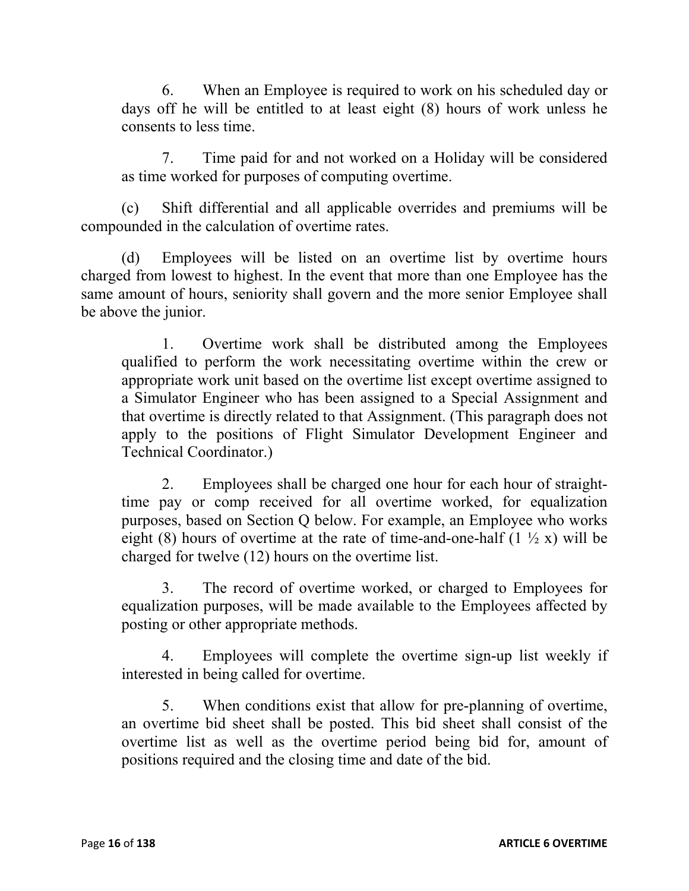6. When an Employee is required to work on his scheduled day or days off he will be entitled to at least eight (8) hours of work unless he consents to less time.

7. Time paid for and not worked on a Holiday will be considered as time worked for purposes of computing overtime.

(c) Shift differential and all applicable overrides and premiums will be compounded in the calculation of overtime rates.

(d) Employees will be listed on an overtime list by overtime hours charged from lowest to highest. In the event that more than one Employee has the same amount of hours, seniority shall govern and the more senior Employee shall be above the junior.

1. Overtime work shall be distributed among the Employees qualified to perform the work necessitating overtime within the crew or appropriate work unit based on the overtime list except overtime assigned to a Simulator Engineer who has been assigned to a Special Assignment and that overtime is directly related to that Assignment. (This paragraph does not apply to the positions of Flight Simulator Development Engineer and Technical Coordinator.)

2. Employees shall be charged one hour for each hour of straighttime pay or comp received for all overtime worked, for equalization purposes, based on Section Q below. For example, an Employee who works eight (8) hours of overtime at the rate of time-and-one-half  $(1 \frac{1}{2} x)$  will be charged for twelve (12) hours on the overtime list.

3. The record of overtime worked, or charged to Employees for equalization purposes, will be made available to the Employees affected by posting or other appropriate methods.

4. Employees will complete the overtime sign-up list weekly if interested in being called for overtime.

5. When conditions exist that allow for pre-planning of overtime, an overtime bid sheet shall be posted. This bid sheet shall consist of the overtime list as well as the overtime period being bid for, amount of positions required and the closing time and date of the bid.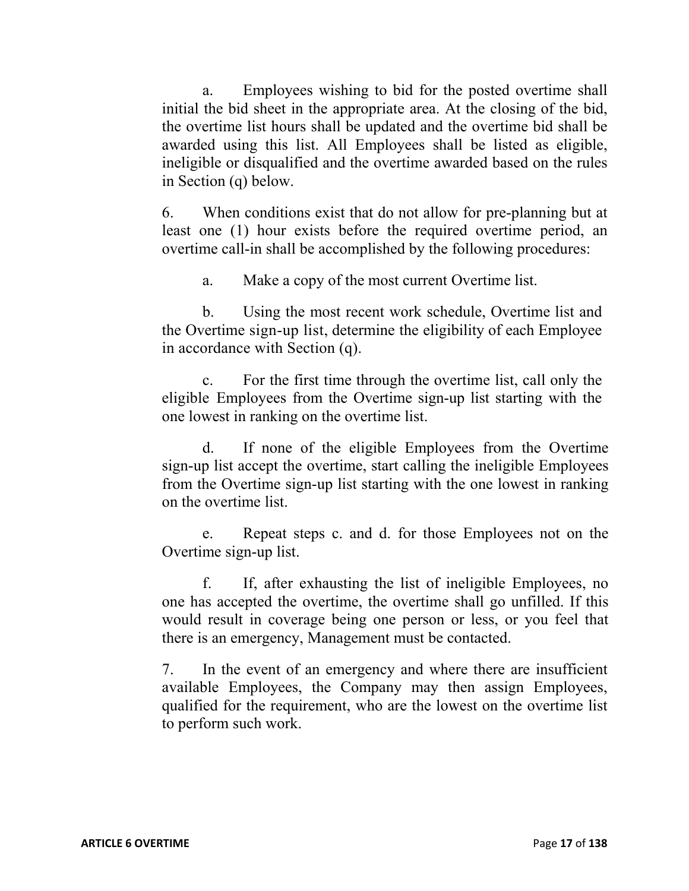a. Employees wishing to bid for the posted overtime shall initial the bid sheet in the appropriate area. At the closing of the bid, the overtime list hours shall be updated and the overtime bid shall be awarded using this list. All Employees shall be listed as eligible, ineligible or disqualified and the overtime awarded based on the rules in Section (q) below.

6. When conditions exist that do not allow for pre-planning but at least one (1) hour exists before the required overtime period, an overtime call-in shall be accomplished by the following procedures:

a. Make a copy of the most current Overtime list.

b. Using the most recent work schedule, Overtime list and the Overtime sign-up list, determine the eligibility of each Employee in accordance with Section (q).

c. For the first time through the overtime list, call only the eligible Employees from the Overtime sign-up list starting with the one lowest in ranking on the overtime list.

d. If none of the eligible Employees from the Overtime sign-up list accept the overtime, start calling the ineligible Employees from the Overtime sign-up list starting with the one lowest in ranking on the overtime list.

e. Repeat steps c. and d. for those Employees not on the Overtime sign-up list.

f. If, after exhausting the list of ineligible Employees, no one has accepted the overtime, the overtime shall go unfilled. If this would result in coverage being one person or less, or you feel that there is an emergency, Management must be contacted.

7. In the event of an emergency and where there are insufficient available Employees, the Company may then assign Employees, qualified for the requirement, who are the lowest on the overtime list to perform such work.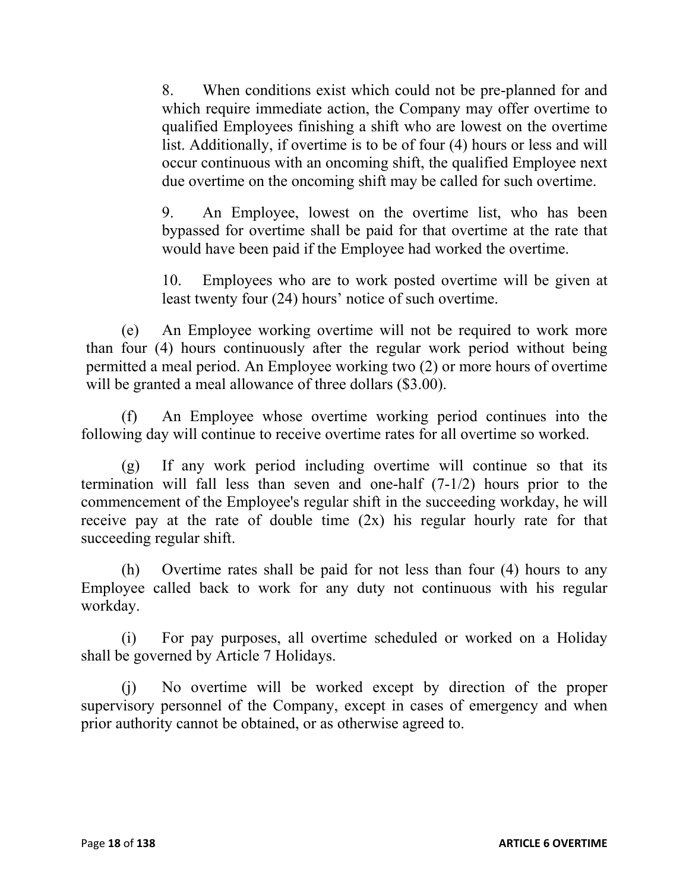8. When conditions exist which could not be pre-planned for and which require immediate action, the Company may offer overtime to qualified Employees finishing a shift who are lowest on the overtime list. Additionally, if overtime is to be of four (4) hours or less and will occur continuous with an oncoming shift, the qualified Employee next due overtime on the oncoming shift may be called for such overtime.

9. An Employee, lowest on the overtime list, who has been bypassed for overtime shall be paid for that overtime at the rate that would have been paid if the Employee had worked the overtime.

10. Employees who are to work posted overtime will be given at least twenty four (24) hours' notice of such overtime.

(e) An Employee working overtime will not be required to work more than four (4) hours continuously after the regular work period without being permitted a meal period. An Employee working two (2) or more hours of overtime will be granted a meal allowance of three dollars (\$3.00).

(f) An Employee whose overtime working period continues into the following day will continue to receive overtime rates for all overtime so worked.

(g) If any work period including overtime will continue so that its termination will fall less than seven and one-half (7-1/2) hours prior to the commencement of the Employee's regular shift in the succeeding workday, he will receive pay at the rate of double time (2x) his regular hourly rate for that succeeding regular shift.

(h) Overtime rates shall be paid for not less than four (4) hours to any Employee called back to work for any duty not continuous with his regular workday.

(i) For pay purposes, all overtime scheduled or worked on a Holiday shall be governed by Article 7 Holidays.

(j) No overtime will be worked except by direction of the proper supervisory personnel of the Company, except in cases of emergency and when prior authority cannot be obtained, or as otherwise agreed to.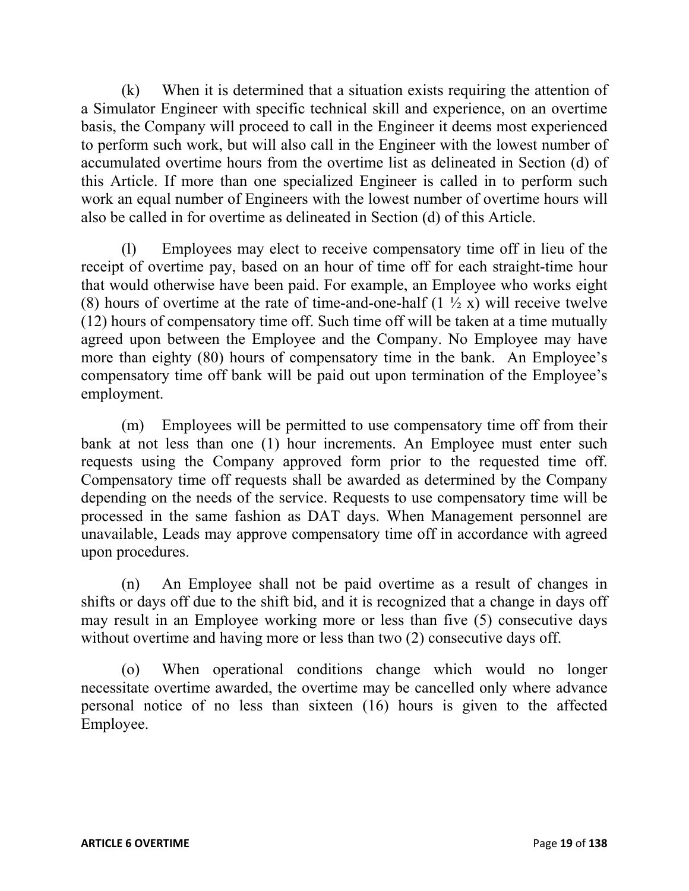(k) When it is determined that a situation exists requiring the attention of a Simulator Engineer with specific technical skill and experience, on an overtime basis, the Company will proceed to call in the Engineer it deems most experienced to perform such work, but will also call in the Engineer with the lowest number of accumulated overtime hours from the overtime list as delineated in Section (d) of this Article. If more than one specialized Engineer is called in to perform such work an equal number of Engineers with the lowest number of overtime hours will also be called in for overtime as delineated in Section (d) of this Article.

(l) Employees may elect to receive compensatory time off in lieu of the receipt of overtime pay, based on an hour of time off for each straight-time hour that would otherwise have been paid. For example, an Employee who works eight (8) hours of overtime at the rate of time-and-one-half  $(1 \frac{1}{2} x)$  will receive twelve (12) hours of compensatory time off. Such time off will be taken at a time mutually agreed upon between the Employee and the Company. No Employee may have more than eighty (80) hours of compensatory time in the bank. An Employee's compensatory time off bank will be paid out upon termination of the Employee's employment.

(m) Employees will be permitted to use compensatory time off from their bank at not less than one (1) hour increments. An Employee must enter such requests using the Company approved form prior to the requested time off. Compensatory time off requests shall be awarded as determined by the Company depending on the needs of the service. Requests to use compensatory time will be processed in the same fashion as DAT days. When Management personnel are unavailable, Leads may approve compensatory time off in accordance with agreed upon procedures.

(n) An Employee shall not be paid overtime as a result of changes in shifts or days off due to the shift bid, and it is recognized that a change in days off may result in an Employee working more or less than five (5) consecutive days without overtime and having more or less than two (2) consecutive days off.

(o) When operational conditions change which would no longer necessitate overtime awarded, the overtime may be cancelled only where advance personal notice of no less than sixteen (16) hours is given to the affected Employee.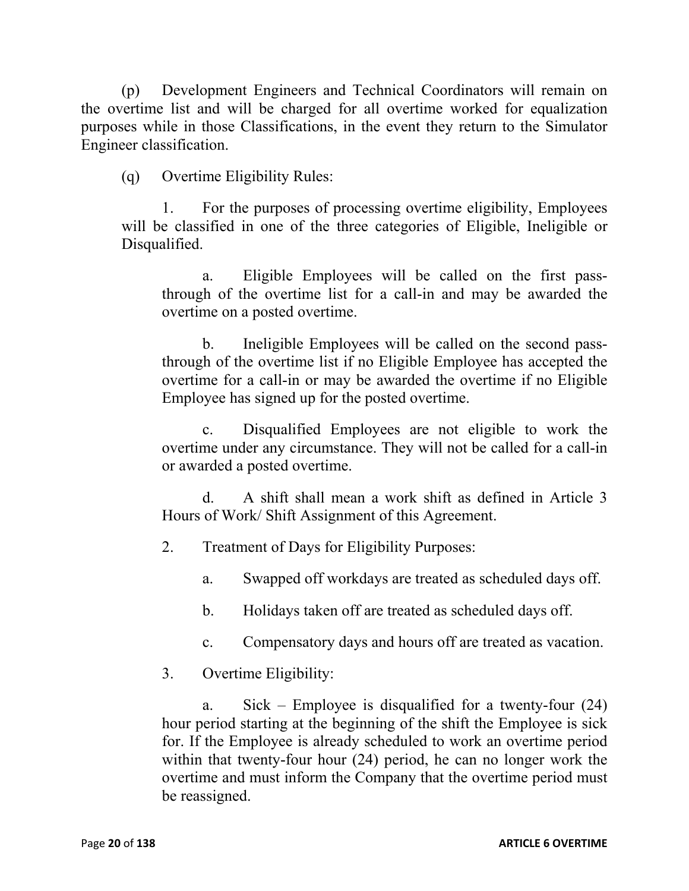(p) Development Engineers and Technical Coordinators will remain on the overtime list and will be charged for all overtime worked for equalization purposes while in those Classifications, in the event they return to the Simulator Engineer classification.

(q) Overtime Eligibility Rules:

1. For the purposes of processing overtime eligibility, Employees will be classified in one of the three categories of Eligible, Ineligible or Disqualified.

a. Eligible Employees will be called on the first passthrough of the overtime list for a call-in and may be awarded the overtime on a posted overtime.

b. Ineligible Employees will be called on the second passthrough of the overtime list if no Eligible Employee has accepted the overtime for a call-in or may be awarded the overtime if no Eligible Employee has signed up for the posted overtime.

c. Disqualified Employees are not eligible to work the overtime under any circumstance. They will not be called for a call-in or awarded a posted overtime.

d. A shift shall mean a work shift as defined in Article 3 Hours of Work/ Shift Assignment of this Agreement.

2. Treatment of Days for Eligibility Purposes:

- a. Swapped off workdays are treated as scheduled days off.
- b. Holidays taken off are treated as scheduled days off.
- c. Compensatory days and hours off are treated as vacation.

# 3. Overtime Eligibility:

a. Sick – Employee is disqualified for a twenty-four (24) hour period starting at the beginning of the shift the Employee is sick for. If the Employee is already scheduled to work an overtime period within that twenty-four hour (24) period, he can no longer work the overtime and must inform the Company that the overtime period must be reassigned.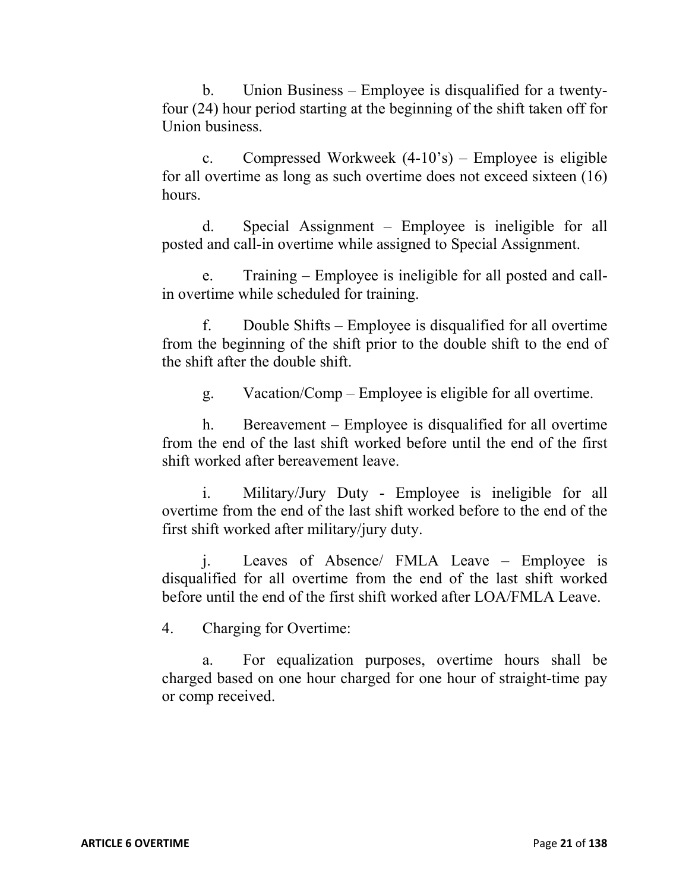b. Union Business – Employee is disqualified for a twentyfour (24) hour period starting at the beginning of the shift taken off for Union business.

c. Compressed Workweek (4-10's) – Employee is eligible for all overtime as long as such overtime does not exceed sixteen (16) hours.

d. Special Assignment – Employee is ineligible for all posted and call-in overtime while assigned to Special Assignment.

e. Training – Employee is ineligible for all posted and callin overtime while scheduled for training.

f. Double Shifts – Employee is disqualified for all overtime from the beginning of the shift prior to the double shift to the end of the shift after the double shift.

g. Vacation/Comp – Employee is eligible for all overtime.

h. Bereavement – Employee is disqualified for all overtime from the end of the last shift worked before until the end of the first shift worked after bereavement leave.

Military/Jury Duty - Employee is ineligible for all overtime from the end of the last shift worked before to the end of the first shift worked after military/jury duty.

j. Leaves of Absence/ FMLA Leave – Employee is disqualified for all overtime from the end of the last shift worked before until the end of the first shift worked after LOA/FMLA Leave.

4. Charging for Overtime:

For equalization purposes, overtime hours shall be charged based on one hour charged for one hour of straight-time pay or comp received.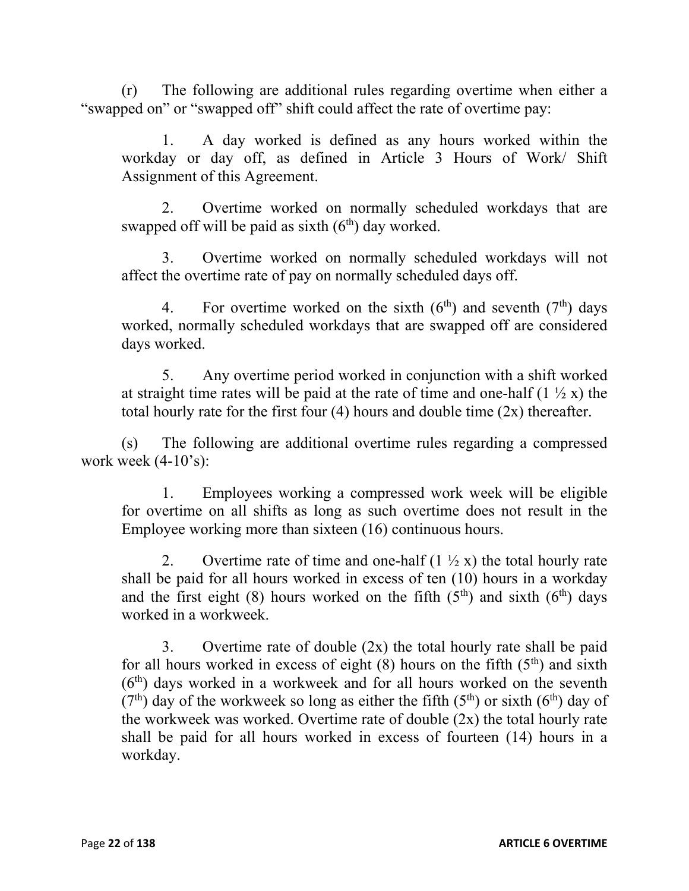(r) The following are additional rules regarding overtime when either a "swapped on" or "swapped off" shift could affect the rate of overtime pay:

1. A day worked is defined as any hours worked within the workday or day off, as defined in Article 3 Hours of Work/ Shift Assignment of this Agreement.

2. Overtime worked on normally scheduled workdays that are swapped off will be paid as sixth  $(6<sup>th</sup>)$  day worked.

3. Overtime worked on normally scheduled workdays will not affect the overtime rate of pay on normally scheduled days off.

4. For overtime worked on the sixth  $(6<sup>th</sup>)$  and seventh  $(7<sup>th</sup>)$  days worked, normally scheduled workdays that are swapped off are considered days worked.

5. Any overtime period worked in conjunction with a shift worked at straight time rates will be paid at the rate of time and one-half  $(1 \frac{1}{2} x)$  the total hourly rate for the first four  $(4)$  hours and double time  $(2x)$  thereafter.

(s) The following are additional overtime rules regarding a compressed work week  $(4-10's)$ :

1. Employees working a compressed work week will be eligible for overtime on all shifts as long as such overtime does not result in the Employee working more than sixteen (16) continuous hours.

2. Overtime rate of time and one-half  $(1 \frac{1}{2} x)$  the total hourly rate shall be paid for all hours worked in excess of ten (10) hours in a workday and the first eight (8) hours worked on the fifth  $(5<sup>th</sup>)$  and sixth  $(6<sup>th</sup>)$  days worked in a workweek.

3. Overtime rate of double  $(2x)$  the total hourly rate shall be paid for all hours worked in excess of eight  $(8)$  hours on the fifth  $(5<sup>th</sup>)$  and sixth  $(6<sup>th</sup>)$  days worked in a workweek and for all hours worked on the seventh (7<sup>th</sup>) day of the workweek so long as either the fifth (5<sup>th</sup>) or sixth (6<sup>th</sup>) day of the workweek was worked. Overtime rate of double  $(2x)$  the total hourly rate shall be paid for all hours worked in excess of fourteen (14) hours in a workday.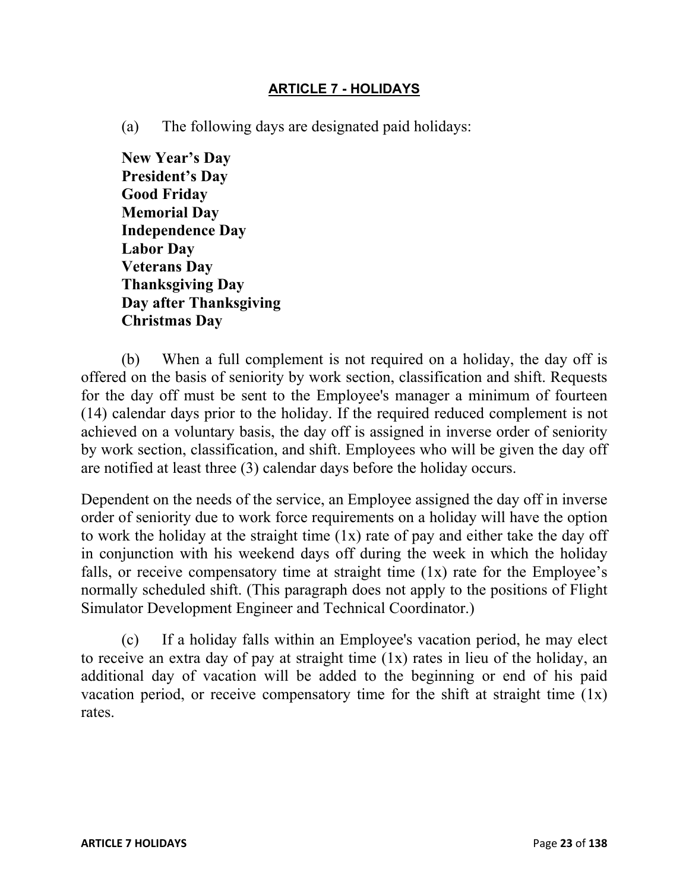#### **ARTICLE 7 - HOLIDAYS**

(a) The following days are designated paid holidays:

**New Year's Day President's Day Good Friday Memorial Day Independence Day Labor Day Veterans Day Thanksgiving Day Day after Thanksgiving Christmas Day** 

(b) When a full complement is not required on a holiday, the day off is offered on the basis of seniority by work section, classification and shift. Requests for the day off must be sent to the Employee's manager a minimum of fourteen (14) calendar days prior to the holiday. If the required reduced complement is not achieved on a voluntary basis, the day off is assigned in inverse order of seniority by work section, classification, and shift. Employees who will be given the day off are notified at least three (3) calendar days before the holiday occurs.

Dependent on the needs of the service, an Employee assigned the day off in inverse order of seniority due to work force requirements on a holiday will have the option to work the holiday at the straight time (1x) rate of pay and either take the day off in conjunction with his weekend days off during the week in which the holiday falls, or receive compensatory time at straight time (1x) rate for the Employee's normally scheduled shift. (This paragraph does not apply to the positions of Flight Simulator Development Engineer and Technical Coordinator.)

(c) If a holiday falls within an Employee's vacation period, he may elect to receive an extra day of pay at straight time (1x) rates in lieu of the holiday, an additional day of vacation will be added to the beginning or end of his paid vacation period, or receive compensatory time for the shift at straight time  $(1x)$ rates.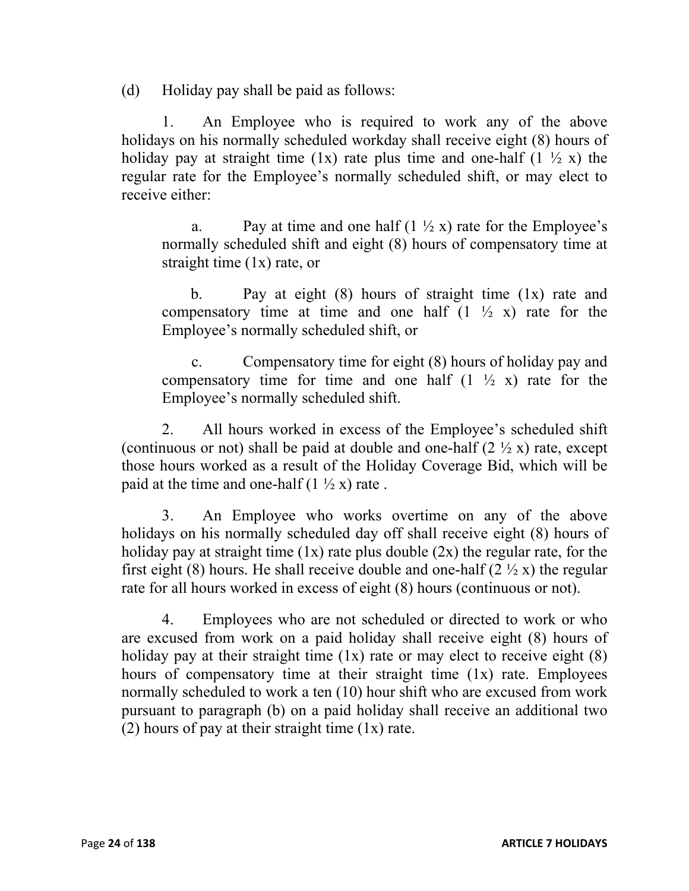(d) Holiday pay shall be paid as follows:

1. An Employee who is required to work any of the above holidays on his normally scheduled workday shall receive eight (8) hours of holiday pay at straight time (1x) rate plus time and one-half (1  $\frac{1}{2}$  x) the regular rate for the Employee's normally scheduled shift, or may elect to receive either:

a. Pay at time and one half  $(1 \frac{1}{2} x)$  rate for the Employee's normally scheduled shift and eight (8) hours of compensatory time at straight time  $(1x)$  rate, or

b. Pay at eight  $(8)$  hours of straight time  $(1x)$  rate and compensatory time at time and one half  $(1 \frac{1}{2} x)$  rate for the Employee's normally scheduled shift, or

c. Compensatory time for eight (8) hours of holiday pay and compensatory time for time and one half  $(1 \frac{1}{2} x)$  rate for the Employee's normally scheduled shift.

2. All hours worked in excess of the Employee's scheduled shift (continuous or not) shall be paid at double and one-half  $(2 \frac{1}{2} x)$  rate, except those hours worked as a result of the Holiday Coverage Bid, which will be paid at the time and one-half  $(1 \frac{1}{2} x)$  rate.

3. An Employee who works overtime on any of the above holidays on his normally scheduled day off shall receive eight (8) hours of holiday pay at straight time  $(1x)$  rate plus double  $(2x)$  the regular rate, for the first eight (8) hours. He shall receive double and one-half (2  $\frac{1}{2}$  x) the regular rate for all hours worked in excess of eight (8) hours (continuous or not).

4. Employees who are not scheduled or directed to work or who are excused from work on a paid holiday shall receive eight (8) hours of holiday pay at their straight time  $(1x)$  rate or may elect to receive eight  $(8)$ hours of compensatory time at their straight time  $(1x)$  rate. Employees normally scheduled to work a ten (10) hour shift who are excused from work pursuant to paragraph (b) on a paid holiday shall receive an additional two (2) hours of pay at their straight time  $(1x)$  rate.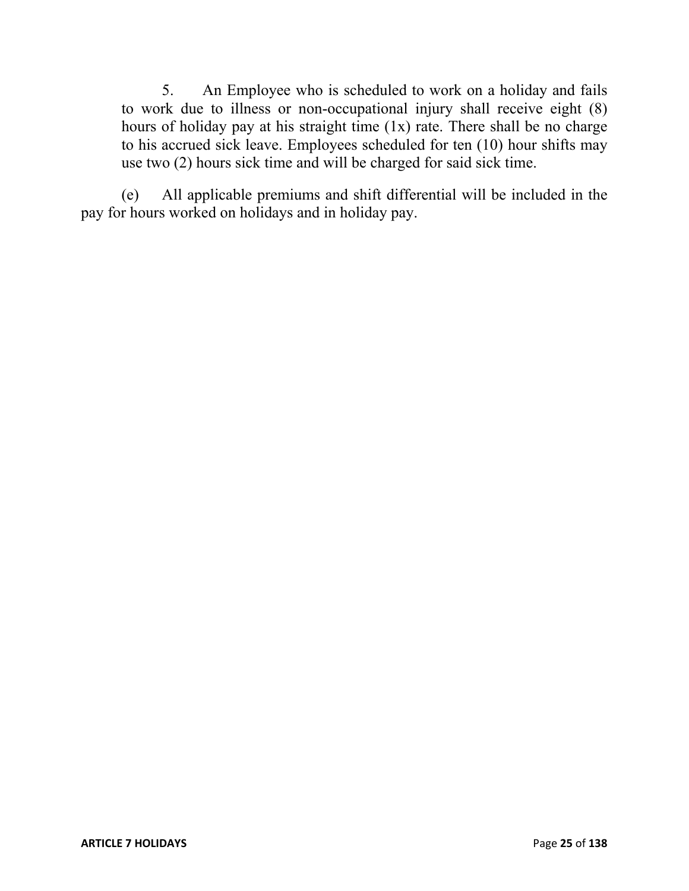5. An Employee who is scheduled to work on a holiday and fails to work due to illness or non-occupational injury shall receive eight (8) hours of holiday pay at his straight time (1x) rate. There shall be no charge to his accrued sick leave. Employees scheduled for ten (10) hour shifts may use two (2) hours sick time and will be charged for said sick time.

(e) All applicable premiums and shift differential will be included in the pay for hours worked on holidays and in holiday pay.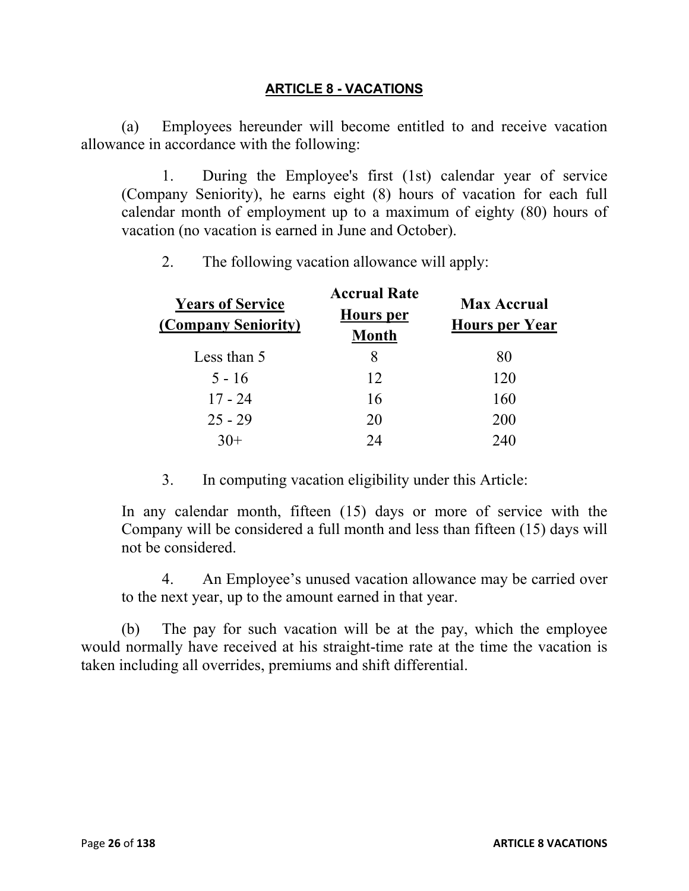#### **ARTICLE 8 - VACATIONS**

(a) Employees hereunder will become entitled to and receive vacation allowance in accordance with the following:

1. During the Employee's first (1st) calendar year of service (Company Seniority), he earns eight (8) hours of vacation for each full calendar month of employment up to a maximum of eighty (80) hours of vacation (no vacation is earned in June and October).

2. The following vacation allowance will apply:

| <b>Years of Service</b><br>(Company Seniority) | <b>Accrual Rate</b><br><b>Hours</b> per<br><b>Month</b> | <b>Max Accrual</b><br><b>Hours per Year</b> |
|------------------------------------------------|---------------------------------------------------------|---------------------------------------------|
| Less than 5                                    |                                                         | 80                                          |
| $5 - 16$                                       | 12                                                      | 120                                         |
| $17 - 24$                                      | 16                                                      | 160                                         |
| $25 - 29$                                      | 20                                                      | 200                                         |
|                                                | 24                                                      | 240                                         |

3. In computing vacation eligibility under this Article:

In any calendar month, fifteen (15) days or more of service with the Company will be considered a full month and less than fifteen (15) days will not be considered.

4. An Employee's unused vacation allowance may be carried over to the next year, up to the amount earned in that year.

(b) The pay for such vacation will be at the pay, which the employee would normally have received at his straight-time rate at the time the vacation is taken including all overrides, premiums and shift differential.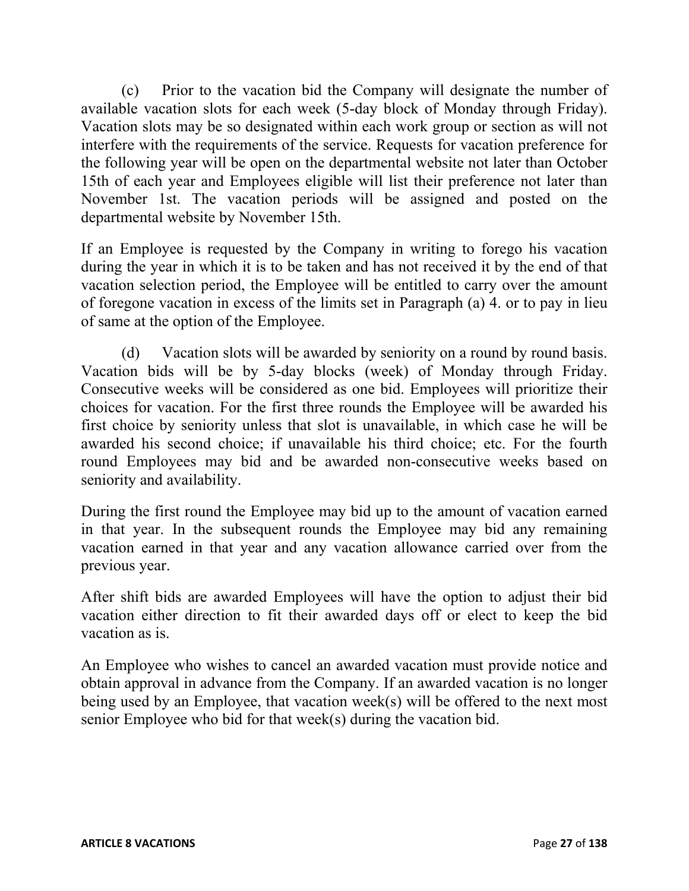(c) Prior to the vacation bid the Company will designate the number of available vacation slots for each week (5-day block of Monday through Friday). Vacation slots may be so designated within each work group or section as will not interfere with the requirements of the service. Requests for vacation preference for the following year will be open on the departmental website not later than October 15th of each year and Employees eligible will list their preference not later than November 1st. The vacation periods will be assigned and posted on the departmental website by November 15th.

If an Employee is requested by the Company in writing to forego his vacation during the year in which it is to be taken and has not received it by the end of that vacation selection period, the Employee will be entitled to carry over the amount of foregone vacation in excess of the limits set in Paragraph (a) 4. or to pay in lieu of same at the option of the Employee.

(d) Vacation slots will be awarded by seniority on a round by round basis. Vacation bids will be by 5-day blocks (week) of Monday through Friday. Consecutive weeks will be considered as one bid. Employees will prioritize their choices for vacation. For the first three rounds the Employee will be awarded his first choice by seniority unless that slot is unavailable, in which case he will be awarded his second choice; if unavailable his third choice; etc. For the fourth round Employees may bid and be awarded non-consecutive weeks based on seniority and availability.

During the first round the Employee may bid up to the amount of vacation earned in that year. In the subsequent rounds the Employee may bid any remaining vacation earned in that year and any vacation allowance carried over from the previous year.

After shift bids are awarded Employees will have the option to adjust their bid vacation either direction to fit their awarded days off or elect to keep the bid vacation as is.

An Employee who wishes to cancel an awarded vacation must provide notice and obtain approval in advance from the Company. If an awarded vacation is no longer being used by an Employee, that vacation week(s) will be offered to the next most senior Employee who bid for that week(s) during the vacation bid.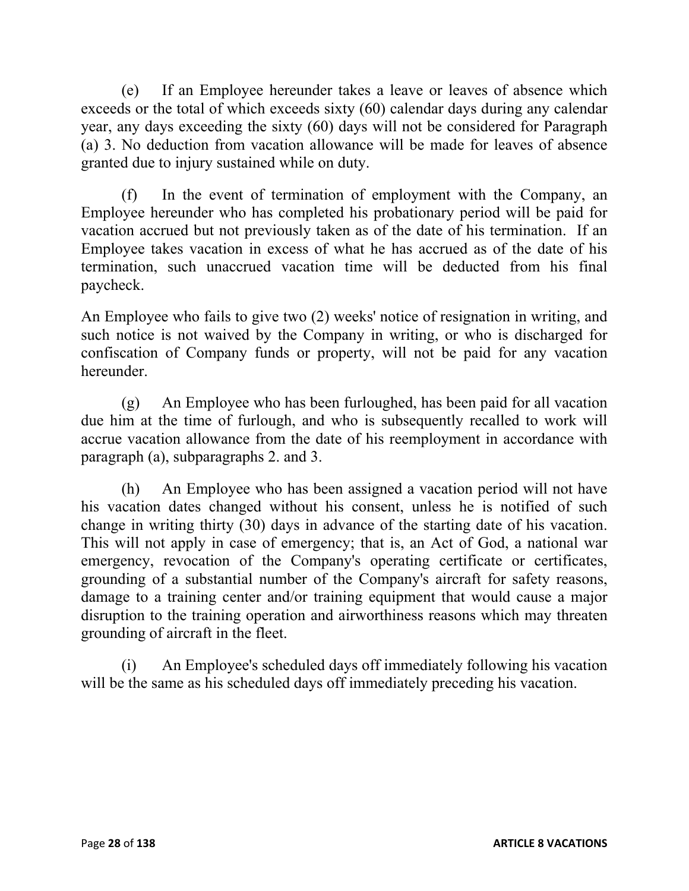(e) If an Employee hereunder takes a leave or leaves of absence which exceeds or the total of which exceeds sixty (60) calendar days during any calendar year, any days exceeding the sixty (60) days will not be considered for Paragraph (a) 3. No deduction from vacation allowance will be made for leaves of absence granted due to injury sustained while on duty.

(f) In the event of termination of employment with the Company, an Employee hereunder who has completed his probationary period will be paid for vacation accrued but not previously taken as of the date of his termination. If an Employee takes vacation in excess of what he has accrued as of the date of his termination, such unaccrued vacation time will be deducted from his final paycheck.

An Employee who fails to give two (2) weeks' notice of resignation in writing, and such notice is not waived by the Company in writing, or who is discharged for confiscation of Company funds or property, will not be paid for any vacation hereunder.

(g) An Employee who has been furloughed, has been paid for all vacation due him at the time of furlough, and who is subsequently recalled to work will accrue vacation allowance from the date of his reemployment in accordance with paragraph (a), subparagraphs 2. and 3.

(h) An Employee who has been assigned a vacation period will not have his vacation dates changed without his consent, unless he is notified of such change in writing thirty (30) days in advance of the starting date of his vacation. This will not apply in case of emergency; that is, an Act of God, a national war emergency, revocation of the Company's operating certificate or certificates, grounding of a substantial number of the Company's aircraft for safety reasons, damage to a training center and/or training equipment that would cause a major disruption to the training operation and airworthiness reasons which may threaten grounding of aircraft in the fleet.

(i) An Employee's scheduled days off immediately following his vacation will be the same as his scheduled days off immediately preceding his vacation.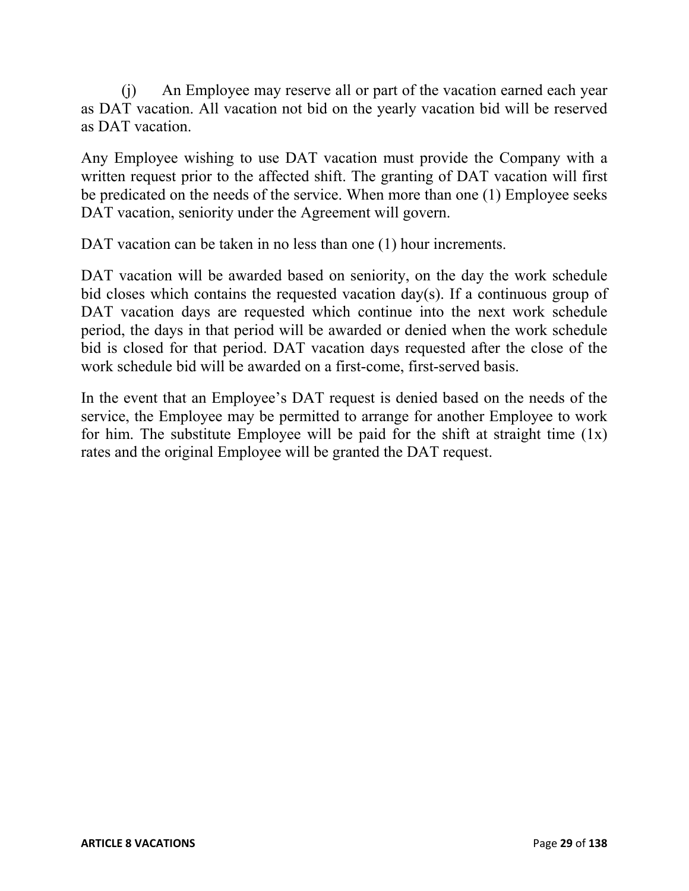(j) An Employee may reserve all or part of the vacation earned each year as DAT vacation. All vacation not bid on the yearly vacation bid will be reserved as DAT vacation.

Any Employee wishing to use DAT vacation must provide the Company with a written request prior to the affected shift. The granting of DAT vacation will first be predicated on the needs of the service. When more than one (1) Employee seeks DAT vacation, seniority under the Agreement will govern.

DAT vacation can be taken in no less than one (1) hour increments.

DAT vacation will be awarded based on seniority, on the day the work schedule bid closes which contains the requested vacation day(s). If a continuous group of DAT vacation days are requested which continue into the next work schedule period, the days in that period will be awarded or denied when the work schedule bid is closed for that period. DAT vacation days requested after the close of the work schedule bid will be awarded on a first-come, first-served basis.

In the event that an Employee's DAT request is denied based on the needs of the service, the Employee may be permitted to arrange for another Employee to work for him. The substitute Employee will be paid for the shift at straight time  $(1x)$ rates and the original Employee will be granted the DAT request.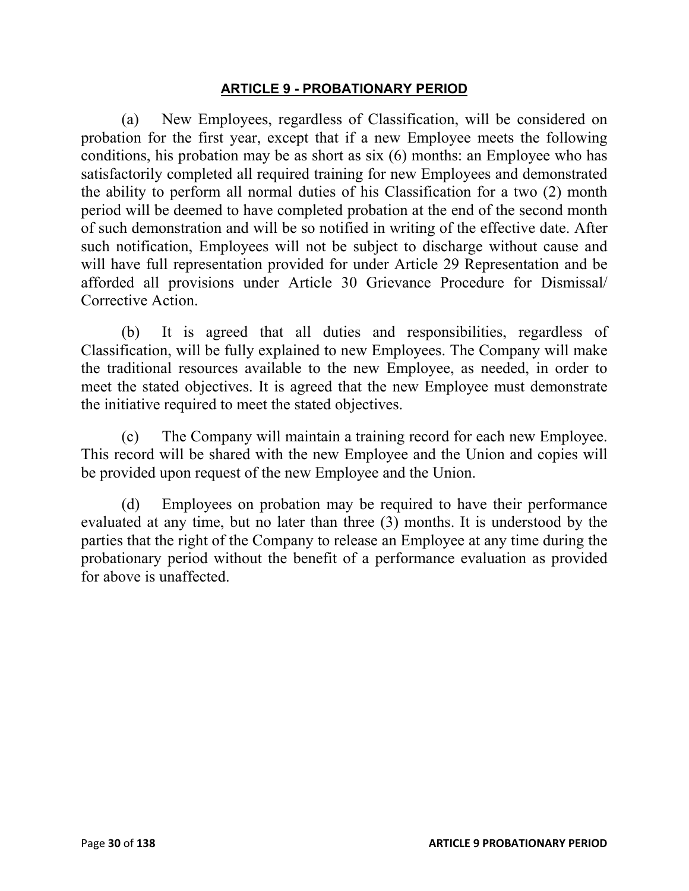#### **ARTICLE 9 - PROBATIONARY PERIOD**

(a) New Employees, regardless of Classification, will be considered on probation for the first year, except that if a new Employee meets the following conditions, his probation may be as short as six (6) months: an Employee who has satisfactorily completed all required training for new Employees and demonstrated the ability to perform all normal duties of his Classification for a two (2) month period will be deemed to have completed probation at the end of the second month of such demonstration and will be so notified in writing of the effective date. After such notification, Employees will not be subject to discharge without cause and will have full representation provided for under Article 29 Representation and be afforded all provisions under Article 30 Grievance Procedure for Dismissal/ Corrective Action.

(b) It is agreed that all duties and responsibilities, regardless of Classification, will be fully explained to new Employees. The Company will make the traditional resources available to the new Employee, as needed, in order to meet the stated objectives. It is agreed that the new Employee must demonstrate the initiative required to meet the stated objectives.

(c) The Company will maintain a training record for each new Employee. This record will be shared with the new Employee and the Union and copies will be provided upon request of the new Employee and the Union.

(d) Employees on probation may be required to have their performance evaluated at any time, but no later than three (3) months. It is understood by the parties that the right of the Company to release an Employee at any time during the probationary period without the benefit of a performance evaluation as provided for above is unaffected.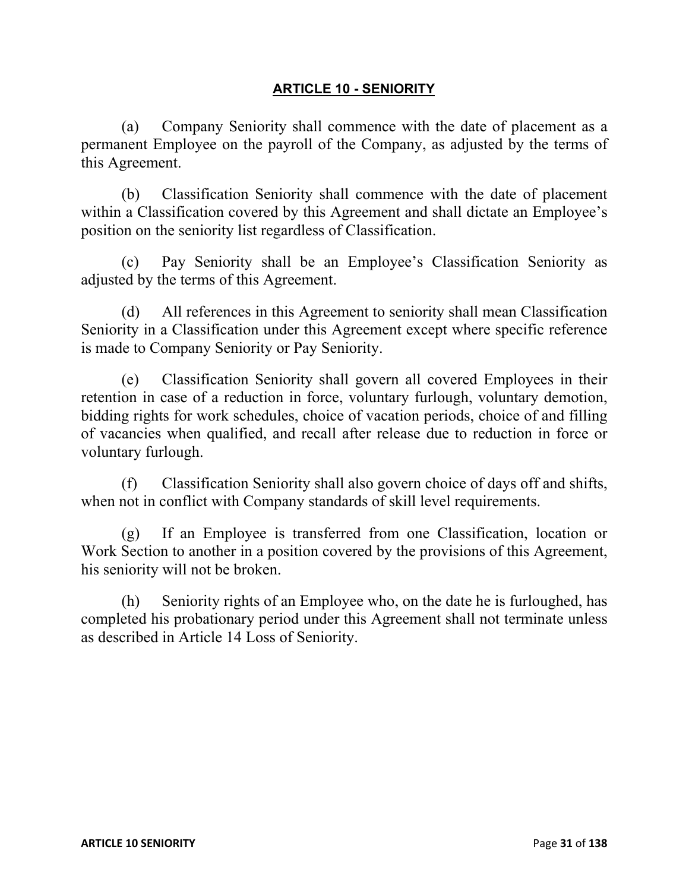#### **ARTICLE 10 - SENIORITY**

(a) Company Seniority shall commence with the date of placement as a permanent Employee on the payroll of the Company, as adjusted by the terms of this Agreement.

(b) Classification Seniority shall commence with the date of placement within a Classification covered by this Agreement and shall dictate an Employee's position on the seniority list regardless of Classification.

(c) Pay Seniority shall be an Employee's Classification Seniority as adjusted by the terms of this Agreement.

(d) All references in this Agreement to seniority shall mean Classification Seniority in a Classification under this Agreement except where specific reference is made to Company Seniority or Pay Seniority.

(e) Classification Seniority shall govern all covered Employees in their retention in case of a reduction in force, voluntary furlough, voluntary demotion, bidding rights for work schedules, choice of vacation periods, choice of and filling of vacancies when qualified, and recall after release due to reduction in force or voluntary furlough.

(f) Classification Seniority shall also govern choice of days off and shifts, when not in conflict with Company standards of skill level requirements.

(g) If an Employee is transferred from one Classification, location or Work Section to another in a position covered by the provisions of this Agreement, his seniority will not be broken.

(h) Seniority rights of an Employee who, on the date he is furloughed, has completed his probationary period under this Agreement shall not terminate unless as described in Article 14 Loss of Seniority.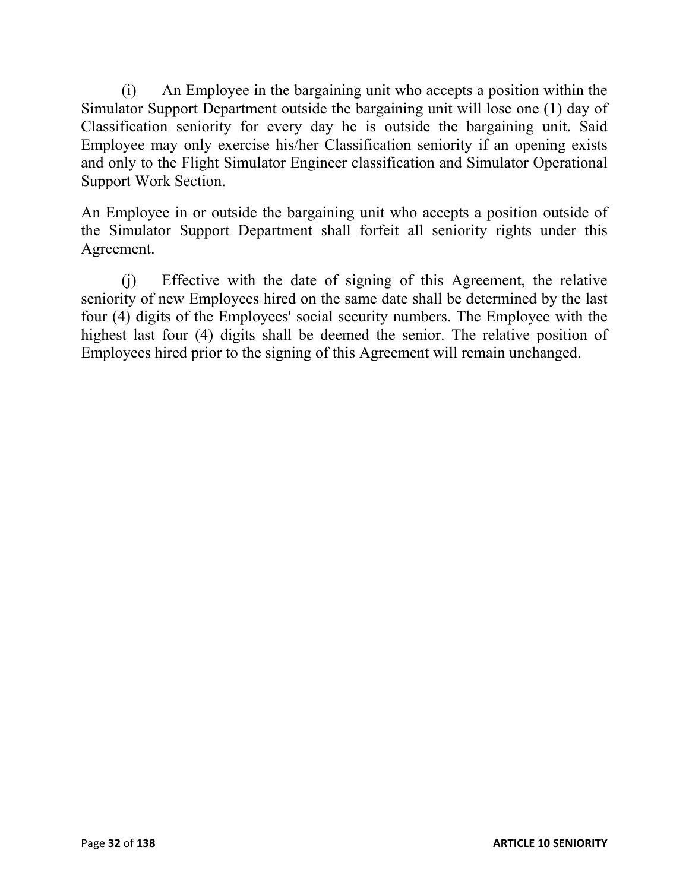(i) An Employee in the bargaining unit who accepts a position within the Simulator Support Department outside the bargaining unit will lose one (1) day of Classification seniority for every day he is outside the bargaining unit. Said Employee may only exercise his/her Classification seniority if an opening exists and only to the Flight Simulator Engineer classification and Simulator Operational Support Work Section.

An Employee in or outside the bargaining unit who accepts a position outside of the Simulator Support Department shall forfeit all seniority rights under this Agreement.

(j) Effective with the date of signing of this Agreement, the relative seniority of new Employees hired on the same date shall be determined by the last four (4) digits of the Employees' social security numbers. The Employee with the highest last four (4) digits shall be deemed the senior. The relative position of Employees hired prior to the signing of this Agreement will remain unchanged.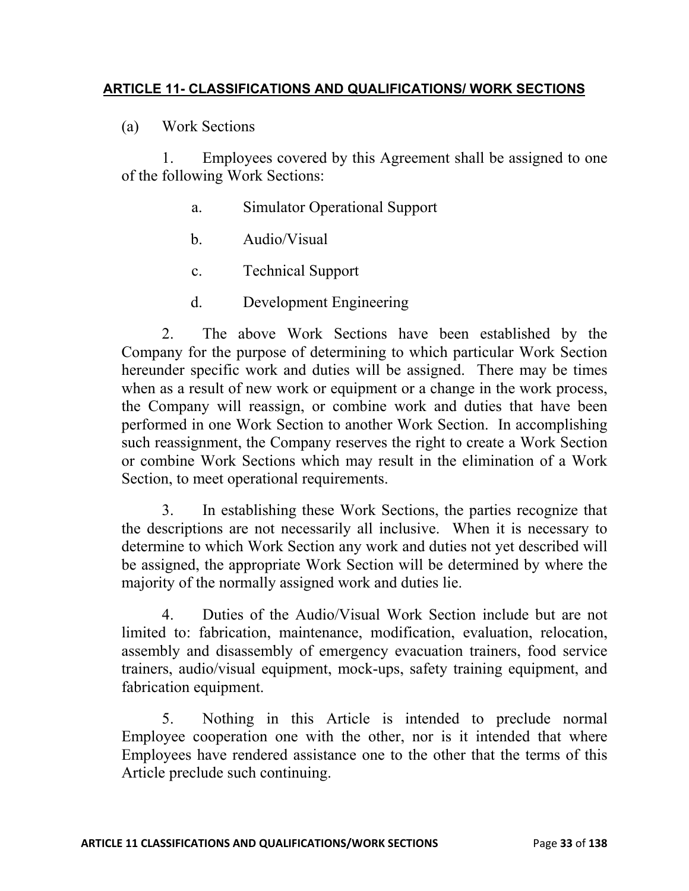### **ARTICLE 11- CLASSIFICATIONS AND QUALIFICATIONS/ WORK SECTIONS**

(a) Work Sections

1. Employees covered by this Agreement shall be assigned to one of the following Work Sections:

- a. Simulator Operational Support
- b. Audio/Visual
- c. Technical Support
- d. Development Engineering

2. The above Work Sections have been established by the Company for the purpose of determining to which particular Work Section hereunder specific work and duties will be assigned. There may be times when as a result of new work or equipment or a change in the work process, the Company will reassign, or combine work and duties that have been performed in one Work Section to another Work Section. In accomplishing such reassignment, the Company reserves the right to create a Work Section or combine Work Sections which may result in the elimination of a Work Section, to meet operational requirements.

3. In establishing these Work Sections, the parties recognize that the descriptions are not necessarily all inclusive. When it is necessary to determine to which Work Section any work and duties not yet described will be assigned, the appropriate Work Section will be determined by where the majority of the normally assigned work and duties lie.

4. Duties of the Audio/Visual Work Section include but are not limited to: fabrication, maintenance, modification, evaluation, relocation, assembly and disassembly of emergency evacuation trainers, food service trainers, audio/visual equipment, mock-ups, safety training equipment, and fabrication equipment.

5. Nothing in this Article is intended to preclude normal Employee cooperation one with the other, nor is it intended that where Employees have rendered assistance one to the other that the terms of this Article preclude such continuing.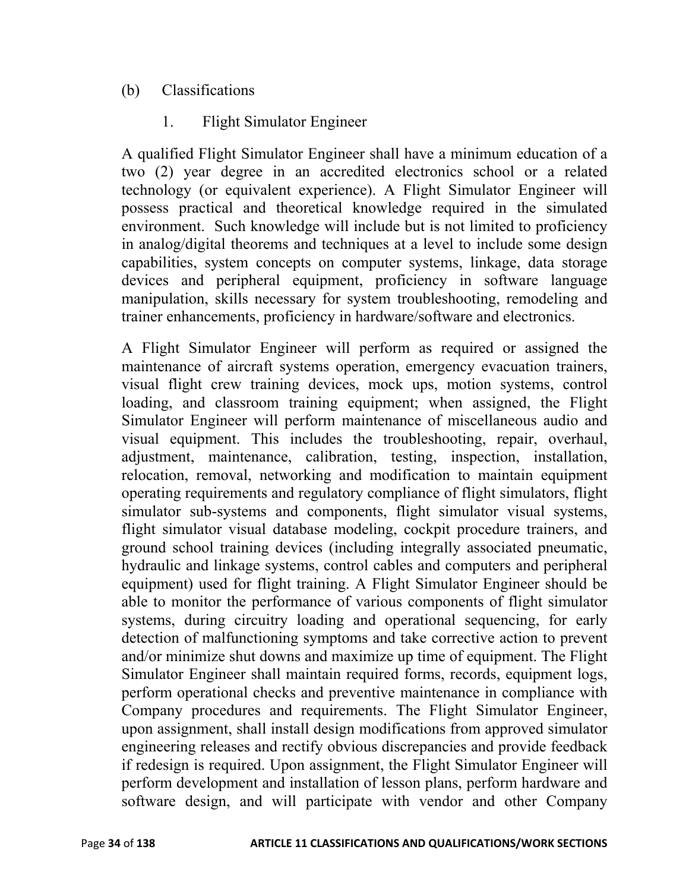# (b) Classifications

# 1. Flight Simulator Engineer

A qualified Flight Simulator Engineer shall have a minimum education of a two (2) year degree in an accredited electronics school or a related technology (or equivalent experience). A Flight Simulator Engineer will possess practical and theoretical knowledge required in the simulated environment. Such knowledge will include but is not limited to proficiency in analog/digital theorems and techniques at a level to include some design capabilities, system concepts on computer systems, linkage, data storage devices and peripheral equipment, proficiency in software language manipulation, skills necessary for system troubleshooting, remodeling and trainer enhancements, proficiency in hardware/software and electronics.

A Flight Simulator Engineer will perform as required or assigned the maintenance of aircraft systems operation, emergency evacuation trainers, visual flight crew training devices, mock ups, motion systems, control loading, and classroom training equipment; when assigned, the Flight Simulator Engineer will perform maintenance of miscellaneous audio and visual equipment. This includes the troubleshooting, repair, overhaul, adjustment, maintenance, calibration, testing, inspection, installation, relocation, removal, networking and modification to maintain equipment operating requirements and regulatory compliance of flight simulators, flight simulator sub-systems and components, flight simulator visual systems, flight simulator visual database modeling, cockpit procedure trainers, and ground school training devices (including integrally associated pneumatic, hydraulic and linkage systems, control cables and computers and peripheral equipment) used for flight training. A Flight Simulator Engineer should be able to monitor the performance of various components of flight simulator systems, during circuitry loading and operational sequencing, for early detection of malfunctioning symptoms and take corrective action to prevent and/or minimize shut downs and maximize up time of equipment. The Flight Simulator Engineer shall maintain required forms, records, equipment logs, perform operational checks and preventive maintenance in compliance with Company procedures and requirements. The Flight Simulator Engineer, upon assignment, shall install design modifications from approved simulator engineering releases and rectify obvious discrepancies and provide feedback if redesign is required. Upon assignment, the Flight Simulator Engineer will perform development and installation of lesson plans, perform hardware and software design, and will participate with vendor and other Company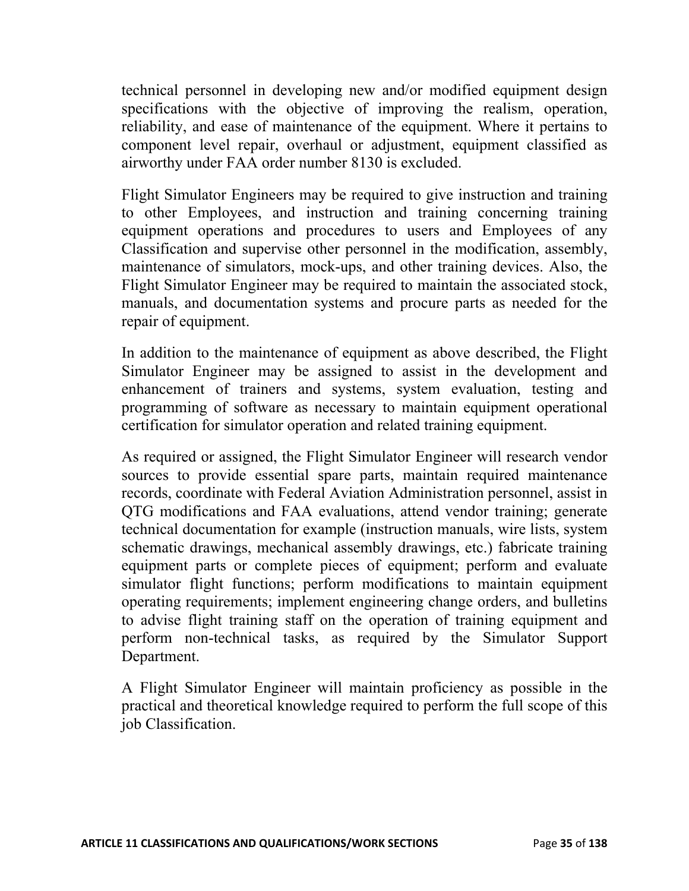technical personnel in developing new and/or modified equipment design specifications with the objective of improving the realism, operation, reliability, and ease of maintenance of the equipment. Where it pertains to component level repair, overhaul or adjustment, equipment classified as airworthy under FAA order number 8130 is excluded.

Flight Simulator Engineers may be required to give instruction and training to other Employees, and instruction and training concerning training equipment operations and procedures to users and Employees of any Classification and supervise other personnel in the modification, assembly, maintenance of simulators, mock-ups, and other training devices. Also, the Flight Simulator Engineer may be required to maintain the associated stock, manuals, and documentation systems and procure parts as needed for the repair of equipment.

In addition to the maintenance of equipment as above described, the Flight Simulator Engineer may be assigned to assist in the development and enhancement of trainers and systems, system evaluation, testing and programming of software as necessary to maintain equipment operational certification for simulator operation and related training equipment.

As required or assigned, the Flight Simulator Engineer will research vendor sources to provide essential spare parts, maintain required maintenance records, coordinate with Federal Aviation Administration personnel, assist in QTG modifications and FAA evaluations, attend vendor training; generate technical documentation for example (instruction manuals, wire lists, system schematic drawings, mechanical assembly drawings, etc.) fabricate training equipment parts or complete pieces of equipment; perform and evaluate simulator flight functions; perform modifications to maintain equipment operating requirements; implement engineering change orders, and bulletins to advise flight training staff on the operation of training equipment and perform non-technical tasks, as required by the Simulator Support Department.

A Flight Simulator Engineer will maintain proficiency as possible in the practical and theoretical knowledge required to perform the full scope of this job Classification.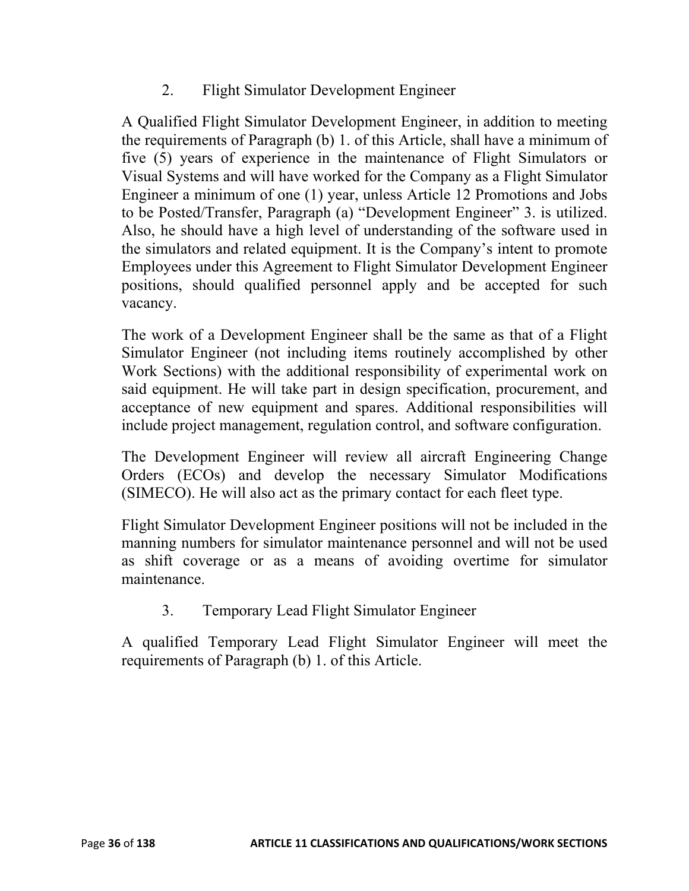2. Flight Simulator Development Engineer

A Qualified Flight Simulator Development Engineer, in addition to meeting the requirements of Paragraph (b) 1. of this Article, shall have a minimum of five (5) years of experience in the maintenance of Flight Simulators or Visual Systems and will have worked for the Company as a Flight Simulator Engineer a minimum of one (1) year, unless Article 12 Promotions and Jobs to be Posted/Transfer, Paragraph (a) "Development Engineer" 3. is utilized. Also, he should have a high level of understanding of the software used in the simulators and related equipment. It is the Company's intent to promote Employees under this Agreement to Flight Simulator Development Engineer positions, should qualified personnel apply and be accepted for such vacancy.

The work of a Development Engineer shall be the same as that of a Flight Simulator Engineer (not including items routinely accomplished by other Work Sections) with the additional responsibility of experimental work on said equipment. He will take part in design specification, procurement, and acceptance of new equipment and spares. Additional responsibilities will include project management, regulation control, and software configuration.

The Development Engineer will review all aircraft Engineering Change Orders (ECOs) and develop the necessary Simulator Modifications (SIMECO). He will also act as the primary contact for each fleet type.

Flight Simulator Development Engineer positions will not be included in the manning numbers for simulator maintenance personnel and will not be used as shift coverage or as a means of avoiding overtime for simulator maintenance.

3. Temporary Lead Flight Simulator Engineer

A qualified Temporary Lead Flight Simulator Engineer will meet the requirements of Paragraph (b) 1. of this Article.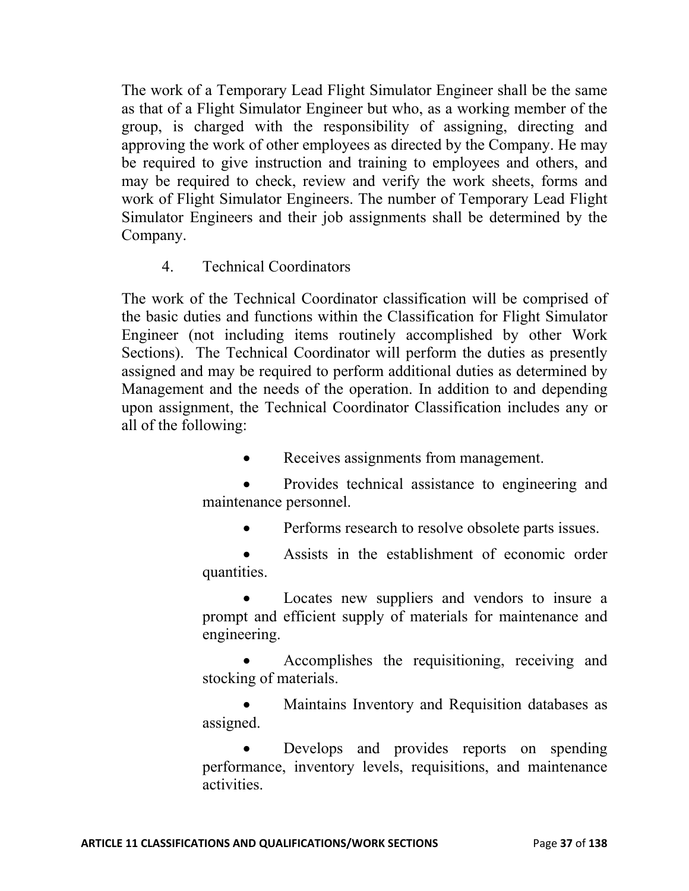The work of a Temporary Lead Flight Simulator Engineer shall be the same as that of a Flight Simulator Engineer but who, as a working member of the group, is charged with the responsibility of assigning, directing and approving the work of other employees as directed by the Company. He may be required to give instruction and training to employees and others, and may be required to check, review and verify the work sheets, forms and work of Flight Simulator Engineers. The number of Temporary Lead Flight Simulator Engineers and their job assignments shall be determined by the Company.

4. Technical Coordinators

The work of the Technical Coordinator classification will be comprised of the basic duties and functions within the Classification for Flight Simulator Engineer (not including items routinely accomplished by other Work Sections). The Technical Coordinator will perform the duties as presently assigned and may be required to perform additional duties as determined by Management and the needs of the operation. In addition to and depending upon assignment, the Technical Coordinator Classification includes any or all of the following:

• Receives assignments from management.

 Provides technical assistance to engineering and maintenance personnel.

- Performs research to resolve obsolete parts issues.
- Assists in the establishment of economic order quantities.

 Locates new suppliers and vendors to insure a prompt and efficient supply of materials for maintenance and engineering.

 Accomplishes the requisitioning, receiving and stocking of materials.

 Maintains Inventory and Requisition databases as assigned.

 Develops and provides reports on spending performance, inventory levels, requisitions, and maintenance activities.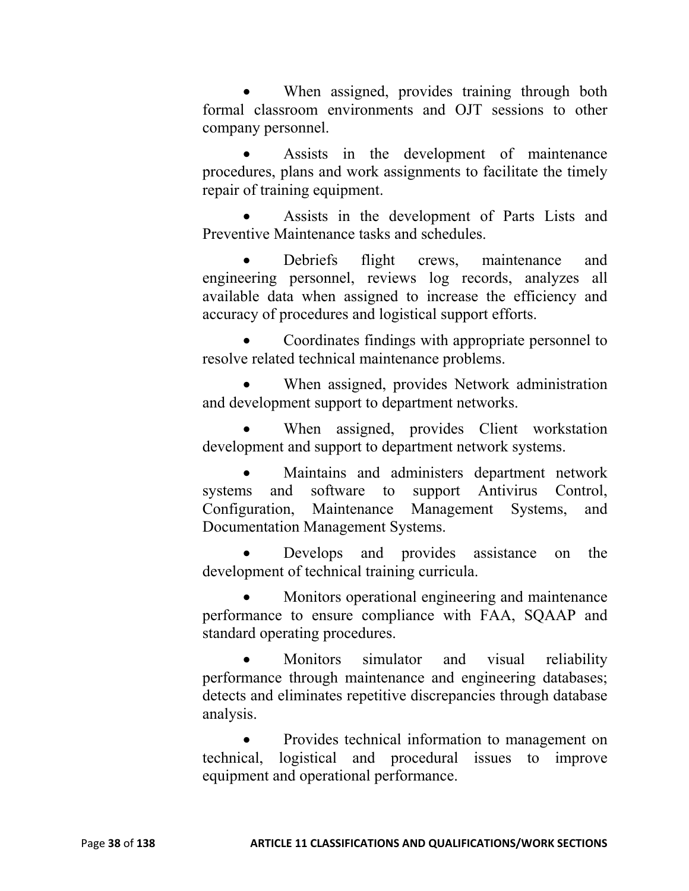When assigned, provides training through both formal classroom environments and OJT sessions to other company personnel.

 Assists in the development of maintenance procedures, plans and work assignments to facilitate the timely repair of training equipment.

 Assists in the development of Parts Lists and Preventive Maintenance tasks and schedules.

 Debriefs flight crews, maintenance and engineering personnel, reviews log records, analyzes all available data when assigned to increase the efficiency and accuracy of procedures and logistical support efforts.

 Coordinates findings with appropriate personnel to resolve related technical maintenance problems.

 When assigned, provides Network administration and development support to department networks.

 When assigned, provides Client workstation development and support to department network systems.

 Maintains and administers department network systems and software to support Antivirus Control, Configuration, Maintenance Management Systems, and Documentation Management Systems.

 Develops and provides assistance on the development of technical training curricula.

 Monitors operational engineering and maintenance performance to ensure compliance with FAA, SQAAP and standard operating procedures.

 Monitors simulator and visual reliability performance through maintenance and engineering databases; detects and eliminates repetitive discrepancies through database analysis.

 Provides technical information to management on technical, logistical and procedural issues to improve equipment and operational performance.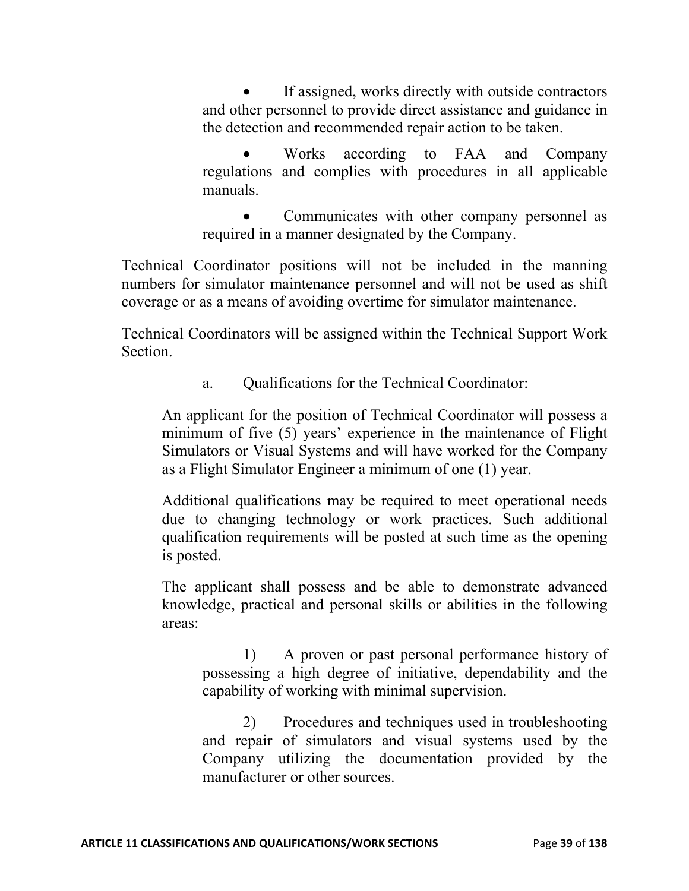If assigned, works directly with outside contractors and other personnel to provide direct assistance and guidance in the detection and recommended repair action to be taken.

 Works according to FAA and Company regulations and complies with procedures in all applicable manuals.

 Communicates with other company personnel as required in a manner designated by the Company.

Technical Coordinator positions will not be included in the manning numbers for simulator maintenance personnel and will not be used as shift coverage or as a means of avoiding overtime for simulator maintenance.

Technical Coordinators will be assigned within the Technical Support Work Section.

a. Qualifications for the Technical Coordinator:

An applicant for the position of Technical Coordinator will possess a minimum of five (5) years' experience in the maintenance of Flight Simulators or Visual Systems and will have worked for the Company as a Flight Simulator Engineer a minimum of one (1) year.

Additional qualifications may be required to meet operational needs due to changing technology or work practices. Such additional qualification requirements will be posted at such time as the opening is posted.

The applicant shall possess and be able to demonstrate advanced knowledge, practical and personal skills or abilities in the following areas:

1) A proven or past personal performance history of possessing a high degree of initiative, dependability and the capability of working with minimal supervision.

2) Procedures and techniques used in troubleshooting and repair of simulators and visual systems used by the Company utilizing the documentation provided by the manufacturer or other sources.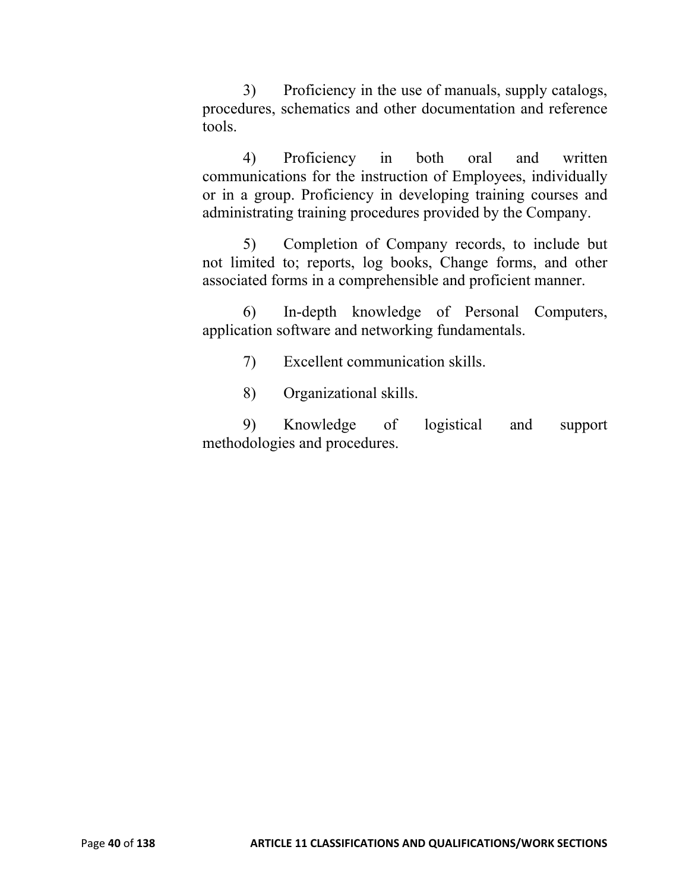3) Proficiency in the use of manuals, supply catalogs, procedures, schematics and other documentation and reference tools.

4) Proficiency in both oral and written communications for the instruction of Employees, individually or in a group. Proficiency in developing training courses and administrating training procedures provided by the Company.

5) Completion of Company records, to include but not limited to; reports, log books, Change forms, and other associated forms in a comprehensible and proficient manner.

6) In-depth knowledge of Personal Computers, application software and networking fundamentals.

7) Excellent communication skills.

8) Organizational skills.

9) Knowledge of logistical and support methodologies and procedures.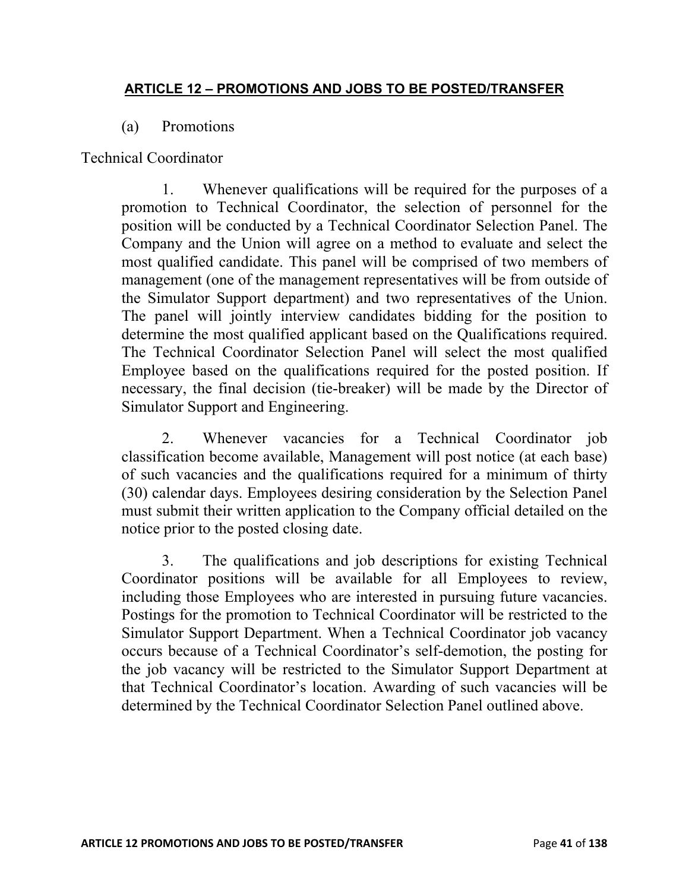### **ARTICLE 12 – PROMOTIONS AND JOBS TO BE POSTED/TRANSFER**

#### (a) Promotions

### Technical Coordinator

1. Whenever qualifications will be required for the purposes of a promotion to Technical Coordinator, the selection of personnel for the position will be conducted by a Technical Coordinator Selection Panel. The Company and the Union will agree on a method to evaluate and select the most qualified candidate. This panel will be comprised of two members of management (one of the management representatives will be from outside of the Simulator Support department) and two representatives of the Union. The panel will jointly interview candidates bidding for the position to determine the most qualified applicant based on the Qualifications required. The Technical Coordinator Selection Panel will select the most qualified Employee based on the qualifications required for the posted position. If necessary, the final decision (tie-breaker) will be made by the Director of Simulator Support and Engineering.

2. Whenever vacancies for a Technical Coordinator job classification become available, Management will post notice (at each base) of such vacancies and the qualifications required for a minimum of thirty (30) calendar days. Employees desiring consideration by the Selection Panel must submit their written application to the Company official detailed on the notice prior to the posted closing date.

3. The qualifications and job descriptions for existing Technical Coordinator positions will be available for all Employees to review, including those Employees who are interested in pursuing future vacancies. Postings for the promotion to Technical Coordinator will be restricted to the Simulator Support Department. When a Technical Coordinator job vacancy occurs because of a Technical Coordinator's self-demotion, the posting for the job vacancy will be restricted to the Simulator Support Department at that Technical Coordinator's location. Awarding of such vacancies will be determined by the Technical Coordinator Selection Panel outlined above.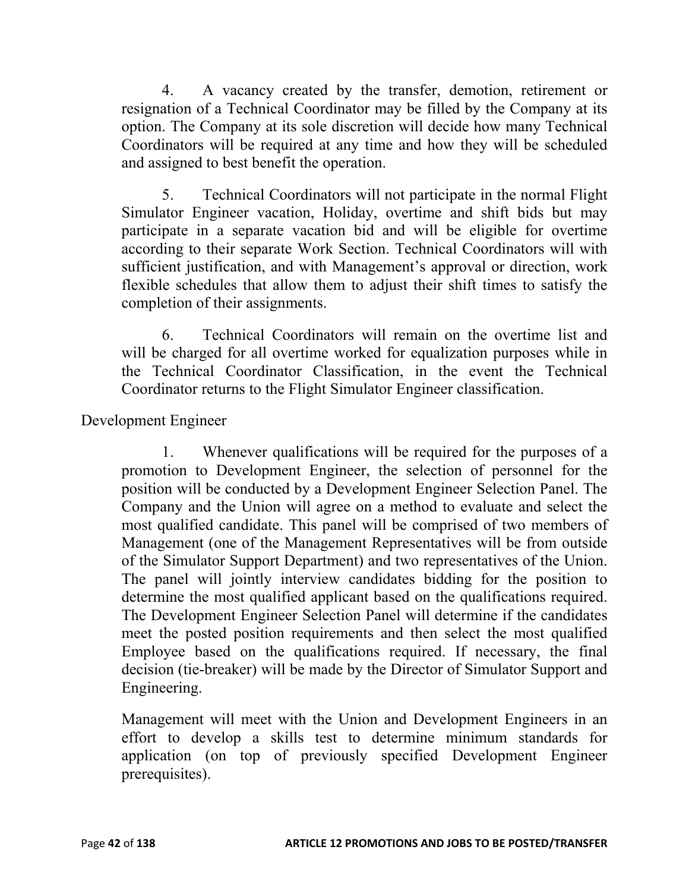4. A vacancy created by the transfer, demotion, retirement or resignation of a Technical Coordinator may be filled by the Company at its option. The Company at its sole discretion will decide how many Technical Coordinators will be required at any time and how they will be scheduled and assigned to best benefit the operation.

5. Technical Coordinators will not participate in the normal Flight Simulator Engineer vacation, Holiday, overtime and shift bids but may participate in a separate vacation bid and will be eligible for overtime according to their separate Work Section. Technical Coordinators will with sufficient justification, and with Management's approval or direction, work flexible schedules that allow them to adjust their shift times to satisfy the completion of their assignments.

6. Technical Coordinators will remain on the overtime list and will be charged for all overtime worked for equalization purposes while in the Technical Coordinator Classification, in the event the Technical Coordinator returns to the Flight Simulator Engineer classification.

Development Engineer

1. Whenever qualifications will be required for the purposes of a promotion to Development Engineer, the selection of personnel for the position will be conducted by a Development Engineer Selection Panel. The Company and the Union will agree on a method to evaluate and select the most qualified candidate. This panel will be comprised of two members of Management (one of the Management Representatives will be from outside of the Simulator Support Department) and two representatives of the Union. The panel will jointly interview candidates bidding for the position to determine the most qualified applicant based on the qualifications required. The Development Engineer Selection Panel will determine if the candidates meet the posted position requirements and then select the most qualified Employee based on the qualifications required. If necessary, the final decision (tie-breaker) will be made by the Director of Simulator Support and Engineering.

Management will meet with the Union and Development Engineers in an effort to develop a skills test to determine minimum standards for application (on top of previously specified Development Engineer prerequisites).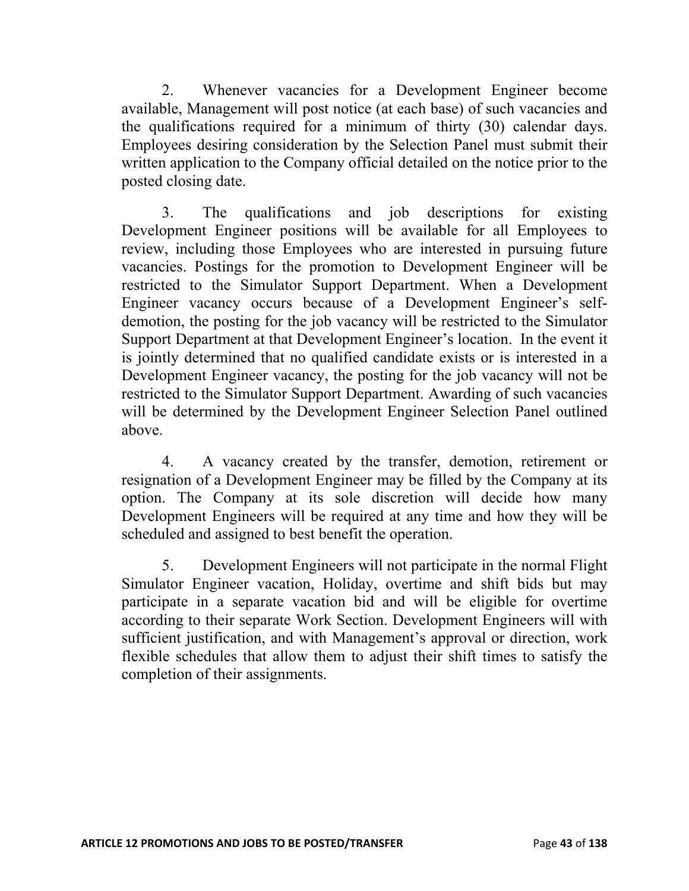2. Whenever vacancies for a Development Engineer become available, Management will post notice (at each base) of such vacancies and the qualifications required for a minimum of thirty (30) calendar days. Employees desiring consideration by the Selection Panel must submit their written application to the Company official detailed on the notice prior to the posted closing date.

3. The qualifications and job descriptions for existing Development Engineer positions will be available for all Employees to review, including those Employees who are interested in pursuing future vacancies. Postings for the promotion to Development Engineer will be restricted to the Simulator Support Department. When a Development Engineer vacancy occurs because of a Development Engineer's selfdemotion, the posting for the job vacancy will be restricted to the Simulator Support Department at that Development Engineer's location. In the event it is jointly determined that no qualified candidate exists or is interested in a Development Engineer vacancy, the posting for the job vacancy will not be restricted to the Simulator Support Department. Awarding of such vacancies will be determined by the Development Engineer Selection Panel outlined above.

4. A vacancy created by the transfer, demotion, retirement or resignation of a Development Engineer may be filled by the Company at its option. The Company at its sole discretion will decide how many Development Engineers will be required at any time and how they will be scheduled and assigned to best benefit the operation.

5. Development Engineers will not participate in the normal Flight Simulator Engineer vacation, Holiday, overtime and shift bids but may participate in a separate vacation bid and will be eligible for overtime according to their separate Work Section. Development Engineers will with sufficient justification, and with Management's approval or direction, work flexible schedules that allow them to adjust their shift times to satisfy the completion of their assignments.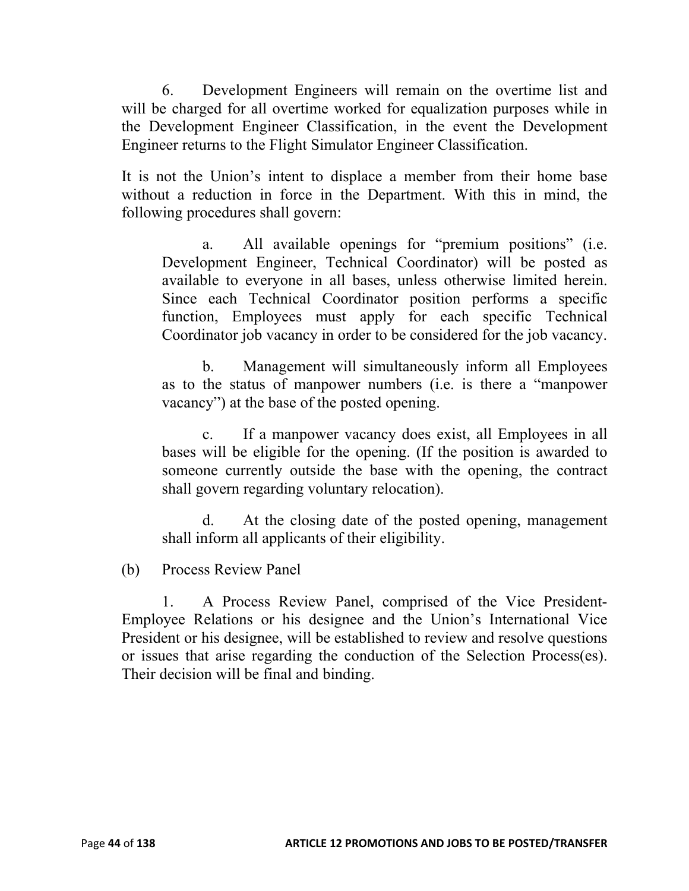6. Development Engineers will remain on the overtime list and will be charged for all overtime worked for equalization purposes while in the Development Engineer Classification, in the event the Development Engineer returns to the Flight Simulator Engineer Classification.

It is not the Union's intent to displace a member from their home base without a reduction in force in the Department. With this in mind, the following procedures shall govern:

a. All available openings for "premium positions" (i.e. Development Engineer, Technical Coordinator) will be posted as available to everyone in all bases, unless otherwise limited herein. Since each Technical Coordinator position performs a specific function, Employees must apply for each specific Technical Coordinator job vacancy in order to be considered for the job vacancy.

b. Management will simultaneously inform all Employees as to the status of manpower numbers (i.e. is there a "manpower vacancy") at the base of the posted opening.

c. If a manpower vacancy does exist, all Employees in all bases will be eligible for the opening. (If the position is awarded to someone currently outside the base with the opening, the contract shall govern regarding voluntary relocation).

d. At the closing date of the posted opening, management shall inform all applicants of their eligibility.

(b) Process Review Panel

1. A Process Review Panel, comprised of the Vice President-Employee Relations or his designee and the Union's International Vice President or his designee, will be established to review and resolve questions or issues that arise regarding the conduction of the Selection Process(es). Their decision will be final and binding.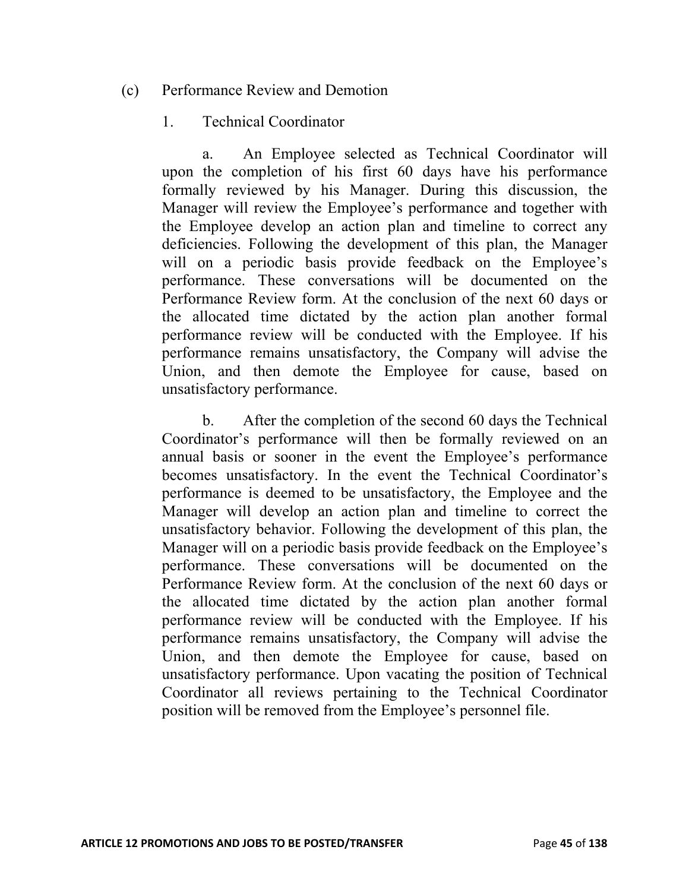(c) Performance Review and Demotion

### 1. Technical Coordinator

a. An Employee selected as Technical Coordinator will upon the completion of his first 60 days have his performance formally reviewed by his Manager. During this discussion, the Manager will review the Employee's performance and together with the Employee develop an action plan and timeline to correct any deficiencies. Following the development of this plan, the Manager will on a periodic basis provide feedback on the Employee's performance. These conversations will be documented on the Performance Review form. At the conclusion of the next 60 days or the allocated time dictated by the action plan another formal performance review will be conducted with the Employee. If his performance remains unsatisfactory, the Company will advise the Union, and then demote the Employee for cause, based on unsatisfactory performance.

b. After the completion of the second 60 days the Technical Coordinator's performance will then be formally reviewed on an annual basis or sooner in the event the Employee's performance becomes unsatisfactory. In the event the Technical Coordinator's performance is deemed to be unsatisfactory, the Employee and the Manager will develop an action plan and timeline to correct the unsatisfactory behavior. Following the development of this plan, the Manager will on a periodic basis provide feedback on the Employee's performance. These conversations will be documented on the Performance Review form. At the conclusion of the next 60 days or the allocated time dictated by the action plan another formal performance review will be conducted with the Employee. If his performance remains unsatisfactory, the Company will advise the Union, and then demote the Employee for cause, based on unsatisfactory performance. Upon vacating the position of Technical Coordinator all reviews pertaining to the Technical Coordinator position will be removed from the Employee's personnel file.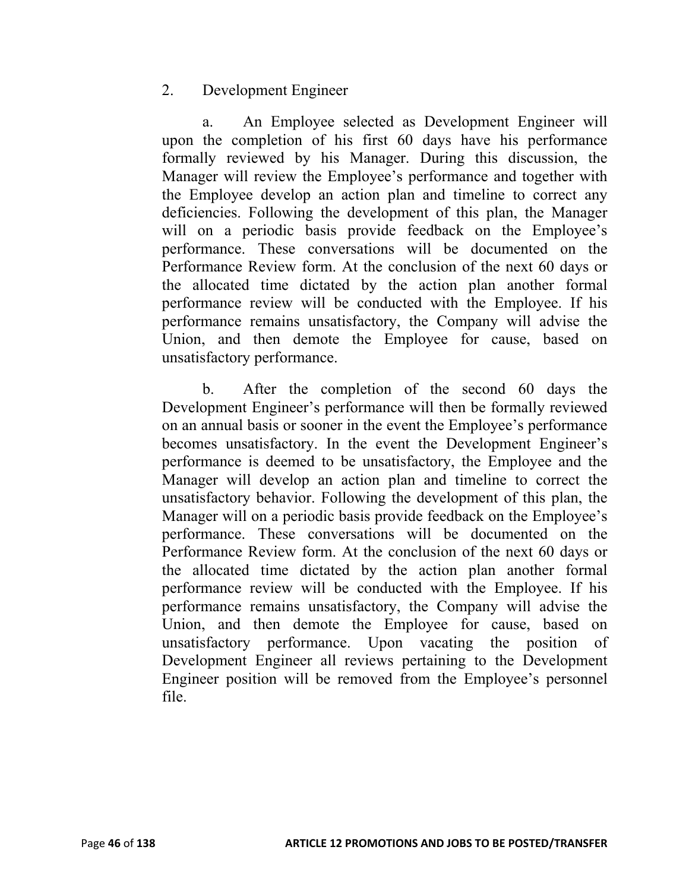## 2. Development Engineer

a. An Employee selected as Development Engineer will upon the completion of his first 60 days have his performance formally reviewed by his Manager. During this discussion, the Manager will review the Employee's performance and together with the Employee develop an action plan and timeline to correct any deficiencies. Following the development of this plan, the Manager will on a periodic basis provide feedback on the Employee's performance. These conversations will be documented on the Performance Review form. At the conclusion of the next 60 days or the allocated time dictated by the action plan another formal performance review will be conducted with the Employee. If his performance remains unsatisfactory, the Company will advise the Union, and then demote the Employee for cause, based on unsatisfactory performance.

b. After the completion of the second 60 days the Development Engineer's performance will then be formally reviewed on an annual basis or sooner in the event the Employee's performance becomes unsatisfactory. In the event the Development Engineer's performance is deemed to be unsatisfactory, the Employee and the Manager will develop an action plan and timeline to correct the unsatisfactory behavior. Following the development of this plan, the Manager will on a periodic basis provide feedback on the Employee's performance. These conversations will be documented on the Performance Review form. At the conclusion of the next 60 days or the allocated time dictated by the action plan another formal performance review will be conducted with the Employee. If his performance remains unsatisfactory, the Company will advise the Union, and then demote the Employee for cause, based on unsatisfactory performance. Upon vacating the position of Development Engineer all reviews pertaining to the Development Engineer position will be removed from the Employee's personnel file.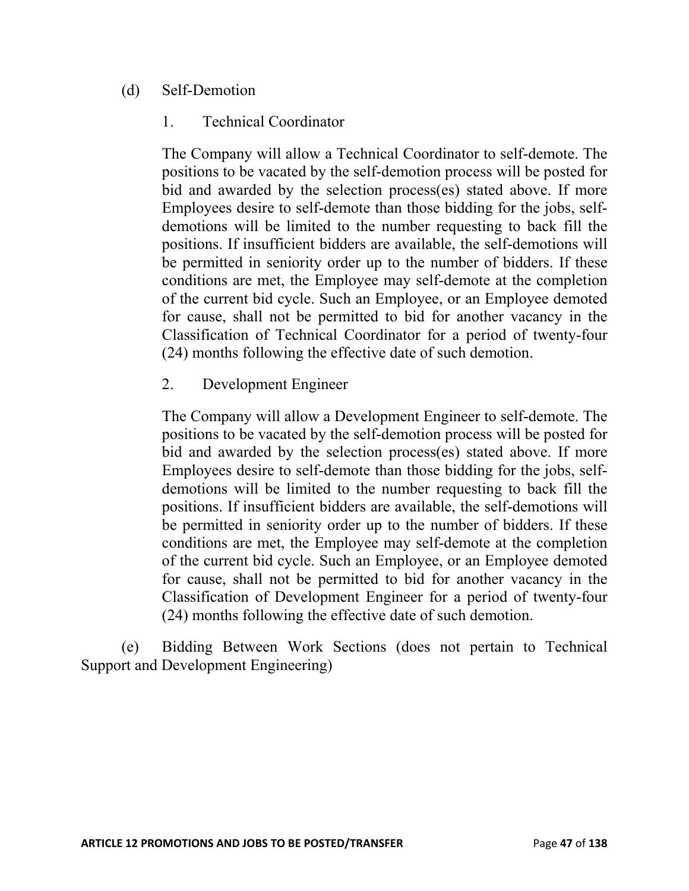# (d) Self-Demotion

## 1. Technical Coordinator

The Company will allow a Technical Coordinator to self-demote. The positions to be vacated by the self-demotion process will be posted for bid and awarded by the selection process(es) stated above. If more Employees desire to self-demote than those bidding for the jobs, selfdemotions will be limited to the number requesting to back fill the positions. If insufficient bidders are available, the self-demotions will be permitted in seniority order up to the number of bidders. If these conditions are met, the Employee may self-demote at the completion of the current bid cycle. Such an Employee, or an Employee demoted for cause, shall not be permitted to bid for another vacancy in the Classification of Technical Coordinator for a period of twenty-four (24) months following the effective date of such demotion.

## 2. Development Engineer

The Company will allow a Development Engineer to self-demote. The positions to be vacated by the self-demotion process will be posted for bid and awarded by the selection process(es) stated above. If more Employees desire to self-demote than those bidding for the jobs, selfdemotions will be limited to the number requesting to back fill the positions. If insufficient bidders are available, the self-demotions will be permitted in seniority order up to the number of bidders. If these conditions are met, the Employee may self-demote at the completion of the current bid cycle. Such an Employee, or an Employee demoted for cause, shall not be permitted to bid for another vacancy in the Classification of Development Engineer for a period of twenty-four (24) months following the effective date of such demotion.

(e) Bidding Between Work Sections (does not pertain to Technical Support and Development Engineering)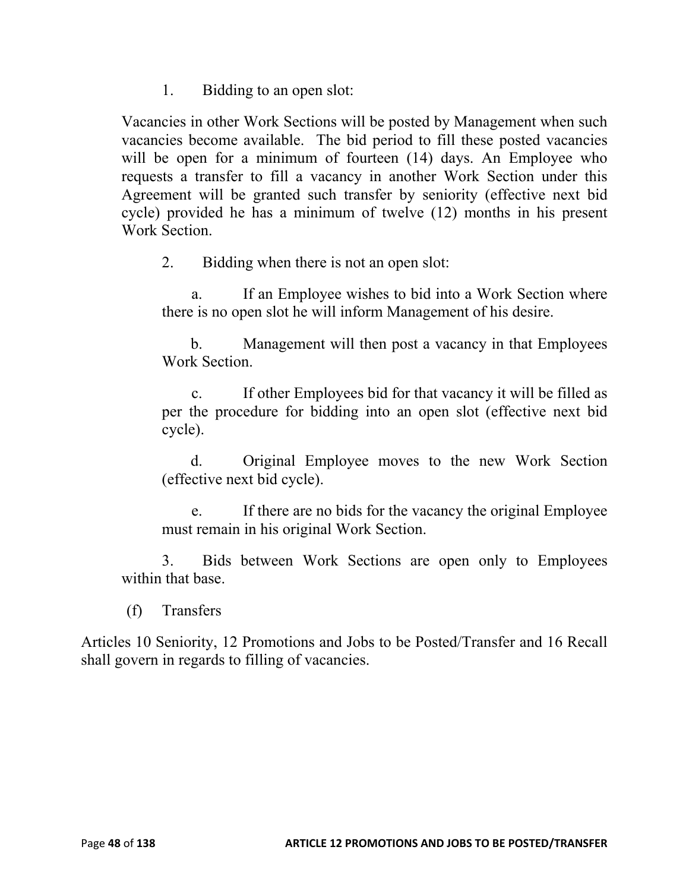1. Bidding to an open slot:

Vacancies in other Work Sections will be posted by Management when such vacancies become available. The bid period to fill these posted vacancies will be open for a minimum of fourteen (14) days. An Employee who requests a transfer to fill a vacancy in another Work Section under this Agreement will be granted such transfer by seniority (effective next bid cycle) provided he has a minimum of twelve (12) months in his present Work Section.

2. Bidding when there is not an open slot:

a. If an Employee wishes to bid into a Work Section where there is no open slot he will inform Management of his desire.

b. Management will then post a vacancy in that Employees Work Section.

c. If other Employees bid for that vacancy it will be filled as per the procedure for bidding into an open slot (effective next bid cycle).

d. Original Employee moves to the new Work Section (effective next bid cycle).

e. If there are no bids for the vacancy the original Employee must remain in his original Work Section.

3. Bids between Work Sections are open only to Employees within that base.

(f) Transfers

Articles 10 Seniority, 12 Promotions and Jobs to be Posted/Transfer and 16 Recall shall govern in regards to filling of vacancies.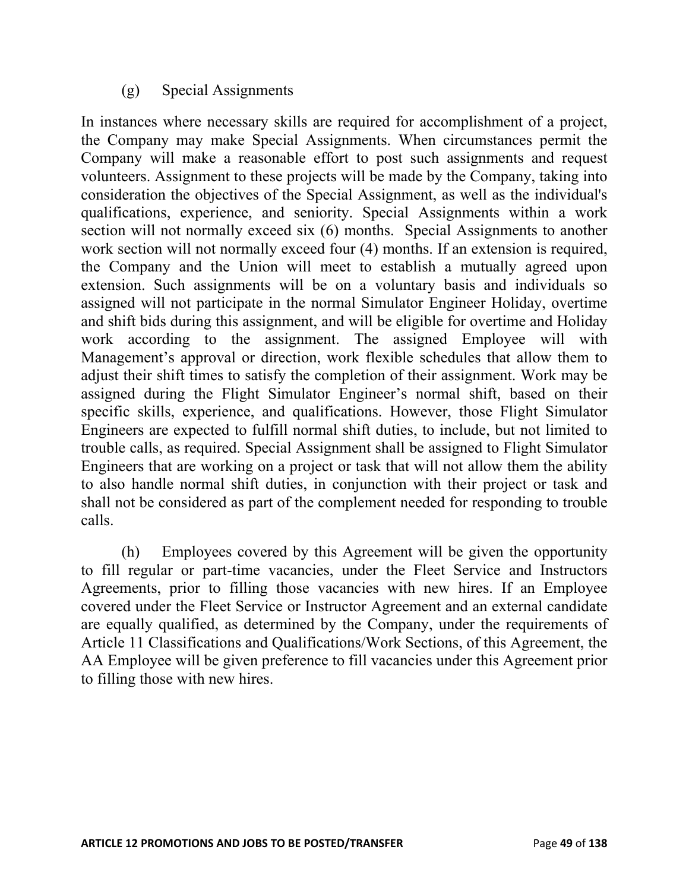# (g) Special Assignments

In instances where necessary skills are required for accomplishment of a project, the Company may make Special Assignments. When circumstances permit the Company will make a reasonable effort to post such assignments and request volunteers. Assignment to these projects will be made by the Company, taking into consideration the objectives of the Special Assignment, as well as the individual's qualifications, experience, and seniority. Special Assignments within a work section will not normally exceed six (6) months. Special Assignments to another work section will not normally exceed four (4) months. If an extension is required, the Company and the Union will meet to establish a mutually agreed upon extension. Such assignments will be on a voluntary basis and individuals so assigned will not participate in the normal Simulator Engineer Holiday, overtime and shift bids during this assignment, and will be eligible for overtime and Holiday work according to the assignment. The assigned Employee will with Management's approval or direction, work flexible schedules that allow them to adjust their shift times to satisfy the completion of their assignment. Work may be assigned during the Flight Simulator Engineer's normal shift, based on their specific skills, experience, and qualifications. However, those Flight Simulator Engineers are expected to fulfill normal shift duties, to include, but not limited to trouble calls, as required. Special Assignment shall be assigned to Flight Simulator Engineers that are working on a project or task that will not allow them the ability to also handle normal shift duties, in conjunction with their project or task and shall not be considered as part of the complement needed for responding to trouble calls.

(h) Employees covered by this Agreement will be given the opportunity to fill regular or part-time vacancies, under the Fleet Service and Instructors Agreements, prior to filling those vacancies with new hires. If an Employee covered under the Fleet Service or Instructor Agreement and an external candidate are equally qualified, as determined by the Company, under the requirements of Article 11 Classifications and Qualifications/Work Sections, of this Agreement, the AA Employee will be given preference to fill vacancies under this Agreement prior to filling those with new hires.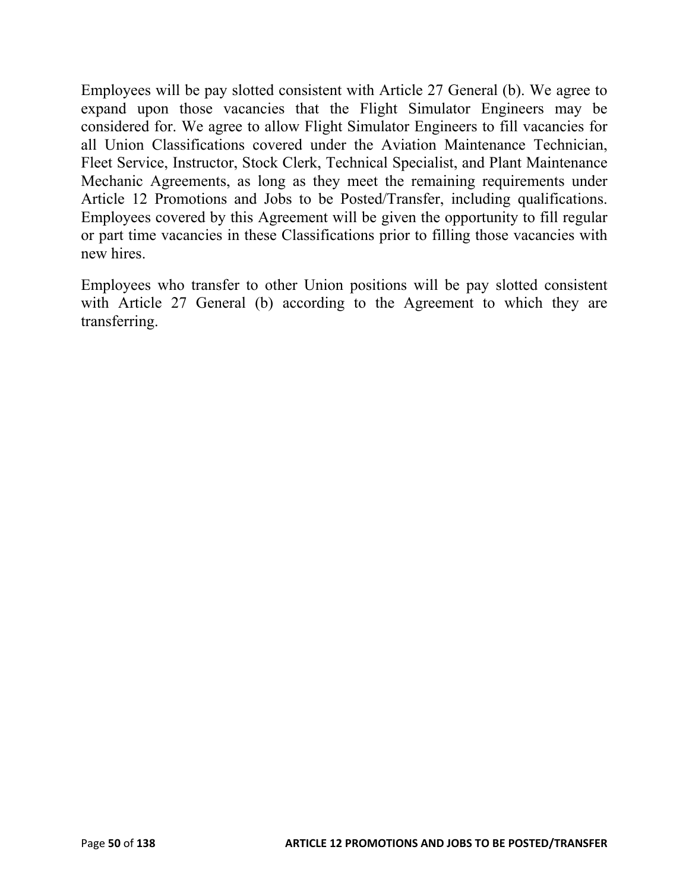Employees will be pay slotted consistent with Article 27 General (b). We agree to expand upon those vacancies that the Flight Simulator Engineers may be considered for. We agree to allow Flight Simulator Engineers to fill vacancies for all Union Classifications covered under the Aviation Maintenance Technician, Fleet Service, Instructor, Stock Clerk, Technical Specialist, and Plant Maintenance Mechanic Agreements, as long as they meet the remaining requirements under Article 12 Promotions and Jobs to be Posted/Transfer, including qualifications. Employees covered by this Agreement will be given the opportunity to fill regular or part time vacancies in these Classifications prior to filling those vacancies with new hires.

Employees who transfer to other Union positions will be pay slotted consistent with Article 27 General (b) according to the Agreement to which they are transferring.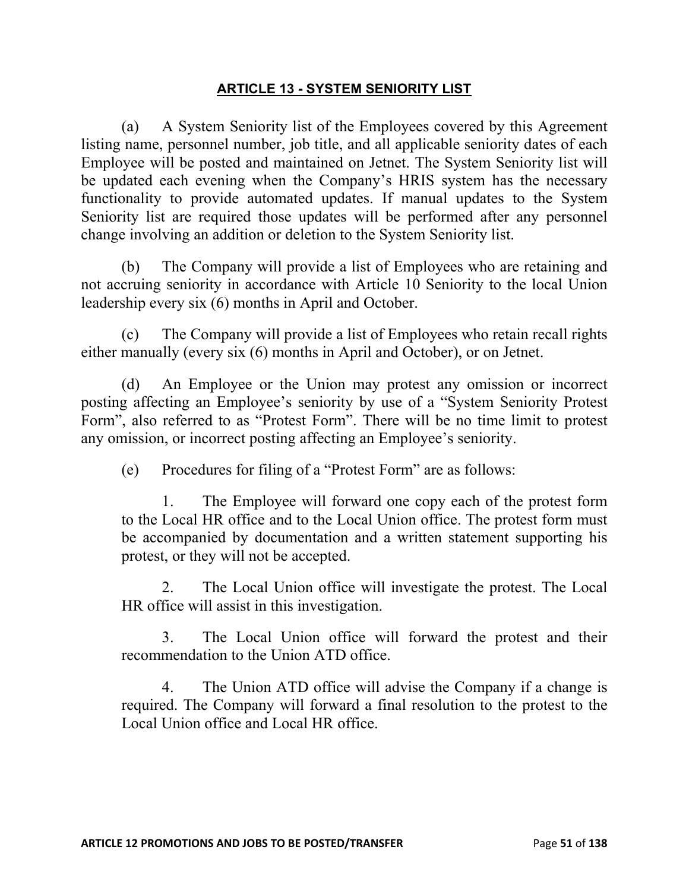### **ARTICLE 13 - SYSTEM SENIORITY LIST**

(a) A System Seniority list of the Employees covered by this Agreement listing name, personnel number, job title, and all applicable seniority dates of each Employee will be posted and maintained on Jetnet. The System Seniority list will be updated each evening when the Company's HRIS system has the necessary functionality to provide automated updates. If manual updates to the System Seniority list are required those updates will be performed after any personnel change involving an addition or deletion to the System Seniority list.

(b) The Company will provide a list of Employees who are retaining and not accruing seniority in accordance with Article 10 Seniority to the local Union leadership every six (6) months in April and October.

(c) The Company will provide a list of Employees who retain recall rights either manually (every six (6) months in April and October), or on Jetnet.

(d) An Employee or the Union may protest any omission or incorrect posting affecting an Employee's seniority by use of a "System Seniority Protest Form", also referred to as "Protest Form". There will be no time limit to protest any omission, or incorrect posting affecting an Employee's seniority.

(e) Procedures for filing of a "Protest Form" are as follows:

1. The Employee will forward one copy each of the protest form to the Local HR office and to the Local Union office. The protest form must be accompanied by documentation and a written statement supporting his protest, or they will not be accepted.

2. The Local Union office will investigate the protest. The Local HR office will assist in this investigation.

3. The Local Union office will forward the protest and their recommendation to the Union ATD office.

4. The Union ATD office will advise the Company if a change is required. The Company will forward a final resolution to the protest to the Local Union office and Local HR office.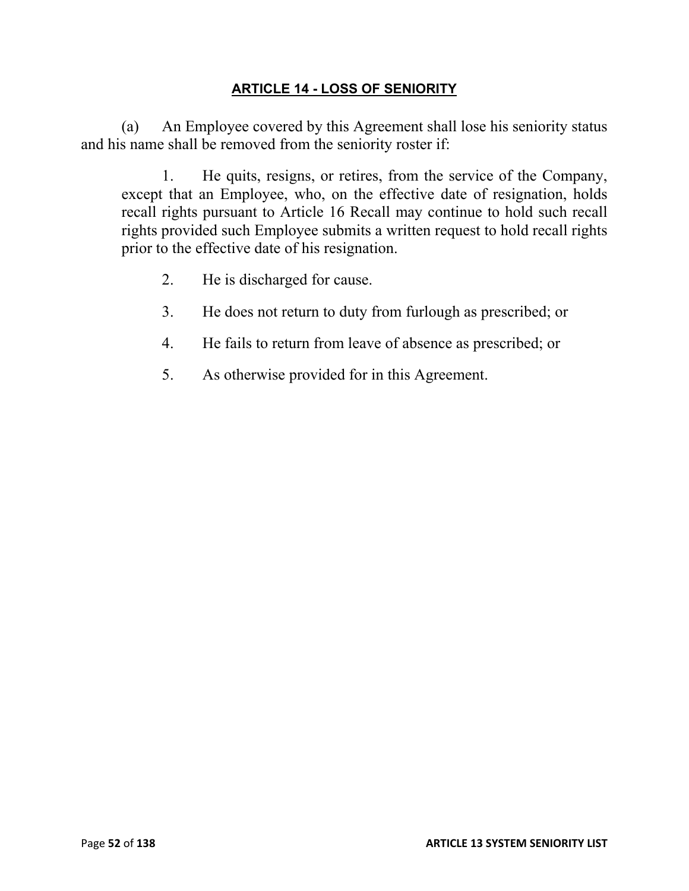## **ARTICLE 14 - LOSS OF SENIORITY**

(a) An Employee covered by this Agreement shall lose his seniority status and his name shall be removed from the seniority roster if:

1. He quits, resigns, or retires, from the service of the Company, except that an Employee, who, on the effective date of resignation, holds recall rights pursuant to Article 16 Recall may continue to hold such recall rights provided such Employee submits a written request to hold recall rights prior to the effective date of his resignation.

- 2. He is discharged for cause.
- 3. He does not return to duty from furlough as prescribed; or
- 4. He fails to return from leave of absence as prescribed; or
- 5. As otherwise provided for in this Agreement.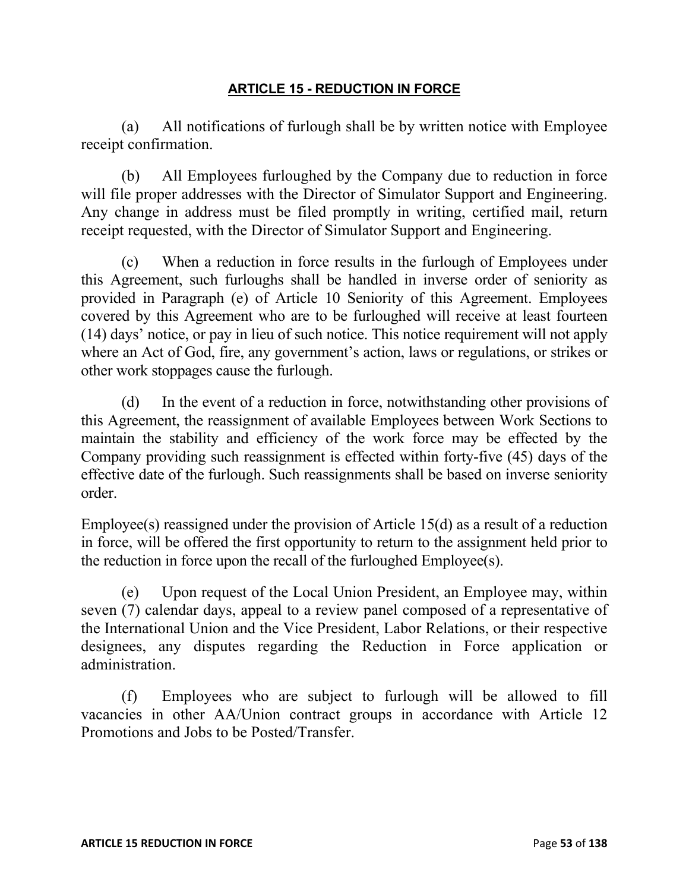### **ARTICLE 15 - REDUCTION IN FORCE**

(a) All notifications of furlough shall be by written notice with Employee receipt confirmation.

(b) All Employees furloughed by the Company due to reduction in force will file proper addresses with the Director of Simulator Support and Engineering. Any change in address must be filed promptly in writing, certified mail, return receipt requested, with the Director of Simulator Support and Engineering.

(c) When a reduction in force results in the furlough of Employees under this Agreement, such furloughs shall be handled in inverse order of seniority as provided in Paragraph (e) of Article 10 Seniority of this Agreement. Employees covered by this Agreement who are to be furloughed will receive at least fourteen (14) days' notice, or pay in lieu of such notice. This notice requirement will not apply where an Act of God, fire, any government's action, laws or regulations, or strikes or other work stoppages cause the furlough.

(d) In the event of a reduction in force, notwithstanding other provisions of this Agreement, the reassignment of available Employees between Work Sections to maintain the stability and efficiency of the work force may be effected by the Company providing such reassignment is effected within forty-five (45) days of the effective date of the furlough. Such reassignments shall be based on inverse seniority order.

Employee(s) reassigned under the provision of Article 15(d) as a result of a reduction in force, will be offered the first opportunity to return to the assignment held prior to the reduction in force upon the recall of the furloughed Employee(s).

(e) Upon request of the Local Union President, an Employee may, within seven (7) calendar days, appeal to a review panel composed of a representative of the International Union and the Vice President, Labor Relations, or their respective designees, any disputes regarding the Reduction in Force application or administration.

(f) Employees who are subject to furlough will be allowed to fill vacancies in other AA/Union contract groups in accordance with Article 12 Promotions and Jobs to be Posted/Transfer.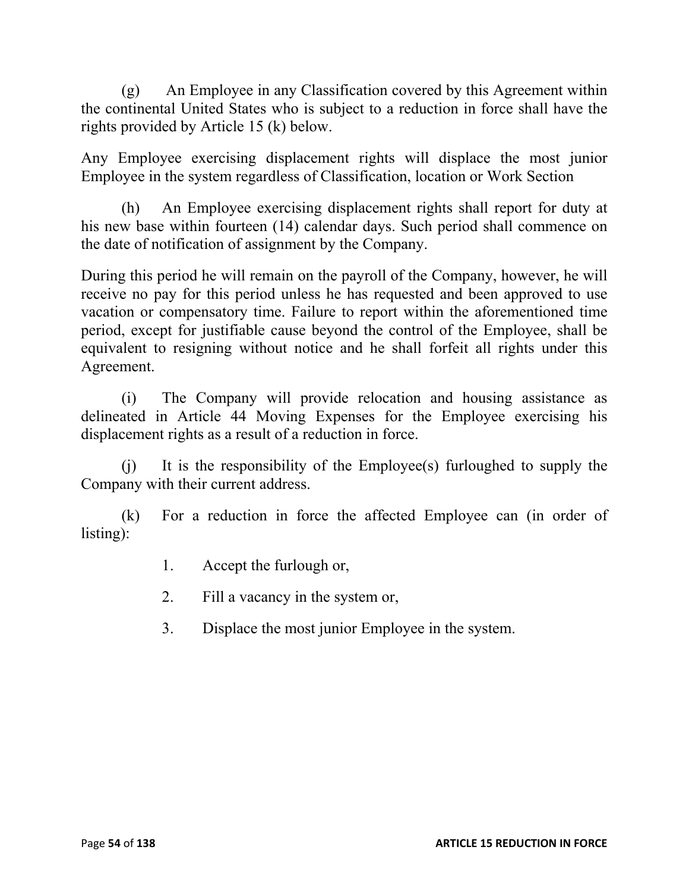(g) An Employee in any Classification covered by this Agreement within the continental United States who is subject to a reduction in force shall have the rights provided by Article 15 (k) below.

Any Employee exercising displacement rights will displace the most junior Employee in the system regardless of Classification, location or Work Section

(h) An Employee exercising displacement rights shall report for duty at his new base within fourteen (14) calendar days. Such period shall commence on the date of notification of assignment by the Company.

During this period he will remain on the payroll of the Company, however, he will receive no pay for this period unless he has requested and been approved to use vacation or compensatory time. Failure to report within the aforementioned time period, except for justifiable cause beyond the control of the Employee, shall be equivalent to resigning without notice and he shall forfeit all rights under this Agreement.

(i) The Company will provide relocation and housing assistance as delineated in Article 44 Moving Expenses for the Employee exercising his displacement rights as a result of a reduction in force.

(j) It is the responsibility of the Employee(s) furloughed to supply the Company with their current address.

(k) For a reduction in force the affected Employee can (in order of listing):

- 1. Accept the furlough or,
- 2. Fill a vacancy in the system or,
- 3. Displace the most junior Employee in the system.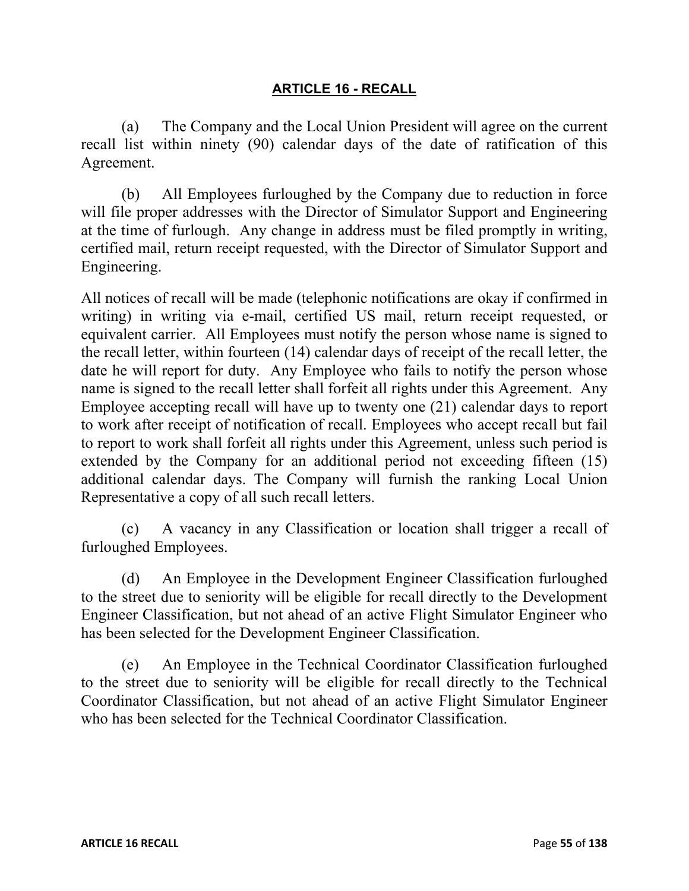### **ARTICLE 16 - RECALL**

(a) The Company and the Local Union President will agree on the current recall list within ninety (90) calendar days of the date of ratification of this Agreement.

(b) All Employees furloughed by the Company due to reduction in force will file proper addresses with the Director of Simulator Support and Engineering at the time of furlough. Any change in address must be filed promptly in writing, certified mail, return receipt requested, with the Director of Simulator Support and Engineering.

All notices of recall will be made (telephonic notifications are okay if confirmed in writing) in writing via e-mail, certified US mail, return receipt requested, or equivalent carrier. All Employees must notify the person whose name is signed to the recall letter, within fourteen (14) calendar days of receipt of the recall letter, the date he will report for duty. Any Employee who fails to notify the person whose name is signed to the recall letter shall forfeit all rights under this Agreement. Any Employee accepting recall will have up to twenty one (21) calendar days to report to work after receipt of notification of recall. Employees who accept recall but fail to report to work shall forfeit all rights under this Agreement, unless such period is extended by the Company for an additional period not exceeding fifteen (15) additional calendar days. The Company will furnish the ranking Local Union Representative a copy of all such recall letters.

(c) A vacancy in any Classification or location shall trigger a recall of furloughed Employees.

(d) An Employee in the Development Engineer Classification furloughed to the street due to seniority will be eligible for recall directly to the Development Engineer Classification, but not ahead of an active Flight Simulator Engineer who has been selected for the Development Engineer Classification.

(e) An Employee in the Technical Coordinator Classification furloughed to the street due to seniority will be eligible for recall directly to the Technical Coordinator Classification, but not ahead of an active Flight Simulator Engineer who has been selected for the Technical Coordinator Classification.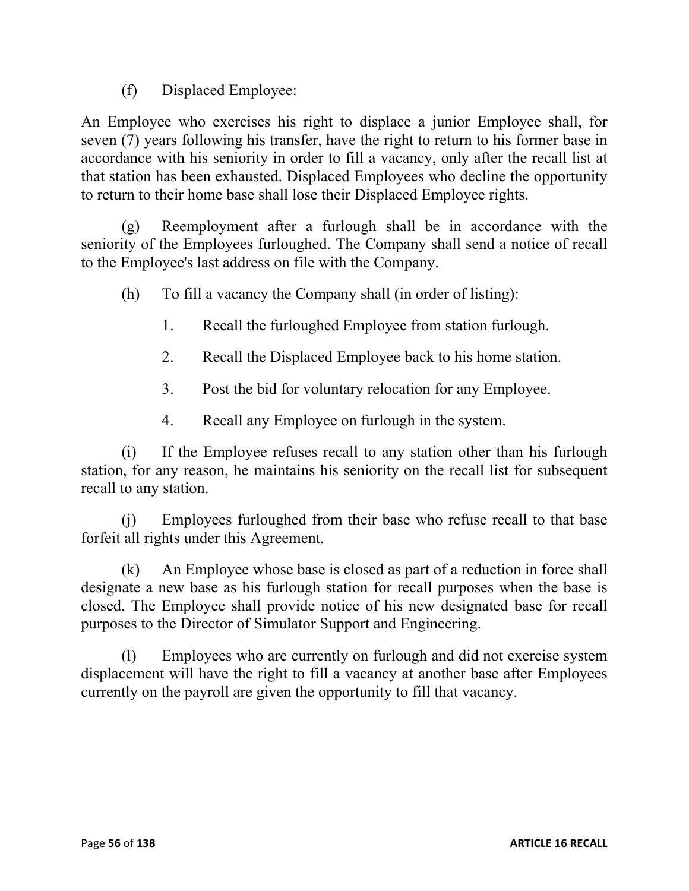(f) Displaced Employee:

An Employee who exercises his right to displace a junior Employee shall, for seven (7) years following his transfer, have the right to return to his former base in accordance with his seniority in order to fill a vacancy, only after the recall list at that station has been exhausted. Displaced Employees who decline the opportunity to return to their home base shall lose their Displaced Employee rights.

(g) Reemployment after a furlough shall be in accordance with the seniority of the Employees furloughed. The Company shall send a notice of recall to the Employee's last address on file with the Company.

(h) To fill a vacancy the Company shall (in order of listing):

- 1. Recall the furloughed Employee from station furlough.
- 2. Recall the Displaced Employee back to his home station.
- 3. Post the bid for voluntary relocation for any Employee.
- 4. Recall any Employee on furlough in the system.

(i) If the Employee refuses recall to any station other than his furlough station, for any reason, he maintains his seniority on the recall list for subsequent recall to any station.

(j) Employees furloughed from their base who refuse recall to that base forfeit all rights under this Agreement.

(k) An Employee whose base is closed as part of a reduction in force shall designate a new base as his furlough station for recall purposes when the base is closed. The Employee shall provide notice of his new designated base for recall purposes to the Director of Simulator Support and Engineering.

(l) Employees who are currently on furlough and did not exercise system displacement will have the right to fill a vacancy at another base after Employees currently on the payroll are given the opportunity to fill that vacancy.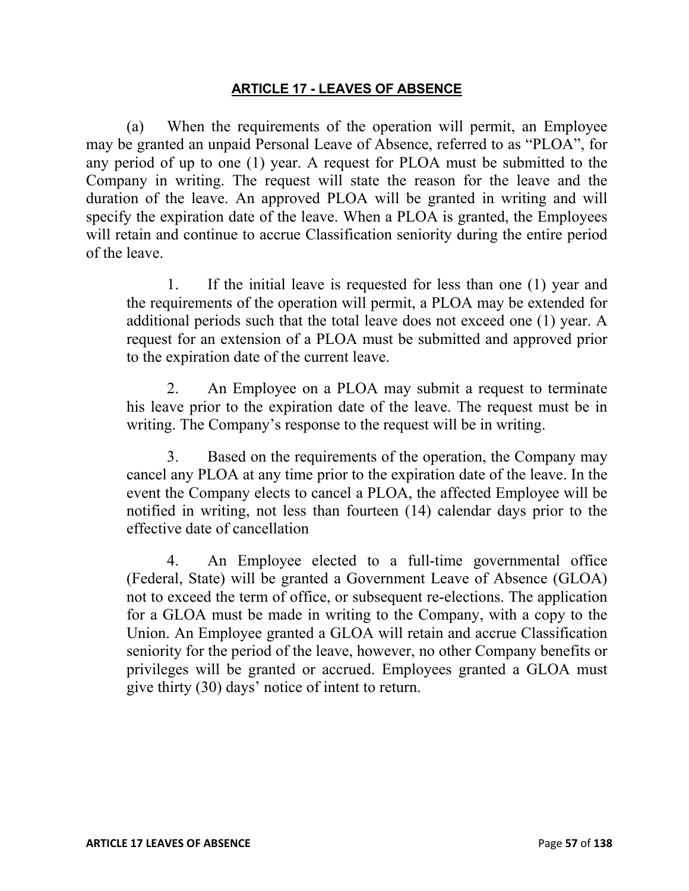#### **ARTICLE 17 - LEAVES OF ABSENCE**

(a) When the requirements of the operation will permit, an Employee may be granted an unpaid Personal Leave of Absence, referred to as "PLOA", for any period of up to one (1) year. A request for PLOA must be submitted to the Company in writing. The request will state the reason for the leave and the duration of the leave. An approved PLOA will be granted in writing and will specify the expiration date of the leave. When a PLOA is granted, the Employees will retain and continue to accrue Classification seniority during the entire period of the leave.

1. If the initial leave is requested for less than one (1) year and the requirements of the operation will permit, a PLOA may be extended for additional periods such that the total leave does not exceed one (1) year. A request for an extension of a PLOA must be submitted and approved prior to the expiration date of the current leave.

2. An Employee on a PLOA may submit a request to terminate his leave prior to the expiration date of the leave. The request must be in writing. The Company's response to the request will be in writing.

3. Based on the requirements of the operation, the Company may cancel any PLOA at any time prior to the expiration date of the leave. In the event the Company elects to cancel a PLOA, the affected Employee will be notified in writing, not less than fourteen (14) calendar days prior to the effective date of cancellation

4. An Employee elected to a full-time governmental office (Federal, State) will be granted a Government Leave of Absence (GLOA) not to exceed the term of office, or subsequent re-elections. The application for a GLOA must be made in writing to the Company, with a copy to the Union. An Employee granted a GLOA will retain and accrue Classification seniority for the period of the leave, however, no other Company benefits or privileges will be granted or accrued. Employees granted a GLOA must give thirty (30) days' notice of intent to return.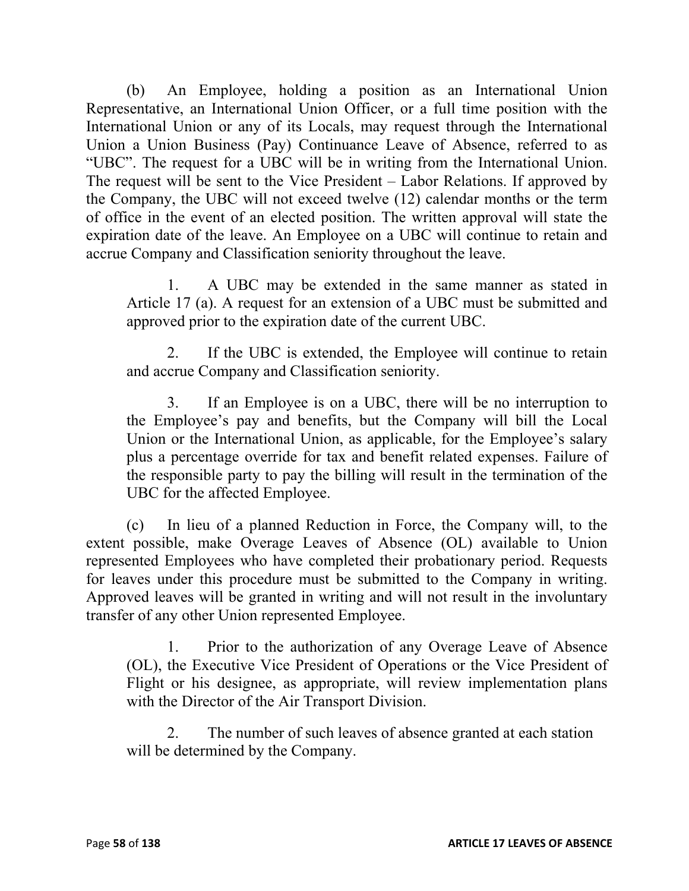(b) An Employee, holding a position as an International Union Representative, an International Union Officer, or a full time position with the International Union or any of its Locals, may request through the International Union a Union Business (Pay) Continuance Leave of Absence, referred to as "UBC". The request for a UBC will be in writing from the International Union. The request will be sent to the Vice President – Labor Relations. If approved by the Company, the UBC will not exceed twelve (12) calendar months or the term of office in the event of an elected position. The written approval will state the expiration date of the leave. An Employee on a UBC will continue to retain and accrue Company and Classification seniority throughout the leave.

1. A UBC may be extended in the same manner as stated in Article 17 (a). A request for an extension of a UBC must be submitted and approved prior to the expiration date of the current UBC.

2. If the UBC is extended, the Employee will continue to retain and accrue Company and Classification seniority.

3. If an Employee is on a UBC, there will be no interruption to the Employee's pay and benefits, but the Company will bill the Local Union or the International Union, as applicable, for the Employee's salary plus a percentage override for tax and benefit related expenses. Failure of the responsible party to pay the billing will result in the termination of the UBC for the affected Employee.

(c) In lieu of a planned Reduction in Force, the Company will, to the extent possible, make Overage Leaves of Absence (OL) available to Union represented Employees who have completed their probationary period. Requests for leaves under this procedure must be submitted to the Company in writing. Approved leaves will be granted in writing and will not result in the involuntary transfer of any other Union represented Employee.

1. Prior to the authorization of any Overage Leave of Absence (OL), the Executive Vice President of Operations or the Vice President of Flight or his designee, as appropriate, will review implementation plans with the Director of the Air Transport Division.

2. The number of such leaves of absence granted at each station will be determined by the Company.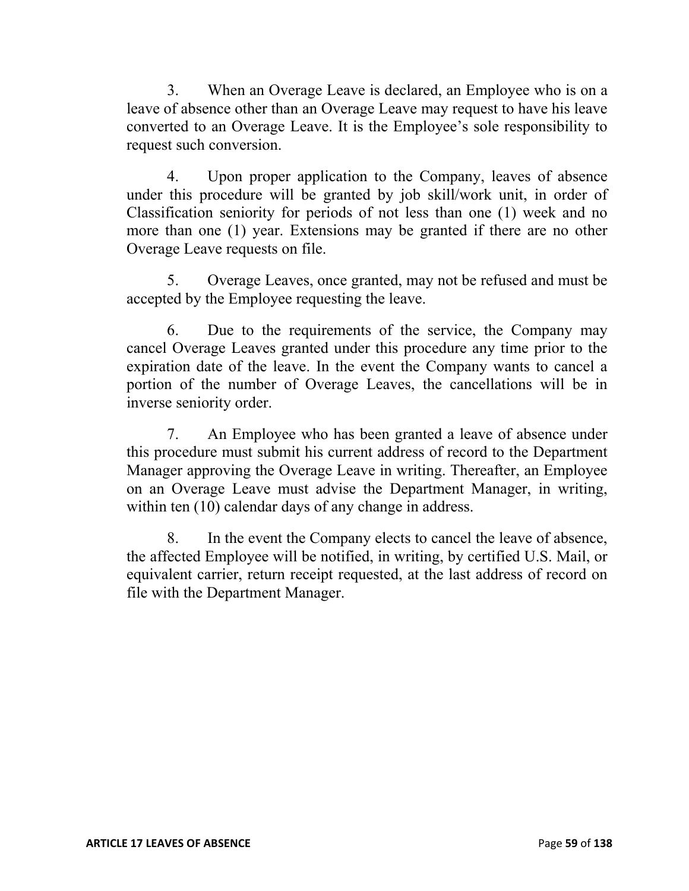3. When an Overage Leave is declared, an Employee who is on a leave of absence other than an Overage Leave may request to have his leave converted to an Overage Leave. It is the Employee's sole responsibility to request such conversion.

4. Upon proper application to the Company, leaves of absence under this procedure will be granted by job skill/work unit, in order of Classification seniority for periods of not less than one (1) week and no more than one (1) year. Extensions may be granted if there are no other Overage Leave requests on file.

5. Overage Leaves, once granted, may not be refused and must be accepted by the Employee requesting the leave.

6. Due to the requirements of the service, the Company may cancel Overage Leaves granted under this procedure any time prior to the expiration date of the leave. In the event the Company wants to cancel a portion of the number of Overage Leaves, the cancellations will be in inverse seniority order.

7. An Employee who has been granted a leave of absence under this procedure must submit his current address of record to the Department Manager approving the Overage Leave in writing. Thereafter, an Employee on an Overage Leave must advise the Department Manager, in writing, within ten  $(10)$  calendar days of any change in address.

8. In the event the Company elects to cancel the leave of absence, the affected Employee will be notified, in writing, by certified U.S. Mail, or equivalent carrier, return receipt requested, at the last address of record on file with the Department Manager.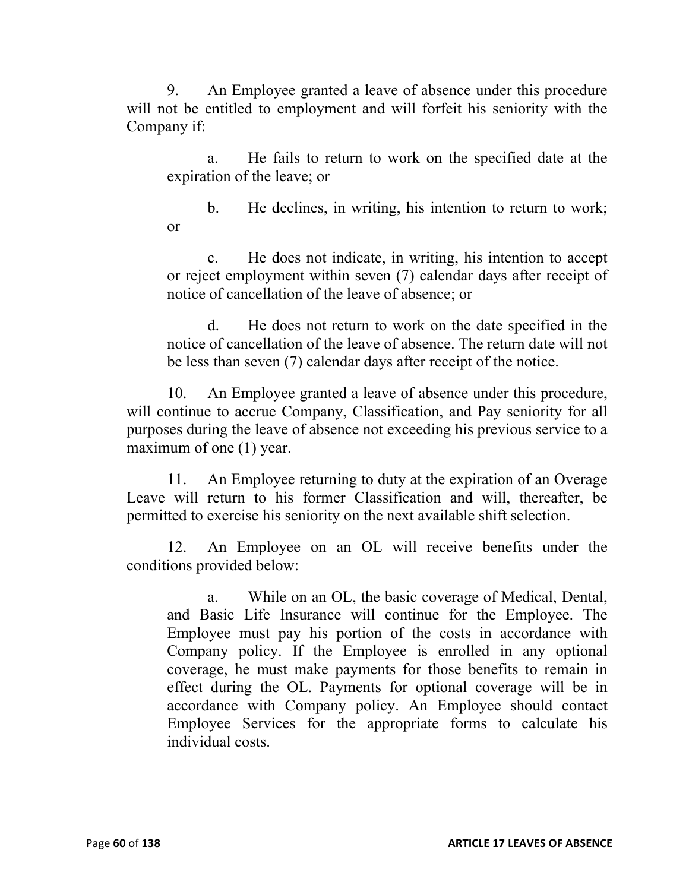9. An Employee granted a leave of absence under this procedure will not be entitled to employment and will forfeit his seniority with the Company if:

a. He fails to return to work on the specified date at the expiration of the leave; or

b. He declines, in writing, his intention to return to work; or

c. He does not indicate, in writing, his intention to accept or reject employment within seven (7) calendar days after receipt of notice of cancellation of the leave of absence; or

d. He does not return to work on the date specified in the notice of cancellation of the leave of absence. The return date will not be less than seven (7) calendar days after receipt of the notice.

10. An Employee granted a leave of absence under this procedure, will continue to accrue Company, Classification, and Pay seniority for all purposes during the leave of absence not exceeding his previous service to a maximum of one (1) year.

11. An Employee returning to duty at the expiration of an Overage Leave will return to his former Classification and will, thereafter, be permitted to exercise his seniority on the next available shift selection.

12. An Employee on an OL will receive benefits under the conditions provided below:

a. While on an OL, the basic coverage of Medical, Dental, and Basic Life Insurance will continue for the Employee. The Employee must pay his portion of the costs in accordance with Company policy. If the Employee is enrolled in any optional coverage, he must make payments for those benefits to remain in effect during the OL. Payments for optional coverage will be in accordance with Company policy. An Employee should contact Employee Services for the appropriate forms to calculate his individual costs.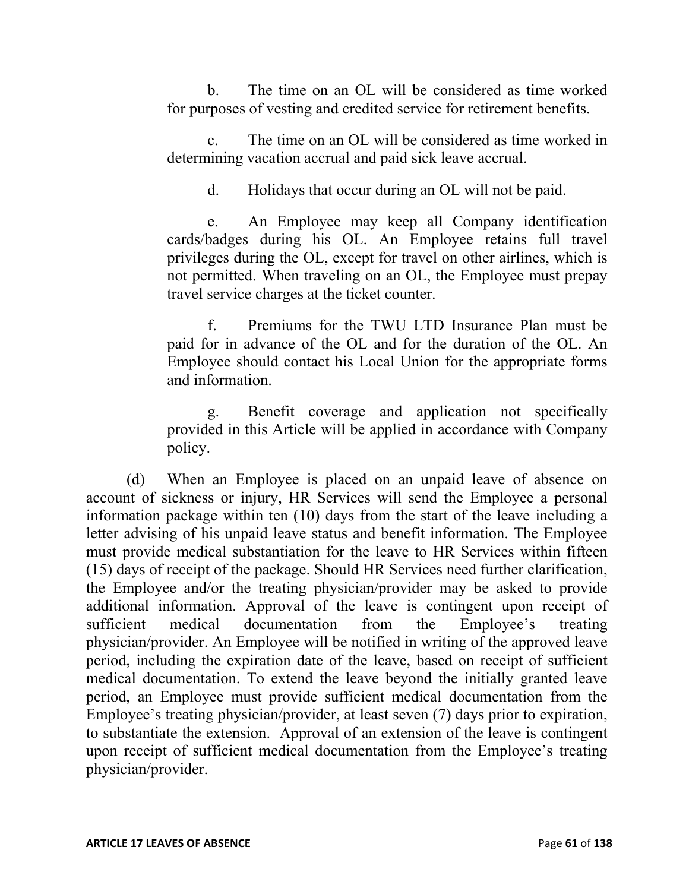b. The time on an OL will be considered as time worked for purposes of vesting and credited service for retirement benefits.

c. The time on an OL will be considered as time worked in determining vacation accrual and paid sick leave accrual.

d. Holidays that occur during an OL will not be paid.

e. An Employee may keep all Company identification cards/badges during his OL. An Employee retains full travel privileges during the OL, except for travel on other airlines, which is not permitted. When traveling on an OL, the Employee must prepay travel service charges at the ticket counter.

f. Premiums for the TWU LTD Insurance Plan must be paid for in advance of the OL and for the duration of the OL. An Employee should contact his Local Union for the appropriate forms and information.

g. Benefit coverage and application not specifically provided in this Article will be applied in accordance with Company policy.

(d) When an Employee is placed on an unpaid leave of absence on account of sickness or injury, HR Services will send the Employee a personal information package within ten (10) days from the start of the leave including a letter advising of his unpaid leave status and benefit information. The Employee must provide medical substantiation for the leave to HR Services within fifteen (15) days of receipt of the package. Should HR Services need further clarification, the Employee and/or the treating physician/provider may be asked to provide additional information. Approval of the leave is contingent upon receipt of sufficient medical documentation from the Employee's treating physician/provider. An Employee will be notified in writing of the approved leave period, including the expiration date of the leave, based on receipt of sufficient medical documentation. To extend the leave beyond the initially granted leave period, an Employee must provide sufficient medical documentation from the Employee's treating physician/provider, at least seven (7) days prior to expiration, to substantiate the extension. Approval of an extension of the leave is contingent upon receipt of sufficient medical documentation from the Employee's treating physician/provider.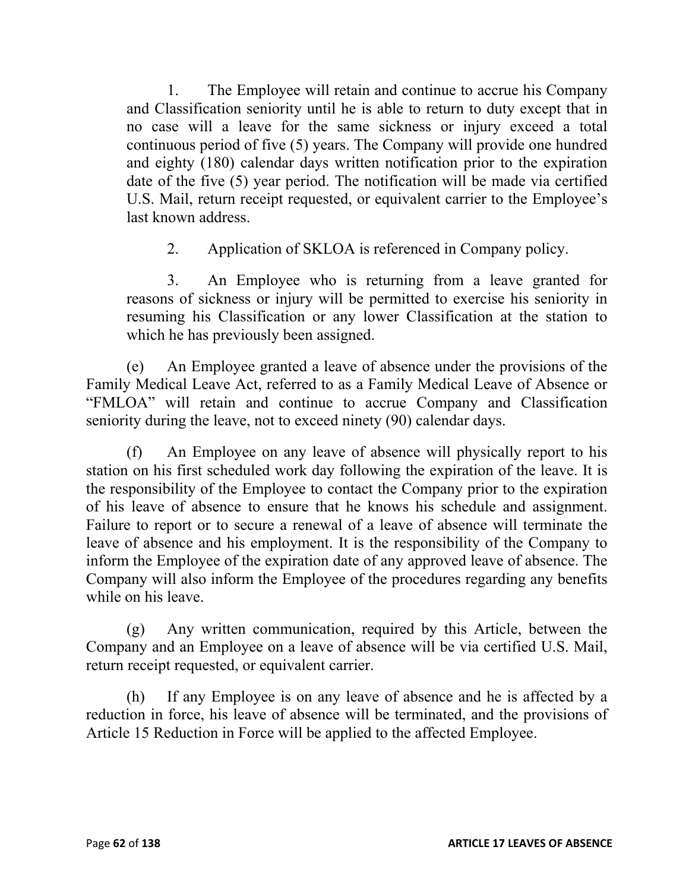1. The Employee will retain and continue to accrue his Company and Classification seniority until he is able to return to duty except that in no case will a leave for the same sickness or injury exceed a total continuous period of five (5) years. The Company will provide one hundred and eighty (180) calendar days written notification prior to the expiration date of the five (5) year period. The notification will be made via certified U.S. Mail, return receipt requested, or equivalent carrier to the Employee's last known address.

2. Application of SKLOA is referenced in Company policy.

3. An Employee who is returning from a leave granted for reasons of sickness or injury will be permitted to exercise his seniority in resuming his Classification or any lower Classification at the station to which he has previously been assigned.

(e) An Employee granted a leave of absence under the provisions of the Family Medical Leave Act, referred to as a Family Medical Leave of Absence or "FMLOA" will retain and continue to accrue Company and Classification seniority during the leave, not to exceed ninety (90) calendar days.

(f) An Employee on any leave of absence will physically report to his station on his first scheduled work day following the expiration of the leave. It is the responsibility of the Employee to contact the Company prior to the expiration of his leave of absence to ensure that he knows his schedule and assignment. Failure to report or to secure a renewal of a leave of absence will terminate the leave of absence and his employment. It is the responsibility of the Company to inform the Employee of the expiration date of any approved leave of absence. The Company will also inform the Employee of the procedures regarding any benefits while on his leave.

(g) Any written communication, required by this Article, between the Company and an Employee on a leave of absence will be via certified U.S. Mail, return receipt requested, or equivalent carrier.

(h) If any Employee is on any leave of absence and he is affected by a reduction in force, his leave of absence will be terminated, and the provisions of Article 15 Reduction in Force will be applied to the affected Employee.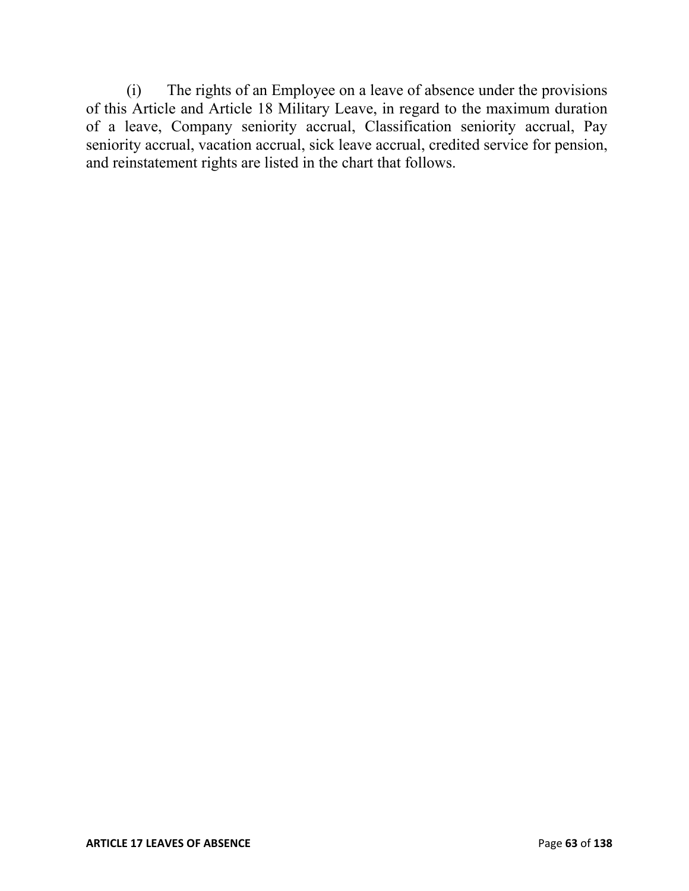(i) The rights of an Employee on a leave of absence under the provisions of this Article and Article 18 Military Leave, in regard to the maximum duration of a leave, Company seniority accrual, Classification seniority accrual, Pay seniority accrual, vacation accrual, sick leave accrual, credited service for pension, and reinstatement rights are listed in the chart that follows.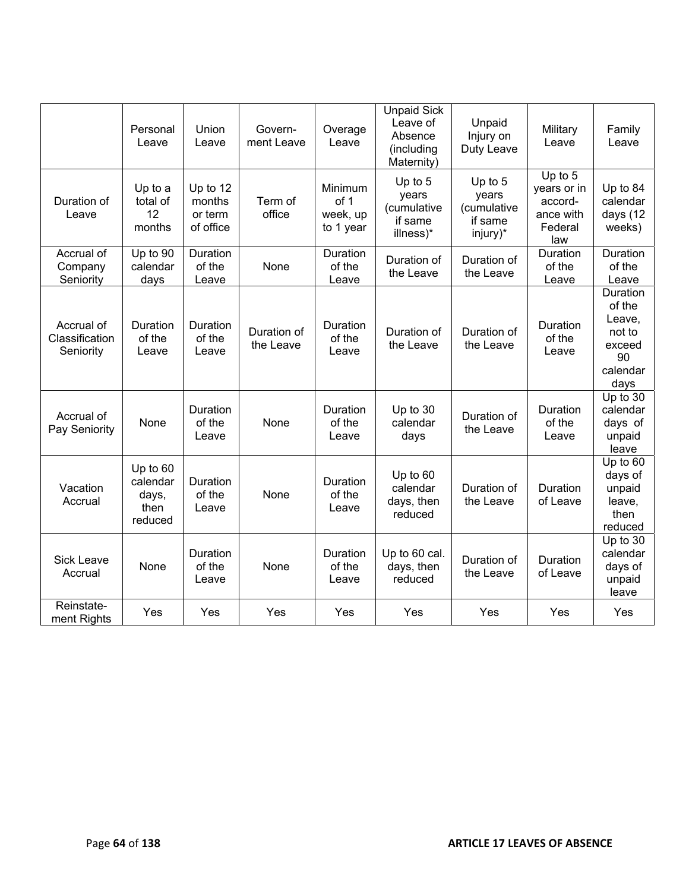|                                           | Personal<br>Leave                                | Union<br>Leave                             | Govern-<br>ment Leave    | Overage<br>Leave                         | <b>Unpaid Sick</b><br>Leave of<br>Absence<br>(including<br>Maternity) | Unpaid<br>Injury on<br>Duty Leave                        | Military<br>Leave                                                  | Family<br>Leave                                                            |
|-------------------------------------------|--------------------------------------------------|--------------------------------------------|--------------------------|------------------------------------------|-----------------------------------------------------------------------|----------------------------------------------------------|--------------------------------------------------------------------|----------------------------------------------------------------------------|
| Duration of<br>Leave                      | Up to a<br>total of<br>12<br>months              | Up to 12<br>months<br>or term<br>of office | Term of<br>office        | Minimum<br>of 1<br>week, up<br>to 1 year | Up to 5<br>years<br>(cumulative<br>if same<br>illness)*               | Up to $5$<br>years<br>(cumulative<br>if same<br>injury)* | Up to $5$<br>years or in<br>accord-<br>ance with<br>Federal<br>law | Up to 84<br>calendar<br>days (12<br>weeks)                                 |
| Accrual of<br>Company<br>Seniority        | Up to 90<br>calendar<br>days                     | Duration<br>of the<br>Leave                | None                     | Duration<br>of the<br>Leave              | Duration of<br>the Leave                                              | Duration of<br>the Leave                                 | Duration<br>of the<br>Leave                                        | Duration<br>of the<br>Leave                                                |
| Accrual of<br>Classification<br>Seniority | Duration<br>of the<br>Leave                      | Duration<br>of the<br>Leave                | Duration of<br>the Leave | Duration<br>of the<br>Leave              | Duration of<br>the Leave                                              | Duration of<br>the Leave                                 | Duration<br>of the<br>Leave                                        | Duration<br>of the<br>Leave,<br>not to<br>exceed<br>90<br>calendar<br>days |
| Accrual of<br>Pay Seniority               | None                                             | Duration<br>of the<br>Leave                | None                     | Duration<br>of the<br>Leave              | Up to 30<br>calendar<br>days                                          | Duration of<br>the Leave                                 | Duration<br>of the<br>Leave                                        | Up to 30<br>calendar<br>days of<br>unpaid<br>leave                         |
| Vacation<br>Accrual                       | Up to 60<br>calendar<br>days,<br>then<br>reduced | Duration<br>of the<br>Leave                | None                     | Duration<br>of the<br>Leave              | Up to 60<br>calendar<br>days, then<br>reduced                         | Duration of<br>the Leave                                 | Duration<br>of Leave                                               | Up to 60<br>days of<br>unpaid<br>leave,<br>then<br>reduced                 |
| <b>Sick Leave</b><br>Accrual              | None                                             | Duration<br>of the<br>Leave                | None                     | Duration<br>of the<br>Leave              | Up to 60 cal.<br>days, then<br>reduced                                | Duration of<br>the Leave                                 | Duration<br>of Leave                                               | Up to 30<br>calendar<br>days of<br>unpaid<br>leave                         |
| Reinstate-<br>ment Rights                 | Yes                                              | Yes                                        | Yes                      | Yes                                      | Yes                                                                   | Yes                                                      | Yes                                                                | Yes                                                                        |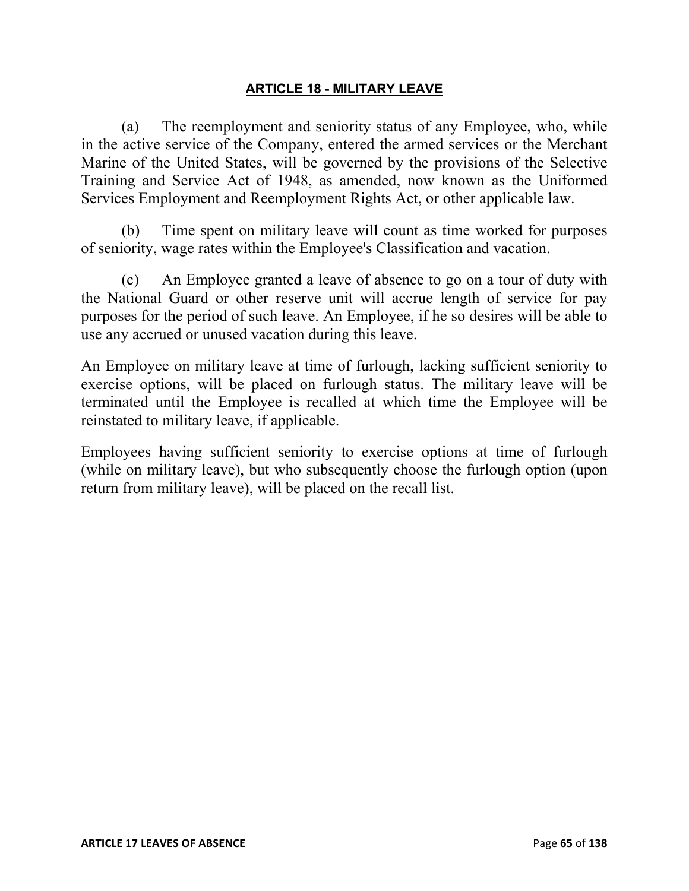### **ARTICLE 18 - MILITARY LEAVE**

(a) The reemployment and seniority status of any Employee, who, while in the active service of the Company, entered the armed services or the Merchant Marine of the United States, will be governed by the provisions of the Selective Training and Service Act of 1948, as amended, now known as the Uniformed Services Employment and Reemployment Rights Act, or other applicable law.

(b) Time spent on military leave will count as time worked for purposes of seniority, wage rates within the Employee's Classification and vacation.

(c) An Employee granted a leave of absence to go on a tour of duty with the National Guard or other reserve unit will accrue length of service for pay purposes for the period of such leave. An Employee, if he so desires will be able to use any accrued or unused vacation during this leave.

An Employee on military leave at time of furlough, lacking sufficient seniority to exercise options, will be placed on furlough status. The military leave will be terminated until the Employee is recalled at which time the Employee will be reinstated to military leave, if applicable.

Employees having sufficient seniority to exercise options at time of furlough (while on military leave), but who subsequently choose the furlough option (upon return from military leave), will be placed on the recall list.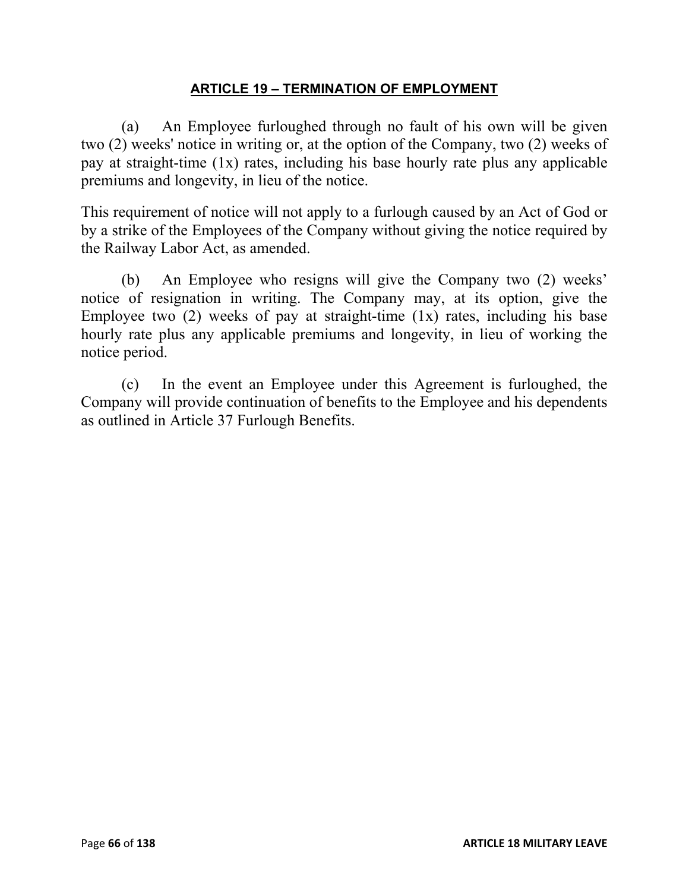### **ARTICLE 19 – TERMINATION OF EMPLOYMENT**

(a) An Employee furloughed through no fault of his own will be given two (2) weeks' notice in writing or, at the option of the Company, two (2) weeks of pay at straight-time (1x) rates, including his base hourly rate plus any applicable premiums and longevity, in lieu of the notice.

This requirement of notice will not apply to a furlough caused by an Act of God or by a strike of the Employees of the Company without giving the notice required by the Railway Labor Act, as amended.

(b) An Employee who resigns will give the Company two (2) weeks' notice of resignation in writing. The Company may, at its option, give the Employee two  $(2)$  weeks of pay at straight-time  $(1x)$  rates, including his base hourly rate plus any applicable premiums and longevity, in lieu of working the notice period.

(c) In the event an Employee under this Agreement is furloughed, the Company will provide continuation of benefits to the Employee and his dependents as outlined in Article 37 Furlough Benefits.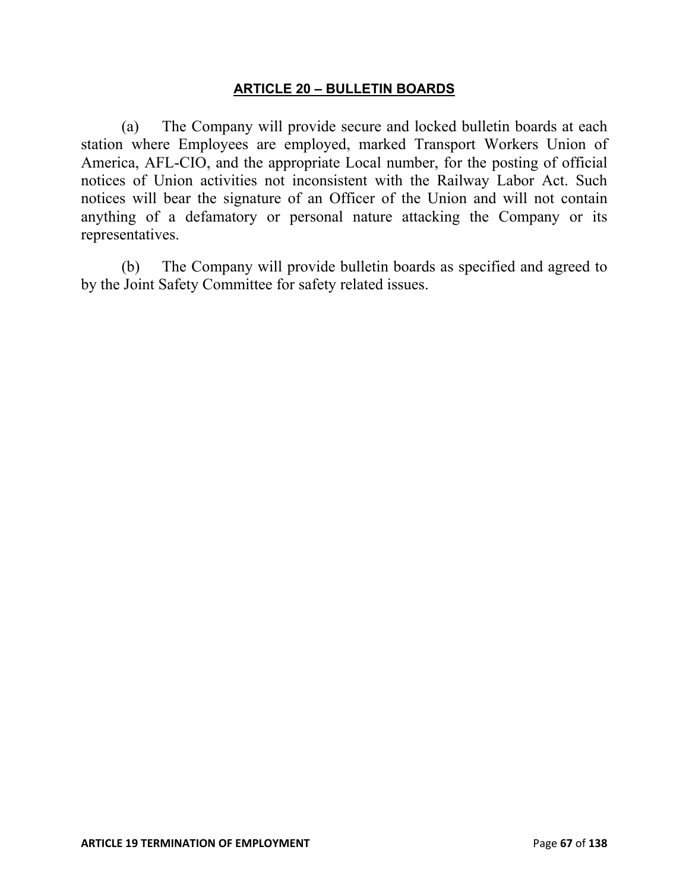#### **ARTICLE 20 – BULLETIN BOARDS**

(a) The Company will provide secure and locked bulletin boards at each station where Employees are employed, marked Transport Workers Union of America, AFL-CIO, and the appropriate Local number, for the posting of official notices of Union activities not inconsistent with the Railway Labor Act. Such notices will bear the signature of an Officer of the Union and will not contain anything of a defamatory or personal nature attacking the Company or its representatives.

(b) The Company will provide bulletin boards as specified and agreed to by the Joint Safety Committee for safety related issues.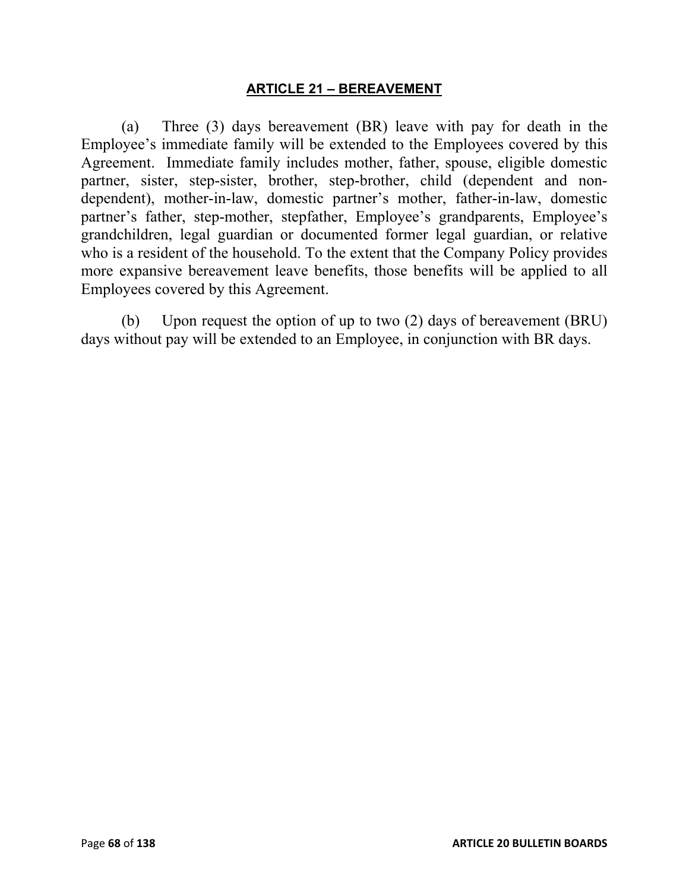### **ARTICLE 21 – BEREAVEMENT**

(a) Three (3) days bereavement (BR) leave with pay for death in the Employee's immediate family will be extended to the Employees covered by this Agreement. Immediate family includes mother, father, spouse, eligible domestic partner, sister, step-sister, brother, step-brother, child (dependent and nondependent), mother-in-law, domestic partner's mother, father-in-law, domestic partner's father, step-mother, stepfather, Employee's grandparents, Employee's grandchildren, legal guardian or documented former legal guardian, or relative who is a resident of the household. To the extent that the Company Policy provides more expansive bereavement leave benefits, those benefits will be applied to all Employees covered by this Agreement.

(b) Upon request the option of up to two (2) days of bereavement (BRU) days without pay will be extended to an Employee, in conjunction with BR days.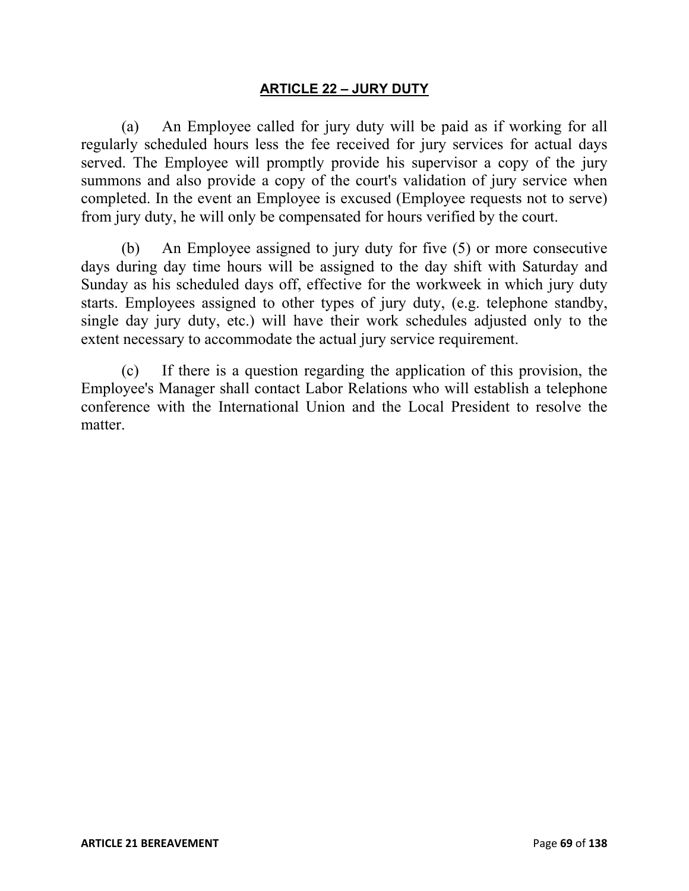## **ARTICLE 22 – JURY DUTY**

(a) An Employee called for jury duty will be paid as if working for all regularly scheduled hours less the fee received for jury services for actual days served. The Employee will promptly provide his supervisor a copy of the jury summons and also provide a copy of the court's validation of jury service when completed. In the event an Employee is excused (Employee requests not to serve) from jury duty, he will only be compensated for hours verified by the court.

(b) An Employee assigned to jury duty for five (5) or more consecutive days during day time hours will be assigned to the day shift with Saturday and Sunday as his scheduled days off, effective for the workweek in which jury duty starts. Employees assigned to other types of jury duty, (e.g. telephone standby, single day jury duty, etc.) will have their work schedules adjusted only to the extent necessary to accommodate the actual jury service requirement.

(c) If there is a question regarding the application of this provision, the Employee's Manager shall contact Labor Relations who will establish a telephone conference with the International Union and the Local President to resolve the matter.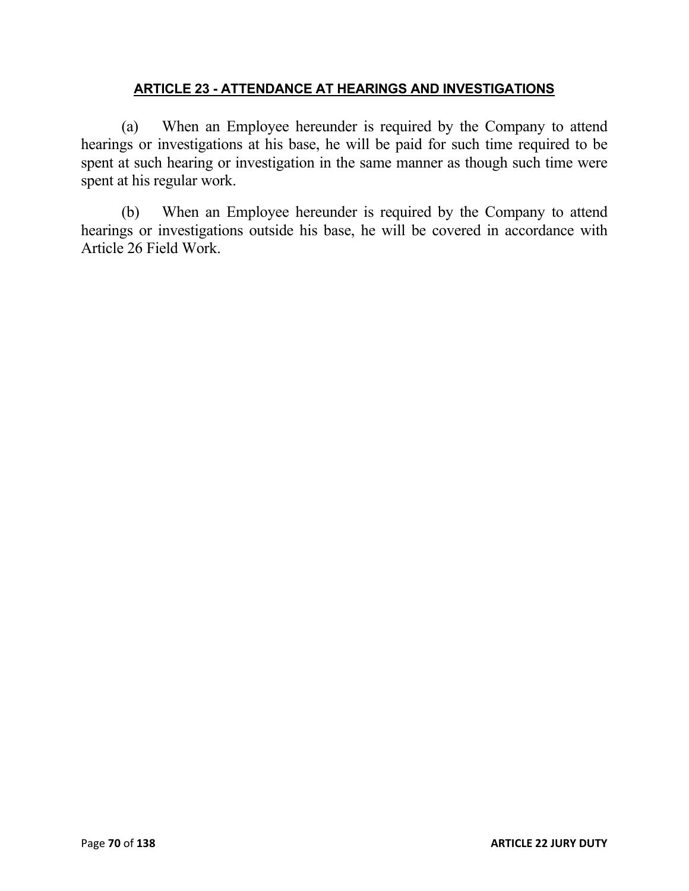# **ARTICLE 23 - ATTENDANCE AT HEARINGS AND INVESTIGATIONS**

(a) When an Employee hereunder is required by the Company to attend hearings or investigations at his base, he will be paid for such time required to be spent at such hearing or investigation in the same manner as though such time were spent at his regular work.

(b) When an Employee hereunder is required by the Company to attend hearings or investigations outside his base, he will be covered in accordance with Article 26 Field Work.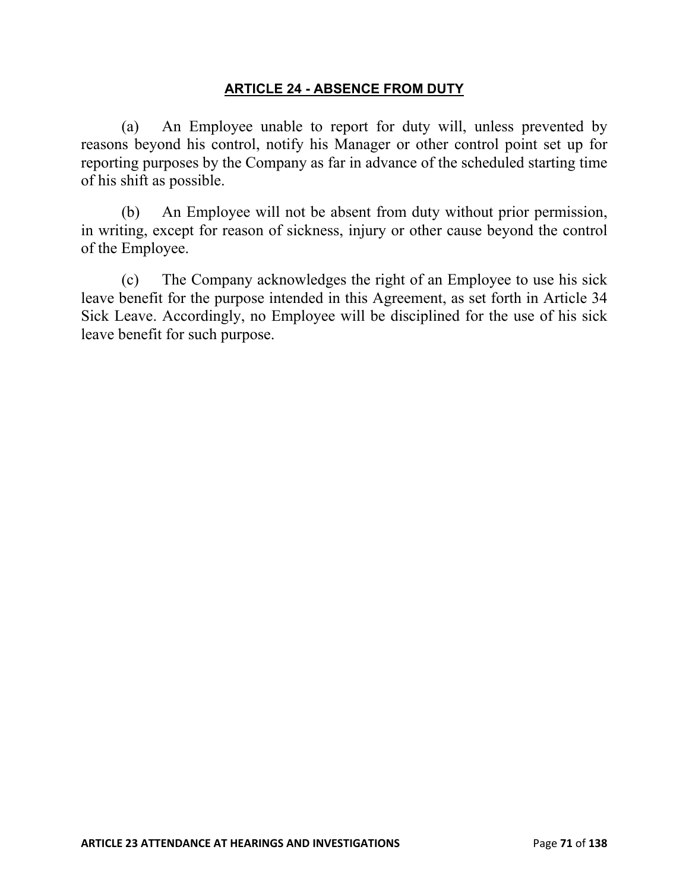## **ARTICLE 24 - ABSENCE FROM DUTY**

(a) An Employee unable to report for duty will, unless prevented by reasons beyond his control, notify his Manager or other control point set up for reporting purposes by the Company as far in advance of the scheduled starting time of his shift as possible.

(b) An Employee will not be absent from duty without prior permission, in writing, except for reason of sickness, injury or other cause beyond the control of the Employee.

(c) The Company acknowledges the right of an Employee to use his sick leave benefit for the purpose intended in this Agreement, as set forth in Article 34 Sick Leave. Accordingly, no Employee will be disciplined for the use of his sick leave benefit for such purpose.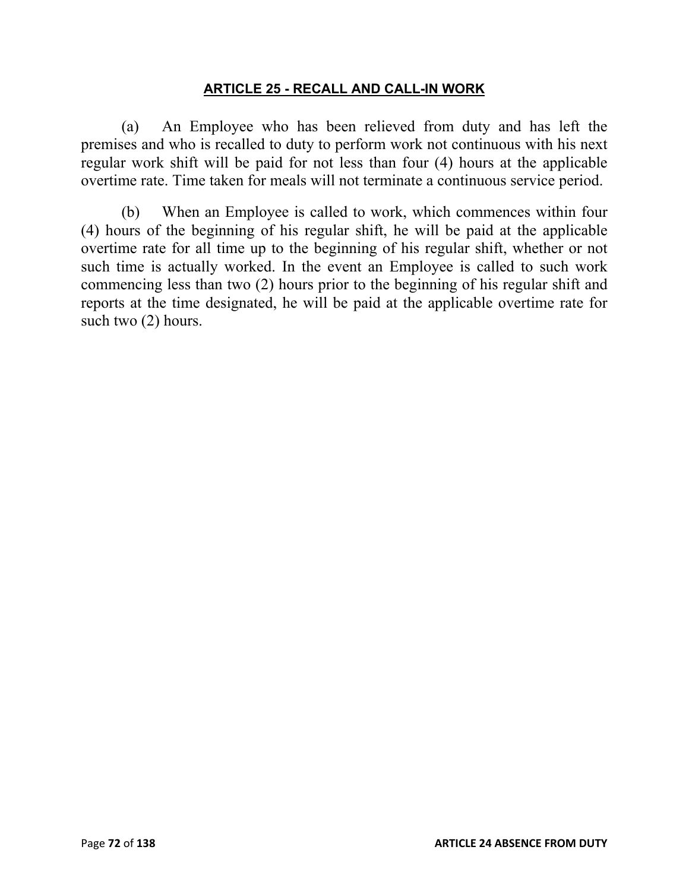#### **ARTICLE 25 - RECALL AND CALL-IN WORK**

(a) An Employee who has been relieved from duty and has left the premises and who is recalled to duty to perform work not continuous with his next regular work shift will be paid for not less than four (4) hours at the applicable overtime rate. Time taken for meals will not terminate a continuous service period.

(b) When an Employee is called to work, which commences within four (4) hours of the beginning of his regular shift, he will be paid at the applicable overtime rate for all time up to the beginning of his regular shift, whether or not such time is actually worked. In the event an Employee is called to such work commencing less than two (2) hours prior to the beginning of his regular shift and reports at the time designated, he will be paid at the applicable overtime rate for such two (2) hours.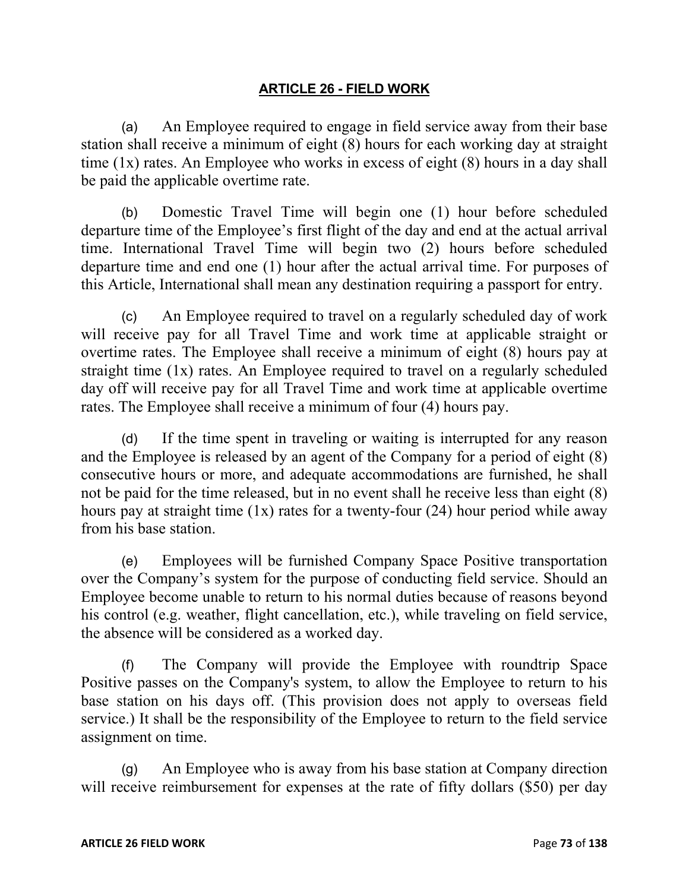## **ARTICLE 26 - FIELD WORK**

(a) An Employee required to engage in field service away from their base station shall receive a minimum of eight (8) hours for each working day at straight time (1x) rates. An Employee who works in excess of eight (8) hours in a day shall be paid the applicable overtime rate.

(b) Domestic Travel Time will begin one (1) hour before scheduled departure time of the Employee's first flight of the day and end at the actual arrival time. International Travel Time will begin two (2) hours before scheduled departure time and end one (1) hour after the actual arrival time. For purposes of this Article, International shall mean any destination requiring a passport for entry.

(c) An Employee required to travel on a regularly scheduled day of work will receive pay for all Travel Time and work time at applicable straight or overtime rates. The Employee shall receive a minimum of eight (8) hours pay at straight time (1x) rates. An Employee required to travel on a regularly scheduled day off will receive pay for all Travel Time and work time at applicable overtime rates. The Employee shall receive a minimum of four (4) hours pay.

(d) If the time spent in traveling or waiting is interrupted for any reason and the Employee is released by an agent of the Company for a period of eight (8) consecutive hours or more, and adequate accommodations are furnished, he shall not be paid for the time released, but in no event shall he receive less than eight (8) hours pay at straight time  $(1x)$  rates for a twenty-four  $(24)$  hour period while away from his base station.

(e) Employees will be furnished Company Space Positive transportation over the Company's system for the purpose of conducting field service. Should an Employee become unable to return to his normal duties because of reasons beyond his control (e.g. weather, flight cancellation, etc.), while traveling on field service, the absence will be considered as a worked day.

(f) The Company will provide the Employee with roundtrip Space Positive passes on the Company's system, to allow the Employee to return to his base station on his days off. (This provision does not apply to overseas field service.) It shall be the responsibility of the Employee to return to the field service assignment on time.

(g) An Employee who is away from his base station at Company direction will receive reimbursement for expenses at the rate of fifty dollars (\$50) per day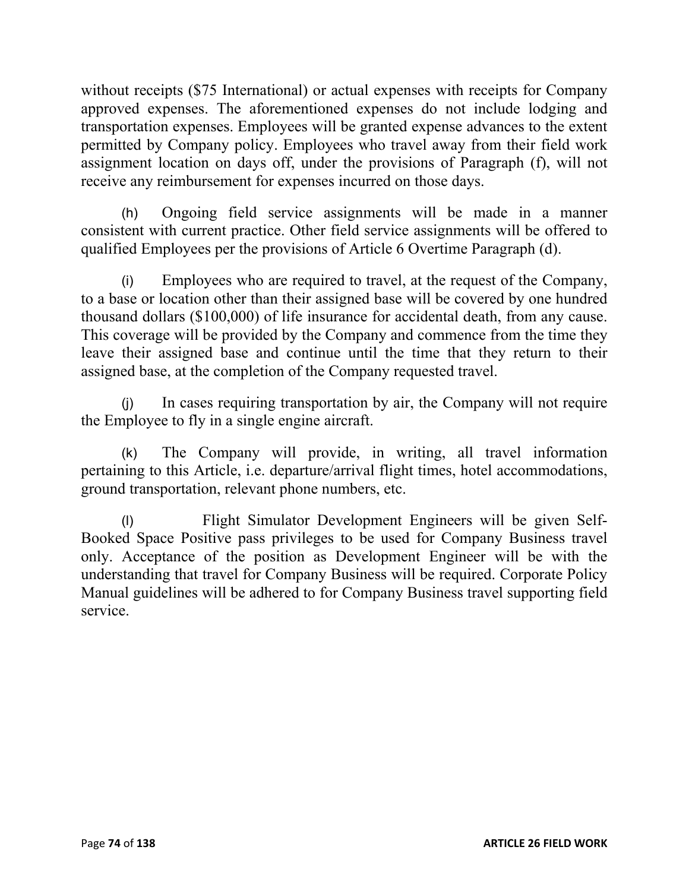without receipts (\$75 International) or actual expenses with receipts for Company approved expenses. The aforementioned expenses do not include lodging and transportation expenses. Employees will be granted expense advances to the extent permitted by Company policy. Employees who travel away from their field work assignment location on days off, under the provisions of Paragraph (f), will not receive any reimbursement for expenses incurred on those days.

(h) Ongoing field service assignments will be made in a manner consistent with current practice. Other field service assignments will be offered to qualified Employees per the provisions of Article 6 Overtime Paragraph (d).

(i) Employees who are required to travel, at the request of the Company, to a base or location other than their assigned base will be covered by one hundred thousand dollars (\$100,000) of life insurance for accidental death, from any cause. This coverage will be provided by the Company and commence from the time they leave their assigned base and continue until the time that they return to their assigned base, at the completion of the Company requested travel.

(j) In cases requiring transportation by air, the Company will not require the Employee to fly in a single engine aircraft.

(k) The Company will provide, in writing, all travel information pertaining to this Article, i.e. departure/arrival flight times, hotel accommodations, ground transportation, relevant phone numbers, etc.

(l) Flight Simulator Development Engineers will be given Self-Booked Space Positive pass privileges to be used for Company Business travel only. Acceptance of the position as Development Engineer will be with the understanding that travel for Company Business will be required. Corporate Policy Manual guidelines will be adhered to for Company Business travel supporting field service.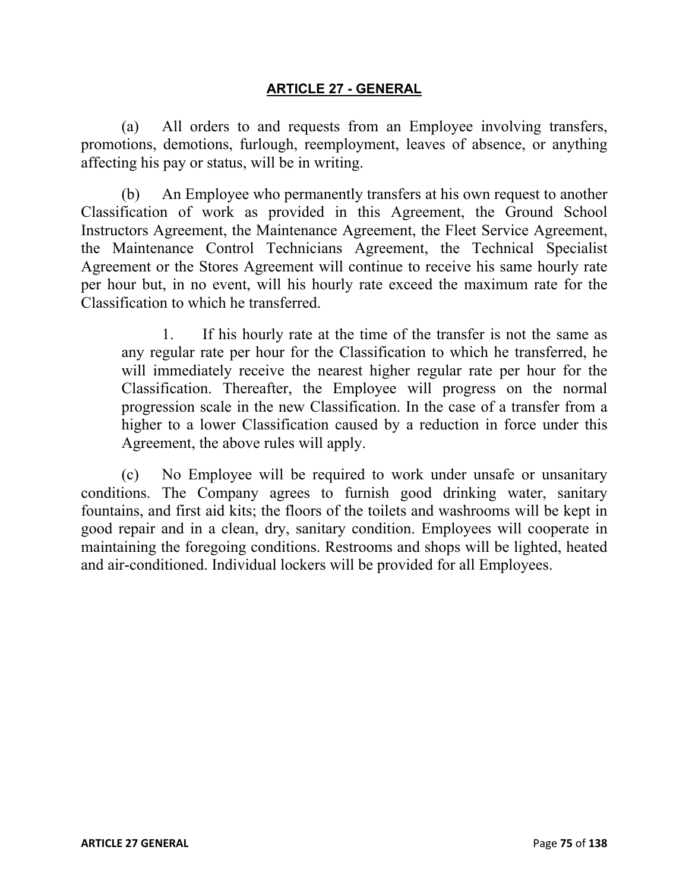#### **ARTICLE 27 - GENERAL**

(a) All orders to and requests from an Employee involving transfers, promotions, demotions, furlough, reemployment, leaves of absence, or anything affecting his pay or status, will be in writing.

(b) An Employee who permanently transfers at his own request to another Classification of work as provided in this Agreement, the Ground School Instructors Agreement, the Maintenance Agreement, the Fleet Service Agreement, the Maintenance Control Technicians Agreement, the Technical Specialist Agreement or the Stores Agreement will continue to receive his same hourly rate per hour but, in no event, will his hourly rate exceed the maximum rate for the Classification to which he transferred.

1. If his hourly rate at the time of the transfer is not the same as any regular rate per hour for the Classification to which he transferred, he will immediately receive the nearest higher regular rate per hour for the Classification. Thereafter, the Employee will progress on the normal progression scale in the new Classification. In the case of a transfer from a higher to a lower Classification caused by a reduction in force under this Agreement, the above rules will apply.

(c) No Employee will be required to work under unsafe or unsanitary conditions. The Company agrees to furnish good drinking water, sanitary fountains, and first aid kits; the floors of the toilets and washrooms will be kept in good repair and in a clean, dry, sanitary condition. Employees will cooperate in maintaining the foregoing conditions. Restrooms and shops will be lighted, heated and air-conditioned. Individual lockers will be provided for all Employees.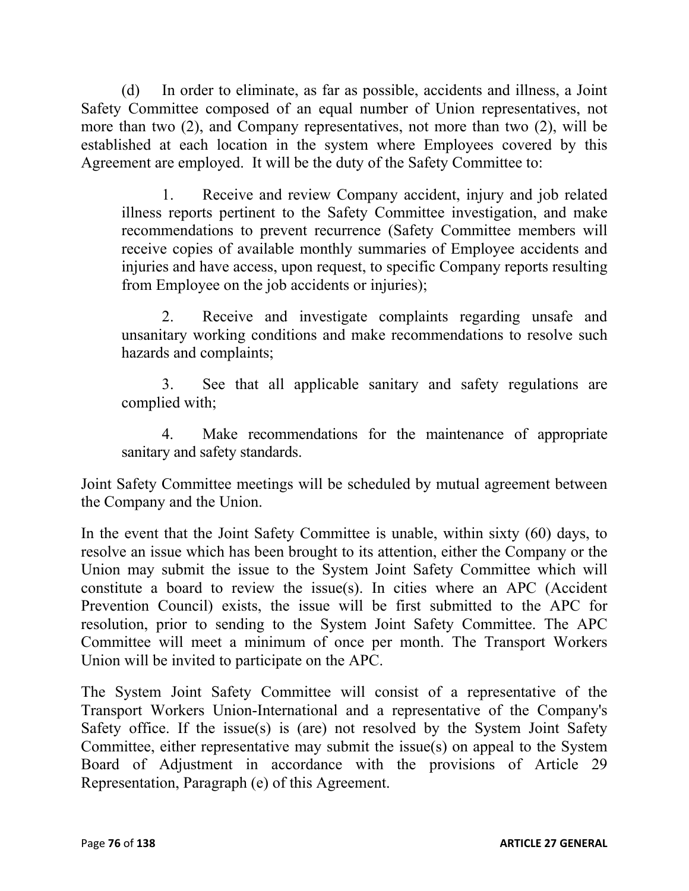(d) In order to eliminate, as far as possible, accidents and illness, a Joint Safety Committee composed of an equal number of Union representatives, not more than two (2), and Company representatives, not more than two (2), will be established at each location in the system where Employees covered by this Agreement are employed. It will be the duty of the Safety Committee to:

1. Receive and review Company accident, injury and job related illness reports pertinent to the Safety Committee investigation, and make recommendations to prevent recurrence (Safety Committee members will receive copies of available monthly summaries of Employee accidents and injuries and have access, upon request, to specific Company reports resulting from Employee on the job accidents or injuries);

2. Receive and investigate complaints regarding unsafe and unsanitary working conditions and make recommendations to resolve such hazards and complaints;

3. See that all applicable sanitary and safety regulations are complied with;

4. Make recommendations for the maintenance of appropriate sanitary and safety standards.

Joint Safety Committee meetings will be scheduled by mutual agreement between the Company and the Union.

In the event that the Joint Safety Committee is unable, within sixty (60) days, to resolve an issue which has been brought to its attention, either the Company or the Union may submit the issue to the System Joint Safety Committee which will constitute a board to review the issue(s). In cities where an APC (Accident Prevention Council) exists, the issue will be first submitted to the APC for resolution, prior to sending to the System Joint Safety Committee. The APC Committee will meet a minimum of once per month. The Transport Workers Union will be invited to participate on the APC.

The System Joint Safety Committee will consist of a representative of the Transport Workers Union-International and a representative of the Company's Safety office. If the issue(s) is (are) not resolved by the System Joint Safety Committee, either representative may submit the issue(s) on appeal to the System Board of Adjustment in accordance with the provisions of Article 29 Representation, Paragraph (e) of this Agreement.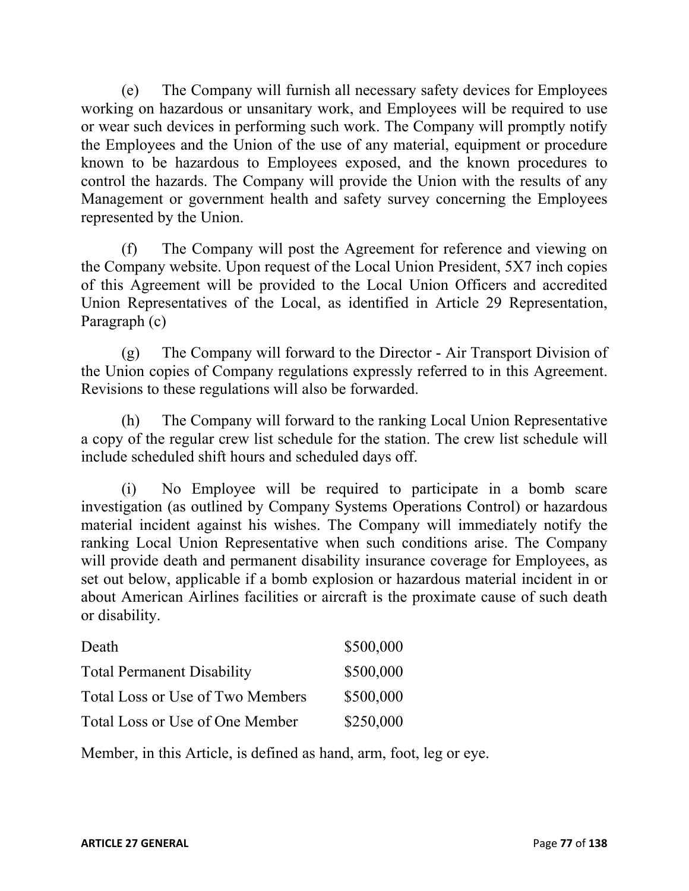(e) The Company will furnish all necessary safety devices for Employees working on hazardous or unsanitary work, and Employees will be required to use or wear such devices in performing such work. The Company will promptly notify the Employees and the Union of the use of any material, equipment or procedure known to be hazardous to Employees exposed, and the known procedures to control the hazards. The Company will provide the Union with the results of any Management or government health and safety survey concerning the Employees represented by the Union.

(f) The Company will post the Agreement for reference and viewing on the Company website. Upon request of the Local Union President, 5X7 inch copies of this Agreement will be provided to the Local Union Officers and accredited Union Representatives of the Local, as identified in Article 29 Representation, Paragraph (c)

(g) The Company will forward to the Director - Air Transport Division of the Union copies of Company regulations expressly referred to in this Agreement. Revisions to these regulations will also be forwarded.

(h) The Company will forward to the ranking Local Union Representative a copy of the regular crew list schedule for the station. The crew list schedule will include scheduled shift hours and scheduled days off.

(i) No Employee will be required to participate in a bomb scare investigation (as outlined by Company Systems Operations Control) or hazardous material incident against his wishes. The Company will immediately notify the ranking Local Union Representative when such conditions arise. The Company will provide death and permanent disability insurance coverage for Employees, as set out below, applicable if a bomb explosion or hazardous material incident in or about American Airlines facilities or aircraft is the proximate cause of such death or disability.

| Death                             | \$500,000 |
|-----------------------------------|-----------|
| <b>Total Permanent Disability</b> | \$500,000 |
| Total Loss or Use of Two Members  | \$500,000 |
| Total Loss or Use of One Member   | \$250,000 |

Member, in this Article, is defined as hand, arm, foot, leg or eye.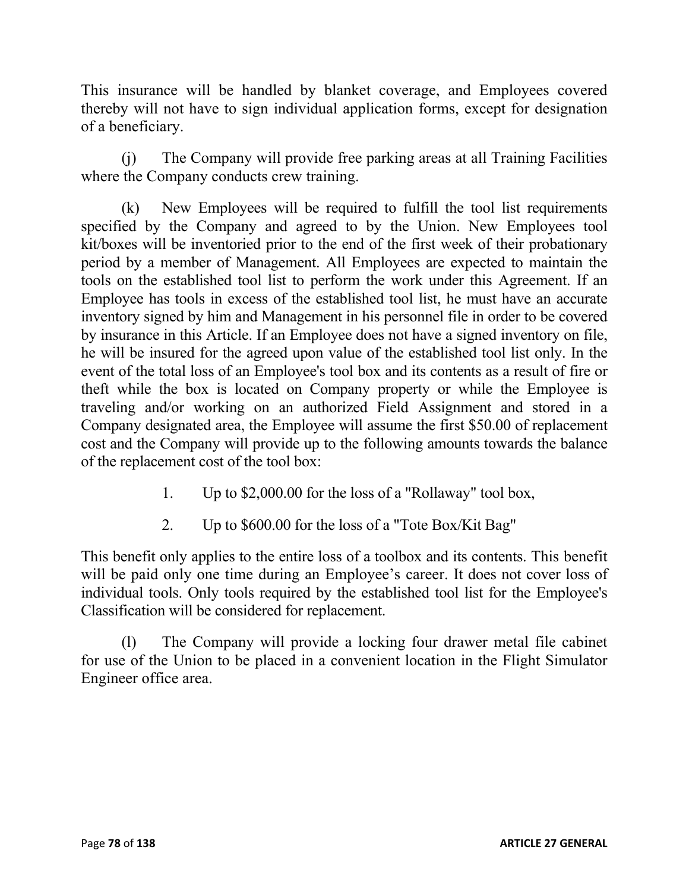This insurance will be handled by blanket coverage, and Employees covered thereby will not have to sign individual application forms, except for designation of a beneficiary.

(j) The Company will provide free parking areas at all Training Facilities where the Company conducts crew training.

(k) New Employees will be required to fulfill the tool list requirements specified by the Company and agreed to by the Union. New Employees tool kit/boxes will be inventoried prior to the end of the first week of their probationary period by a member of Management. All Employees are expected to maintain the tools on the established tool list to perform the work under this Agreement. If an Employee has tools in excess of the established tool list, he must have an accurate inventory signed by him and Management in his personnel file in order to be covered by insurance in this Article. If an Employee does not have a signed inventory on file, he will be insured for the agreed upon value of the established tool list only. In the event of the total loss of an Employee's tool box and its contents as a result of fire or theft while the box is located on Company property or while the Employee is traveling and/or working on an authorized Field Assignment and stored in a Company designated area, the Employee will assume the first \$50.00 of replacement cost and the Company will provide up to the following amounts towards the balance of the replacement cost of the tool box:

- 1. Up to \$2,000.00 for the loss of a "Rollaway" tool box,
- 2. Up to \$600.00 for the loss of a "Tote Box/Kit Bag"

This benefit only applies to the entire loss of a toolbox and its contents. This benefit will be paid only one time during an Employee's career. It does not cover loss of individual tools. Only tools required by the established tool list for the Employee's Classification will be considered for replacement.

(l) The Company will provide a locking four drawer metal file cabinet for use of the Union to be placed in a convenient location in the Flight Simulator Engineer office area.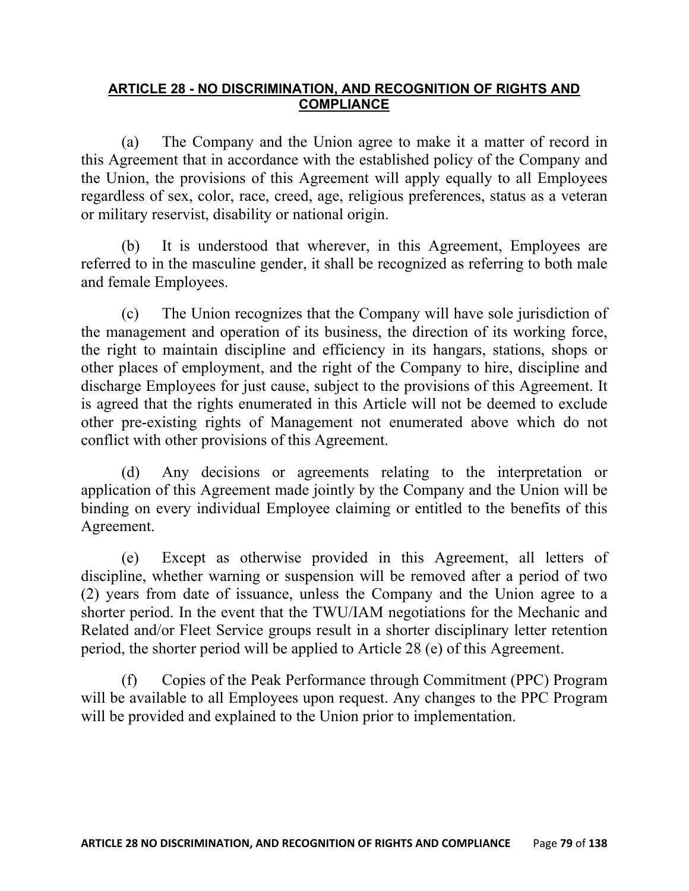## **ARTICLE 28 - NO DISCRIMINATION, AND RECOGNITION OF RIGHTS AND COMPLIANCE**

(a) The Company and the Union agree to make it a matter of record in this Agreement that in accordance with the established policy of the Company and the Union, the provisions of this Agreement will apply equally to all Employees regardless of sex, color, race, creed, age, religious preferences, status as a veteran or military reservist, disability or national origin.

(b) It is understood that wherever, in this Agreement, Employees are referred to in the masculine gender, it shall be recognized as referring to both male and female Employees.

(c) The Union recognizes that the Company will have sole jurisdiction of the management and operation of its business, the direction of its working force, the right to maintain discipline and efficiency in its hangars, stations, shops or other places of employment, and the right of the Company to hire, discipline and discharge Employees for just cause, subject to the provisions of this Agreement. It is agreed that the rights enumerated in this Article will not be deemed to exclude other pre-existing rights of Management not enumerated above which do not conflict with other provisions of this Agreement.

(d) Any decisions or agreements relating to the interpretation or application of this Agreement made jointly by the Company and the Union will be binding on every individual Employee claiming or entitled to the benefits of this Agreement.

(e) Except as otherwise provided in this Agreement, all letters of discipline, whether warning or suspension will be removed after a period of two (2) years from date of issuance, unless the Company and the Union agree to a shorter period. In the event that the TWU/IAM negotiations for the Mechanic and Related and/or Fleet Service groups result in a shorter disciplinary letter retention period, the shorter period will be applied to Article 28 (e) of this Agreement.

(f) Copies of the Peak Performance through Commitment (PPC) Program will be available to all Employees upon request. Any changes to the PPC Program will be provided and explained to the Union prior to implementation.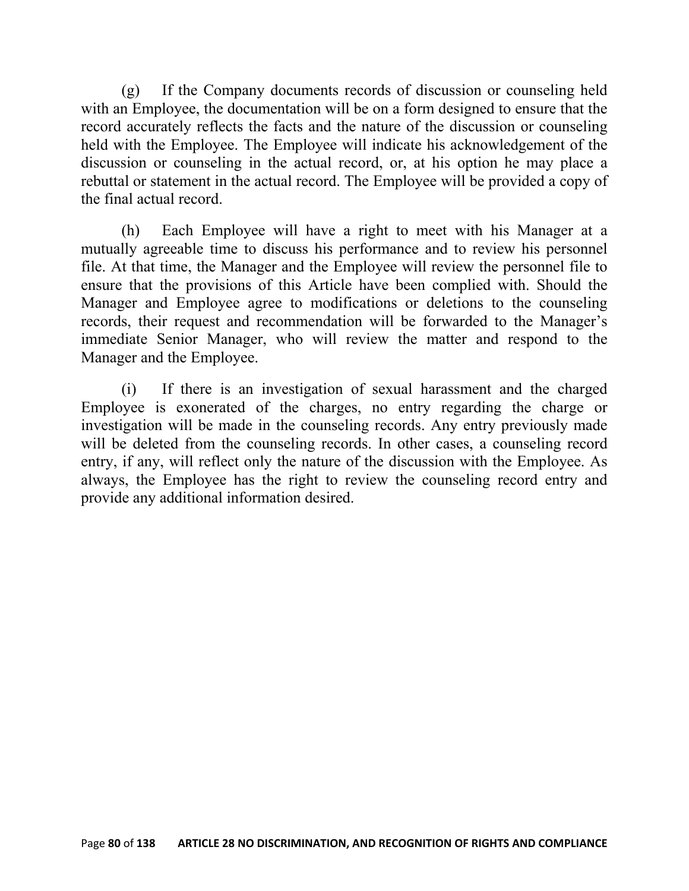(g) If the Company documents records of discussion or counseling held with an Employee, the documentation will be on a form designed to ensure that the record accurately reflects the facts and the nature of the discussion or counseling held with the Employee. The Employee will indicate his acknowledgement of the discussion or counseling in the actual record, or, at his option he may place a rebuttal or statement in the actual record. The Employee will be provided a copy of the final actual record.

(h) Each Employee will have a right to meet with his Manager at a mutually agreeable time to discuss his performance and to review his personnel file. At that time, the Manager and the Employee will review the personnel file to ensure that the provisions of this Article have been complied with. Should the Manager and Employee agree to modifications or deletions to the counseling records, their request and recommendation will be forwarded to the Manager's immediate Senior Manager, who will review the matter and respond to the Manager and the Employee.

(i) If there is an investigation of sexual harassment and the charged Employee is exonerated of the charges, no entry regarding the charge or investigation will be made in the counseling records. Any entry previously made will be deleted from the counseling records. In other cases, a counseling record entry, if any, will reflect only the nature of the discussion with the Employee. As always, the Employee has the right to review the counseling record entry and provide any additional information desired.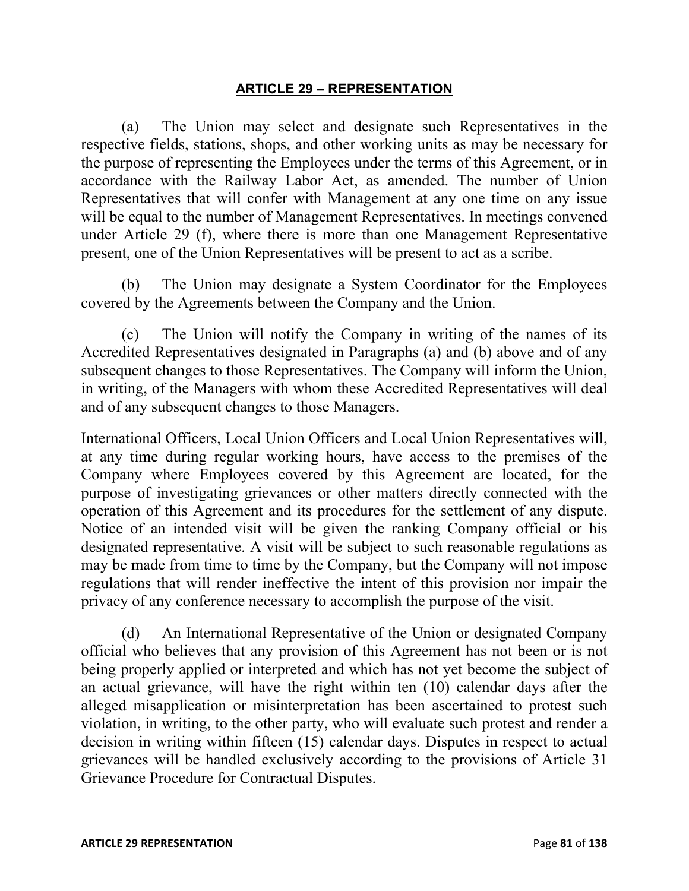#### **ARTICLE 29 – REPRESENTATION**

(a) The Union may select and designate such Representatives in the respective fields, stations, shops, and other working units as may be necessary for the purpose of representing the Employees under the terms of this Agreement, or in accordance with the Railway Labor Act, as amended. The number of Union Representatives that will confer with Management at any one time on any issue will be equal to the number of Management Representatives. In meetings convened under Article 29 (f), where there is more than one Management Representative present, one of the Union Representatives will be present to act as a scribe.

(b) The Union may designate a System Coordinator for the Employees covered by the Agreements between the Company and the Union.

(c) The Union will notify the Company in writing of the names of its Accredited Representatives designated in Paragraphs (a) and (b) above and of any subsequent changes to those Representatives. The Company will inform the Union, in writing, of the Managers with whom these Accredited Representatives will deal and of any subsequent changes to those Managers.

International Officers, Local Union Officers and Local Union Representatives will, at any time during regular working hours, have access to the premises of the Company where Employees covered by this Agreement are located, for the purpose of investigating grievances or other matters directly connected with the operation of this Agreement and its procedures for the settlement of any dispute. Notice of an intended visit will be given the ranking Company official or his designated representative. A visit will be subject to such reasonable regulations as may be made from time to time by the Company, but the Company will not impose regulations that will render ineffective the intent of this provision nor impair the privacy of any conference necessary to accomplish the purpose of the visit.

(d) An International Representative of the Union or designated Company official who believes that any provision of this Agreement has not been or is not being properly applied or interpreted and which has not yet become the subject of an actual grievance, will have the right within ten (10) calendar days after the alleged misapplication or misinterpretation has been ascertained to protest such violation, in writing, to the other party, who will evaluate such protest and render a decision in writing within fifteen (15) calendar days. Disputes in respect to actual grievances will be handled exclusively according to the provisions of Article 31 Grievance Procedure for Contractual Disputes.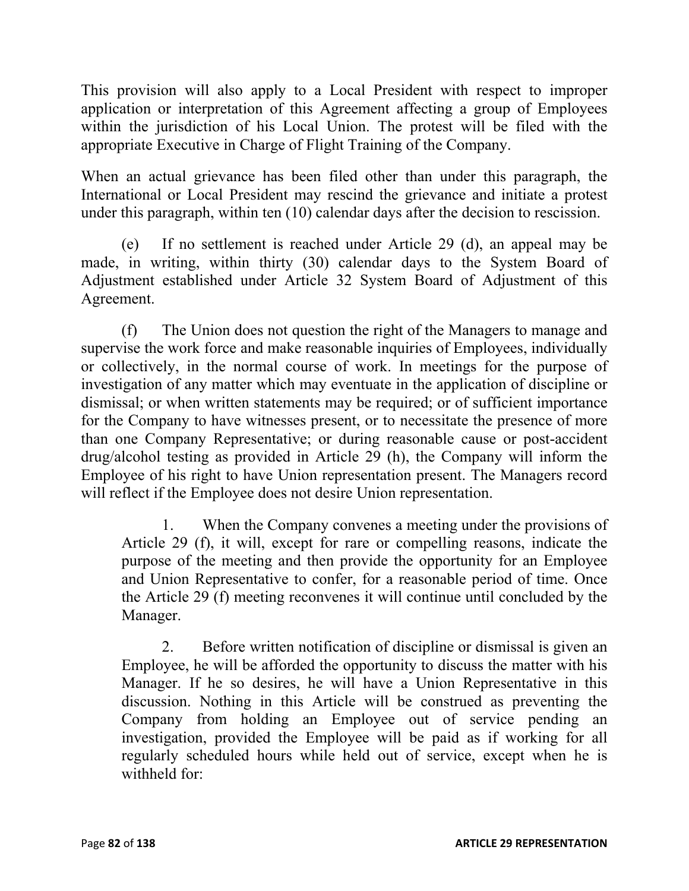This provision will also apply to a Local President with respect to improper application or interpretation of this Agreement affecting a group of Employees within the jurisdiction of his Local Union. The protest will be filed with the appropriate Executive in Charge of Flight Training of the Company.

When an actual grievance has been filed other than under this paragraph, the International or Local President may rescind the grievance and initiate a protest under this paragraph, within ten (10) calendar days after the decision to rescission.

(e) If no settlement is reached under Article 29 (d), an appeal may be made, in writing, within thirty (30) calendar days to the System Board of Adjustment established under Article 32 System Board of Adjustment of this Agreement.

(f) The Union does not question the right of the Managers to manage and supervise the work force and make reasonable inquiries of Employees, individually or collectively, in the normal course of work. In meetings for the purpose of investigation of any matter which may eventuate in the application of discipline or dismissal; or when written statements may be required; or of sufficient importance for the Company to have witnesses present, or to necessitate the presence of more than one Company Representative; or during reasonable cause or post-accident drug/alcohol testing as provided in Article 29 (h), the Company will inform the Employee of his right to have Union representation present. The Managers record will reflect if the Employee does not desire Union representation.

1. When the Company convenes a meeting under the provisions of Article 29 (f), it will, except for rare or compelling reasons, indicate the purpose of the meeting and then provide the opportunity for an Employee and Union Representative to confer, for a reasonable period of time. Once the Article 29 (f) meeting reconvenes it will continue until concluded by the Manager.

2. Before written notification of discipline or dismissal is given an Employee, he will be afforded the opportunity to discuss the matter with his Manager. If he so desires, he will have a Union Representative in this discussion. Nothing in this Article will be construed as preventing the Company from holding an Employee out of service pending an investigation, provided the Employee will be paid as if working for all regularly scheduled hours while held out of service, except when he is withheld for: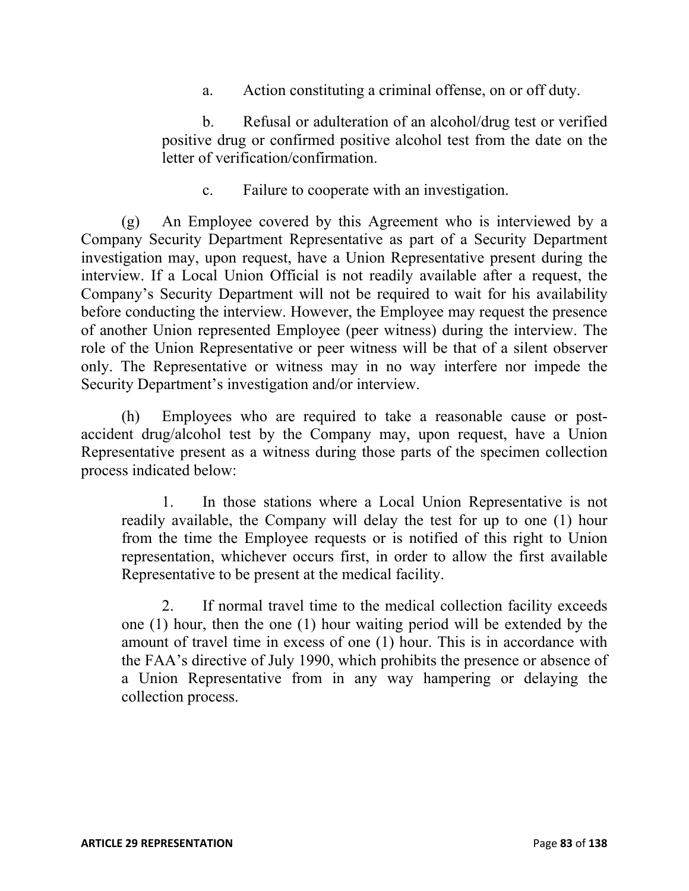a. Action constituting a criminal offense, on or off duty.

b. Refusal or adulteration of an alcohol/drug test or verified positive drug or confirmed positive alcohol test from the date on the letter of verification/confirmation.

c. Failure to cooperate with an investigation.

(g) An Employee covered by this Agreement who is interviewed by a Company Security Department Representative as part of a Security Department investigation may, upon request, have a Union Representative present during the interview. If a Local Union Official is not readily available after a request, the Company's Security Department will not be required to wait for his availability before conducting the interview. However, the Employee may request the presence of another Union represented Employee (peer witness) during the interview. The role of the Union Representative or peer witness will be that of a silent observer only. The Representative or witness may in no way interfere nor impede the Security Department's investigation and/or interview.

(h) Employees who are required to take a reasonable cause or postaccident drug/alcohol test by the Company may, upon request, have a Union Representative present as a witness during those parts of the specimen collection process indicated below:

1. In those stations where a Local Union Representative is not readily available, the Company will delay the test for up to one (1) hour from the time the Employee requests or is notified of this right to Union representation, whichever occurs first, in order to allow the first available Representative to be present at the medical facility.

2. If normal travel time to the medical collection facility exceeds one (1) hour, then the one (1) hour waiting period will be extended by the amount of travel time in excess of one (1) hour. This is in accordance with the FAA's directive of July 1990, which prohibits the presence or absence of a Union Representative from in any way hampering or delaying the collection process.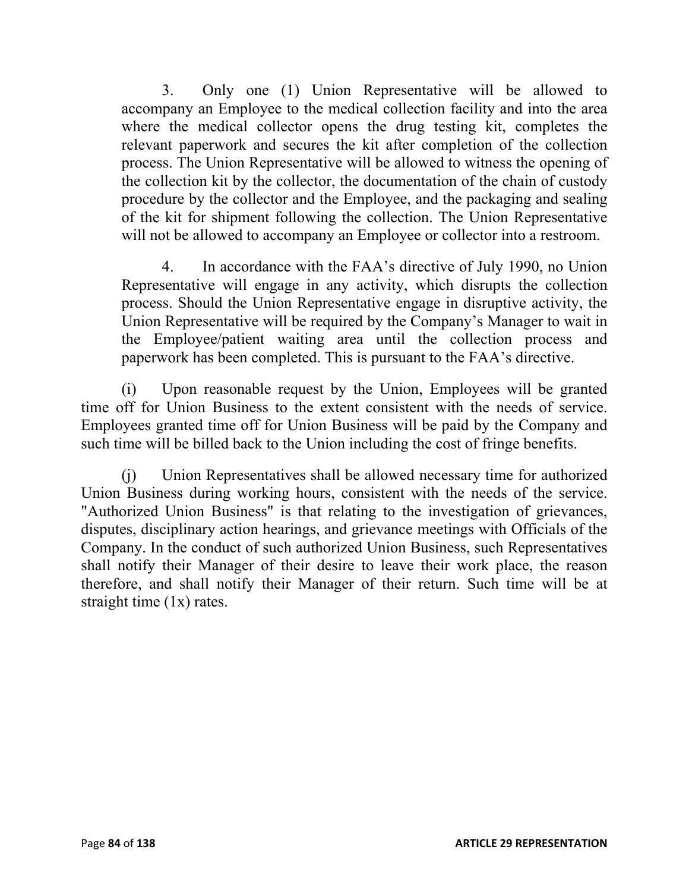3. Only one (1) Union Representative will be allowed to accompany an Employee to the medical collection facility and into the area where the medical collector opens the drug testing kit, completes the relevant paperwork and secures the kit after completion of the collection process. The Union Representative will be allowed to witness the opening of the collection kit by the collector, the documentation of the chain of custody procedure by the collector and the Employee, and the packaging and sealing of the kit for shipment following the collection. The Union Representative will not be allowed to accompany an Employee or collector into a restroom.

4. In accordance with the FAA's directive of July 1990, no Union Representative will engage in any activity, which disrupts the collection process. Should the Union Representative engage in disruptive activity, the Union Representative will be required by the Company's Manager to wait in the Employee/patient waiting area until the collection process and paperwork has been completed. This is pursuant to the FAA's directive.

(i) Upon reasonable request by the Union, Employees will be granted time off for Union Business to the extent consistent with the needs of service. Employees granted time off for Union Business will be paid by the Company and such time will be billed back to the Union including the cost of fringe benefits.

(j) Union Representatives shall be allowed necessary time for authorized Union Business during working hours, consistent with the needs of the service. "Authorized Union Business" is that relating to the investigation of grievances, disputes, disciplinary action hearings, and grievance meetings with Officials of the Company. In the conduct of such authorized Union Business, such Representatives shall notify their Manager of their desire to leave their work place, the reason therefore, and shall notify their Manager of their return. Such time will be at straight time (1x) rates.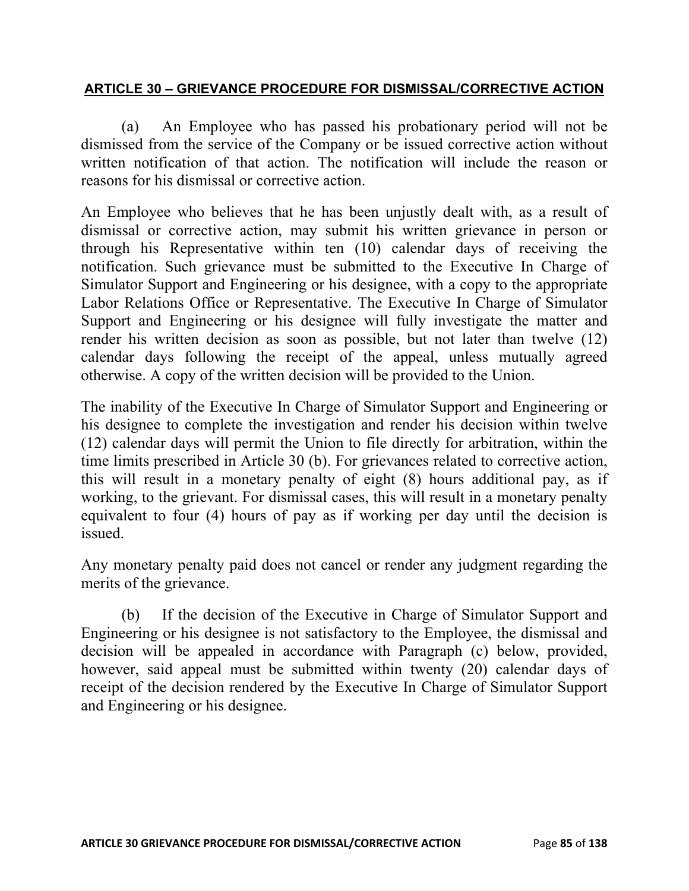# **ARTICLE 30 – GRIEVANCE PROCEDURE FOR DISMISSAL/CORRECTIVE ACTION**

(a) An Employee who has passed his probationary period will not be dismissed from the service of the Company or be issued corrective action without written notification of that action. The notification will include the reason or reasons for his dismissal or corrective action.

An Employee who believes that he has been unjustly dealt with, as a result of dismissal or corrective action, may submit his written grievance in person or through his Representative within ten (10) calendar days of receiving the notification. Such grievance must be submitted to the Executive In Charge of Simulator Support and Engineering or his designee, with a copy to the appropriate Labor Relations Office or Representative. The Executive In Charge of Simulator Support and Engineering or his designee will fully investigate the matter and render his written decision as soon as possible, but not later than twelve (12) calendar days following the receipt of the appeal, unless mutually agreed otherwise. A copy of the written decision will be provided to the Union.

The inability of the Executive In Charge of Simulator Support and Engineering or his designee to complete the investigation and render his decision within twelve (12) calendar days will permit the Union to file directly for arbitration, within the time limits prescribed in Article 30 (b). For grievances related to corrective action, this will result in a monetary penalty of eight (8) hours additional pay, as if working, to the grievant. For dismissal cases, this will result in a monetary penalty equivalent to four (4) hours of pay as if working per day until the decision is issued.

Any monetary penalty paid does not cancel or render any judgment regarding the merits of the grievance.

(b) If the decision of the Executive in Charge of Simulator Support and Engineering or his designee is not satisfactory to the Employee, the dismissal and decision will be appealed in accordance with Paragraph (c) below, provided, however, said appeal must be submitted within twenty (20) calendar days of receipt of the decision rendered by the Executive In Charge of Simulator Support and Engineering or his designee.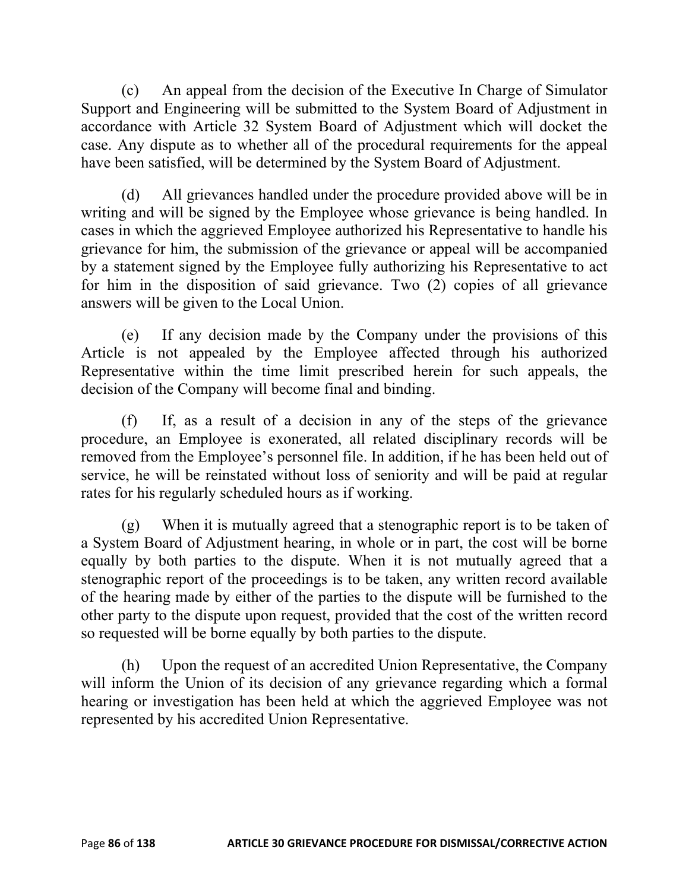(c) An appeal from the decision of the Executive In Charge of Simulator Support and Engineering will be submitted to the System Board of Adjustment in accordance with Article 32 System Board of Adjustment which will docket the case. Any dispute as to whether all of the procedural requirements for the appeal have been satisfied, will be determined by the System Board of Adjustment.

(d) All grievances handled under the procedure provided above will be in writing and will be signed by the Employee whose grievance is being handled. In cases in which the aggrieved Employee authorized his Representative to handle his grievance for him, the submission of the grievance or appeal will be accompanied by a statement signed by the Employee fully authorizing his Representative to act for him in the disposition of said grievance. Two (2) copies of all grievance answers will be given to the Local Union.

(e) If any decision made by the Company under the provisions of this Article is not appealed by the Employee affected through his authorized Representative within the time limit prescribed herein for such appeals, the decision of the Company will become final and binding.

(f) If, as a result of a decision in any of the steps of the grievance procedure, an Employee is exonerated, all related disciplinary records will be removed from the Employee's personnel file. In addition, if he has been held out of service, he will be reinstated without loss of seniority and will be paid at regular rates for his regularly scheduled hours as if working.

(g) When it is mutually agreed that a stenographic report is to be taken of a System Board of Adjustment hearing, in whole or in part, the cost will be borne equally by both parties to the dispute. When it is not mutually agreed that a stenographic report of the proceedings is to be taken, any written record available of the hearing made by either of the parties to the dispute will be furnished to the other party to the dispute upon request, provided that the cost of the written record so requested will be borne equally by both parties to the dispute.

(h) Upon the request of an accredited Union Representative, the Company will inform the Union of its decision of any grievance regarding which a formal hearing or investigation has been held at which the aggrieved Employee was not represented by his accredited Union Representative.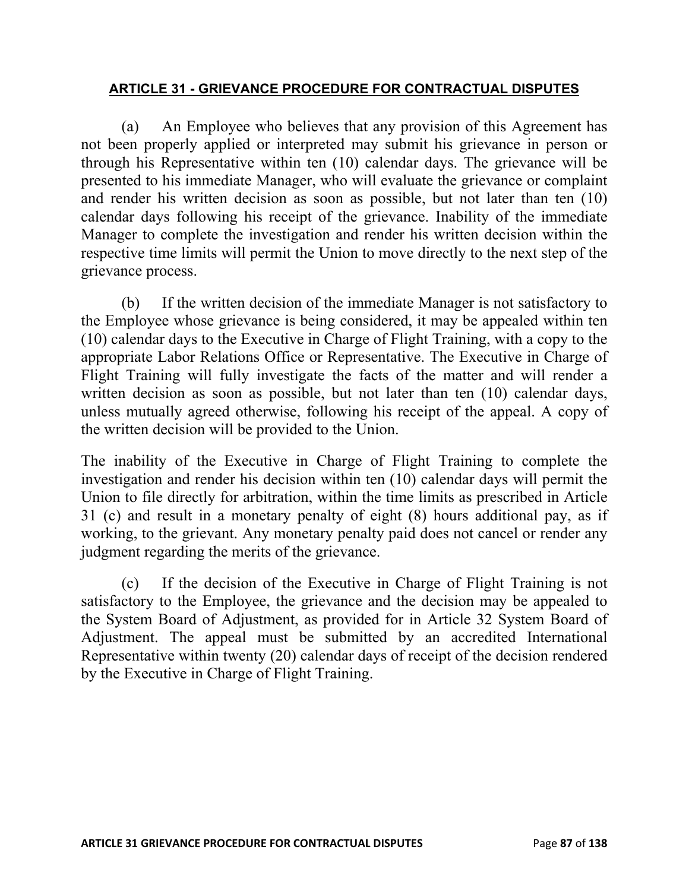# **ARTICLE 31 - GRIEVANCE PROCEDURE FOR CONTRACTUAL DISPUTES**

(a) An Employee who believes that any provision of this Agreement has not been properly applied or interpreted may submit his grievance in person or through his Representative within ten (10) calendar days. The grievance will be presented to his immediate Manager, who will evaluate the grievance or complaint and render his written decision as soon as possible, but not later than ten (10) calendar days following his receipt of the grievance. Inability of the immediate Manager to complete the investigation and render his written decision within the respective time limits will permit the Union to move directly to the next step of the grievance process.

(b) If the written decision of the immediate Manager is not satisfactory to the Employee whose grievance is being considered, it may be appealed within ten (10) calendar days to the Executive in Charge of Flight Training, with a copy to the appropriate Labor Relations Office or Representative. The Executive in Charge of Flight Training will fully investigate the facts of the matter and will render a written decision as soon as possible, but not later than ten (10) calendar days, unless mutually agreed otherwise, following his receipt of the appeal. A copy of the written decision will be provided to the Union.

The inability of the Executive in Charge of Flight Training to complete the investigation and render his decision within ten (10) calendar days will permit the Union to file directly for arbitration, within the time limits as prescribed in Article 31 (c) and result in a monetary penalty of eight (8) hours additional pay, as if working, to the grievant. Any monetary penalty paid does not cancel or render any judgment regarding the merits of the grievance.

(c) If the decision of the Executive in Charge of Flight Training is not satisfactory to the Employee, the grievance and the decision may be appealed to the System Board of Adjustment, as provided for in Article 32 System Board of Adjustment. The appeal must be submitted by an accredited International Representative within twenty (20) calendar days of receipt of the decision rendered by the Executive in Charge of Flight Training.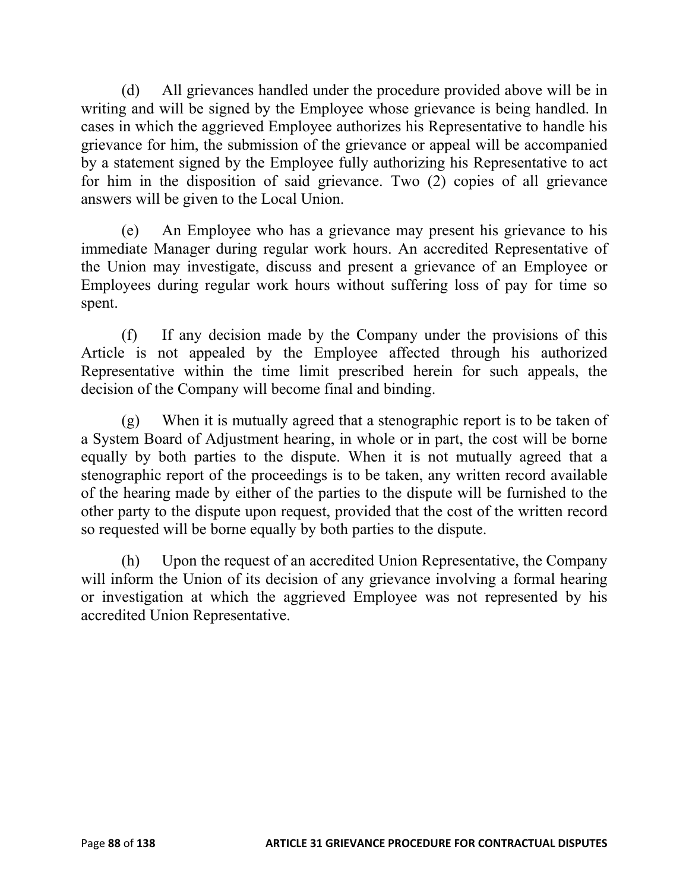(d) All grievances handled under the procedure provided above will be in writing and will be signed by the Employee whose grievance is being handled. In cases in which the aggrieved Employee authorizes his Representative to handle his grievance for him, the submission of the grievance or appeal will be accompanied by a statement signed by the Employee fully authorizing his Representative to act for him in the disposition of said grievance. Two (2) copies of all grievance answers will be given to the Local Union.

(e) An Employee who has a grievance may present his grievance to his immediate Manager during regular work hours. An accredited Representative of the Union may investigate, discuss and present a grievance of an Employee or Employees during regular work hours without suffering loss of pay for time so spent.

(f) If any decision made by the Company under the provisions of this Article is not appealed by the Employee affected through his authorized Representative within the time limit prescribed herein for such appeals, the decision of the Company will become final and binding.

(g) When it is mutually agreed that a stenographic report is to be taken of a System Board of Adjustment hearing, in whole or in part, the cost will be borne equally by both parties to the dispute. When it is not mutually agreed that a stenographic report of the proceedings is to be taken, any written record available of the hearing made by either of the parties to the dispute will be furnished to the other party to the dispute upon request, provided that the cost of the written record so requested will be borne equally by both parties to the dispute.

(h) Upon the request of an accredited Union Representative, the Company will inform the Union of its decision of any grievance involving a formal hearing or investigation at which the aggrieved Employee was not represented by his accredited Union Representative.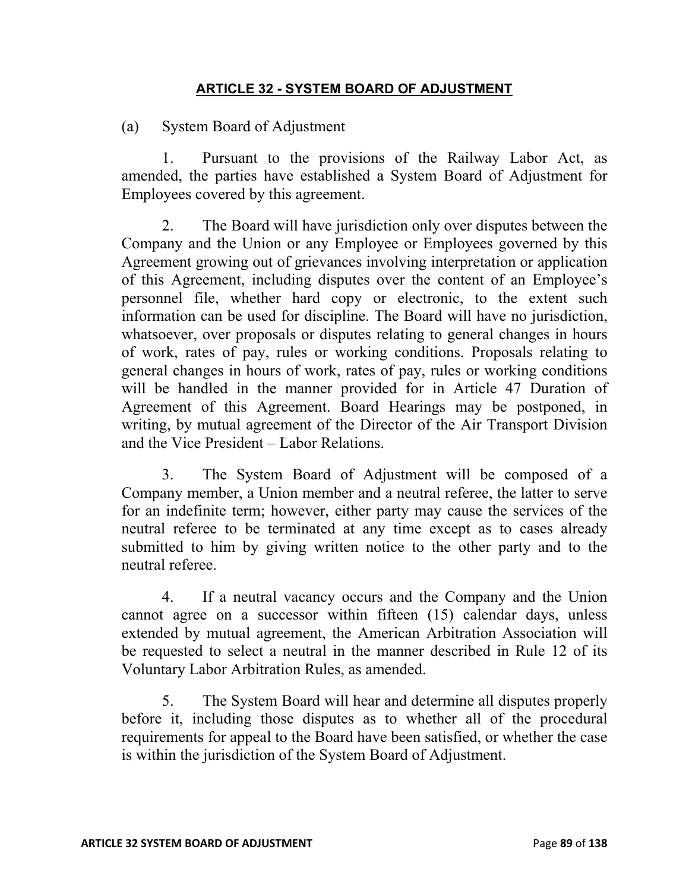## **ARTICLE 32 - SYSTEM BOARD OF ADJUSTMENT**

(a) System Board of Adjustment

1. Pursuant to the provisions of the Railway Labor Act, as amended, the parties have established a System Board of Adjustment for Employees covered by this agreement.

2. The Board will have jurisdiction only over disputes between the Company and the Union or any Employee or Employees governed by this Agreement growing out of grievances involving interpretation or application of this Agreement, including disputes over the content of an Employee's personnel file, whether hard copy or electronic, to the extent such information can be used for discipline. The Board will have no jurisdiction, whatsoever, over proposals or disputes relating to general changes in hours of work, rates of pay, rules or working conditions. Proposals relating to general changes in hours of work, rates of pay, rules or working conditions will be handled in the manner provided for in Article 47 Duration of Agreement of this Agreement. Board Hearings may be postponed, in writing, by mutual agreement of the Director of the Air Transport Division and the Vice President – Labor Relations.

3. The System Board of Adjustment will be composed of a Company member, a Union member and a neutral referee, the latter to serve for an indefinite term; however, either party may cause the services of the neutral referee to be terminated at any time except as to cases already submitted to him by giving written notice to the other party and to the neutral referee.

4. If a neutral vacancy occurs and the Company and the Union cannot agree on a successor within fifteen (15) calendar days, unless extended by mutual agreement, the American Arbitration Association will be requested to select a neutral in the manner described in Rule 12 of its Voluntary Labor Arbitration Rules, as amended.

5. The System Board will hear and determine all disputes properly before it, including those disputes as to whether all of the procedural requirements for appeal to the Board have been satisfied, or whether the case is within the jurisdiction of the System Board of Adjustment.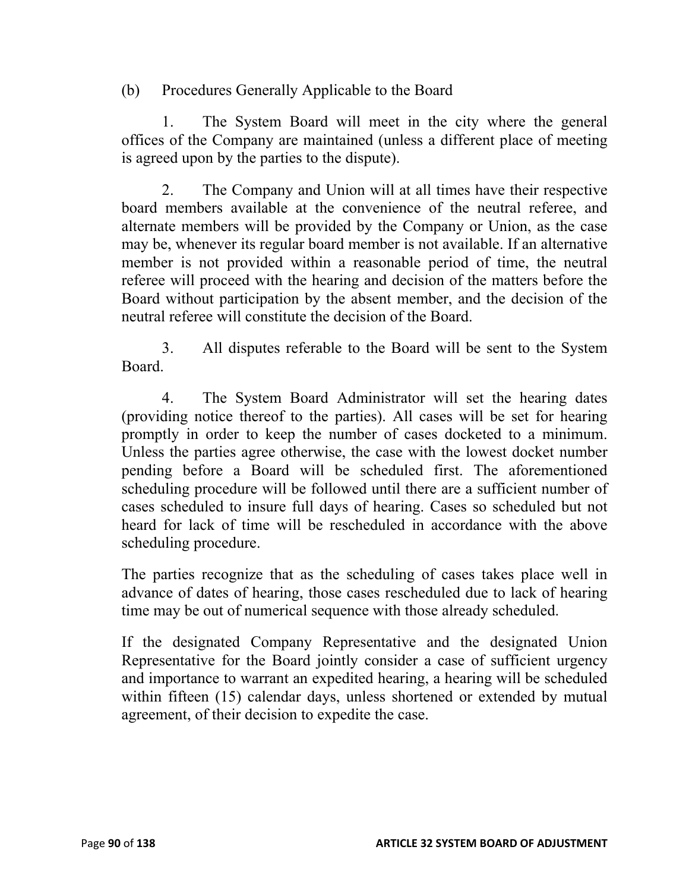(b) Procedures Generally Applicable to the Board

1. The System Board will meet in the city where the general offices of the Company are maintained (unless a different place of meeting is agreed upon by the parties to the dispute).

2. The Company and Union will at all times have their respective board members available at the convenience of the neutral referee, and alternate members will be provided by the Company or Union, as the case may be, whenever its regular board member is not available. If an alternative member is not provided within a reasonable period of time, the neutral referee will proceed with the hearing and decision of the matters before the Board without participation by the absent member, and the decision of the neutral referee will constitute the decision of the Board.

3. All disputes referable to the Board will be sent to the System Board.

4. The System Board Administrator will set the hearing dates (providing notice thereof to the parties). All cases will be set for hearing promptly in order to keep the number of cases docketed to a minimum. Unless the parties agree otherwise, the case with the lowest docket number pending before a Board will be scheduled first. The aforementioned scheduling procedure will be followed until there are a sufficient number of cases scheduled to insure full days of hearing. Cases so scheduled but not heard for lack of time will be rescheduled in accordance with the above scheduling procedure.

The parties recognize that as the scheduling of cases takes place well in advance of dates of hearing, those cases rescheduled due to lack of hearing time may be out of numerical sequence with those already scheduled.

If the designated Company Representative and the designated Union Representative for the Board jointly consider a case of sufficient urgency and importance to warrant an expedited hearing, a hearing will be scheduled within fifteen (15) calendar days, unless shortened or extended by mutual agreement, of their decision to expedite the case.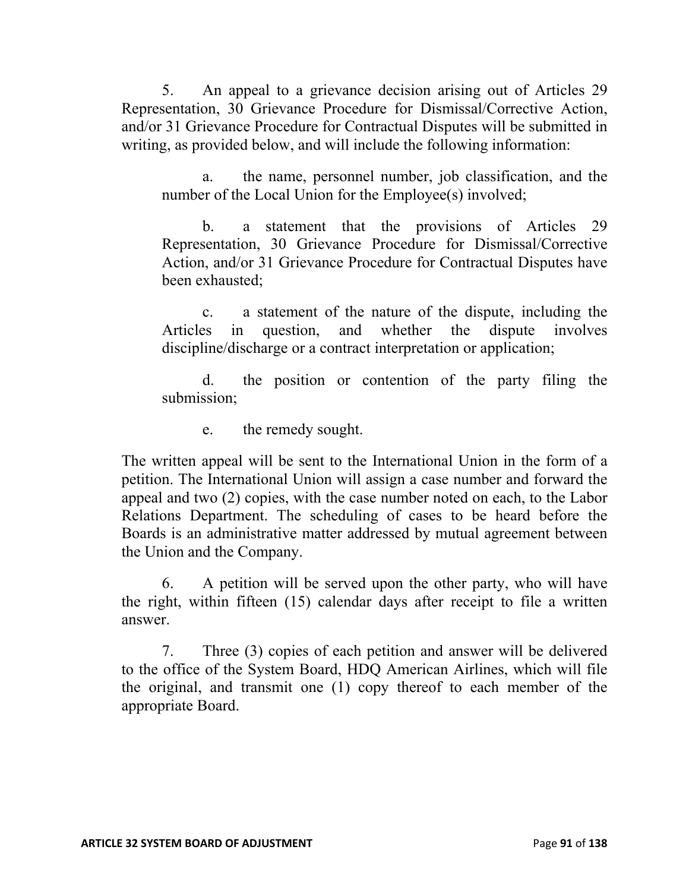5. An appeal to a grievance decision arising out of Articles 29 Representation, 30 Grievance Procedure for Dismissal/Corrective Action, and/or 31 Grievance Procedure for Contractual Disputes will be submitted in writing, as provided below, and will include the following information:

a. the name, personnel number, job classification, and the number of the Local Union for the Employee(s) involved;

b. a statement that the provisions of Articles 29 Representation, 30 Grievance Procedure for Dismissal/Corrective Action, and/or 31 Grievance Procedure for Contractual Disputes have been exhausted;

c. a statement of the nature of the dispute, including the Articles in question, and whether the dispute involves discipline/discharge or a contract interpretation or application;

d. the position or contention of the party filing the submission;

e. the remedy sought.

The written appeal will be sent to the International Union in the form of a petition. The International Union will assign a case number and forward the appeal and two (2) copies, with the case number noted on each, to the Labor Relations Department. The scheduling of cases to be heard before the Boards is an administrative matter addressed by mutual agreement between the Union and the Company.

6. A petition will be served upon the other party, who will have the right, within fifteen (15) calendar days after receipt to file a written answer.

7. Three (3) copies of each petition and answer will be delivered to the office of the System Board, HDQ American Airlines, which will file the original, and transmit one (1) copy thereof to each member of the appropriate Board.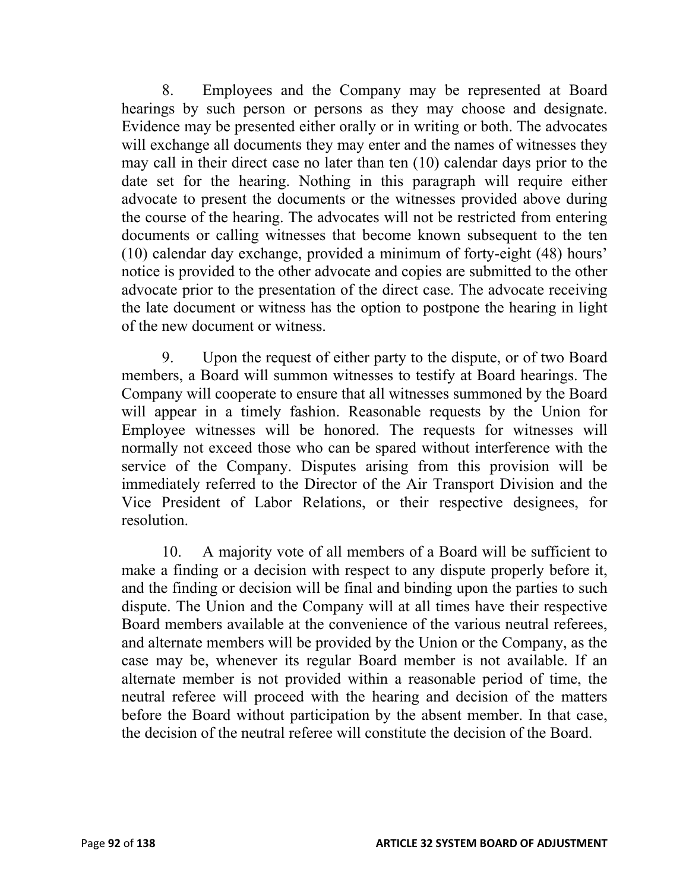8. Employees and the Company may be represented at Board hearings by such person or persons as they may choose and designate. Evidence may be presented either orally or in writing or both. The advocates will exchange all documents they may enter and the names of witnesses they may call in their direct case no later than ten (10) calendar days prior to the date set for the hearing. Nothing in this paragraph will require either advocate to present the documents or the witnesses provided above during the course of the hearing. The advocates will not be restricted from entering documents or calling witnesses that become known subsequent to the ten (10) calendar day exchange, provided a minimum of forty-eight (48) hours' notice is provided to the other advocate and copies are submitted to the other advocate prior to the presentation of the direct case. The advocate receiving the late document or witness has the option to postpone the hearing in light of the new document or witness.

9. Upon the request of either party to the dispute, or of two Board members, a Board will summon witnesses to testify at Board hearings. The Company will cooperate to ensure that all witnesses summoned by the Board will appear in a timely fashion. Reasonable requests by the Union for Employee witnesses will be honored. The requests for witnesses will normally not exceed those who can be spared without interference with the service of the Company. Disputes arising from this provision will be immediately referred to the Director of the Air Transport Division and the Vice President of Labor Relations, or their respective designees, for resolution.

10. A majority vote of all members of a Board will be sufficient to make a finding or a decision with respect to any dispute properly before it, and the finding or decision will be final and binding upon the parties to such dispute. The Union and the Company will at all times have their respective Board members available at the convenience of the various neutral referees, and alternate members will be provided by the Union or the Company, as the case may be, whenever its regular Board member is not available. If an alternate member is not provided within a reasonable period of time, the neutral referee will proceed with the hearing and decision of the matters before the Board without participation by the absent member. In that case, the decision of the neutral referee will constitute the decision of the Board.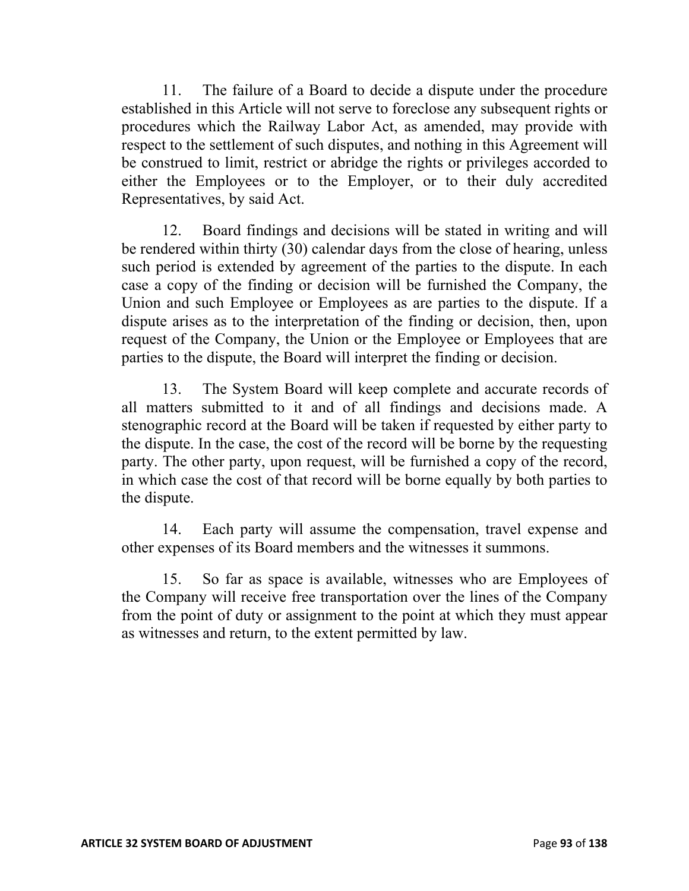11. The failure of a Board to decide a dispute under the procedure established in this Article will not serve to foreclose any subsequent rights or procedures which the Railway Labor Act, as amended, may provide with respect to the settlement of such disputes, and nothing in this Agreement will be construed to limit, restrict or abridge the rights or privileges accorded to either the Employees or to the Employer, or to their duly accredited Representatives, by said Act.

12. Board findings and decisions will be stated in writing and will be rendered within thirty (30) calendar days from the close of hearing, unless such period is extended by agreement of the parties to the dispute. In each case a copy of the finding or decision will be furnished the Company, the Union and such Employee or Employees as are parties to the dispute. If a dispute arises as to the interpretation of the finding or decision, then, upon request of the Company, the Union or the Employee or Employees that are parties to the dispute, the Board will interpret the finding or decision.

13. The System Board will keep complete and accurate records of all matters submitted to it and of all findings and decisions made. A stenographic record at the Board will be taken if requested by either party to the dispute. In the case, the cost of the record will be borne by the requesting party. The other party, upon request, will be furnished a copy of the record, in which case the cost of that record will be borne equally by both parties to the dispute.

14. Each party will assume the compensation, travel expense and other expenses of its Board members and the witnesses it summons.

15. So far as space is available, witnesses who are Employees of the Company will receive free transportation over the lines of the Company from the point of duty or assignment to the point at which they must appear as witnesses and return, to the extent permitted by law.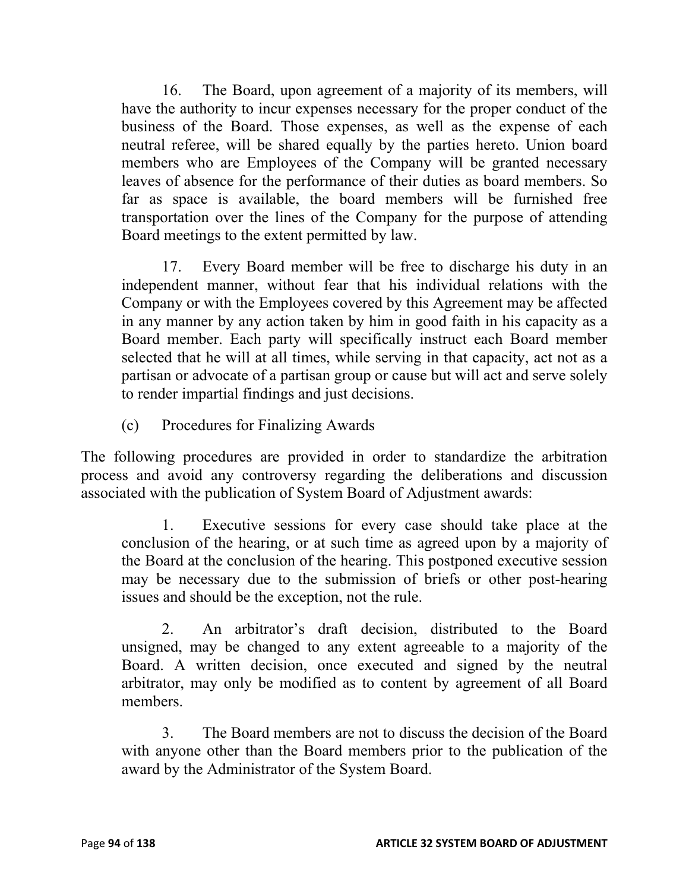16. The Board, upon agreement of a majority of its members, will have the authority to incur expenses necessary for the proper conduct of the business of the Board. Those expenses, as well as the expense of each neutral referee, will be shared equally by the parties hereto. Union board members who are Employees of the Company will be granted necessary leaves of absence for the performance of their duties as board members. So far as space is available, the board members will be furnished free transportation over the lines of the Company for the purpose of attending Board meetings to the extent permitted by law.

17. Every Board member will be free to discharge his duty in an independent manner, without fear that his individual relations with the Company or with the Employees covered by this Agreement may be affected in any manner by any action taken by him in good faith in his capacity as a Board member. Each party will specifically instruct each Board member selected that he will at all times, while serving in that capacity, act not as a partisan or advocate of a partisan group or cause but will act and serve solely to render impartial findings and just decisions.

(c) Procedures for Finalizing Awards

The following procedures are provided in order to standardize the arbitration process and avoid any controversy regarding the deliberations and discussion associated with the publication of System Board of Adjustment awards:

1. Executive sessions for every case should take place at the conclusion of the hearing, or at such time as agreed upon by a majority of the Board at the conclusion of the hearing. This postponed executive session may be necessary due to the submission of briefs or other post-hearing issues and should be the exception, not the rule.

2. An arbitrator's draft decision, distributed to the Board unsigned, may be changed to any extent agreeable to a majority of the Board. A written decision, once executed and signed by the neutral arbitrator, may only be modified as to content by agreement of all Board members.

3. The Board members are not to discuss the decision of the Board with anyone other than the Board members prior to the publication of the award by the Administrator of the System Board.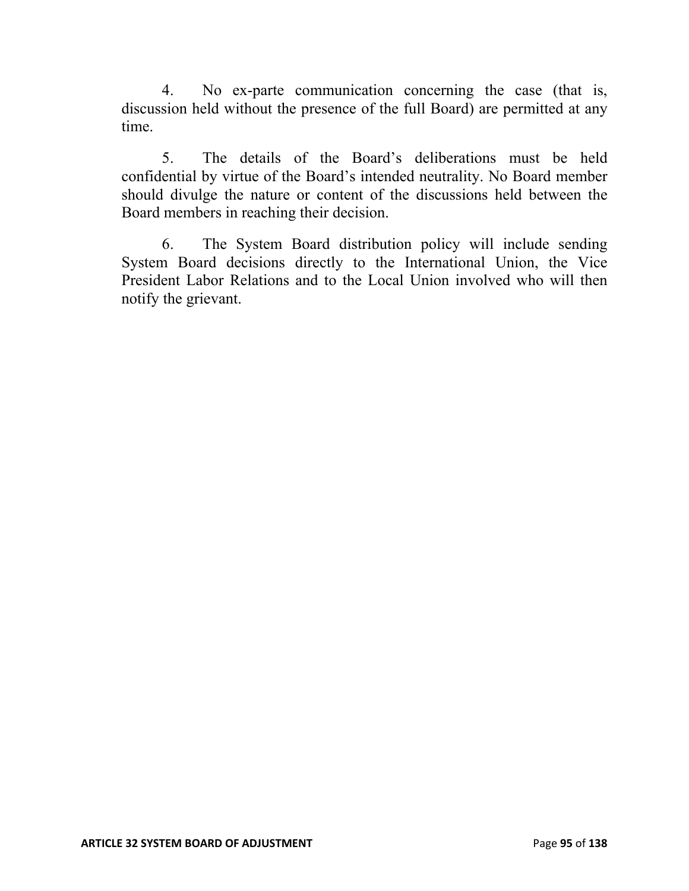4. No ex-parte communication concerning the case (that is, discussion held without the presence of the full Board) are permitted at any time.

5. The details of the Board's deliberations must be held confidential by virtue of the Board's intended neutrality. No Board member should divulge the nature or content of the discussions held between the Board members in reaching their decision.

6. The System Board distribution policy will include sending System Board decisions directly to the International Union, the Vice President Labor Relations and to the Local Union involved who will then notify the grievant.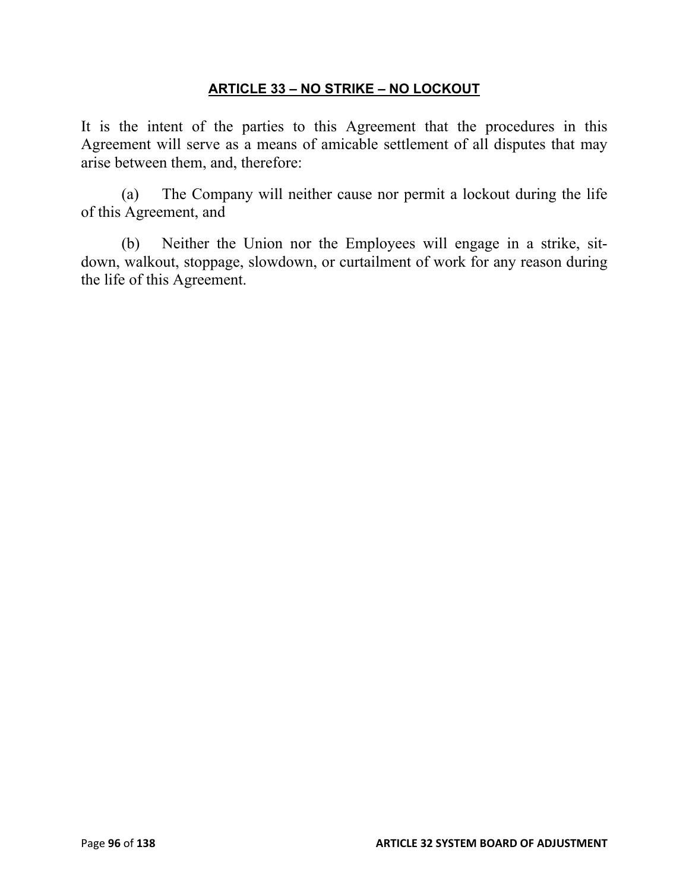# **ARTICLE 33 – NO STRIKE – NO LOCKOUT**

It is the intent of the parties to this Agreement that the procedures in this Agreement will serve as a means of amicable settlement of all disputes that may arise between them, and, therefore:

(a) The Company will neither cause nor permit a lockout during the life of this Agreement, and

(b) Neither the Union nor the Employees will engage in a strike, sitdown, walkout, stoppage, slowdown, or curtailment of work for any reason during the life of this Agreement.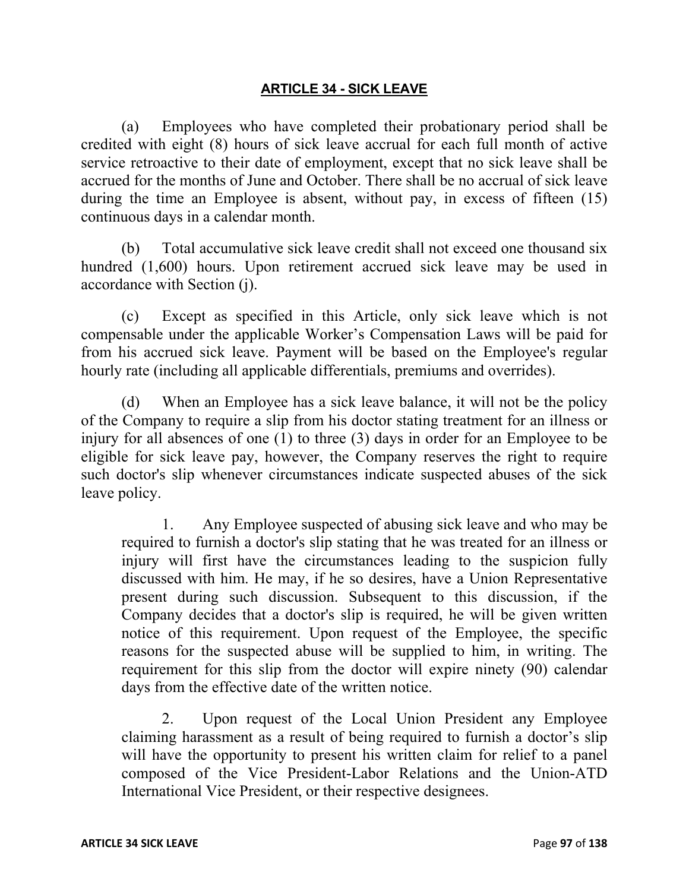#### **ARTICLE 34 - SICK LEAVE**

(a) Employees who have completed their probationary period shall be credited with eight (8) hours of sick leave accrual for each full month of active service retroactive to their date of employment, except that no sick leave shall be accrued for the months of June and October. There shall be no accrual of sick leave during the time an Employee is absent, without pay, in excess of fifteen (15) continuous days in a calendar month.

(b) Total accumulative sick leave credit shall not exceed one thousand six hundred (1,600) hours. Upon retirement accrued sick leave may be used in accordance with Section (j).

(c) Except as specified in this Article, only sick leave which is not compensable under the applicable Worker's Compensation Laws will be paid for from his accrued sick leave. Payment will be based on the Employee's regular hourly rate (including all applicable differentials, premiums and overrides).

(d) When an Employee has a sick leave balance, it will not be the policy of the Company to require a slip from his doctor stating treatment for an illness or injury for all absences of one (1) to three (3) days in order for an Employee to be eligible for sick leave pay, however, the Company reserves the right to require such doctor's slip whenever circumstances indicate suspected abuses of the sick leave policy.

1. Any Employee suspected of abusing sick leave and who may be required to furnish a doctor's slip stating that he was treated for an illness or injury will first have the circumstances leading to the suspicion fully discussed with him. He may, if he so desires, have a Union Representative present during such discussion. Subsequent to this discussion, if the Company decides that a doctor's slip is required, he will be given written notice of this requirement. Upon request of the Employee, the specific reasons for the suspected abuse will be supplied to him, in writing. The requirement for this slip from the doctor will expire ninety (90) calendar days from the effective date of the written notice.

2. Upon request of the Local Union President any Employee claiming harassment as a result of being required to furnish a doctor's slip will have the opportunity to present his written claim for relief to a panel composed of the Vice President-Labor Relations and the Union-ATD International Vice President, or their respective designees.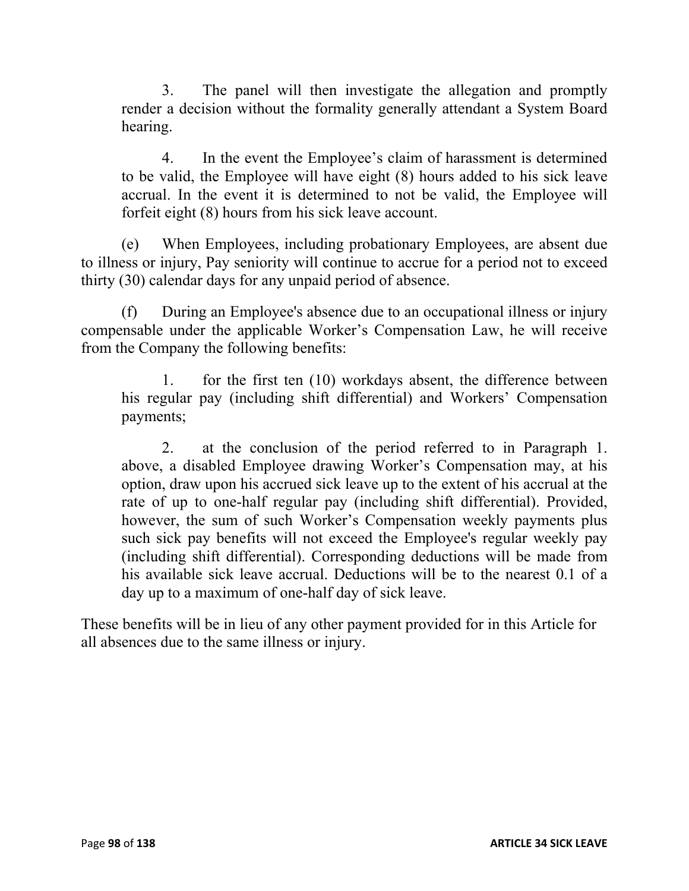3. The panel will then investigate the allegation and promptly render a decision without the formality generally attendant a System Board hearing.

4. In the event the Employee's claim of harassment is determined to be valid, the Employee will have eight (8) hours added to his sick leave accrual. In the event it is determined to not be valid, the Employee will forfeit eight (8) hours from his sick leave account.

(e) When Employees, including probationary Employees, are absent due to illness or injury, Pay seniority will continue to accrue for a period not to exceed thirty (30) calendar days for any unpaid period of absence.

(f) During an Employee's absence due to an occupational illness or injury compensable under the applicable Worker's Compensation Law, he will receive from the Company the following benefits:

1. for the first ten (10) workdays absent, the difference between his regular pay (including shift differential) and Workers' Compensation payments;

2. at the conclusion of the period referred to in Paragraph 1. above, a disabled Employee drawing Worker's Compensation may, at his option, draw upon his accrued sick leave up to the extent of his accrual at the rate of up to one-half regular pay (including shift differential). Provided, however, the sum of such Worker's Compensation weekly payments plus such sick pay benefits will not exceed the Employee's regular weekly pay (including shift differential). Corresponding deductions will be made from his available sick leave accrual. Deductions will be to the nearest 0.1 of a day up to a maximum of one-half day of sick leave.

These benefits will be in lieu of any other payment provided for in this Article for all absences due to the same illness or injury.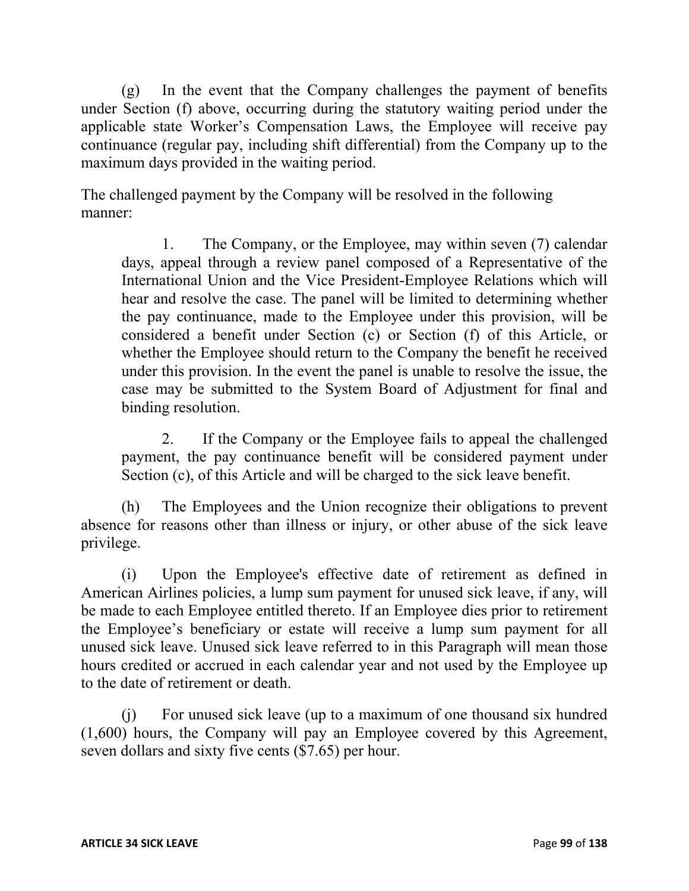(g) In the event that the Company challenges the payment of benefits under Section (f) above, occurring during the statutory waiting period under the applicable state Worker's Compensation Laws, the Employee will receive pay continuance (regular pay, including shift differential) from the Company up to the maximum days provided in the waiting period.

The challenged payment by the Company will be resolved in the following manner:

1. The Company, or the Employee, may within seven (7) calendar days, appeal through a review panel composed of a Representative of the International Union and the Vice President-Employee Relations which will hear and resolve the case. The panel will be limited to determining whether the pay continuance, made to the Employee under this provision, will be considered a benefit under Section (c) or Section (f) of this Article, or whether the Employee should return to the Company the benefit he received under this provision. In the event the panel is unable to resolve the issue, the case may be submitted to the System Board of Adjustment for final and binding resolution.

2. If the Company or the Employee fails to appeal the challenged payment, the pay continuance benefit will be considered payment under Section (c), of this Article and will be charged to the sick leave benefit.

(h) The Employees and the Union recognize their obligations to prevent absence for reasons other than illness or injury, or other abuse of the sick leave privilege.

(i) Upon the Employee's effective date of retirement as defined in American Airlines policies, a lump sum payment for unused sick leave, if any, will be made to each Employee entitled thereto. If an Employee dies prior to retirement the Employee's beneficiary or estate will receive a lump sum payment for all unused sick leave. Unused sick leave referred to in this Paragraph will mean those hours credited or accrued in each calendar year and not used by the Employee up to the date of retirement or death.

(j) For unused sick leave (up to a maximum of one thousand six hundred (1,600) hours, the Company will pay an Employee covered by this Agreement, seven dollars and sixty five cents (\$7.65) per hour.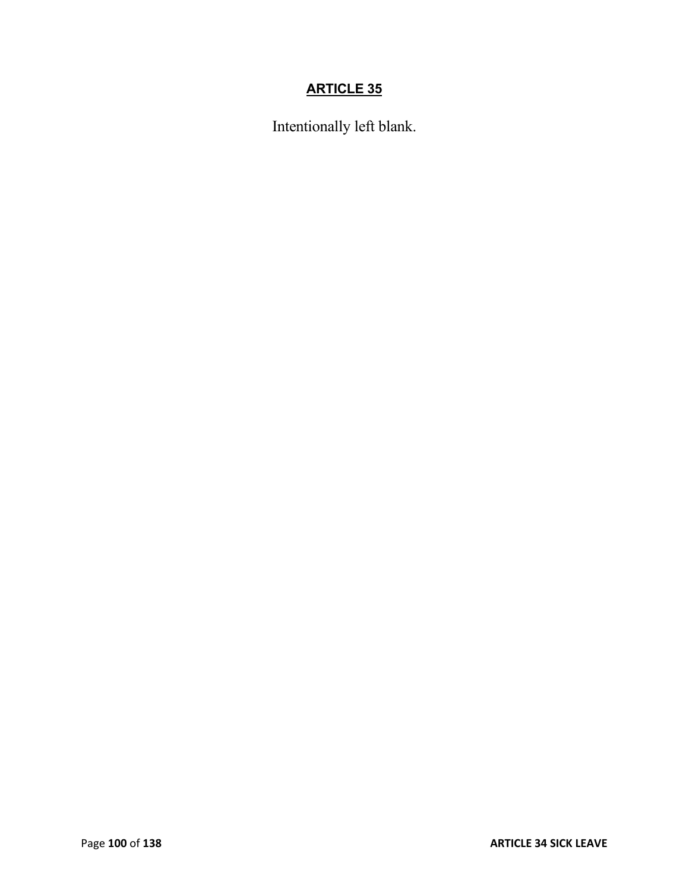# **ARTICLE 35**

Intentionally left blank.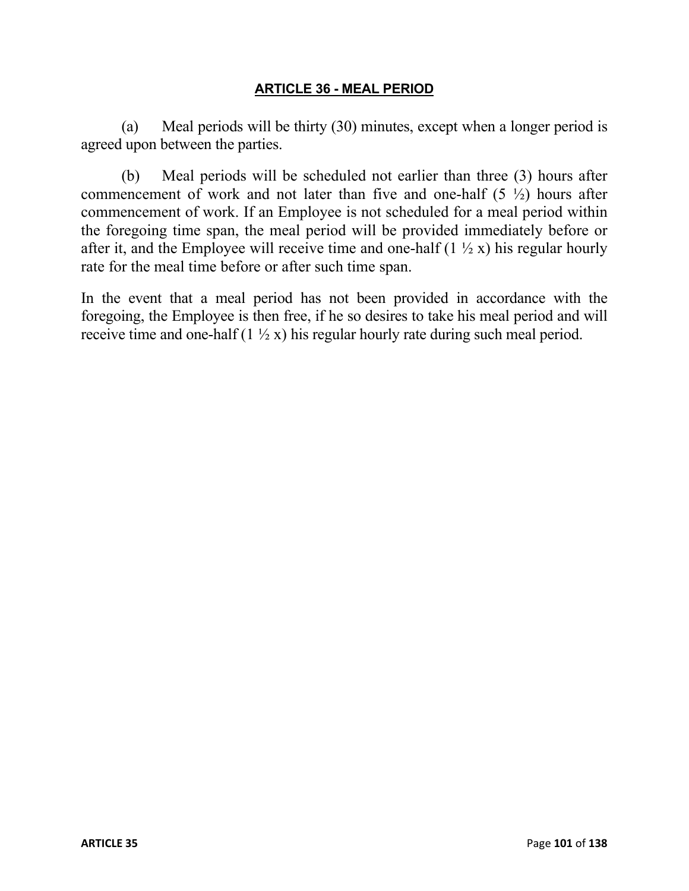#### **ARTICLE 36 - MEAL PERIOD**

(a) Meal periods will be thirty (30) minutes, except when a longer period is agreed upon between the parties.

(b) Meal periods will be scheduled not earlier than three (3) hours after commencement of work and not later than five and one-half  $(5 \frac{1}{2})$  hours after commencement of work. If an Employee is not scheduled for a meal period within the foregoing time span, the meal period will be provided immediately before or after it, and the Employee will receive time and one-half  $(1 \frac{1}{2} x)$  his regular hourly rate for the meal time before or after such time span.

In the event that a meal period has not been provided in accordance with the foregoing, the Employee is then free, if he so desires to take his meal period and will receive time and one-half  $(1 \frac{1}{2} x)$  his regular hourly rate during such meal period.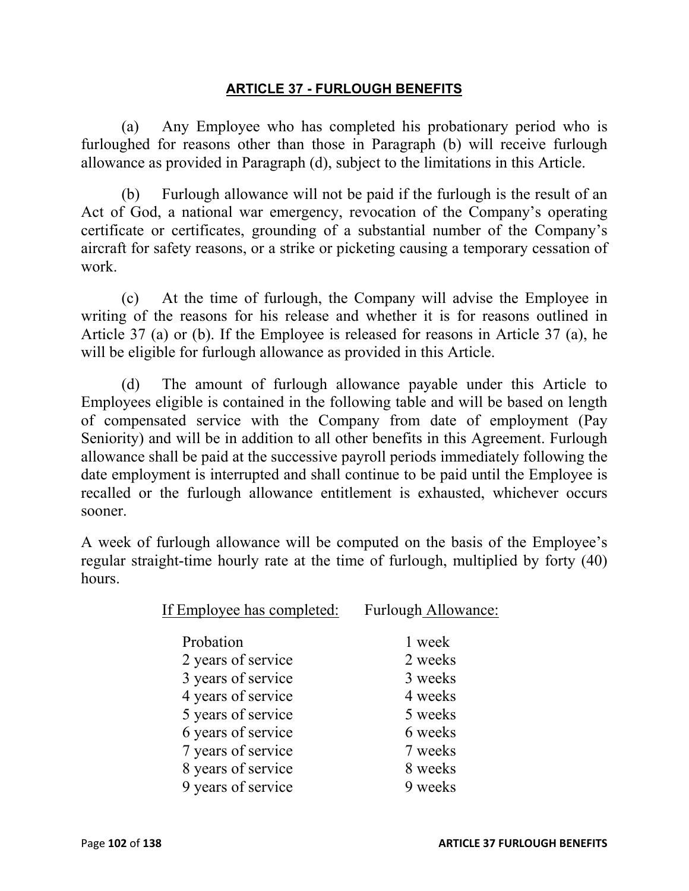### **ARTICLE 37 - FURLOUGH BENEFITS**

(a) Any Employee who has completed his probationary period who is furloughed for reasons other than those in Paragraph (b) will receive furlough allowance as provided in Paragraph (d), subject to the limitations in this Article.

(b) Furlough allowance will not be paid if the furlough is the result of an Act of God, a national war emergency, revocation of the Company's operating certificate or certificates, grounding of a substantial number of the Company's aircraft for safety reasons, or a strike or picketing causing a temporary cessation of work.

(c) At the time of furlough, the Company will advise the Employee in writing of the reasons for his release and whether it is for reasons outlined in Article 37 (a) or (b). If the Employee is released for reasons in Article 37 (a), he will be eligible for furlough allowance as provided in this Article.

(d) The amount of furlough allowance payable under this Article to Employees eligible is contained in the following table and will be based on length of compensated service with the Company from date of employment (Pay Seniority) and will be in addition to all other benefits in this Agreement. Furlough allowance shall be paid at the successive payroll periods immediately following the date employment is interrupted and shall continue to be paid until the Employee is recalled or the furlough allowance entitlement is exhausted, whichever occurs sooner.

A week of furlough allowance will be computed on the basis of the Employee's regular straight-time hourly rate at the time of furlough, multiplied by forty (40) hours.

| If Employee has completed: | Furlough Allowance: |
|----------------------------|---------------------|
| Probation                  | 1 week              |
| 2 years of service         | 2 weeks             |
| 3 years of service         | 3 weeks             |
| 4 years of service         | 4 weeks             |
| 5 years of service         | 5 weeks             |
| 6 years of service         | 6 weeks             |
| 7 years of service         | 7 weeks             |
| 8 years of service         | 8 weeks             |
| 9 years of service         | 9 weeks             |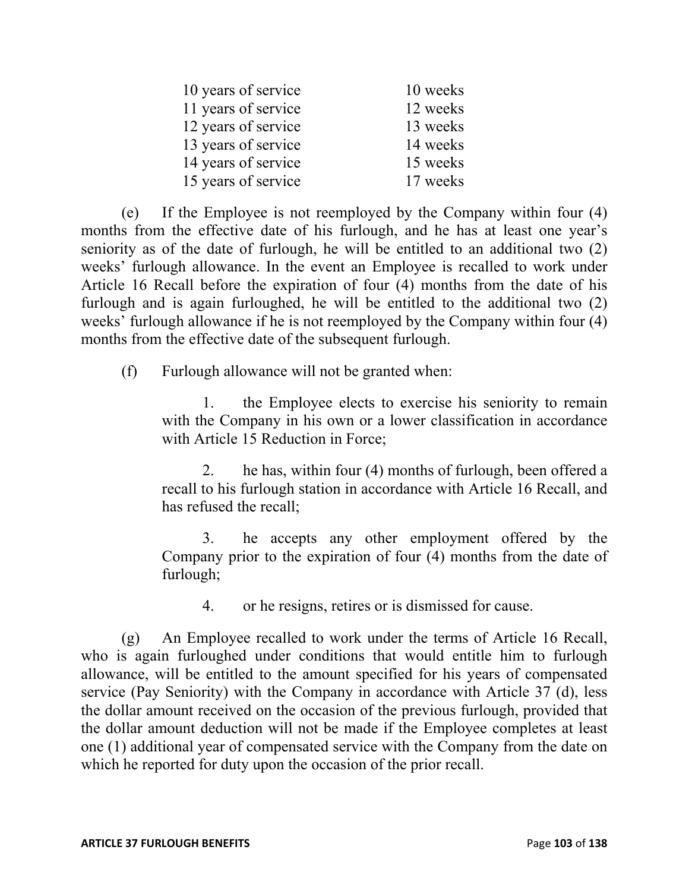| 10 years of service | 10 weeks |
|---------------------|----------|
| 11 years of service | 12 weeks |
| 12 years of service | 13 weeks |
| 13 years of service | 14 weeks |
| 14 years of service | 15 weeks |
| 15 years of service | 17 weeks |

(e) If the Employee is not reemployed by the Company within four (4) months from the effective date of his furlough, and he has at least one year's seniority as of the date of furlough, he will be entitled to an additional two (2) weeks' furlough allowance. In the event an Employee is recalled to work under Article 16 Recall before the expiration of four (4) months from the date of his furlough and is again furloughed, he will be entitled to the additional two (2) weeks' furlough allowance if he is not reemployed by the Company within four (4) months from the effective date of the subsequent furlough.

(f) Furlough allowance will not be granted when:

1. the Employee elects to exercise his seniority to remain with the Company in his own or a lower classification in accordance with Article 15 Reduction in Force;

2. he has, within four (4) months of furlough, been offered a recall to his furlough station in accordance with Article 16 Recall, and has refused the recall;

3. he accepts any other employment offered by the Company prior to the expiration of four (4) months from the date of furlough;

4. or he resigns, retires or is dismissed for cause.

(g) An Employee recalled to work under the terms of Article 16 Recall, who is again furloughed under conditions that would entitle him to furlough allowance, will be entitled to the amount specified for his years of compensated service (Pay Seniority) with the Company in accordance with Article 37 (d), less the dollar amount received on the occasion of the previous furlough, provided that the dollar amount deduction will not be made if the Employee completes at least one (1) additional year of compensated service with the Company from the date on which he reported for duty upon the occasion of the prior recall.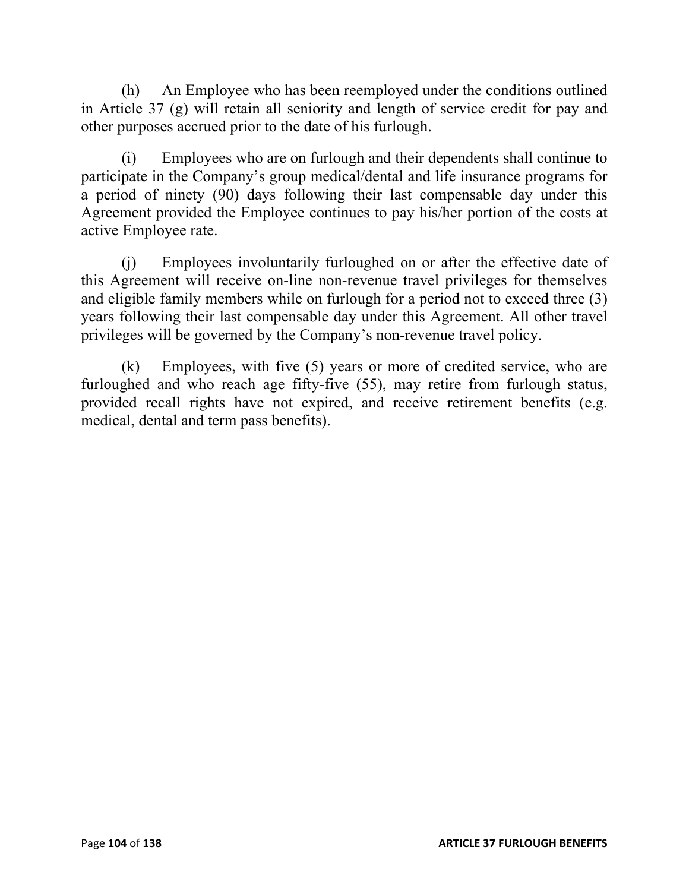(h) An Employee who has been reemployed under the conditions outlined in Article 37 (g) will retain all seniority and length of service credit for pay and other purposes accrued prior to the date of his furlough.

(i) Employees who are on furlough and their dependents shall continue to participate in the Company's group medical/dental and life insurance programs for a period of ninety (90) days following their last compensable day under this Agreement provided the Employee continues to pay his/her portion of the costs at active Employee rate.

(j) Employees involuntarily furloughed on or after the effective date of this Agreement will receive on-line non-revenue travel privileges for themselves and eligible family members while on furlough for a period not to exceed three (3) years following their last compensable day under this Agreement. All other travel privileges will be governed by the Company's non-revenue travel policy.

(k) Employees, with five (5) years or more of credited service, who are furloughed and who reach age fifty-five (55), may retire from furlough status, provided recall rights have not expired, and receive retirement benefits (e.g. medical, dental and term pass benefits).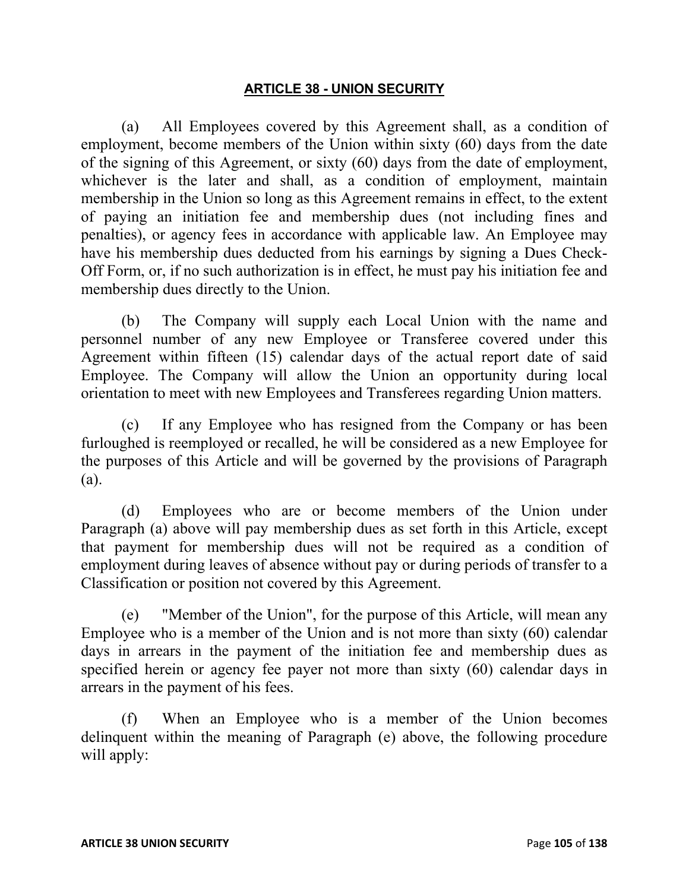#### **ARTICLE 38 - UNION SECURITY**

(a) All Employees covered by this Agreement shall, as a condition of employment, become members of the Union within sixty (60) days from the date of the signing of this Agreement, or sixty (60) days from the date of employment, whichever is the later and shall, as a condition of employment, maintain membership in the Union so long as this Agreement remains in effect, to the extent of paying an initiation fee and membership dues (not including fines and penalties), or agency fees in accordance with applicable law. An Employee may have his membership dues deducted from his earnings by signing a Dues Check-Off Form, or, if no such authorization is in effect, he must pay his initiation fee and membership dues directly to the Union.

(b) The Company will supply each Local Union with the name and personnel number of any new Employee or Transferee covered under this Agreement within fifteen (15) calendar days of the actual report date of said Employee. The Company will allow the Union an opportunity during local orientation to meet with new Employees and Transferees regarding Union matters.

(c) If any Employee who has resigned from the Company or has been furloughed is reemployed or recalled, he will be considered as a new Employee for the purposes of this Article and will be governed by the provisions of Paragraph (a).

(d) Employees who are or become members of the Union under Paragraph (a) above will pay membership dues as set forth in this Article, except that payment for membership dues will not be required as a condition of employment during leaves of absence without pay or during periods of transfer to a Classification or position not covered by this Agreement.

(e) "Member of the Union", for the purpose of this Article, will mean any Employee who is a member of the Union and is not more than sixty (60) calendar days in arrears in the payment of the initiation fee and membership dues as specified herein or agency fee payer not more than sixty (60) calendar days in arrears in the payment of his fees.

(f) When an Employee who is a member of the Union becomes delinquent within the meaning of Paragraph (e) above, the following procedure will apply: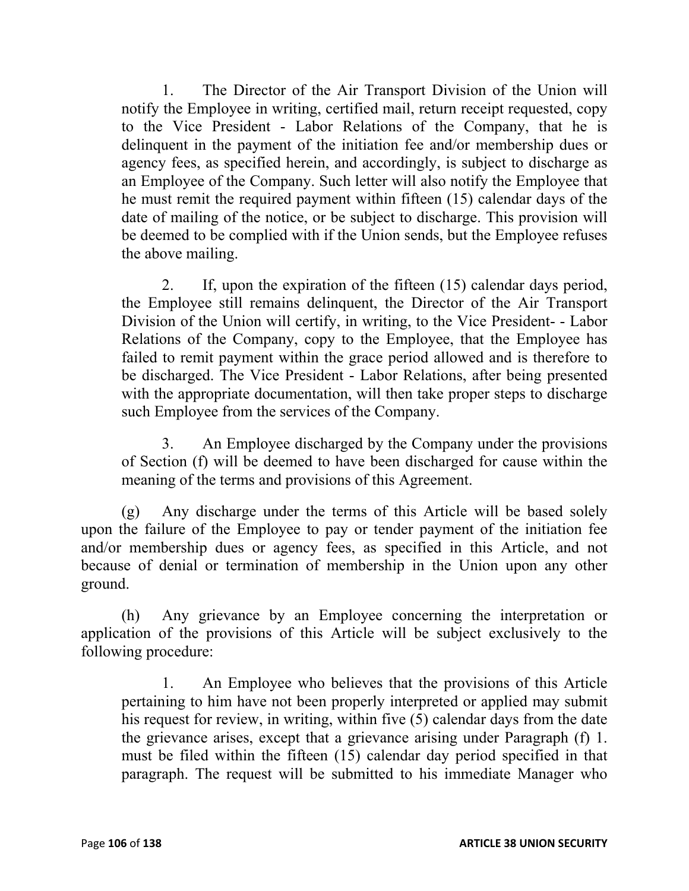1. The Director of the Air Transport Division of the Union will notify the Employee in writing, certified mail, return receipt requested, copy to the Vice President - Labor Relations of the Company, that he is delinquent in the payment of the initiation fee and/or membership dues or agency fees, as specified herein, and accordingly, is subject to discharge as an Employee of the Company. Such letter will also notify the Employee that he must remit the required payment within fifteen (15) calendar days of the date of mailing of the notice, or be subject to discharge. This provision will be deemed to be complied with if the Union sends, but the Employee refuses the above mailing.

2. If, upon the expiration of the fifteen (15) calendar days period, the Employee still remains delinquent, the Director of the Air Transport Division of the Union will certify, in writing, to the Vice President- - Labor Relations of the Company, copy to the Employee, that the Employee has failed to remit payment within the grace period allowed and is therefore to be discharged. The Vice President - Labor Relations, after being presented with the appropriate documentation, will then take proper steps to discharge such Employee from the services of the Company.

3. An Employee discharged by the Company under the provisions of Section (f) will be deemed to have been discharged for cause within the meaning of the terms and provisions of this Agreement.

(g) Any discharge under the terms of this Article will be based solely upon the failure of the Employee to pay or tender payment of the initiation fee and/or membership dues or agency fees, as specified in this Article, and not because of denial or termination of membership in the Union upon any other ground.

(h) Any grievance by an Employee concerning the interpretation or application of the provisions of this Article will be subject exclusively to the following procedure:

1. An Employee who believes that the provisions of this Article pertaining to him have not been properly interpreted or applied may submit his request for review, in writing, within five (5) calendar days from the date the grievance arises, except that a grievance arising under Paragraph (f) 1. must be filed within the fifteen (15) calendar day period specified in that paragraph. The request will be submitted to his immediate Manager who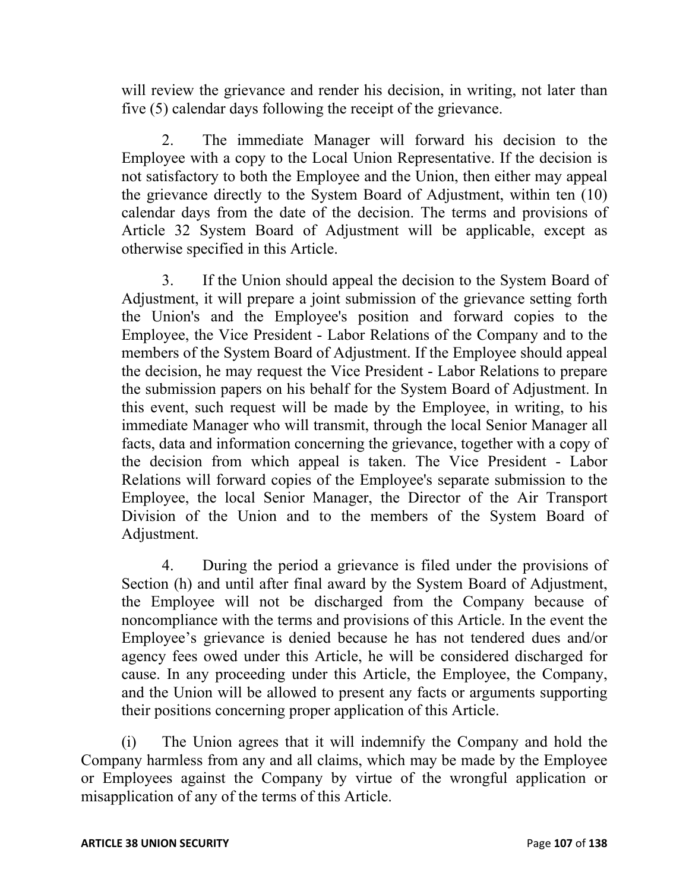will review the grievance and render his decision, in writing, not later than five (5) calendar days following the receipt of the grievance.

The immediate Manager will forward his decision to the Employee with a copy to the Local Union Representative. If the decision is not satisfactory to both the Employee and the Union, then either may appeal the grievance directly to the System Board of Adjustment, within ten (10) calendar days from the date of the decision. The terms and provisions of Article 32 System Board of Adjustment will be applicable, except as otherwise specified in this Article.

3. If the Union should appeal the decision to the System Board of Adjustment, it will prepare a joint submission of the grievance setting forth the Union's and the Employee's position and forward copies to the Employee, the Vice President - Labor Relations of the Company and to the members of the System Board of Adjustment. If the Employee should appeal the decision, he may request the Vice President - Labor Relations to prepare the submission papers on his behalf for the System Board of Adjustment. In this event, such request will be made by the Employee, in writing, to his immediate Manager who will transmit, through the local Senior Manager all facts, data and information concerning the grievance, together with a copy of the decision from which appeal is taken. The Vice President - Labor Relations will forward copies of the Employee's separate submission to the Employee, the local Senior Manager, the Director of the Air Transport Division of the Union and to the members of the System Board of Adjustment.

4. During the period a grievance is filed under the provisions of Section (h) and until after final award by the System Board of Adjustment, the Employee will not be discharged from the Company because of noncompliance with the terms and provisions of this Article. In the event the Employee's grievance is denied because he has not tendered dues and/or agency fees owed under this Article, he will be considered discharged for cause. In any proceeding under this Article, the Employee, the Company, and the Union will be allowed to present any facts or arguments supporting their positions concerning proper application of this Article.

(i) The Union agrees that it will indemnify the Company and hold the Company harmless from any and all claims, which may be made by the Employee or Employees against the Company by virtue of the wrongful application or misapplication of any of the terms of this Article.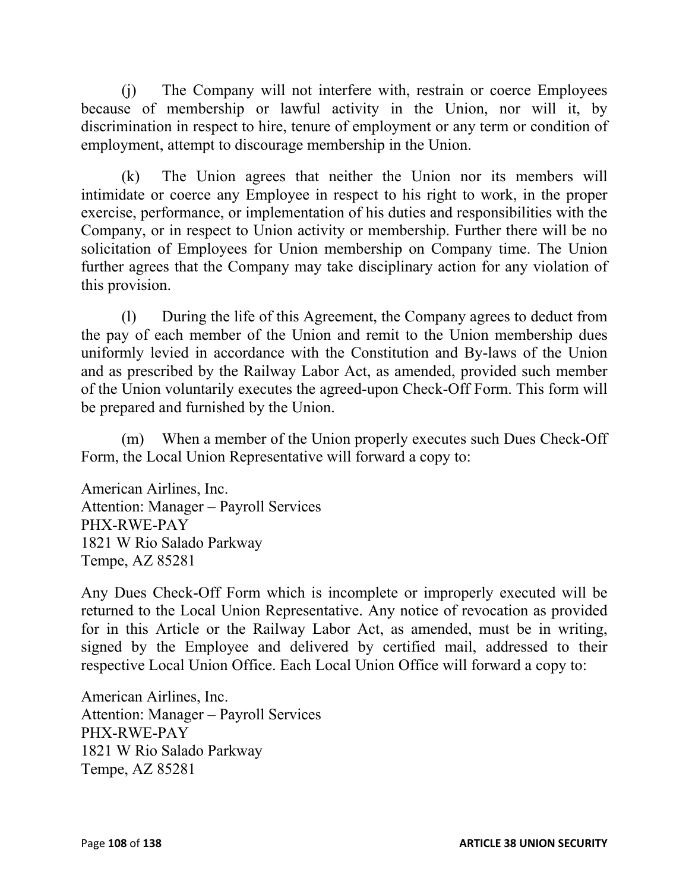(j) The Company will not interfere with, restrain or coerce Employees because of membership or lawful activity in the Union, nor will it, by discrimination in respect to hire, tenure of employment or any term or condition of employment, attempt to discourage membership in the Union.

(k) The Union agrees that neither the Union nor its members will intimidate or coerce any Employee in respect to his right to work, in the proper exercise, performance, or implementation of his duties and responsibilities with the Company, or in respect to Union activity or membership. Further there will be no solicitation of Employees for Union membership on Company time. The Union further agrees that the Company may take disciplinary action for any violation of this provision.

(l) During the life of this Agreement, the Company agrees to deduct from the pay of each member of the Union and remit to the Union membership dues uniformly levied in accordance with the Constitution and By-laws of the Union and as prescribed by the Railway Labor Act, as amended, provided such member of the Union voluntarily executes the agreed-upon Check-Off Form. This form will be prepared and furnished by the Union.

(m) When a member of the Union properly executes such Dues Check-Off Form, the Local Union Representative will forward a copy to:

American Airlines, Inc. Attention: Manager – Payroll Services PHX-RWE-PAY 1821 W Rio Salado Parkway Tempe, AZ 85281

Any Dues Check-Off Form which is incomplete or improperly executed will be returned to the Local Union Representative. Any notice of revocation as provided for in this Article or the Railway Labor Act, as amended, must be in writing, signed by the Employee and delivered by certified mail, addressed to their respective Local Union Office. Each Local Union Office will forward a copy to:

American Airlines, Inc. Attention: Manager – Payroll Services PHX-RWE-PAY 1821 W Rio Salado Parkway Tempe, AZ 85281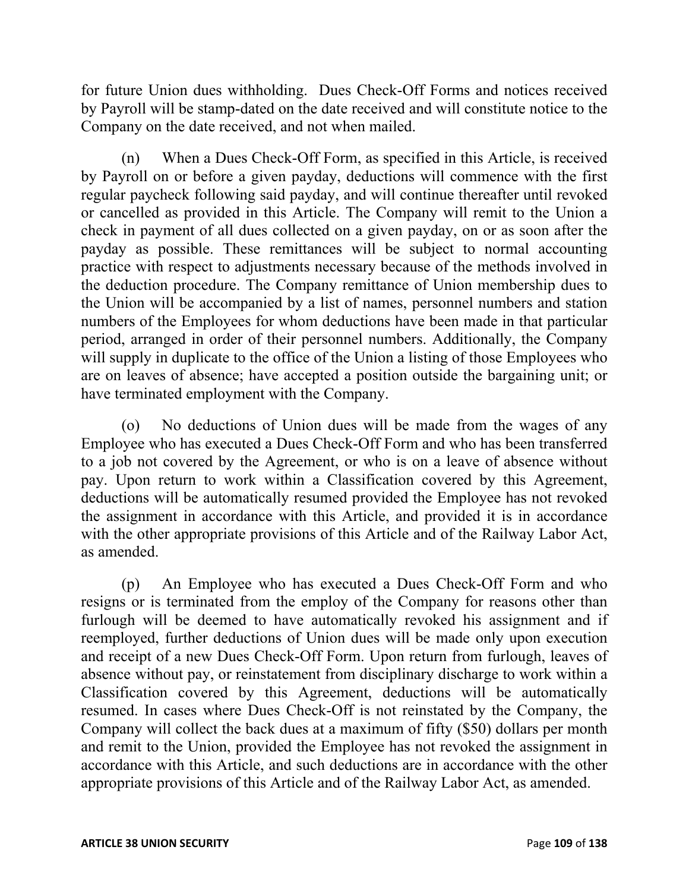for future Union dues withholding. Dues Check-Off Forms and notices received by Payroll will be stamp-dated on the date received and will constitute notice to the Company on the date received, and not when mailed.

(n) When a Dues Check-Off Form, as specified in this Article, is received by Payroll on or before a given payday, deductions will commence with the first regular paycheck following said payday, and will continue thereafter until revoked or cancelled as provided in this Article. The Company will remit to the Union a check in payment of all dues collected on a given payday, on or as soon after the payday as possible. These remittances will be subject to normal accounting practice with respect to adjustments necessary because of the methods involved in the deduction procedure. The Company remittance of Union membership dues to the Union will be accompanied by a list of names, personnel numbers and station numbers of the Employees for whom deductions have been made in that particular period, arranged in order of their personnel numbers. Additionally, the Company will supply in duplicate to the office of the Union a listing of those Employees who are on leaves of absence; have accepted a position outside the bargaining unit; or have terminated employment with the Company.

(o) No deductions of Union dues will be made from the wages of any Employee who has executed a Dues Check-Off Form and who has been transferred to a job not covered by the Agreement, or who is on a leave of absence without pay. Upon return to work within a Classification covered by this Agreement, deductions will be automatically resumed provided the Employee has not revoked the assignment in accordance with this Article, and provided it is in accordance with the other appropriate provisions of this Article and of the Railway Labor Act, as amended.

(p) An Employee who has executed a Dues Check-Off Form and who resigns or is terminated from the employ of the Company for reasons other than furlough will be deemed to have automatically revoked his assignment and if reemployed, further deductions of Union dues will be made only upon execution and receipt of a new Dues Check-Off Form. Upon return from furlough, leaves of absence without pay, or reinstatement from disciplinary discharge to work within a Classification covered by this Agreement, deductions will be automatically resumed. In cases where Dues Check-Off is not reinstated by the Company, the Company will collect the back dues at a maximum of fifty (\$50) dollars per month and remit to the Union, provided the Employee has not revoked the assignment in accordance with this Article, and such deductions are in accordance with the other appropriate provisions of this Article and of the Railway Labor Act, as amended.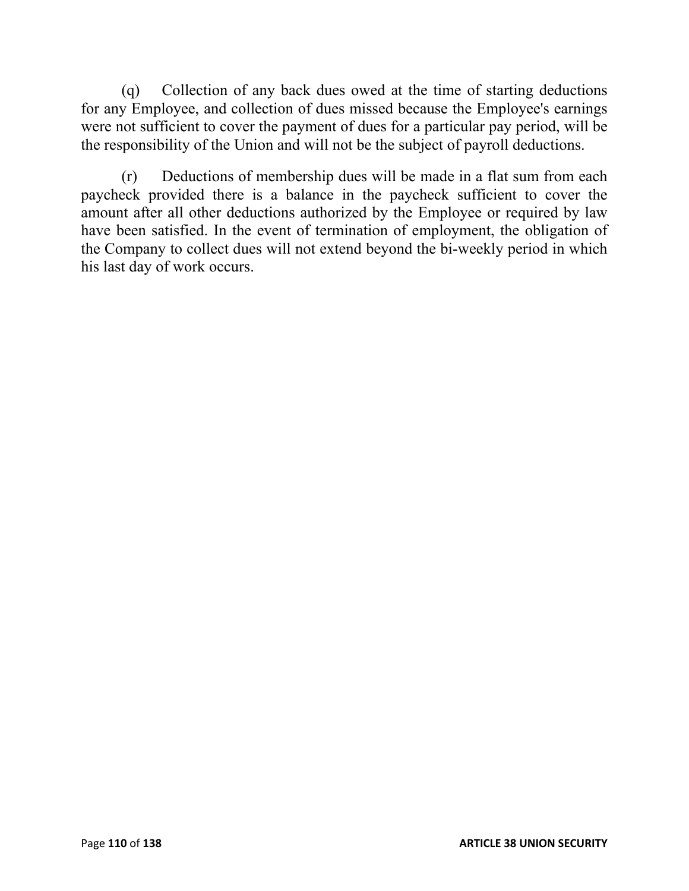(q) Collection of any back dues owed at the time of starting deductions for any Employee, and collection of dues missed because the Employee's earnings were not sufficient to cover the payment of dues for a particular pay period, will be the responsibility of the Union and will not be the subject of payroll deductions.

(r) Deductions of membership dues will be made in a flat sum from each paycheck provided there is a balance in the paycheck sufficient to cover the amount after all other deductions authorized by the Employee or required by law have been satisfied. In the event of termination of employment, the obligation of the Company to collect dues will not extend beyond the bi-weekly period in which his last day of work occurs.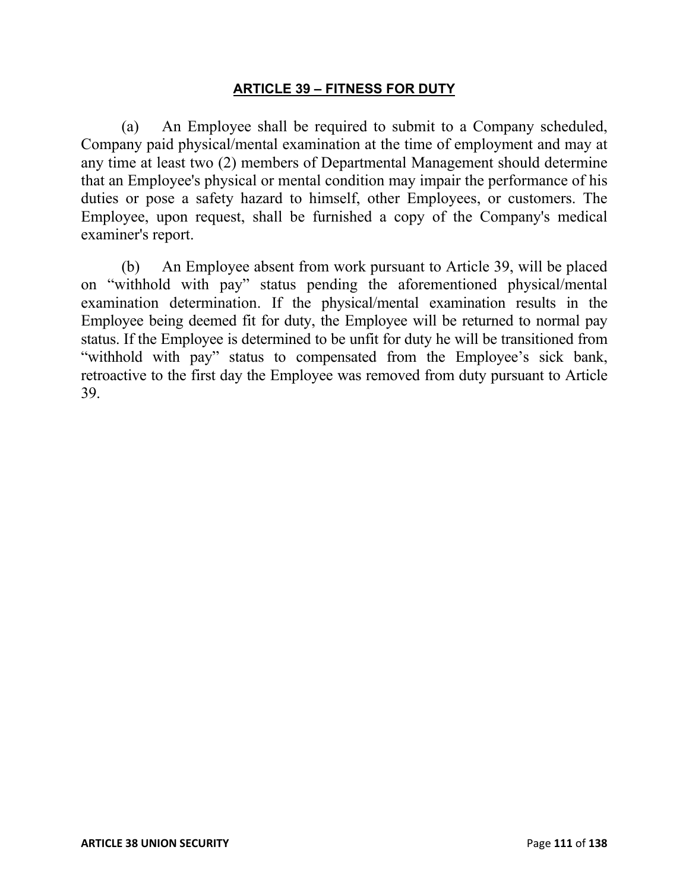### **ARTICLE 39 – FITNESS FOR DUTY**

(a) An Employee shall be required to submit to a Company scheduled, Company paid physical/mental examination at the time of employment and may at any time at least two (2) members of Departmental Management should determine that an Employee's physical or mental condition may impair the performance of his duties or pose a safety hazard to himself, other Employees, or customers. The Employee, upon request, shall be furnished a copy of the Company's medical examiner's report.

(b) An Employee absent from work pursuant to Article 39, will be placed on "withhold with pay" status pending the aforementioned physical/mental examination determination. If the physical/mental examination results in the Employee being deemed fit for duty, the Employee will be returned to normal pay status. If the Employee is determined to be unfit for duty he will be transitioned from "withhold with pay" status to compensated from the Employee's sick bank, retroactive to the first day the Employee was removed from duty pursuant to Article 39.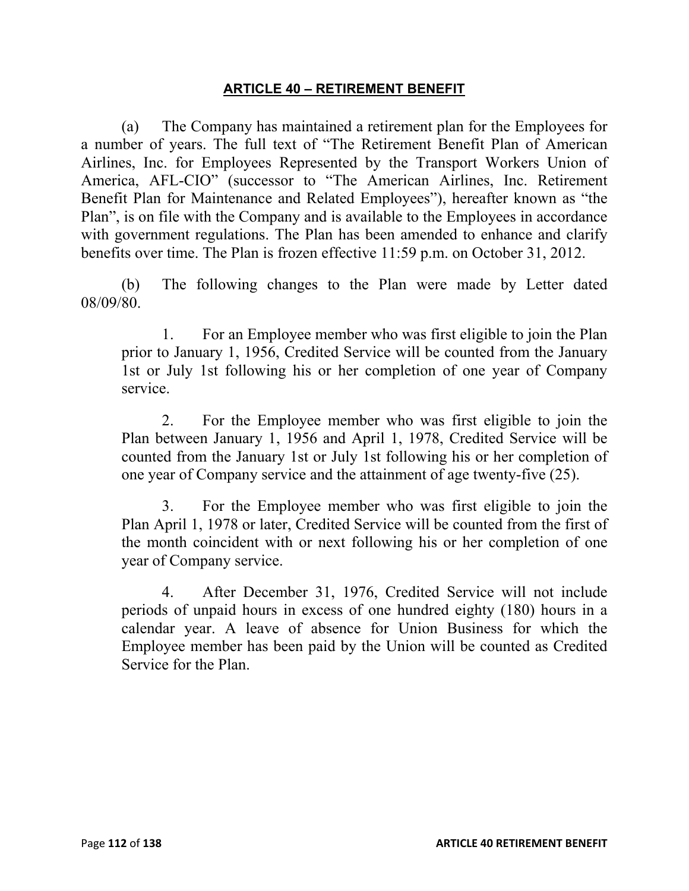### **ARTICLE 40 – RETIREMENT BENEFIT**

(a) The Company has maintained a retirement plan for the Employees for a number of years. The full text of "The Retirement Benefit Plan of American Airlines, Inc. for Employees Represented by the Transport Workers Union of America, AFL-CIO" (successor to "The American Airlines, Inc. Retirement Benefit Plan for Maintenance and Related Employees"), hereafter known as "the Plan", is on file with the Company and is available to the Employees in accordance with government regulations. The Plan has been amended to enhance and clarify benefits over time. The Plan is frozen effective 11:59 p.m. on October 31, 2012.

(b) The following changes to the Plan were made by Letter dated 08/09/80.

1. For an Employee member who was first eligible to join the Plan prior to January 1, 1956, Credited Service will be counted from the January 1st or July 1st following his or her completion of one year of Company service.

2. For the Employee member who was first eligible to join the Plan between January 1, 1956 and April 1, 1978, Credited Service will be counted from the January 1st or July 1st following his or her completion of one year of Company service and the attainment of age twenty-five (25).

3. For the Employee member who was first eligible to join the Plan April 1, 1978 or later, Credited Service will be counted from the first of the month coincident with or next following his or her completion of one year of Company service.

4. After December 31, 1976, Credited Service will not include periods of unpaid hours in excess of one hundred eighty (180) hours in a calendar year. A leave of absence for Union Business for which the Employee member has been paid by the Union will be counted as Credited Service for the Plan.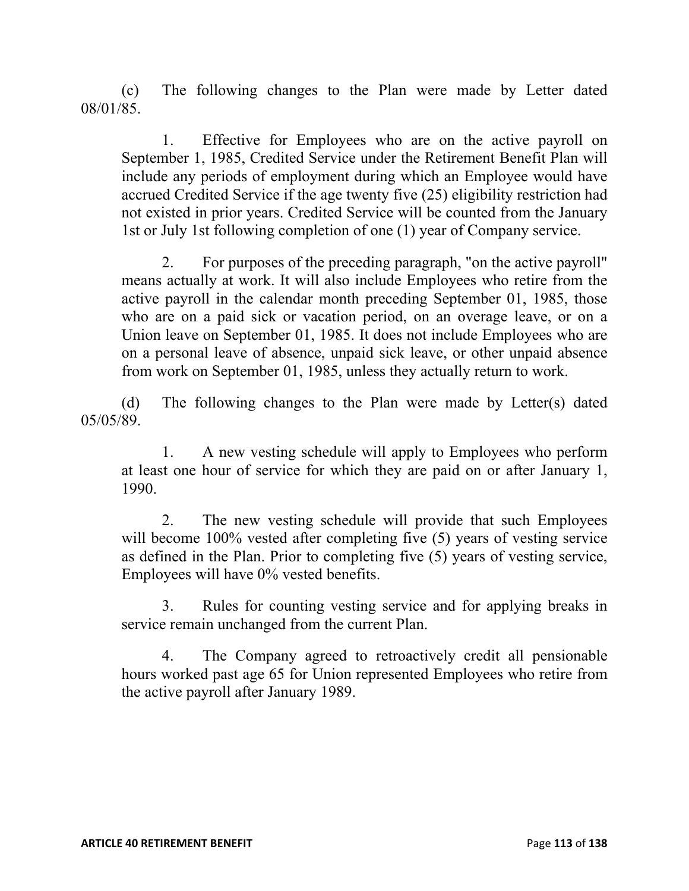(c) The following changes to the Plan were made by Letter dated 08/01/85.

1. Effective for Employees who are on the active payroll on September 1, 1985, Credited Service under the Retirement Benefit Plan will include any periods of employment during which an Employee would have accrued Credited Service if the age twenty five (25) eligibility restriction had not existed in prior years. Credited Service will be counted from the January 1st or July 1st following completion of one (1) year of Company service.

2. For purposes of the preceding paragraph, "on the active payroll" means actually at work. It will also include Employees who retire from the active payroll in the calendar month preceding September 01, 1985, those who are on a paid sick or vacation period, on an overage leave, or on a Union leave on September 01, 1985. It does not include Employees who are on a personal leave of absence, unpaid sick leave, or other unpaid absence from work on September 01, 1985, unless they actually return to work.

(d) The following changes to the Plan were made by Letter(s) dated 05/05/89.

1. A new vesting schedule will apply to Employees who perform at least one hour of service for which they are paid on or after January 1, 1990.

2. The new vesting schedule will provide that such Employees will become 100% vested after completing five (5) years of vesting service as defined in the Plan. Prior to completing five (5) years of vesting service, Employees will have 0% vested benefits.

3. Rules for counting vesting service and for applying breaks in service remain unchanged from the current Plan.

4. The Company agreed to retroactively credit all pensionable hours worked past age 65 for Union represented Employees who retire from the active payroll after January 1989.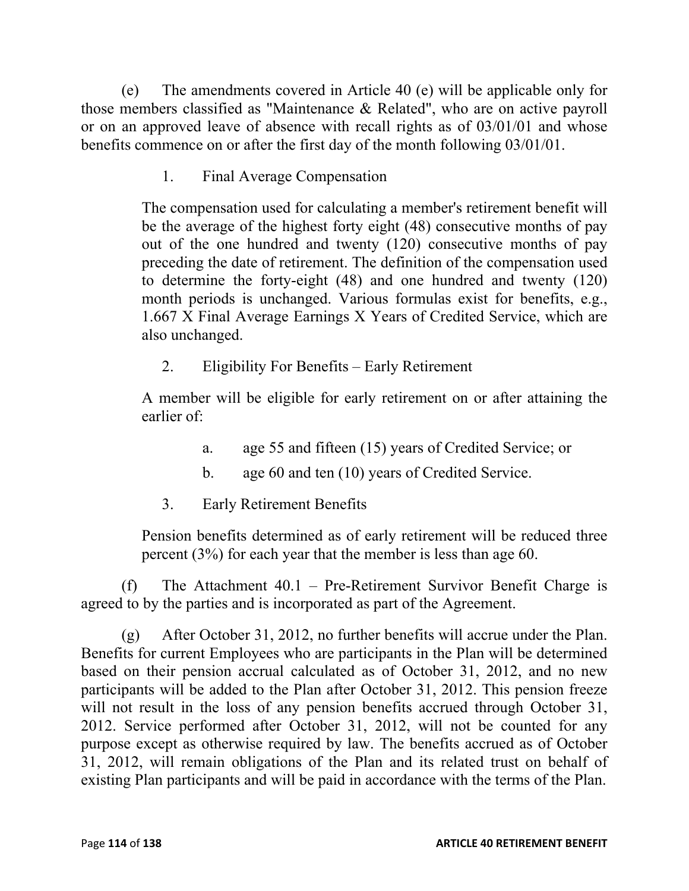(e) The amendments covered in Article 40 (e) will be applicable only for those members classified as "Maintenance & Related", who are on active payroll or on an approved leave of absence with recall rights as of 03/01/01 and whose benefits commence on or after the first day of the month following 03/01/01.

1. Final Average Compensation

The compensation used for calculating a member's retirement benefit will be the average of the highest forty eight (48) consecutive months of pay out of the one hundred and twenty (120) consecutive months of pay preceding the date of retirement. The definition of the compensation used to determine the forty-eight (48) and one hundred and twenty (120) month periods is unchanged. Various formulas exist for benefits, e.g., 1.667 X Final Average Earnings X Years of Credited Service, which are also unchanged.

2. Eligibility For Benefits – Early Retirement

A member will be eligible for early retirement on or after attaining the earlier of:

- a. age 55 and fifteen (15) years of Credited Service; or
- b. age 60 and ten (10) years of Credited Service.
- 3. Early Retirement Benefits

Pension benefits determined as of early retirement will be reduced three percent (3%) for each year that the member is less than age 60.

(f) The Attachment 40.1 – Pre-Retirement Survivor Benefit Charge is agreed to by the parties and is incorporated as part of the Agreement.

(g) After October 31, 2012, no further benefits will accrue under the Plan. Benefits for current Employees who are participants in the Plan will be determined based on their pension accrual calculated as of October 31, 2012, and no new participants will be added to the Plan after October 31, 2012. This pension freeze will not result in the loss of any pension benefits accrued through October 31, 2012. Service performed after October 31, 2012, will not be counted for any purpose except as otherwise required by law. The benefits accrued as of October 31, 2012, will remain obligations of the Plan and its related trust on behalf of existing Plan participants and will be paid in accordance with the terms of the Plan.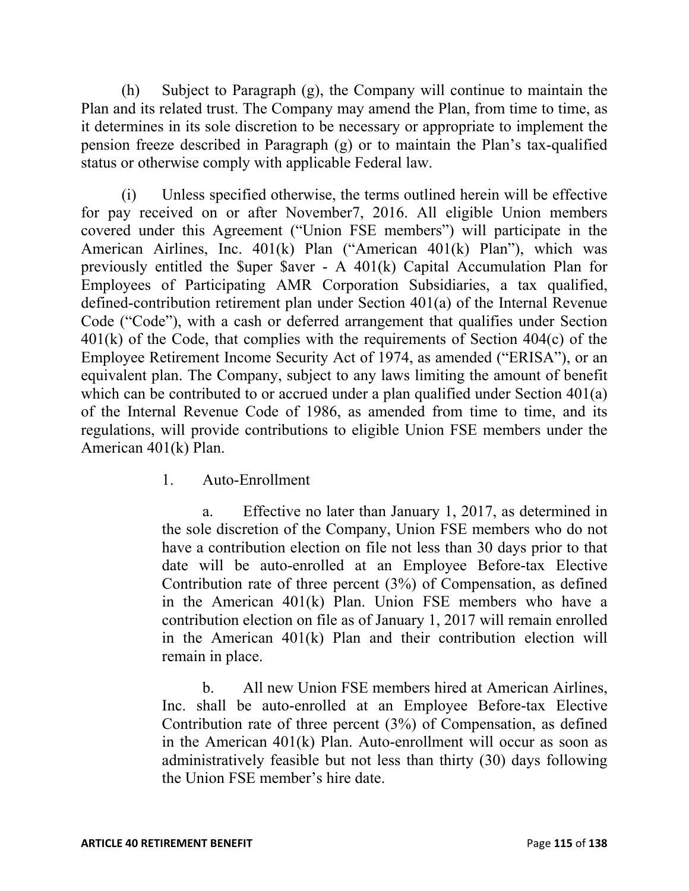(h) Subject to Paragraph (g), the Company will continue to maintain the Plan and its related trust. The Company may amend the Plan, from time to time, as it determines in its sole discretion to be necessary or appropriate to implement the pension freeze described in Paragraph (g) or to maintain the Plan's tax-qualified status or otherwise comply with applicable Federal law.

(i) Unless specified otherwise, the terms outlined herein will be effective for pay received on or after November7, 2016. All eligible Union members covered under this Agreement ("Union FSE members") will participate in the American Airlines, Inc. 401(k) Plan ("American 401(k) Plan"), which was previously entitled the \$uper \$aver - A 401(k) Capital Accumulation Plan for Employees of Participating AMR Corporation Subsidiaries, a tax qualified, defined-contribution retirement plan under Section 401(a) of the Internal Revenue Code ("Code"), with a cash or deferred arrangement that qualifies under Section 401(k) of the Code, that complies with the requirements of Section 404(c) of the Employee Retirement Income Security Act of 1974, as amended ("ERISA"), or an equivalent plan. The Company, subject to any laws limiting the amount of benefit which can be contributed to or accrued under a plan qualified under Section 401(a) of the Internal Revenue Code of 1986, as amended from time to time, and its regulations, will provide contributions to eligible Union FSE members under the American 401(k) Plan.

1. Auto-Enrollment

a. Effective no later than January 1, 2017, as determined in the sole discretion of the Company, Union FSE members who do not have a contribution election on file not less than 30 days prior to that date will be auto-enrolled at an Employee Before-tax Elective Contribution rate of three percent (3%) of Compensation, as defined in the American 401(k) Plan. Union FSE members who have a contribution election on file as of January 1, 2017 will remain enrolled in the American 401(k) Plan and their contribution election will remain in place.

b. All new Union FSE members hired at American Airlines, Inc. shall be auto-enrolled at an Employee Before-tax Elective Contribution rate of three percent (3%) of Compensation, as defined in the American 401(k) Plan. Auto-enrollment will occur as soon as administratively feasible but not less than thirty (30) days following the Union FSE member's hire date.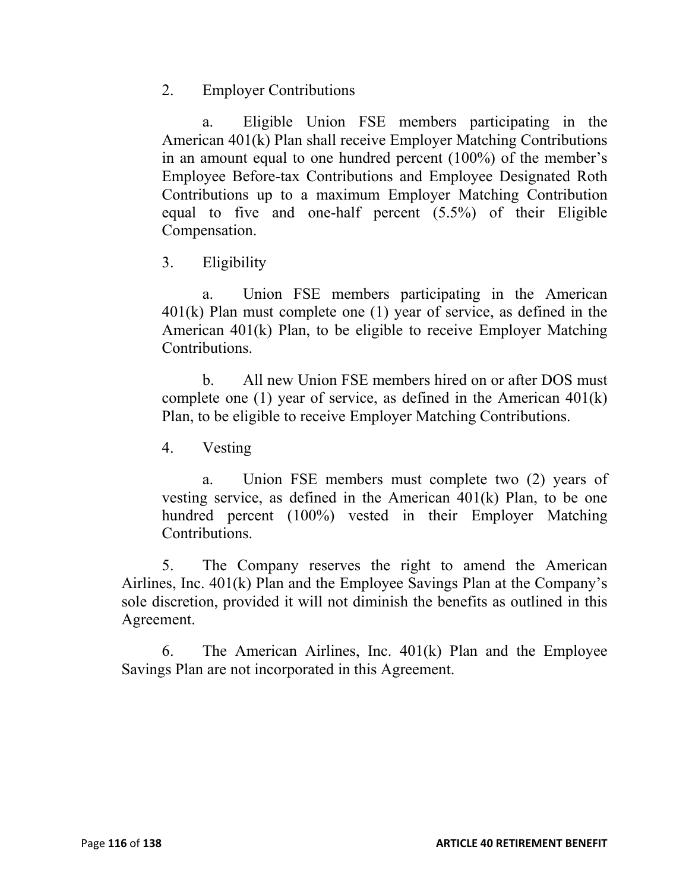2. Employer Contributions

a. Eligible Union FSE members participating in the American 401(k) Plan shall receive Employer Matching Contributions in an amount equal to one hundred percent (100%) of the member's Employee Before-tax Contributions and Employee Designated Roth Contributions up to a maximum Employer Matching Contribution equal to five and one-half percent (5.5%) of their Eligible Compensation.

3. Eligibility

a. Union FSE members participating in the American 401(k) Plan must complete one (1) year of service, as defined in the American 401(k) Plan, to be eligible to receive Employer Matching Contributions.

b. All new Union FSE members hired on or after DOS must complete one (1) year of service, as defined in the American 401(k) Plan, to be eligible to receive Employer Matching Contributions.

4. Vesting

a. Union FSE members must complete two (2) years of vesting service, as defined in the American 401(k) Plan, to be one hundred percent (100%) vested in their Employer Matching Contributions.

5. The Company reserves the right to amend the American Airlines, Inc. 401(k) Plan and the Employee Savings Plan at the Company's sole discretion, provided it will not diminish the benefits as outlined in this Agreement.

6. The American Airlines, Inc. 401(k) Plan and the Employee Savings Plan are not incorporated in this Agreement.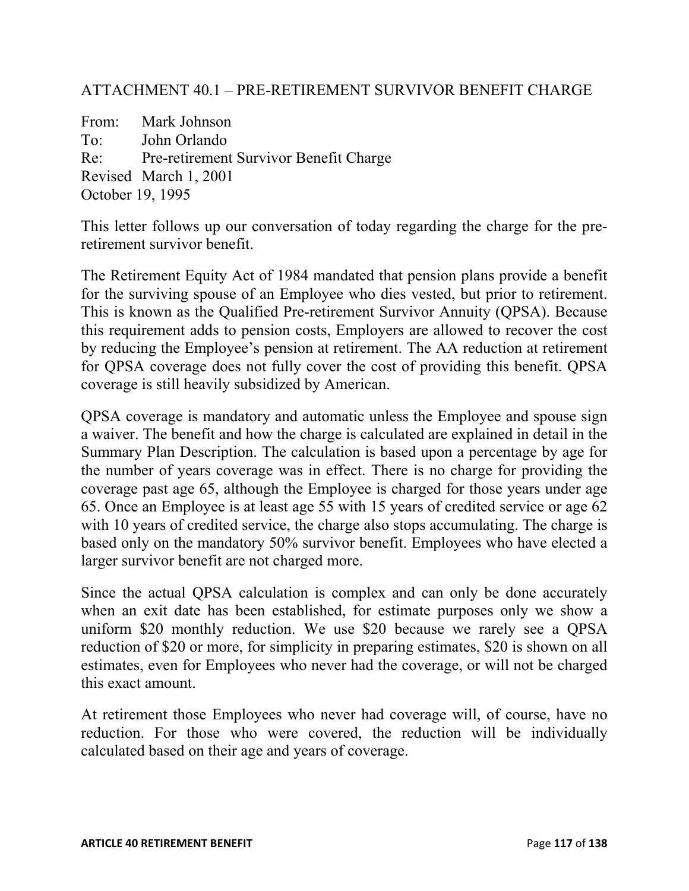## ATTACHMENT 40.1 – PRE-RETIREMENT SURVIVOR BENEFIT CHARGE

From: Mark Johnson To: John Orlando Re: Pre-retirement Survivor Benefit Charge Revised March 1, 2001 October 19, 1995

This letter follows up our conversation of today regarding the charge for the preretirement survivor benefit.

The Retirement Equity Act of 1984 mandated that pension plans provide a benefit for the surviving spouse of an Employee who dies vested, but prior to retirement. This is known as the Qualified Pre-retirement Survivor Annuity (QPSA). Because this requirement adds to pension costs, Employers are allowed to recover the cost by reducing the Employee's pension at retirement. The AA reduction at retirement for QPSA coverage does not fully cover the cost of providing this benefit. QPSA coverage is still heavily subsidized by American.

QPSA coverage is mandatory and automatic unless the Employee and spouse sign a waiver. The benefit and how the charge is calculated are explained in detail in the Summary Plan Description. The calculation is based upon a percentage by age for the number of years coverage was in effect. There is no charge for providing the coverage past age 65, although the Employee is charged for those years under age 65. Once an Employee is at least age 55 with 15 years of credited service or age 62 with 10 years of credited service, the charge also stops accumulating. The charge is based only on the mandatory 50% survivor benefit. Employees who have elected a larger survivor benefit are not charged more.

Since the actual QPSA calculation is complex and can only be done accurately when an exit date has been established, for estimate purposes only we show a uniform \$20 monthly reduction. We use \$20 because we rarely see a QPSA reduction of \$20 or more, for simplicity in preparing estimates, \$20 is shown on all estimates, even for Employees who never had the coverage, or will not be charged this exact amount.

At retirement those Employees who never had coverage will, of course, have no reduction. For those who were covered, the reduction will be individually calculated based on their age and years of coverage.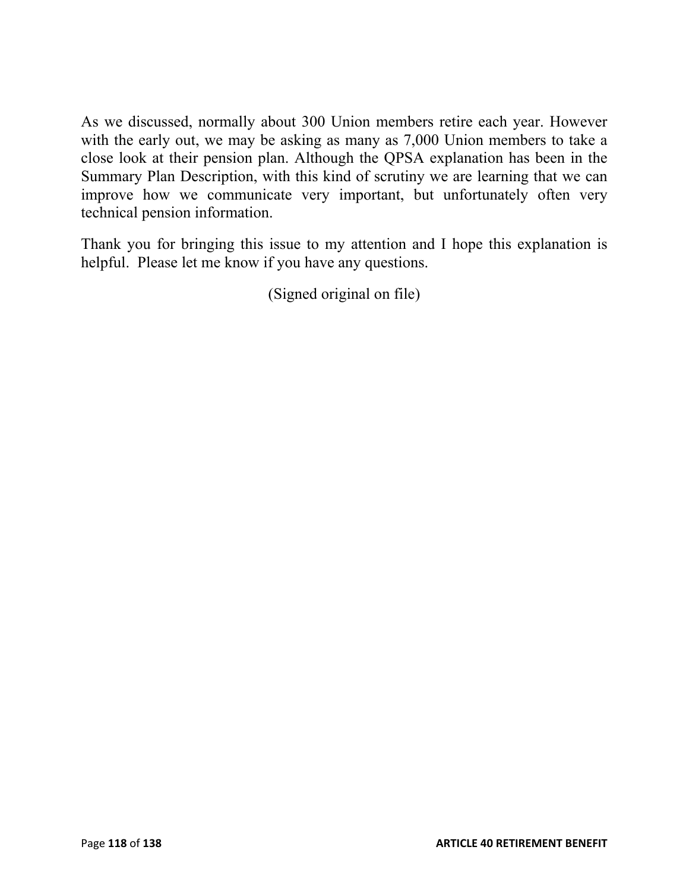As we discussed, normally about 300 Union members retire each year. However with the early out, we may be asking as many as 7,000 Union members to take a close look at their pension plan. Although the QPSA explanation has been in the Summary Plan Description, with this kind of scrutiny we are learning that we can improve how we communicate very important, but unfortunately often very technical pension information.

Thank you for bringing this issue to my attention and I hope this explanation is helpful. Please let me know if you have any questions.

(Signed original on file)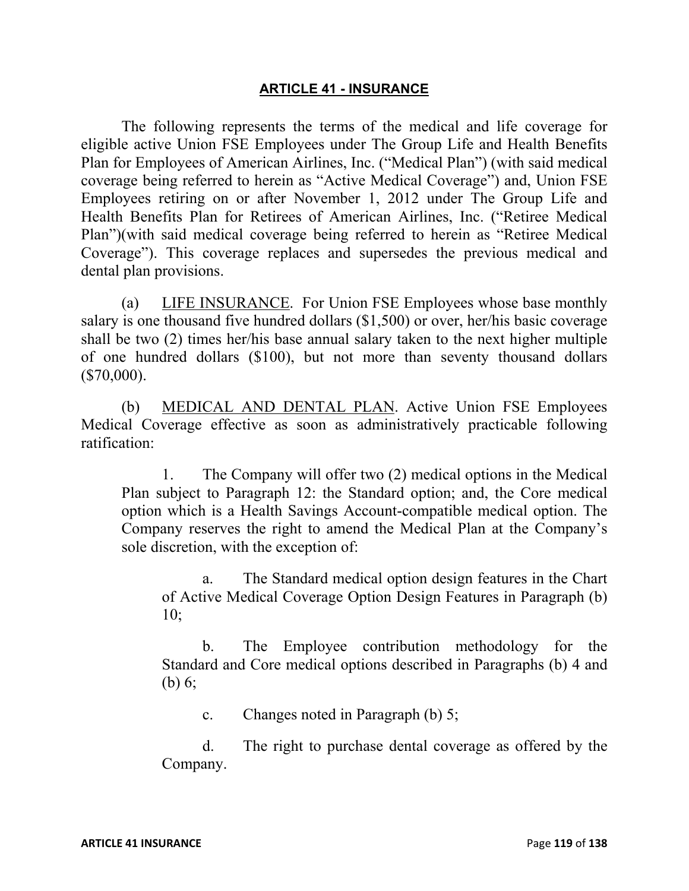#### **ARTICLE 41 - INSURANCE**

The following represents the terms of the medical and life coverage for eligible active Union FSE Employees under The Group Life and Health Benefits Plan for Employees of American Airlines, Inc. ("Medical Plan") (with said medical coverage being referred to herein as "Active Medical Coverage") and, Union FSE Employees retiring on or after November 1, 2012 under The Group Life and Health Benefits Plan for Retirees of American Airlines, Inc. ("Retiree Medical Plan")(with said medical coverage being referred to herein as "Retiree Medical Coverage"). This coverage replaces and supersedes the previous medical and dental plan provisions.

(a) LIFE INSURANCE.For Union FSE Employees whose base monthly salary is one thousand five hundred dollars (\$1,500) or over, her/his basic coverage shall be two (2) times her/his base annual salary taken to the next higher multiple of one hundred dollars (\$100), but not more than seventy thousand dollars  $($70,000)$ .

(b) MEDICAL AND DENTAL PLAN. Active Union FSE Employees Medical Coverage effective as soon as administratively practicable following ratification:

1. The Company will offer two (2) medical options in the Medical Plan subject to Paragraph 12: the Standard option; and, the Core medical option which is a Health Savings Account-compatible medical option. The Company reserves the right to amend the Medical Plan at the Company's sole discretion, with the exception of:

a. The Standard medical option design features in the Chart of Active Medical Coverage Option Design Features in Paragraph (b) 10;

b. The Employee contribution methodology for the Standard and Core medical options described in Paragraphs (b) 4 and (b) 6;

c. Changes noted in Paragraph (b) 5;

d. The right to purchase dental coverage as offered by the Company.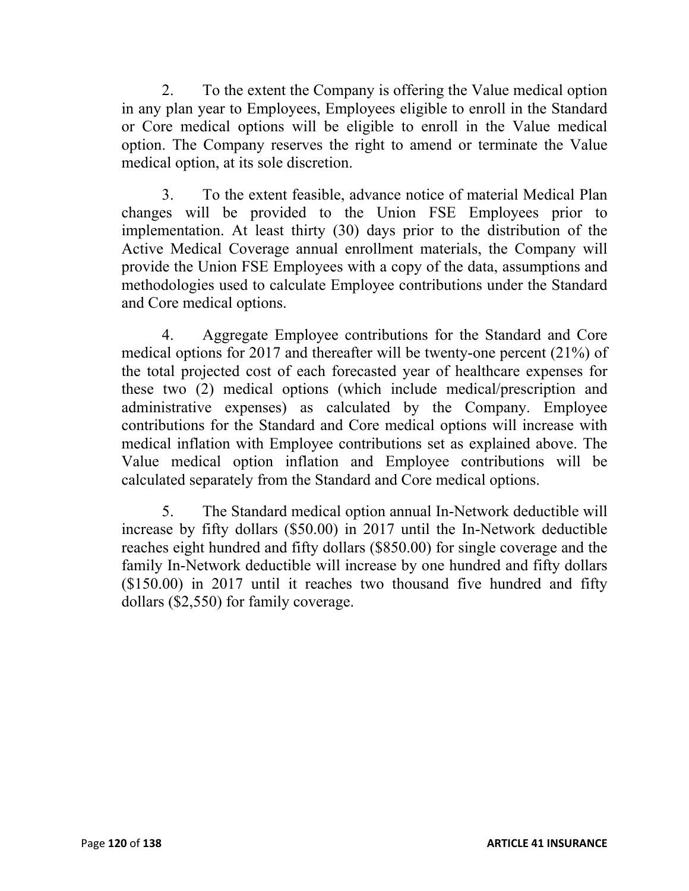2. To the extent the Company is offering the Value medical option in any plan year to Employees, Employees eligible to enroll in the Standard or Core medical options will be eligible to enroll in the Value medical option. The Company reserves the right to amend or terminate the Value medical option, at its sole discretion.

3. To the extent feasible, advance notice of material Medical Plan changes will be provided to the Union FSE Employees prior to implementation. At least thirty (30) days prior to the distribution of the Active Medical Coverage annual enrollment materials, the Company will provide the Union FSE Employees with a copy of the data, assumptions and methodologies used to calculate Employee contributions under the Standard and Core medical options.

4. Aggregate Employee contributions for the Standard and Core medical options for 2017 and thereafter will be twenty-one percent (21%) of the total projected cost of each forecasted year of healthcare expenses for these two (2) medical options (which include medical/prescription and administrative expenses) as calculated by the Company. Employee contributions for the Standard and Core medical options will increase with medical inflation with Employee contributions set as explained above. The Value medical option inflation and Employee contributions will be calculated separately from the Standard and Core medical options.

5. The Standard medical option annual In-Network deductible will increase by fifty dollars (\$50.00) in 2017 until the In-Network deductible reaches eight hundred and fifty dollars (\$850.00) for single coverage and the family In-Network deductible will increase by one hundred and fifty dollars (\$150.00) in 2017 until it reaches two thousand five hundred and fifty dollars (\$2,550) for family coverage.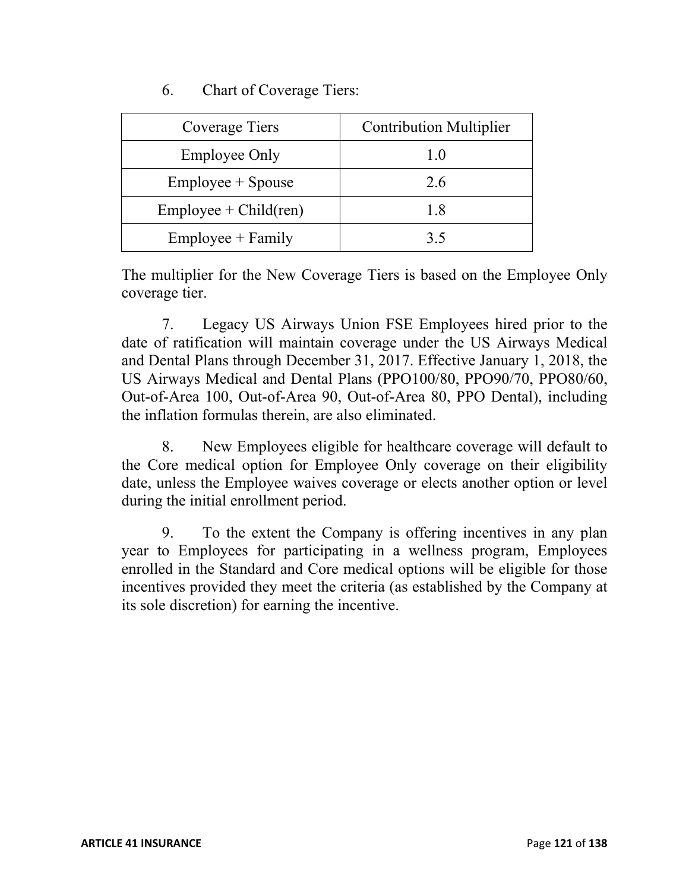## 6. Chart of Coverage Tiers:

| Coverage Tiers           | <b>Contribution Multiplier</b> |  |
|--------------------------|--------------------------------|--|
| <b>Employee Only</b>     | 1 O                            |  |
| $Employee + Spouse$      | 2.6                            |  |
| $Employee + Child (ren)$ | 1 X                            |  |
| $Employee + Family$      | 35                             |  |

The multiplier for the New Coverage Tiers is based on the Employee Only coverage tier.

7. Legacy US Airways Union FSE Employees hired prior to the date of ratification will maintain coverage under the US Airways Medical and Dental Plans through December 31, 2017. Effective January 1, 2018, the US Airways Medical and Dental Plans (PPO100/80, PPO90/70, PPO80/60, Out-of-Area 100, Out-of-Area 90, Out-of-Area 80, PPO Dental), including the inflation formulas therein, are also eliminated.

8. New Employees eligible for healthcare coverage will default to the Core medical option for Employee Only coverage on their eligibility date, unless the Employee waives coverage or elects another option or level during the initial enrollment period.

9. To the extent the Company is offering incentives in any plan year to Employees for participating in a wellness program, Employees enrolled in the Standard and Core medical options will be eligible for those incentives provided they meet the criteria (as established by the Company at its sole discretion) for earning the incentive.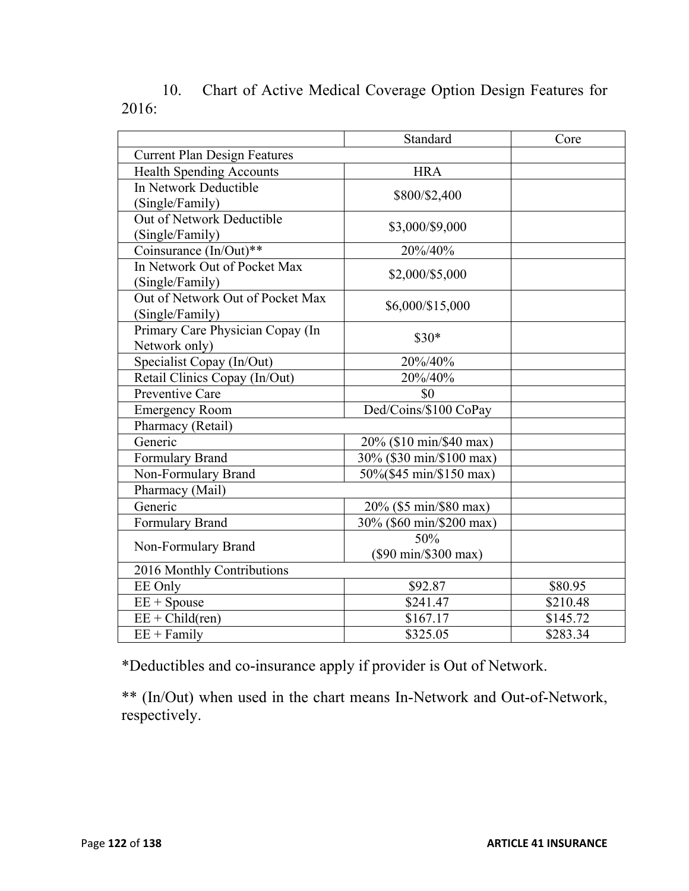|                                     | Standard                                | Core     |
|-------------------------------------|-----------------------------------------|----------|
| <b>Current Plan Design Features</b> |                                         |          |
| <b>Health Spending Accounts</b>     | <b>HRA</b>                              |          |
| In Network Deductible               | \$800/\$2,400                           |          |
| (Single/Family)                     |                                         |          |
| Out of Network Deductible           | \$3,000/\$9,000                         |          |
| (Single/Family)                     |                                         |          |
| Coinsurance (In/Out)**              | 20%/40%                                 |          |
| In Network Out of Pocket Max        | \$2,000/\$5,000                         |          |
| (Single/Family)                     |                                         |          |
| Out of Network Out of Pocket Max    | \$6,000/\$15,000                        |          |
| (Single/Family)                     |                                         |          |
| Primary Care Physician Copay (In    | $$30*$                                  |          |
| Network only)                       |                                         |          |
| Specialist Copay (In/Out)           | 20%/40%                                 |          |
| Retail Clinics Copay (In/Out)       | 20%/40%                                 |          |
| Preventive Care                     | \$0                                     |          |
| <b>Emergency Room</b>               | Ded/Coins/\$100 CoPay                   |          |
| Pharmacy (Retail)                   |                                         |          |
| Generic                             | 20% (\$10 min/\$40 max)                 |          |
| Formulary Brand                     | 30% (\$30 min/\$100 max)                |          |
| Non-Formulary Brand                 | 50%(\$45 min/\$150 max)                 |          |
| Pharmacy (Mail)                     |                                         |          |
| Generic                             | 20% (\$5 min/\$80 max)                  |          |
| Formulary Brand                     | 30% (\$60 min/\$200 max)                |          |
| Non-Formulary Brand                 | 50%                                     |          |
|                                     | $(\$90 \text{ min}$ $\$300 \text{ max}$ |          |
| 2016 Monthly Contributions          |                                         |          |
| EE Only                             | \$92.87                                 | \$80.95  |
| $EE + Spouse$                       | \$241.47                                | \$210.48 |
| $EE + Child(ren)$                   | \$167.17                                | \$145.72 |
| $EE + Family$                       | \$325.05                                | \$283.34 |

# 10. Chart of Active Medical Coverage Option Design Features for 2016:

\*Deductibles and co-insurance apply if provider is Out of Network.

\*\* (In/Out) when used in the chart means In-Network and Out-of-Network, respectively.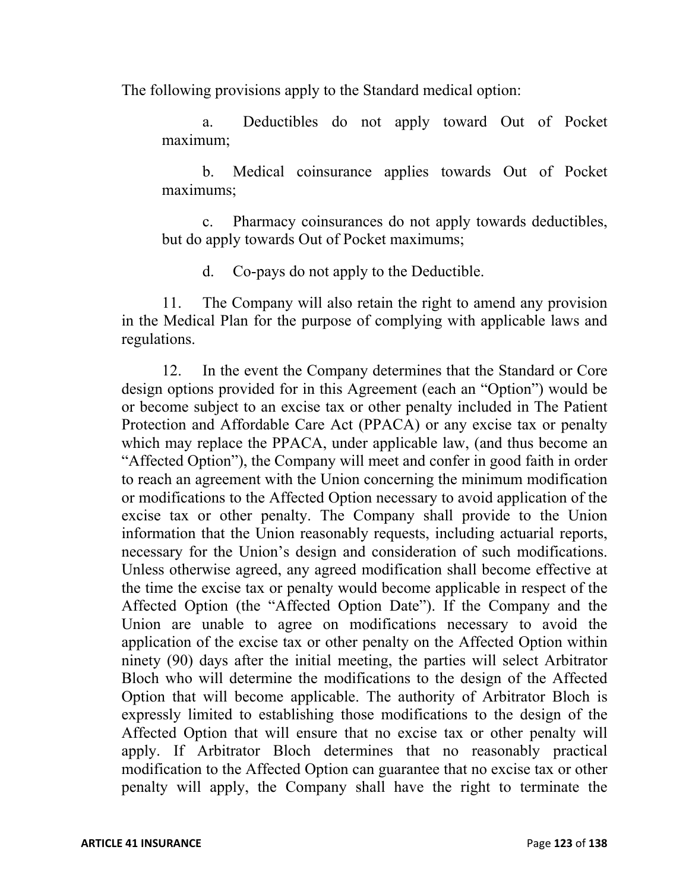The following provisions apply to the Standard medical option:

a. Deductibles do not apply toward Out of Pocket maximum;

b. Medical coinsurance applies towards Out of Pocket maximums;

c. Pharmacy coinsurances do not apply towards deductibles, but do apply towards Out of Pocket maximums;

d. Co-pays do not apply to the Deductible.

11. The Company will also retain the right to amend any provision in the Medical Plan for the purpose of complying with applicable laws and regulations.

12. In the event the Company determines that the Standard or Core design options provided for in this Agreement (each an "Option") would be or become subject to an excise tax or other penalty included in The Patient Protection and Affordable Care Act (PPACA) or any excise tax or penalty which may replace the PPACA, under applicable law, (and thus become an "Affected Option"), the Company will meet and confer in good faith in order to reach an agreement with the Union concerning the minimum modification or modifications to the Affected Option necessary to avoid application of the excise tax or other penalty. The Company shall provide to the Union information that the Union reasonably requests, including actuarial reports, necessary for the Union's design and consideration of such modifications. Unless otherwise agreed, any agreed modification shall become effective at the time the excise tax or penalty would become applicable in respect of the Affected Option (the "Affected Option Date"). If the Company and the Union are unable to agree on modifications necessary to avoid the application of the excise tax or other penalty on the Affected Option within ninety (90) days after the initial meeting, the parties will select Arbitrator Bloch who will determine the modifications to the design of the Affected Option that will become applicable. The authority of Arbitrator Bloch is expressly limited to establishing those modifications to the design of the Affected Option that will ensure that no excise tax or other penalty will apply. If Arbitrator Bloch determines that no reasonably practical modification to the Affected Option can guarantee that no excise tax or other penalty will apply, the Company shall have the right to terminate the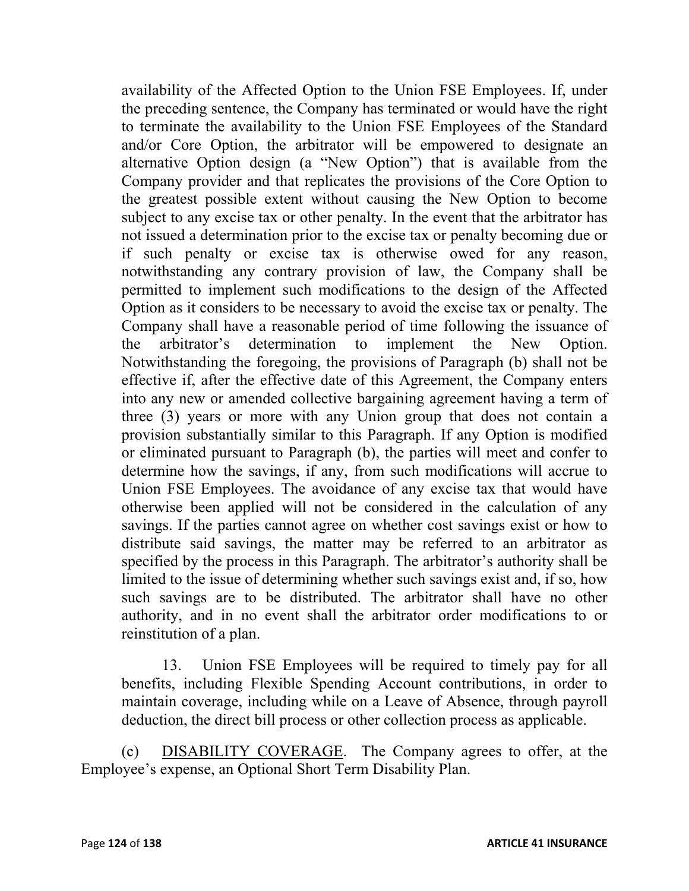availability of the Affected Option to the Union FSE Employees. If, under the preceding sentence, the Company has terminated or would have the right to terminate the availability to the Union FSE Employees of the Standard and/or Core Option, the arbitrator will be empowered to designate an alternative Option design (a "New Option") that is available from the Company provider and that replicates the provisions of the Core Option to the greatest possible extent without causing the New Option to become subject to any excise tax or other penalty. In the event that the arbitrator has not issued a determination prior to the excise tax or penalty becoming due or if such penalty or excise tax is otherwise owed for any reason, notwithstanding any contrary provision of law, the Company shall be permitted to implement such modifications to the design of the Affected Option as it considers to be necessary to avoid the excise tax or penalty. The Company shall have a reasonable period of time following the issuance of the arbitrator's determination to implement the New Option. Notwithstanding the foregoing, the provisions of Paragraph (b) shall not be effective if, after the effective date of this Agreement, the Company enters into any new or amended collective bargaining agreement having a term of three (3) years or more with any Union group that does not contain a provision substantially similar to this Paragraph. If any Option is modified or eliminated pursuant to Paragraph (b), the parties will meet and confer to determine how the savings, if any, from such modifications will accrue to Union FSE Employees. The avoidance of any excise tax that would have otherwise been applied will not be considered in the calculation of any savings. If the parties cannot agree on whether cost savings exist or how to distribute said savings, the matter may be referred to an arbitrator as specified by the process in this Paragraph. The arbitrator's authority shall be limited to the issue of determining whether such savings exist and, if so, how such savings are to be distributed. The arbitrator shall have no other authority, and in no event shall the arbitrator order modifications to or reinstitution of a plan.

13. Union FSE Employees will be required to timely pay for all benefits, including Flexible Spending Account contributions, in order to maintain coverage, including while on a Leave of Absence, through payroll deduction, the direct bill process or other collection process as applicable.

(c) DISABILITY COVERAGE. The Company agrees to offer, at the Employee's expense, an Optional Short Term Disability Plan.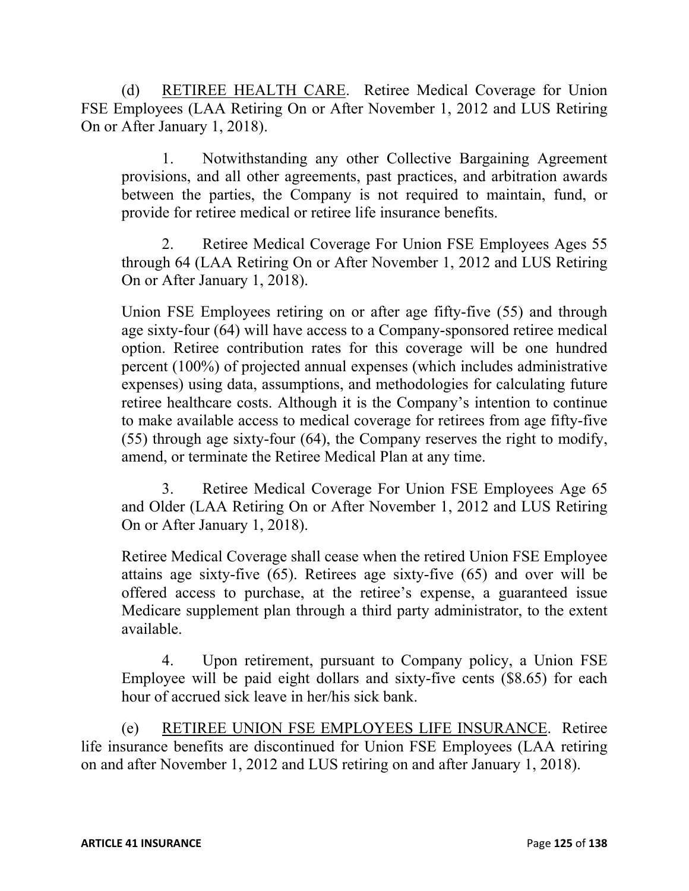(d) RETIREE HEALTH CARE. Retiree Medical Coverage for Union FSE Employees (LAA Retiring On or After November 1, 2012 and LUS Retiring On or After January 1, 2018).

1. Notwithstanding any other Collective Bargaining Agreement provisions, and all other agreements, past practices, and arbitration awards between the parties, the Company is not required to maintain, fund, or provide for retiree medical or retiree life insurance benefits.

2. Retiree Medical Coverage For Union FSE Employees Ages 55 through 64 (LAA Retiring On or After November 1, 2012 and LUS Retiring On or After January 1, 2018).

Union FSE Employees retiring on or after age fifty-five (55) and through age sixty-four (64) will have access to a Company-sponsored retiree medical option. Retiree contribution rates for this coverage will be one hundred percent (100%) of projected annual expenses (which includes administrative expenses) using data, assumptions, and methodologies for calculating future retiree healthcare costs. Although it is the Company's intention to continue to make available access to medical coverage for retirees from age fifty-five (55) through age sixty-four (64), the Company reserves the right to modify, amend, or terminate the Retiree Medical Plan at any time.

3. Retiree Medical Coverage For Union FSE Employees Age 65 and Older (LAA Retiring On or After November 1, 2012 and LUS Retiring On or After January 1, 2018).

Retiree Medical Coverage shall cease when the retired Union FSE Employee attains age sixty-five (65). Retirees age sixty-five (65) and over will be offered access to purchase, at the retiree's expense, a guaranteed issue Medicare supplement plan through a third party administrator, to the extent available.

4. Upon retirement, pursuant to Company policy, a Union FSE Employee will be paid eight dollars and sixty-five cents (\$8.65) for each hour of accrued sick leave in her/his sick bank.

(e) RETIREE UNION FSE EMPLOYEES LIFE INSURANCE. Retiree life insurance benefits are discontinued for Union FSE Employees (LAA retiring on and after November 1, 2012 and LUS retiring on and after January 1, 2018).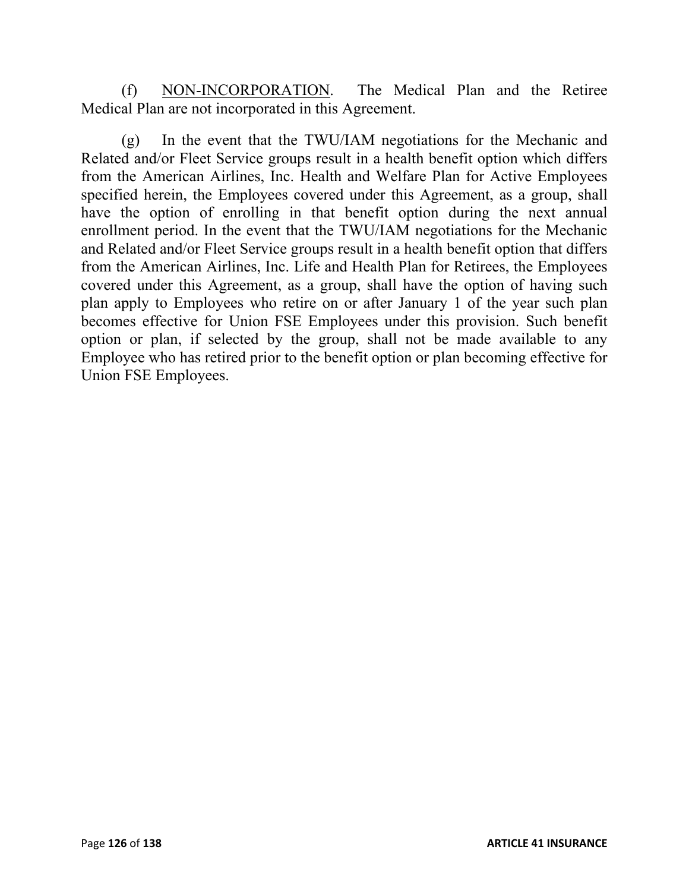(f) NON-INCORPORATION. The Medical Plan and the Retiree Medical Plan are not incorporated in this Agreement.

(g) In the event that the TWU/IAM negotiations for the Mechanic and Related and/or Fleet Service groups result in a health benefit option which differs from the American Airlines, Inc. Health and Welfare Plan for Active Employees specified herein, the Employees covered under this Agreement, as a group, shall have the option of enrolling in that benefit option during the next annual enrollment period. In the event that the TWU/IAM negotiations for the Mechanic and Related and/or Fleet Service groups result in a health benefit option that differs from the American Airlines, Inc. Life and Health Plan for Retirees, the Employees covered under this Agreement, as a group, shall have the option of having such plan apply to Employees who retire on or after January 1 of the year such plan becomes effective for Union FSE Employees under this provision. Such benefit option or plan, if selected by the group, shall not be made available to any Employee who has retired prior to the benefit option or plan becoming effective for Union FSE Employees.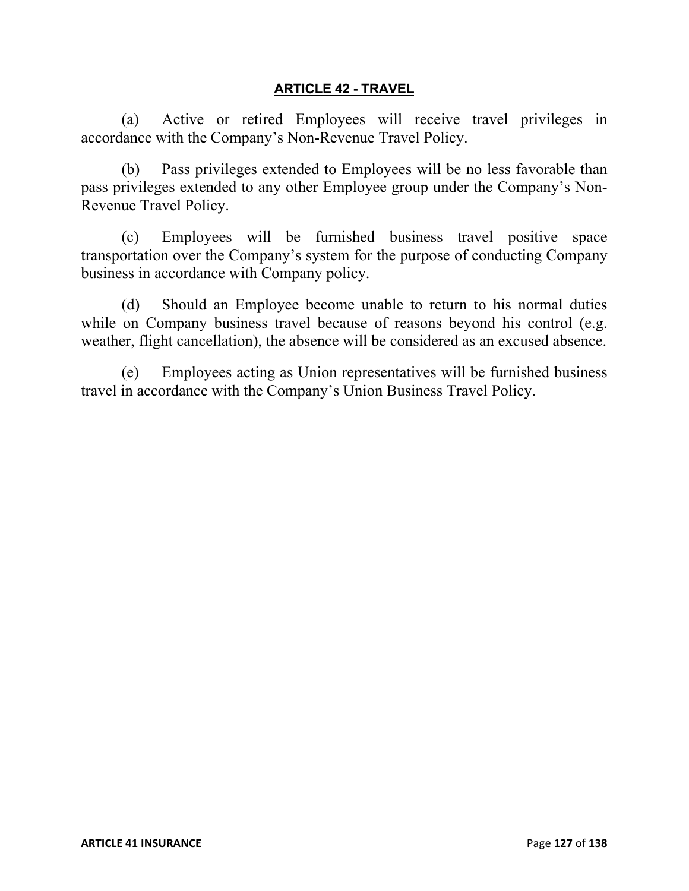#### **ARTICLE 42 - TRAVEL**

(a) Active or retired Employees will receive travel privileges in accordance with the Company's Non-Revenue Travel Policy.

(b) Pass privileges extended to Employees will be no less favorable than pass privileges extended to any other Employee group under the Company's Non-Revenue Travel Policy.

(c) Employees will be furnished business travel positive space transportation over the Company's system for the purpose of conducting Company business in accordance with Company policy.

(d) Should an Employee become unable to return to his normal duties while on Company business travel because of reasons beyond his control (e.g. weather, flight cancellation), the absence will be considered as an excused absence.

(e) Employees acting as Union representatives will be furnished business travel in accordance with the Company's Union Business Travel Policy.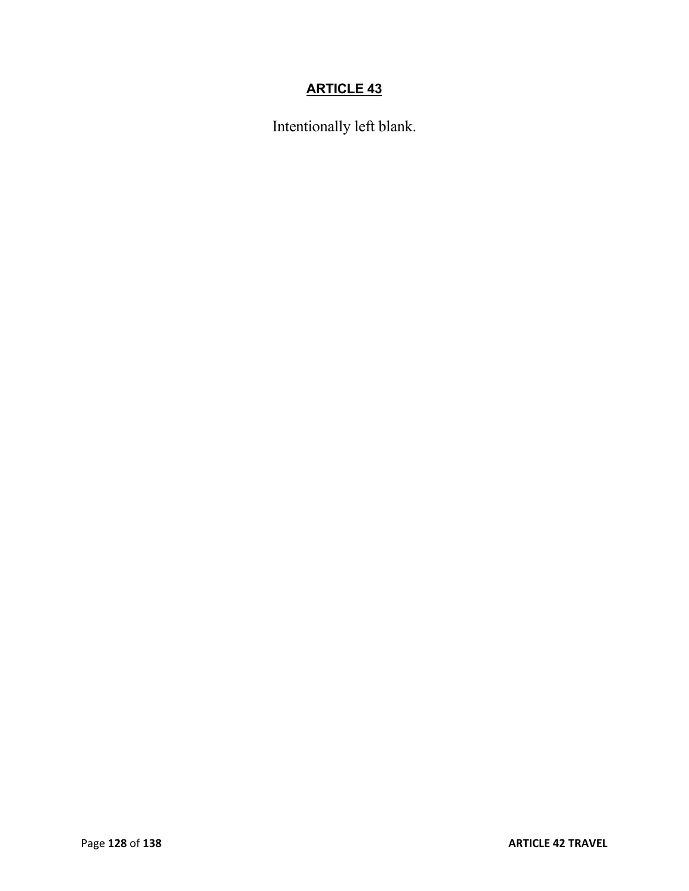# **ARTICLE 43**

Intentionally left blank.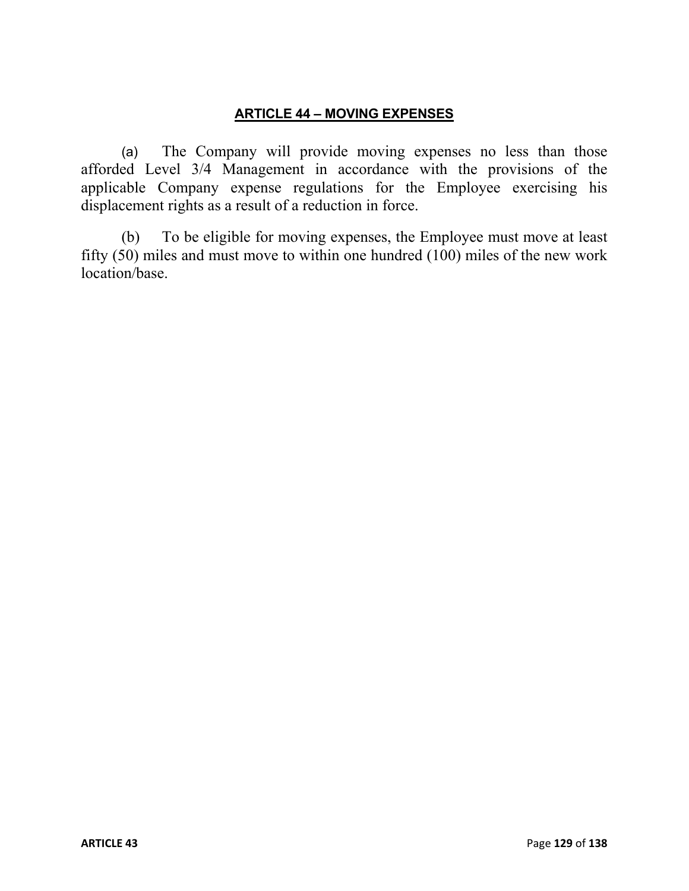### **ARTICLE 44 – MOVING EXPENSES**

(a) The Company will provide moving expenses no less than those afforded Level 3/4 Management in accordance with the provisions of the applicable Company expense regulations for the Employee exercising his displacement rights as a result of a reduction in force.

(b) To be eligible for moving expenses, the Employee must move at least fifty (50) miles and must move to within one hundred (100) miles of the new work location/base.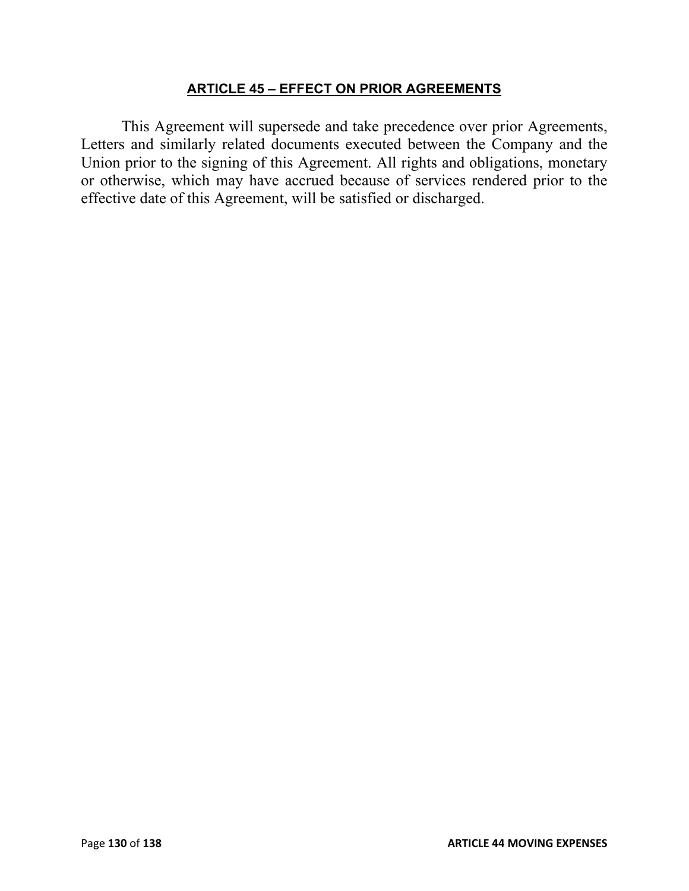#### **ARTICLE 45 – EFFECT ON PRIOR AGREEMENTS**

This Agreement will supersede and take precedence over prior Agreements, Letters and similarly related documents executed between the Company and the Union prior to the signing of this Agreement. All rights and obligations, monetary or otherwise, which may have accrued because of services rendered prior to the effective date of this Agreement, will be satisfied or discharged.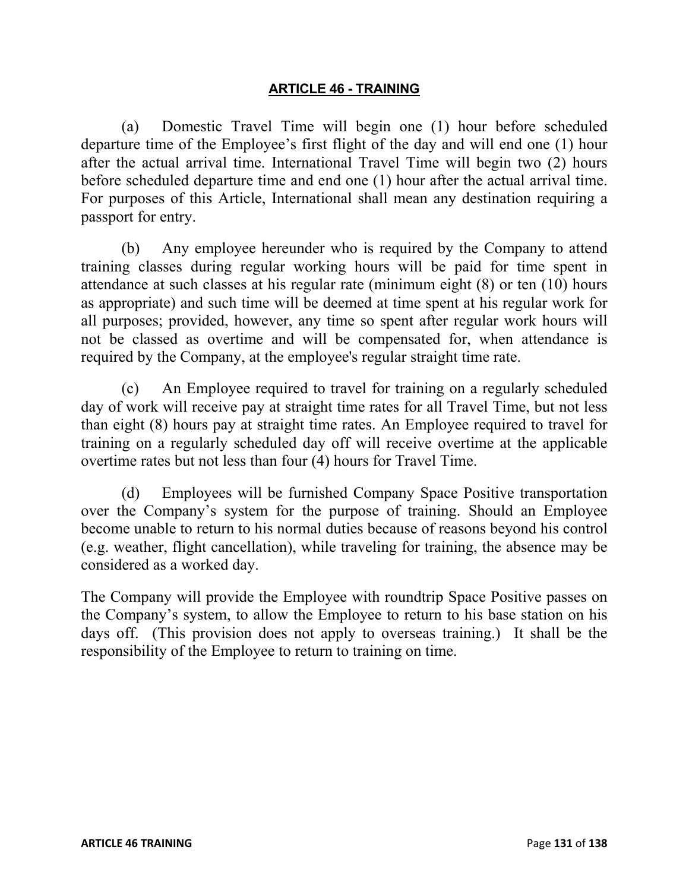### **ARTICLE 46 - TRAINING**

(a) Domestic Travel Time will begin one (1) hour before scheduled departure time of the Employee's first flight of the day and will end one (1) hour after the actual arrival time. International Travel Time will begin two (2) hours before scheduled departure time and end one (1) hour after the actual arrival time. For purposes of this Article, International shall mean any destination requiring a passport for entry.

(b) Any employee hereunder who is required by the Company to attend training classes during regular working hours will be paid for time spent in attendance at such classes at his regular rate (minimum eight (8) or ten (10) hours as appropriate) and such time will be deemed at time spent at his regular work for all purposes; provided, however, any time so spent after regular work hours will not be classed as overtime and will be compensated for, when attendance is required by the Company, at the employee's regular straight time rate.

(c) An Employee required to travel for training on a regularly scheduled day of work will receive pay at straight time rates for all Travel Time, but not less than eight (8) hours pay at straight time rates. An Employee required to travel for training on a regularly scheduled day off will receive overtime at the applicable overtime rates but not less than four (4) hours for Travel Time.

(d) Employees will be furnished Company Space Positive transportation over the Company's system for the purpose of training. Should an Employee become unable to return to his normal duties because of reasons beyond his control (e.g. weather, flight cancellation), while traveling for training, the absence may be considered as a worked day.

The Company will provide the Employee with roundtrip Space Positive passes on the Company's system, to allow the Employee to return to his base station on his days off. (This provision does not apply to overseas training.) It shall be the responsibility of the Employee to return to training on time.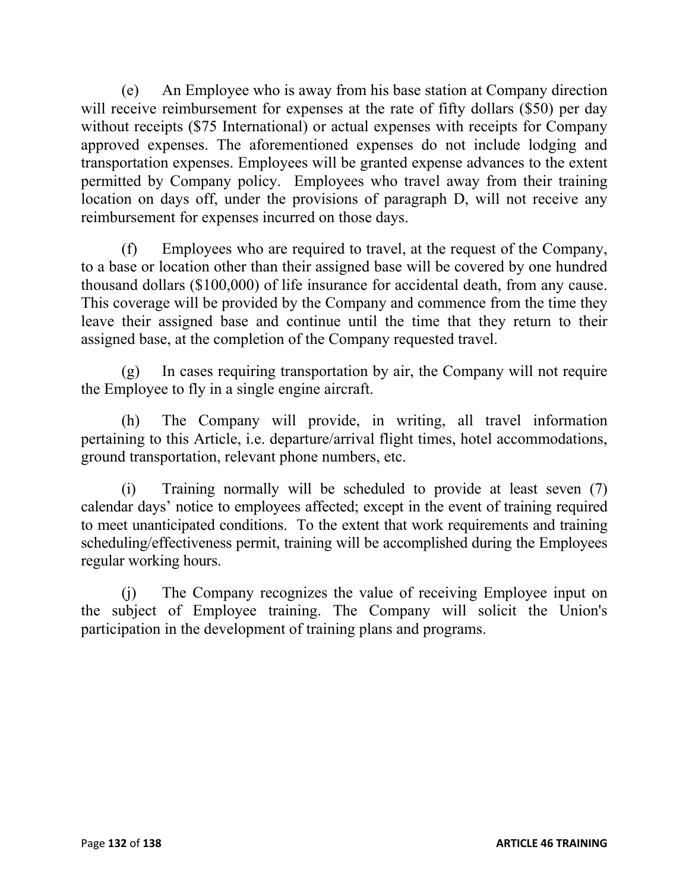(e) An Employee who is away from his base station at Company direction will receive reimbursement for expenses at the rate of fifty dollars (\$50) per day without receipts (\$75 International) or actual expenses with receipts for Company approved expenses. The aforementioned expenses do not include lodging and transportation expenses. Employees will be granted expense advances to the extent permitted by Company policy. Employees who travel away from their training location on days off, under the provisions of paragraph D, will not receive any reimbursement for expenses incurred on those days.

(f) Employees who are required to travel, at the request of the Company, to a base or location other than their assigned base will be covered by one hundred thousand dollars (\$100,000) of life insurance for accidental death, from any cause. This coverage will be provided by the Company and commence from the time they leave their assigned base and continue until the time that they return to their assigned base, at the completion of the Company requested travel.

(g) In cases requiring transportation by air, the Company will not require the Employee to fly in a single engine aircraft.

(h) The Company will provide, in writing, all travel information pertaining to this Article, i.e. departure/arrival flight times, hotel accommodations, ground transportation, relevant phone numbers, etc.

(i) Training normally will be scheduled to provide at least seven (7) calendar days' notice to employees affected; except in the event of training required to meet unanticipated conditions. To the extent that work requirements and training scheduling/effectiveness permit, training will be accomplished during the Employees regular working hours.

(j) The Company recognizes the value of receiving Employee input on the subject of Employee training. The Company will solicit the Union's participation in the development of training plans and programs.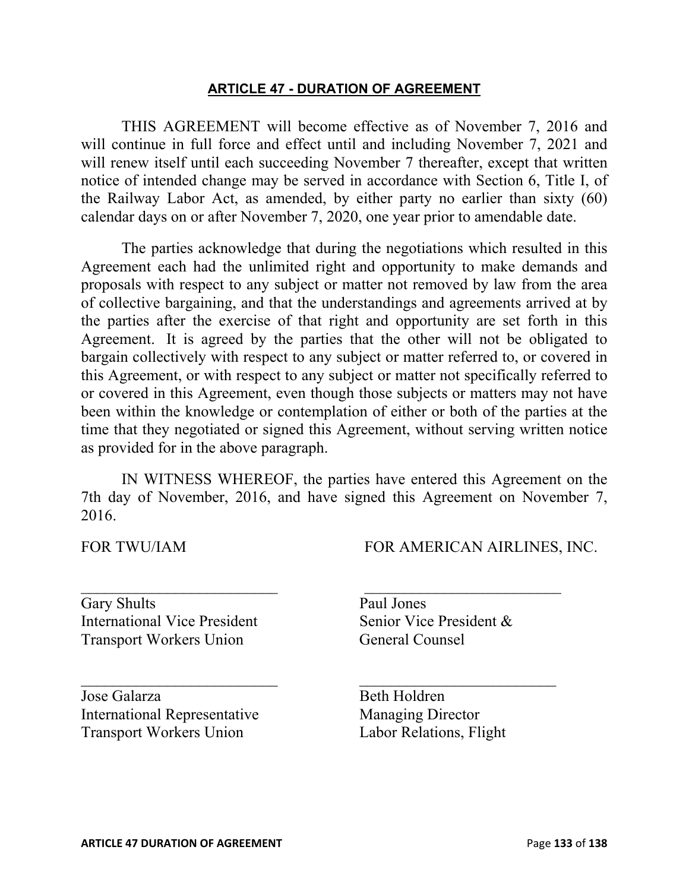#### **ARTICLE 47 - DURATION OF AGREEMENT**

THIS AGREEMENT will become effective as of November 7, 2016 and will continue in full force and effect until and including November 7, 2021 and will renew itself until each succeeding November 7 thereafter, except that written notice of intended change may be served in accordance with Section 6, Title I, of the Railway Labor Act, as amended, by either party no earlier than sixty (60) calendar days on or after November 7, 2020, one year prior to amendable date.

The parties acknowledge that during the negotiations which resulted in this Agreement each had the unlimited right and opportunity to make demands and proposals with respect to any subject or matter not removed by law from the area of collective bargaining, and that the understandings and agreements arrived at by the parties after the exercise of that right and opportunity are set forth in this Agreement. It is agreed by the parties that the other will not be obligated to bargain collectively with respect to any subject or matter referred to, or covered in this Agreement, or with respect to any subject or matter not specifically referred to or covered in this Agreement, even though those subjects or matters may not have been within the knowledge or contemplation of either or both of the parties at the time that they negotiated or signed this Agreement, without serving written notice as provided for in the above paragraph.

IN WITNESS WHEREOF, the parties have entered this Agreement on the 7th day of November, 2016, and have signed this Agreement on November 7, 2016.

FOR TWU/IAM FOR AMERICAN AIRLINES, INC.

Gary Shults Paul Jones International Vice President Senior Vice President & Transport Workers Union General Counsel

Jose Galarza Beth Holdren International Representative Managing Director Transport Workers Union Labor Relations, Flight